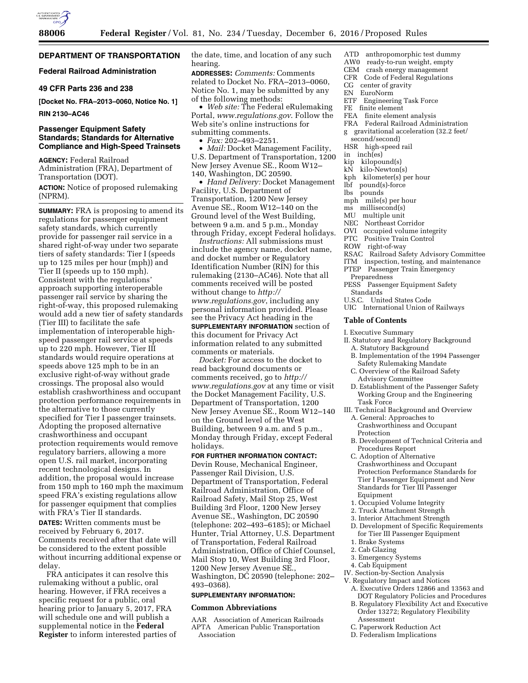

## **DEPARTMENT OF TRANSPORTATION**

## **Federal Railroad Administration**

## **49 CFR Parts 236 and 238**

**[Docket No. FRA–2013–0060, Notice No. 1]** 

#### **RIN 2130–AC46**

## **Passenger Equipment Safety Standards; Standards for Alternative Compliance and High-Speed Trainsets**

**AGENCY:** Federal Railroad Administration (FRA), Department of Transportation (DOT).

**ACTION:** Notice of proposed rulemaking (NPRM).

**SUMMARY:** FRA is proposing to amend its regulations for passenger equipment safety standards, which currently provide for passenger rail service in a shared right-of-way under two separate tiers of safety standards: Tier I (speeds up to 125 miles per hour (mph)) and Tier II (speeds up to 150 mph). Consistent with the regulations' approach supporting interoperable passenger rail service by sharing the right-of-way, this proposed rulemaking would add a new tier of safety standards (Tier III) to facilitate the safe implementation of interoperable highspeed passenger rail service at speeds up to 220 mph. However, Tier III standards would require operations at speeds above 125 mph to be in an exclusive right-of-way without grade crossings. The proposal also would establish crashworthiness and occupant protection performance requirements in the alternative to those currently specified for Tier I passenger trainsets. Adopting the proposed alternative crashworthiness and occupant protection requirements would remove regulatory barriers, allowing a more open U.S. rail market, incorporating recent technological designs. In addition, the proposal would increase from 150 mph to 160 mph the maximum speed FRA's existing regulations allow for passenger equipment that complies with FRA's Tier II standards.

**DATES:** Written comments must be received by February 6, 2017. Comments received after that date will be considered to the extent possible without incurring additional expense or delay.

FRA anticipates it can resolve this rulemaking without a public, oral hearing. However, if FRA receives a specific request for a public, oral hearing prior to January 5, 2017, FRA will schedule one and will publish a supplemental notice in the **Federal Register** to inform interested parties of the date, time, and location of any such hearing.

**ADDRESSES:** *Comments:* Comments related to Docket No. FRA–2013–0060, Notice No. 1, may be submitted by any of the following methods:

• *Web site:* The Federal eRulemaking Portal, *[www.regulations.gov](http://www.regulations.gov)*. Follow the Web site's online instructions for submitting comments.

• *Fax:* 202–493–2251.

• *Mail:* Docket Management Facility, U.S. Department of Transportation, 1200 New Jersey Avenue SE., Room W12– 140, Washington, DC 20590.

• *Hand Delivery:* Docket Management Facility, U.S. Department of Transportation, 1200 New Jersey Avenue SE., Room W12–140 on the Ground level of the West Building, between 9 a.m. and 5 p.m., Monday through Friday, except Federal holidays.

*Instructions:* All submissions must include the agency name, docket name, and docket number or Regulatory Identification Number (RIN) for this rulemaking (2130–AC46). Note that all comments received will be posted without change to *[http://](http://www.regulations.gov) [www.regulations.gov](http://www.regulations.gov)*, including any personal information provided. Please see the Privacy Act heading in the **SUPPLEMENTARY INFORMATION** section of this document for Privacy Act information related to any submitted comments or materials.

*Docket:* For access to the docket to read background documents or comments received, go to *[http://](http://www.regulations.gov) [www.regulations.gov](http://www.regulations.gov)* at any time or visit the Docket Management Facility, U.S. Department of Transportation, 1200 New Jersey Avenue SE., Room W12–140 on the Ground level of the West Building, between 9 a.m. and 5 p.m., Monday through Friday, except Federal holidays.

## **FOR FURTHER INFORMATION CONTACT:**

Devin Rouse, Mechanical Engineer, Passenger Rail Division, U.S. Department of Transportation, Federal Railroad Administration, Office of Railroad Safety, Mail Stop 25, West Building 3rd Floor, 1200 New Jersey Avenue SE., Washington, DC 20590 (telephone: 202–493–6185); or Michael Hunter, Trial Attorney, U.S. Department of Transportation, Federal Railroad Administration, Office of Chief Counsel, Mail Stop 10, West Building 3rd Floor, 1200 New Jersey Avenue SE., Washington, DC 20590 (telephone: 202– 493–0368).

## **SUPPLEMENTARY INFORMATION:**

#### **Common Abbreviations**

AAR Association of American Railroads APTA American Public Transportation Association

- ATD anthropomorphic test dummy
- AW0 ready-to-run weight, empty
- CEM crash energy management CFR Code of Federal Regulations
- CG center of gravity
- EN EuroNorm
- ETF Engineering Task Force
- FE finite element
- FEA finite element analysis
- FRA Federal Railroad Administration
- g gravitational acceleration (32.2 feet/ second/second)
- HSR high-speed rail
- in inch(es)
- kip kilopound(s)
- kN kilo-Newton(s)
- kph kilometer(s) per hour
- 
- lbf pound(s)-force
- lbs pounds
- mph mile(s) per hour
- ms millisecond(s) MU multiple unit
- NEC Northeast Corridor
- 
- OVI occupied volume integrity
- PTC Positive Train Control
- ROW right-of-way
- RSAC Railroad Safety Advisory Committee
- ITM inspection, testing, and maintenance
- PTEP Passenger Train Emergency Preparedness
- PESS Passenger Equipment Safety
- Standards
- U.S.C. United States Code
- UIC International Union of Railways

#### **Table of Contents**

- I. Executive Summary
- II. Statutory and Regulatory Background A. Statutory Background
	- B. Implementation of the 1994 Passenger Safety Rulemaking Mandate
	- C. Overview of the Railroad Safety Advisory Committee
- D. Establishment of the Passenger Safety Working Group and the Engineering Task Force
- III. Technical Background and Overview
	- A. General: Approaches to Crashworthiness and Occupant Protection
	- B. Development of Technical Criteria and Procedures Report
	- C. Adoption of Alternative Crashworthiness and Occupant Protection Performance Standards for Tier I Passenger Equipment and New Standards for Tier III Passenger Equipment
	- 1. Occupied Volume Integrity
	- 2. Truck Attachment Strength
	- 3. Interior Attachment Strength
	- D. Development of Specific Requirements for Tier III Passenger Equipment
	- 1. Brake Systems
	- 2. Cab Glazing
	- 3. Emergency Systems
	- 4. Cab Equipment
- IV. Section-by-Section Analysis
- V. Regulatory Impact and Notices
	- A. Executive Orders 12866 and 13563 and DOT Regulatory Policies and Procedures
- B. Regulatory Flexibility Act and Executive Order 13272; Regulatory Flexibility Assessment
- C. Paperwork Reduction Act
- D. Federalism Implications
-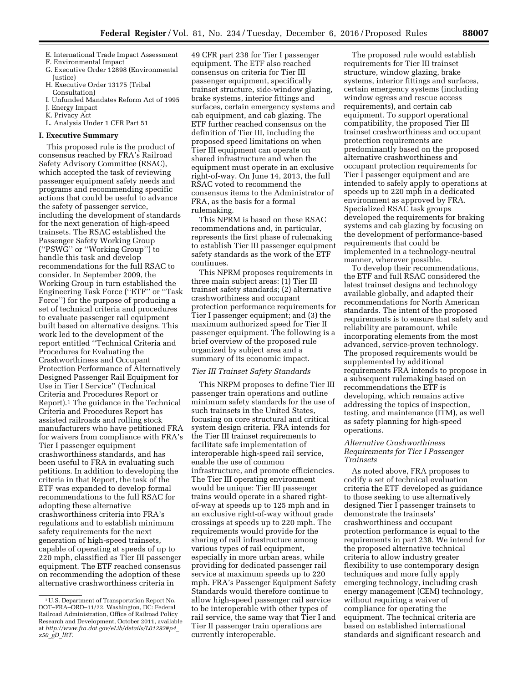- E. International Trade Impact Assessment
- F. Environmental Impact G. Executive Order 12898 (Environmental
- Justice) H. Executive Order 13175 (Tribal Consultation)
- I. Unfunded Mandates Reform Act of 1995
- J. Energy Impact
- K. Privacy Act
- L. Analysis Under 1 CFR Part 51

### **I. Executive Summary**

This proposed rule is the product of consensus reached by FRA's Railroad Safety Advisory Committee (RSAC), which accepted the task of reviewing passenger equipment safety needs and programs and recommending specific actions that could be useful to advance the safety of passenger service, including the development of standards for the next generation of high-speed trainsets. The RSAC established the Passenger Safety Working Group (''PSWG'' or ''Working Group'') to handle this task and develop recommendations for the full RSAC to consider. In September 2009, the Working Group in turn established the Engineering Task Force (''ETF'' or ''Task Force'') for the purpose of producing a set of technical criteria and procedures to evaluate passenger rail equipment built based on alternative designs. This work led to the development of the report entitled ''Technical Criteria and Procedures for Evaluating the Crashworthiness and Occupant Protection Performance of Alternatively Designed Passenger Rail Equipment for Use in Tier I Service'' (Technical Criteria and Procedures Report or Report).1 The guidance in the Technical Criteria and Procedures Report has assisted railroads and rolling stock manufacturers who have petitioned FRA for waivers from compliance with FRA's Tier I passenger equipment crashworthiness standards, and has been useful to FRA in evaluating such petitions. In addition to developing the criteria in that Report, the task of the ETF was expanded to develop formal recommendations to the full RSAC for adopting these alternative crashworthiness criteria into FRA's regulations and to establish minimum safety requirements for the next generation of high-speed trainsets, capable of operating at speeds of up to 220 mph, classified as Tier III passenger equipment. The ETF reached consensus on recommending the adoption of these alternative crashworthiness criteria in

49 CFR part 238 for Tier I passenger equipment. The ETF also reached consensus on criteria for Tier III passenger equipment, specifically trainset structure, side-window glazing, brake systems, interior fittings and surfaces, certain emergency systems and cab equipment, and cab glazing. The ETF further reached consensus on the definition of Tier III, including the proposed speed limitations on when Tier III equipment can operate on shared infrastructure and when the equipment must operate in an exclusive right-of-way. On June 14, 2013, the full RSAC voted to recommend the consensus items to the Administrator of FRA, as the basis for a formal rulemaking.

This NPRM is based on these RSAC recommendations and, in particular, represents the first phase of rulemaking to establish Tier III passenger equipment safety standards as the work of the ETF continues.

This NPRM proposes requirements in three main subject areas: (1) Tier III trainset safety standards; (2) alternative crashworthiness and occupant protection performance requirements for Tier I passenger equipment; and (3) the maximum authorized speed for Tier II passenger equipment. The following is a brief overview of the proposed rule organized by subject area and a summary of its economic impact.

### *Tier III Trainset Safety Standards*

This NRPM proposes to define Tier III passenger train operations and outline minimum safety standards for the use of such trainsets in the United States, focusing on core structural and critical system design criteria. FRA intends for the Tier III trainset requirements to facilitate safe implementation of interoperable high-speed rail service, enable the use of common infrastructure, and promote efficiencies. The Tier III operating environment would be unique: Tier III passenger trains would operate in a shared rightof-way at speeds up to 125 mph and in an exclusive right-of-way without grade crossings at speeds up to 220 mph. The requirements would provide for the sharing of rail infrastructure among various types of rail equipment, especially in more urban areas, while providing for dedicated passenger rail service at maximum speeds up to 220 mph. FRA's Passenger Equipment Safety Standards would therefore continue to allow high-speed passenger rail service to be interoperable with other types of rail service, the same way that Tier I and Tier II passenger train operations are currently interoperable.

The proposed rule would establish requirements for Tier III trainset structure, window glazing, brake systems, interior fittings and surfaces, certain emergency systems (including window egress and rescue access requirements), and certain cab equipment. To support operational compatibility, the proposed Tier III trainset crashworthiness and occupant protection requirements are predominantly based on the proposed alternative crashworthiness and occupant protection requirements for Tier I passenger equipment and are intended to safely apply to operations at speeds up to 220 mph in a dedicated environment as approved by FRA. Specialized RSAC task groups developed the requirements for braking systems and cab glazing by focusing on the development of performance-based requirements that could be implemented in a technology-neutral manner, wherever possible.

To develop their recommendations, the ETF and full RSAC considered the latest trainset designs and technology available globally, and adapted their recommendations for North American standards. The intent of the proposed requirements is to ensure that safety and reliability are paramount, while incorporating elements from the most advanced, service-proven technology. The proposed requirements would be supplemented by additional requirements FRA intends to propose in a subsequent rulemaking based on recommendations the ETF is developing, which remains active addressing the topics of inspection, testing, and maintenance (ITM), as well as safety planning for high-speed operations.

### *Alternative Crashworthiness Requirements for Tier I Passenger Trainsets*

As noted above, FRA proposes to codify a set of technical evaluation criteria the ETF developed as guidance to those seeking to use alternatively designed Tier I passenger trainsets to demonstrate the trainsets' crashworthiness and occupant protection performance is equal to the requirements in part 238. We intend for the proposed alternative technical criteria to allow industry greater flexibility to use contemporary design techniques and more fully apply emerging technology, including crash energy management (CEM) technology, without requiring a waiver of compliance for operating the equipment. The technical criteria are based on established international standards and significant research and

<sup>1</sup>U.S. Department of Transportation Report No. DOT–FRA–ORD–11/22. Washington, DC: Federal Railroad Administration, Office of Railroad Policy Research and Development, October 2011, available at *[http://www.fra.dot.gov/eLib/details/L01292#p4](http://www.fra.dot.gov/eLib/details/L01292#p4_z50_gD_lRT)*\_ *z50*\_*gD*\_*[lRT](http://www.fra.dot.gov/eLib/details/L01292#p4_z50_gD_lRT)*.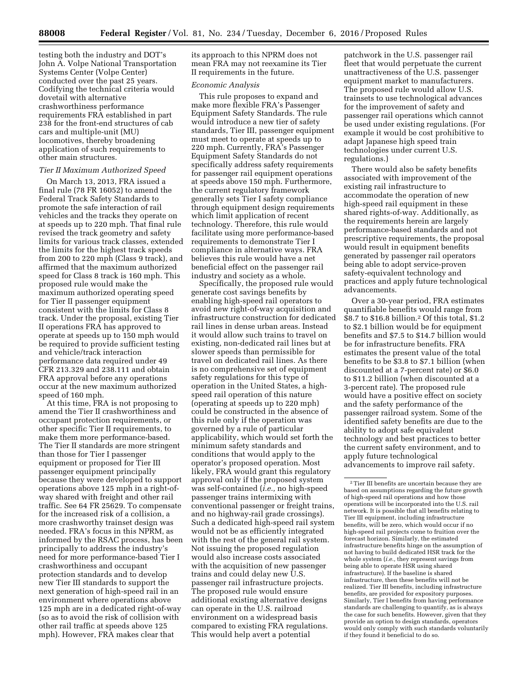testing both the industry and DOT's John A. Volpe National Transportation Systems Center (Volpe Center) conducted over the past 25 years. Codifying the technical criteria would dovetail with alternative crashworthiness performance requirements FRA established in part 238 for the front-end structures of cab cars and multiple-unit (MU) locomotives, thereby broadening application of such requirements to other main structures.

## *Tier II Maximum Authorized Speed*

On March 13, 2013, FRA issued a final rule (78 FR 16052) to amend the Federal Track Safety Standards to promote the safe interaction of rail vehicles and the tracks they operate on at speeds up to 220 mph. That final rule revised the track geometry and safety limits for various track classes, extended the limits for the highest track speeds from 200 to 220 mph (Class 9 track), and affirmed that the maximum authorized speed for Class 8 track is 160 mph. This proposed rule would make the maximum authorized operating speed for Tier II passenger equipment consistent with the limits for Class 8 track. Under the proposal, existing Tier II operations FRA has approved to operate at speeds up to 150 mph would be required to provide sufficient testing and vehicle/track interaction performance data required under 49 CFR 213.329 and 238.111 and obtain FRA approval before any operations occur at the new maximum authorized speed of 160 mph.

At this time, FRA is not proposing to amend the Tier II crashworthiness and occupant protection requirements, or other specific Tier II requirements, to make them more performance-based. The Tier II standards are more stringent than those for Tier I passenger equipment or proposed for Tier III passenger equipment principally because they were developed to support operations above 125 mph in a right-ofway shared with freight and other rail traffic. See 64 FR 25629. To compensate for the increased risk of a collision, a more crashworthy trainset design was needed. FRA's focus in this NPRM, as informed by the RSAC process, has been principally to address the industry's need for more performance-based Tier I crashworthiness and occupant protection standards and to develop new Tier III standards to support the next generation of high-speed rail in an environment where operations above 125 mph are in a dedicated right-of-way (so as to avoid the risk of collision with other rail traffic at speeds above 125 mph). However, FRA makes clear that

its approach to this NPRM does not mean FRA may not reexamine its Tier II requirements in the future.

### *Economic Analysis*

This rule proposes to expand and make more flexible FRA's Passenger Equipment Safety Standards. The rule would introduce a new tier of safety standards, Tier III, passenger equipment must meet to operate at speeds up to 220 mph. Currently, FRA's Passenger Equipment Safety Standards do not specifically address safety requirements for passenger rail equipment operations at speeds above 150 mph. Furthermore, the current regulatory framework generally sets Tier I safety compliance through equipment design requirements which limit application of recent technology. Therefore, this rule would facilitate using more performance-based requirements to demonstrate Tier I compliance in alternative ways. FRA believes this rule would have a net beneficial effect on the passenger rail industry and society as a whole.

Specifically, the proposed rule would generate cost savings benefits by enabling high-speed rail operators to avoid new right-of-way acquisition and infrastructure construction for dedicated rail lines in dense urban areas. Instead it would allow such trains to travel on existing, non-dedicated rail lines but at slower speeds than permissible for travel on dedicated rail lines. As there is no comprehensive set of equipment safety regulations for this type of operation in the United States, a highspeed rail operation of this nature (operating at speeds up to 220 mph) could be constructed in the absence of this rule only if the operation was governed by a rule of particular applicability, which would set forth the minimum safety standards and conditions that would apply to the operator's proposed operation. Most likely, FRA would grant this regulatory approval only if the proposed system was self-contained (*i.e.,* no high-speed passenger trains intermixing with conventional passenger or freight trains, and no highway-rail grade crossings). Such a dedicated high-speed rail system would not be as efficiently integrated with the rest of the general rail system. Not issuing the proposed regulation would also increase costs associated with the acquisition of new passenger trains and could delay new U.S. passenger rail infrastructure projects. The proposed rule would ensure additional existing alternative designs can operate in the U.S. railroad environment on a widespread basis compared to existing FRA regulations. This would help avert a potential

patchwork in the U.S. passenger rail fleet that would perpetuate the current unattractiveness of the U.S. passenger equipment market to manufacturers. The proposed rule would allow U.S. trainsets to use technological advances for the improvement of safety and passenger rail operations which cannot be used under existing regulations. (For example it would be cost prohibitive to adapt Japanese high speed train technologies under current U.S. regulations.)

There would also be safety benefits associated with improvement of the existing rail infrastructure to accommodate the operation of new high-speed rail equipment in these shared rights-of-way. Additionally, as the requirements herein are largely performance-based standards and not prescriptive requirements, the proposal would result in equipment benefits generated by passenger rail operators being able to adopt service-proven safety-equivalent technology and practices and apply future technological advancements.

Over a 30-year period, FRA estimates quantifiable benefits would range from \$8.7 to \$16.8 billion.2 Of this total, \$1.2 to \$2.1 billion would be for equipment benefits and \$7.5 to \$14.7 billion would be for infrastructure benefits. FRA estimates the present value of the total benefits to be \$3.8 to \$7.1 billion (when discounted at a 7-percent rate) or \$6.0 to \$11.2 billion (when discounted at a 3-percent rate). The proposed rule would have a positive effect on society and the safety performance of the passenger railroad system. Some of the identified safety benefits are due to the ability to adopt safe equivalent technology and best practices to better the current safety environment, and to apply future technological advancements to improve rail safety.

<sup>2</sup>Tier III benefits are uncertain because they are based on assumptions regarding the future growth of high-speed rail operations and how those operations will be incorporated into the U.S. rail network. It is possible that all benefits relating to Tier III equipment, including infrastructure benefits, will be zero, which would occur if no high-speed rail projects come to fruition over the forecast horizon. Similarly, the estimated infrastructure benefits hinge on the assumption of not having to build dedicated HSR track for the whole system (*i.e.,* they represent savings from being able to operate HSR using shared infrastructure). If the baseline is shared infrastructure, then these benefits will not be realized. Tier III benefits, including infrastructure benefits, are provided for expository purposes. Similarly, Tier I benefits from having performance standards are challenging to quantify, as is always the case for such benefits. However, given that they provide an option to design standards, operators would only comply with such standards voluntarily if they found it beneficial to do so.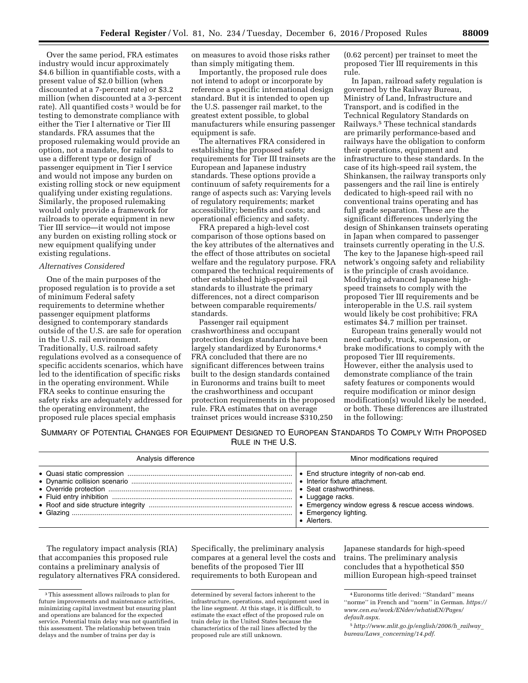Over the same period, FRA estimates industry would incur approximately \$4.6 billion in quantifiable costs, with a present value of \$2.0 billion (when discounted at a 7-percent rate) or \$3.2 million (when discounted at a 3-percent rate). All quantified costs<sup>3</sup> would be for testing to demonstrate compliance with either the Tier I alternative or Tier III standards. FRA assumes that the proposed rulemaking would provide an option, not a mandate, for railroads to use a different type or design of passenger equipment in Tier I service and would not impose any burden on existing rolling stock or new equipment qualifying under existing regulations. Similarly, the proposed rulemaking would only provide a framework for railroads to operate equipment in new Tier III service—it would not impose any burden on existing rolling stock or new equipment qualifying under existing regulations.

### *Alternatives Considered*

One of the main purposes of the proposed regulation is to provide a set of minimum Federal safety requirements to determine whether passenger equipment platforms designed to contemporary standards outside of the U.S. are safe for operation in the U.S. rail environment. Traditionally, U.S. railroad safety regulations evolved as a consequence of specific accidents scenarios, which have led to the identification of specific risks in the operating environment. While FRA seeks to continue ensuring the safety risks are adequately addressed for the operating environment, the proposed rule places special emphasis

on measures to avoid those risks rather than simply mitigating them.

Importantly, the proposed rule does not intend to adopt or incorporate by reference a specific international design standard. But it is intended to open up the U.S. passenger rail market, to the greatest extent possible, to global manufacturers while ensuring passenger equipment is safe.

The alternatives FRA considered in establishing the proposed safety requirements for Tier III trainsets are the European and Japanese industry standards. These options provide a continuum of safety requirements for a range of aspects such as: Varying levels of regulatory requirements; market accessibility; benefits and costs; and operational efficiency and safety.

FRA prepared a high-level cost comparison of those options based on the key attributes of the alternatives and the effect of those attributes on societal welfare and the regulatory purpose. FRA compared the technical requirements of other established high-speed rail standards to illustrate the primary differences, not a direct comparison between comparable requirements/ standards.

Passenger rail equipment crashworthiness and occupant protection design standards have been largely standardized by Euronorms.4 FRA concluded that there are no significant differences between trains built to the design standards contained in Euronorms and trains built to meet the crashworthiness and occupant protection requirements in the proposed rule. FRA estimates that on average trainset prices would increase \$310,250

(0.62 percent) per trainset to meet the proposed Tier III requirements in this rule.

In Japan, railroad safety regulation is governed by the Railway Bureau, Ministry of Land, Infrastructure and Transport, and is codified in the Technical Regulatory Standards on Railways.5 These technical standards are primarily performance-based and railways have the obligation to conform their operations, equipment and infrastructure to these standards. In the case of its high-speed rail system, the Shinkansen, the railway transports only passengers and the rail line is entirely dedicated to high-speed rail with no conventional trains operating and has full grade separation. These are the significant differences underlying the design of Shinkansen trainsets operating in Japan when compared to passenger trainsets currently operating in the U.S. The key to the Japanese high-speed rail network's ongoing safety and reliability is the principle of crash avoidance. Modifying advanced Japanese highspeed trainsets to comply with the proposed Tier III requirements and be interoperable in the U.S. rail system would likely be cost prohibitive; FRA estimates \$4.7 million per trainset.

European trains generally would not need carbody, truck, suspension, or brake modifications to comply with the proposed Tier III requirements. However, either the analysis used to demonstrate compliance of the train safety features or components would require modification or minor design modification(s) would likely be needed, or both. These differences are illustrated in the following:

SUMMARY OF POTENTIAL CHANGES FOR EQUIPMENT DESIGNED TO EUROPEAN STANDARDS TO COMPLY WITH PROPOSED RULE IN THE U.S.

| Analysis difference | Minor modifications required                                   |
|---------------------|----------------------------------------------------------------|
|                     | • Seat crashworthiness.<br>• Emergency lighting.<br>· Alerters |

The regulatory impact analysis (RIA) that accompanies this proposed rule contains a preliminary analysis of regulatory alternatives FRA considered.

Specifically, the preliminary analysis compares at a general level the costs and benefits of the proposed Tier III requirements to both European and

Japanese standards for high-speed trains. The preliminary analysis concludes that a hypothetical \$50 million European high-speed trainset

<sup>3</sup>This assessment allows railroads to plan for future improvements and maintenance activities, minimizing capital investment but ensuring plant and operations are balanced for the expected service. Potential train delay was not quantified in this assessment. The relationship between train delays and the number of trains per day is

determined by several factors inherent to the infrastructure, operations, and equipment used in the line segment. At this stage, it is difficult, to estimate the exact effect of the proposed rule on train delay in the United States because the characteristics of the rail lines affected by the proposed rule are still unknown.

<sup>4</sup>Euronorms title derived: ''Standard'' means ''norme'' in French and ''norm'' in German. *[https://](https://www.cen.eu/work/ENdev/whatisEN/Pages/default.aspx)  [www.cen.eu/work/ENdev/whatisEN/Pages/](https://www.cen.eu/work/ENdev/whatisEN/Pages/default.aspx) [default.aspx](https://www.cen.eu/work/ENdev/whatisEN/Pages/default.aspx)*.

<sup>5</sup>*[http://www.mlit.go.jp/english/2006/h](http://www.mlit.go.jp/english/2006/h_railway_bureau/Laws_concerning/14.pdf)*\_*railway*\_ *bureau/Laws*\_*[concerning/14.pdf.](http://www.mlit.go.jp/english/2006/h_railway_bureau/Laws_concerning/14.pdf)*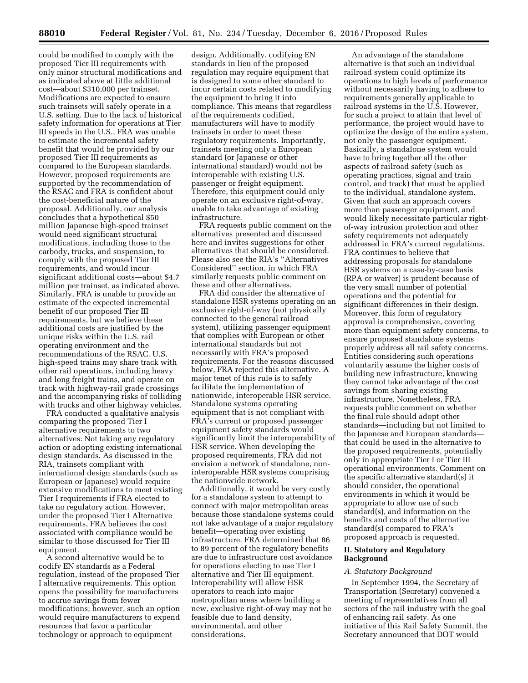could be modified to comply with the proposed Tier III requirements with only minor structural modifications and as indicated above at little additional cost—about \$310,000 per trainset. Modifications are expected to ensure such trainsets will safely operate in a U.S. setting. Due to the lack of historical safety information for operations at Tier III speeds in the U.S., FRA was unable to estimate the incremental safety benefit that would be provided by our proposed Tier III requirements as compared to the European standards. However, proposed requirements are supported by the recommendation of the RSAC and FRA is confident about the cost-beneficial nature of the proposal. Additionally, our analysis concludes that a hypothetical \$50 million Japanese high-speed trainset would need significant structural modifications, including those to the carbody, trucks, and suspension, to comply with the proposed Tier III requirements, and would incur significant additional costs—about \$4.7 million per trainset, as indicated above. Similarly, FRA is unable to provide an estimate of the expected incremental benefit of our proposed Tier III requirements, but we believe these additional costs are justified by the unique risks within the U.S. rail operating environment and the recommendations of the RSAC. U.S. high-speed trains may share track with other rail operations, including heavy and long freight trains, and operate on track with highway-rail grade crossings and the accompanying risks of colliding with trucks and other highway vehicles.

FRA conducted a qualitative analysis comparing the proposed Tier I alternative requirements to two alternatives: Not taking any regulatory action or adopting existing international design standards. As discussed in the RIA, trainsets compliant with international design standards (such as European or Japanese) would require extensive modifications to meet existing Tier I requirements if FRA elected to take no regulatory action. However, under the proposed Tier I Alternative requirements, FRA believes the cost associated with compliance would be similar to those discussed for Tier III equipment.

A second alternative would be to codify EN standards as a Federal regulation, instead of the proposed Tier I alternative requirements. This option opens the possibility for manufacturers to accrue savings from fewer modifications; however, such an option would require manufacturers to expend resources that favor a particular technology or approach to equipment

design. Additionally, codifying EN standards in lieu of the proposed regulation may require equipment that is designed to some other standard to incur certain costs related to modifying the equipment to bring it into compliance. This means that regardless of the requirements codified, manufacturers will have to modify trainsets in order to meet these regulatory requirements. Importantly, trainsets meeting only a European standard (or Japanese or other international standard) would not be interoperable with existing U.S. passenger or freight equipment. Therefore, this equipment could only operate on an exclusive right-of-way, unable to take advantage of existing infrastructure.

FRA requests public comment on the alternatives presented and discussed here and invites suggestions for other alternatives that should be considered. Please also see the RIA's ''Alternatives Considered'' section, in which FRA similarly requests public comment on these and other alternatives.

FRA did consider the alternative of standalone HSR systems operating on an exclusive right-of-way (not physically connected to the general railroad system), utilizing passenger equipment that complies with European or other international standards but not necessarily with FRA's proposed requirements. For the reasons discussed below, FRA rejected this alternative. A major tenet of this rule is to safely facilitate the implementation of nationwide, interoperable HSR service. Standalone systems operating equipment that is not compliant with FRA's current or proposed passenger equipment safety standards would significantly limit the interoperability of HSR service. When developing the proposed requirements, FRA did not envision a network of standalone, noninteroperable HSR systems comprising the nationwide network.

Additionally, it would be very costly for a standalone system to attempt to connect with major metropolitan areas because those standalone systems could not take advantage of a major regulatory benefit—operating over existing infrastructure. FRA determined that 86 to 89 percent of the regulatory benefits are due to infrastructure cost avoidance for operations electing to use Tier I alternative and Tier III equipment. Interoperability will allow HSR operators to reach into major metropolitan areas where building a new, exclusive right-of-way may not be feasible due to land density, environmental, and other considerations.

An advantage of the standalone alternative is that such an individual railroad system could optimize its operations to high levels of performance without necessarily having to adhere to requirements generally applicable to railroad systems in the U.S. However, for such a project to attain that level of performance, the project would have to optimize the design of the entire system, not only the passenger equipment. Basically, a standalone system would have to bring together all the other aspects of railroad safety (such as operating practices, signal and train control, and track) that must be applied to the individual, standalone system. Given that such an approach covers more than passenger equipment, and would likely necessitate particular rightof-way intrusion protection and other safety requirements not adequately addressed in FRA's current regulations, FRA continues to believe that addressing proposals for standalone HSR systems on a case-by-case basis (RPA or waiver) is prudent because of the very small number of potential operations and the potential for significant differences in their design. Moreover, this form of regulatory approval is comprehensive, covering more than equipment safety concerns, to ensure proposed standalone systems properly address all rail safety concerns. Entities considering such operations voluntarily assume the higher costs of building new infrastructure, knowing they cannot take advantage of the cost savings from sharing existing infrastructure. Nonetheless, FRA requests public comment on whether the final rule should adopt other standards—including but not limited to the Japanese and European standards that could be used in the alternative to the proposed requirements, potentially only in appropriate Tier I or Tier III operational environments. Comment on the specific alternative standard(s) it should consider, the operational environments in which it would be appropriate to allow use of such standard(s), and information on the benefits and costs of the alternative standard(s) compared to FRA's proposed approach is requested.

## **II. Statutory and Regulatory Background**

### *A. Statutory Background*

In September 1994, the Secretary of Transportation (Secretary) convened a meeting of representatives from all sectors of the rail industry with the goal of enhancing rail safety. As one initiative of this Rail Safety Summit, the Secretary announced that DOT would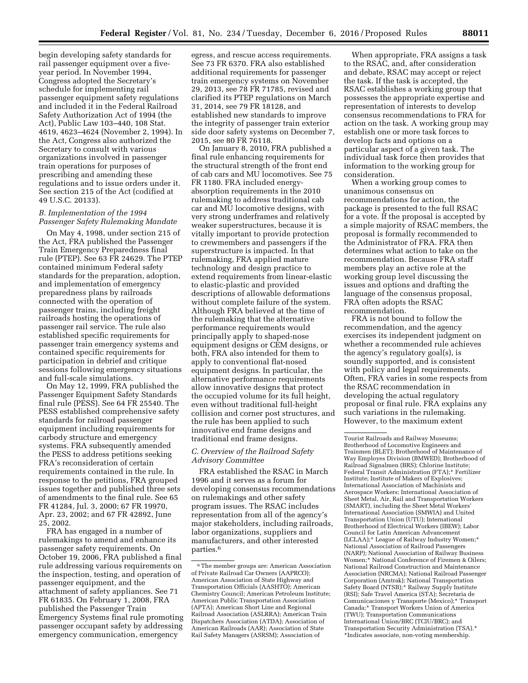begin developing safety standards for rail passenger equipment over a fiveyear period. In November 1994, Congress adopted the Secretary's schedule for implementing rail passenger equipment safety regulations and included it in the Federal Railroad Safety Authorization Act of 1994 (the Act), Public Law 103–440, 108 Stat. 4619, 4623–4624 (November 2, 1994). In the Act, Congress also authorized the Secretary to consult with various organizations involved in passenger train operations for purposes of prescribing and amending these regulations and to issue orders under it. See section 215 of the Act (codified at 49 U.S.C. 20133).

## *B. Implementation of the 1994 Passenger Safety Rulemaking Mandate*

On May 4, 1998, under section 215 of the Act, FRA published the Passenger Train Emergency Preparedness final rule (PTEP). See 63 FR 24629. The PTEP contained minimum Federal safety standards for the preparation, adoption, and implementation of emergency preparedness plans by railroads connected with the operation of passenger trains, including freight railroads hosting the operations of passenger rail service. The rule also established specific requirements for passenger train emergency systems and contained specific requirements for participation in debrief and critique sessions following emergency situations and full-scale simulations.

On May 12, 1999, FRA published the Passenger Equipment Safety Standards final rule (PESS). See 64 FR 25540. The PESS established comprehensive safety standards for railroad passenger equipment including requirements for carbody structure and emergency systems. FRA subsequently amended the PESS to address petitions seeking FRA's reconsideration of certain requirements contained in the rule. In response to the petitions, FRA grouped issues together and published three sets of amendments to the final rule. See 65 FR 41284, Jul. 3, 2000; 67 FR 19970, Apr. 23, 2002; and 67 FR 42892, June 25, 2002.

FRA has engaged in a number of rulemakings to amend and enhance its passenger safety requirements. On October 19, 2006, FRA published a final rule addressing various requirements on the inspection, testing, and operation of passenger equipment, and the attachment of safety appliances. See 71 FR 61835. On February 1, 2008, FRA published the Passenger Train Emergency Systems final rule promoting passenger occupant safety by addressing emergency communication, emergency

egress, and rescue access requirements. See 73 FR 6370. FRA also established additional requirements for passenger train emergency systems on November 29, 2013, see 78 FR 71785, revised and clarified its PTEP regulations on March 31, 2014, see 79 FR 18128, and established new standards to improve the integrity of passenger train exterior side door safety systems on December 7, 2015, see 80 FR 76118.

On January 8, 2010, FRA published a final rule enhancing requirements for the structural strength of the front end of cab cars and MU locomotives. See 75 FR 1180. FRA included energyabsorption requirements in the 2010 rulemaking to address traditional cab car and MU locomotive designs, with very strong underframes and relatively weaker superstructures, because it is vitally important to provide protection to crewmembers and passengers if the superstructure is impacted. In that rulemaking, FRA applied mature technology and design practice to extend requirements from linear-elastic to elastic-plastic and provided descriptions of allowable deformations without complete failure of the system. Although FRA believed at the time of the rulemaking that the alternative performance requirements would principally apply to shaped-nose equipment designs or CEM designs, or both, FRA also intended for them to apply to conventional flat-nosed equipment designs. In particular, the alternative performance requirements allow innovative designs that protect the occupied volume for its full height, even without traditional full-height collision and corner post structures, and the rule has been applied to such innovative end frame designs and traditional end frame designs.

## *C. Overview of the Railroad Safety Advisory Committee*

FRA established the RSAC in March 1996 and it serves as a forum for developing consensus recommendations on rulemakings and other safety program issues. The RSAC includes representation from all of the agency's major stakeholders, including railroads, labor organizations, suppliers and manufacturers, and other interested parties.6

When appropriate, FRA assigns a task to the RSAC, and, after consideration and debate, RSAC may accept or reject the task. If the task is accepted, the RSAC establishes a working group that possesses the appropriate expertise and representation of interests to develop consensus recommendations to FRA for action on the task. A working group may establish one or more task forces to develop facts and options on a particular aspect of a given task. The individual task force then provides that information to the working group for consideration.

When a working group comes to unanimous consensus on recommendations for action, the package is presented to the full RSAC for a vote. If the proposal is accepted by a simple majority of RSAC members, the proposal is formally recommended to the Administrator of FRA. FRA then determines what action to take on the recommendation. Because FRA staff members play an active role at the working group level discussing the issues and options and drafting the language of the consensus proposal, FRA often adopts the RSAC recommendation.

FRA is not bound to follow the recommendation, and the agency exercises its independent judgment on whether a recommended rule achieves the agency's regulatory goal(s), is soundly supported, and is consistent with policy and legal requirements. Often, FRA varies in some respects from the RSAC recommendation in developing the actual regulatory proposal or final rule. FRA explains any such variations in the rulemaking. However, to the maximum extent

<sup>6</sup>The member groups are: American Association of Private Railroad Car Owners (AAPRCO); American Association of State Highway and Transportation Officials (AASHTO); American Chemistry Council; American Petroleum Institute; American Public Transportation Association (APTA); American Short Line and Regional Railroad Association (ASLRRA); American Train Dispatchers Association (ATDA); Association of American Railroads (AAR); Association of State Rail Safety Managers (ASRSM); Association of

Tourist Railroads and Railway Museums; Brotherhood of Locomotive Engineers and Trainmen (BLET); Brotherhood of Maintenance of Way Employes Division (BMWED); Brotherhood of Railroad Signalmen (BRS); Chlorine Institute; Federal Transit Administration (FTA);\* Fertilizer Institute; Institute of Makers of Explosives; International Association of Machinists and Aerospace Workers; International Association of Sheet Metal, Air, Rail and Transportation Workers (SMART), including the Sheet Metal Workers' International Association (SMWIA) and United Transportation Union (UTU); International Brotherhood of Electrical Workers (IBEW); Labor Council for Latin American Advancement (LCLAA);\* League of Railway Industry Women;\* National Association of Railroad Passengers (NARP); National Association of Railway Business Women;\* National Conference of Firemen & Oilers; National Railroad Construction and Maintenance Association (NRCMA); National Railroad Passenger Corporation (Amtrak); National Transportation Safety Board (NTSB);\* Railway Supply Institute (RSI); Safe Travel America (STA); Secretaria de Comunicaciones y Transporte (Mexico);\* Transport Canada;\* Transport Workers Union of America (TWU); Transportation Communications International Union/BRC (TCIU/BRC); and Transportation Security Administration (TSA).\* \*Indicates associate, non-voting membership.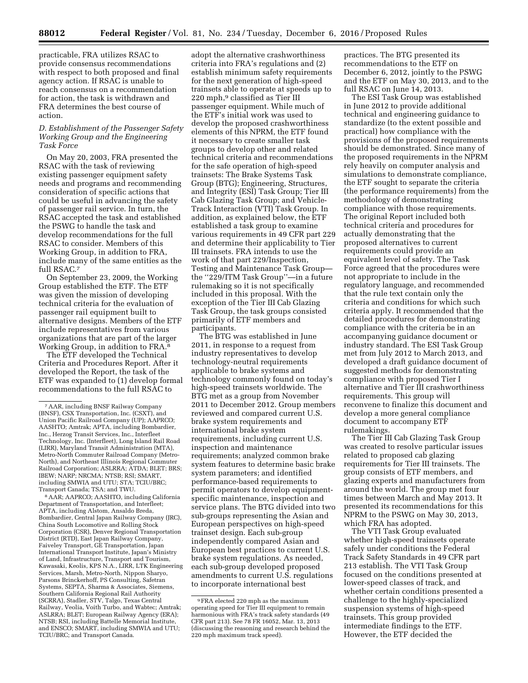practicable, FRA utilizes RSAC to provide consensus recommendations with respect to both proposed and final agency action. If RSAC is unable to reach consensus on a recommendation for action, the task is withdrawn and FRA determines the best course of action.

## *D. Establishment of the Passenger Safety Working Group and the Engineering Task Force*

On May 20, 2003, FRA presented the RSAC with the task of reviewing existing passenger equipment safety needs and programs and recommending consideration of specific actions that could be useful in advancing the safety of passenger rail service. In turn, the RSAC accepted the task and established the PSWG to handle the task and develop recommendations for the full RSAC to consider. Members of this Working Group, in addition to FRA, include many of the same entities as the full RSAC.7

On September 23, 2009, the Working Group established the ETF. The ETF was given the mission of developing technical criteria for the evaluation of passenger rail equipment built to alternative designs. Members of the ETF include representatives from various organizations that are part of the larger Working Group, in addition to FRA.8

The ETF developed the Technical Criteria and Procedures Report. After it developed the Report, the task of the ETF was expanded to (1) develop formal recommendations to the full RSAC to

8AAR; AAPRCO; AASHTO, including California Department of Transportation, and Interfleet; APTA, including Alstom, Ansaldo Breda, Bombardier, Central Japan Railway Company (JRC), China South Locomotive and Rolling Stock Corporation (CSR), Denver Regional Transportation District (RTD), East Japan Railway Company, Faiveley Transport, GE Transportation, Japan International Transport Institute, Japan's Ministry of Land, Infrastructure, Transport and Tourism, Kawasaki, Keolis, KPS N.A., LIRR, LTK Engineering Services, Marsh, Metro-North, Nippon Sharyo, Parsons Brinckerhoff, PS Consulting, Safetran Systems, SEPTA, Sharma & Associates, Siemens, Southern California Regional Rail Authority (SCRRA), Stadler, STV, Talgo, Texas Central Railway, Veolia, Voith Turbo, and Wabtec; Amtrak; ASLRRA; BLET; European Railway Agency (ERA); NTSB; RSI, including Battelle Memorial Institute, and ENSCO; SMART, including SMWIA and UTU; TCIU/BRC; and Transport Canada.

adopt the alternative crashworthiness criteria into FRA's regulations and (2) establish minimum safety requirements for the next generation of high-speed trainsets able to operate at speeds up to 220 mph,<sup>9</sup> classified as Tier III passenger equipment. While much of the ETF's initial work was used to develop the proposed crashworthiness elements of this NPRM, the ETF found it necessary to create smaller task groups to develop other and related technical criteria and recommendations for the safe operation of high-speed trainsets: The Brake Systems Task Group (BTG); Engineering, Structures, and Integrity (ESI) Task Group; Tier III Cab Glazing Task Group; and Vehicle-Track Interaction (VTI) Task Group. In addition, as explained below, the ETF established a task group to examine various requirements in 49 CFR part 229 and determine their applicability to Tier III trainsets. FRA intends to use the work of that part 229/Inspection, Testing and Maintenance Task Group the ''229/ITM Task Group''—in a future rulemaking so it is not specifically included in this proposal. With the exception of the Tier III Cab Glazing Task Group, the task groups consisted primarily of ETF members and participants.

The BTG was established in June 2011, in response to a request from industry representatives to develop technology-neutral requirements applicable to brake systems and technology commonly found on today's high-speed trainsets worldwide. The BTG met as a group from November 2011 to December 2012. Group members reviewed and compared current U.S. brake system requirements and international brake system requirements, including current U.S. inspection and maintenance requirements; analyzed common brake system features to determine basic brake system parameters; and identified performance-based requirements to permit operators to develop equipmentspecific maintenance, inspection and service plans. The BTG divided into two sub-groups representing the Asian and European perspectives on high-speed trainset design. Each sub-group independently compared Asian and European best practices to current U.S. brake system regulations. As needed, each sub-group developed proposed amendments to current U.S. regulations to incorporate international best

practices. The BTG presented its recommendations to the ETF on December 6, 2012, jointly to the PSWG and the ETF on May 30, 2013, and to the full RSAC on June 14, 2013.

The ESI Task Group was established in June 2012 to provide additional technical and engineering guidance to standardize (to the extent possible and practical) how compliance with the provisions of the proposed requirements should be demonstrated. Since many of the proposed requirements in the NPRM rely heavily on computer analysis and simulations to demonstrate compliance, the ETF sought to separate the criteria (the performance requirements) from the methodology of demonstrating compliance with those requirements. The original Report included both technical criteria and procedures for actually demonstrating that the proposed alternatives to current requirements could provide an equivalent level of safety. The Task Force agreed that the procedures were not appropriate to include in the regulatory language, and recommended that the rule text contain only the criteria and conditions for which such criteria apply. It recommended that the detailed procedures for demonstrating compliance with the criteria be in an accompanying guidance document or industry standard. The ESI Task Group met from July 2012 to March 2013, and developed a draft guidance document of suggested methods for demonstrating compliance with proposed Tier I alternative and Tier III crashworthiness requirements. This group will reconvene to finalize this document and develop a more general compliance document to accompany ETF rulemakings.

The Tier III Cab Glazing Task Group was created to resolve particular issues related to proposed cab glazing requirements for Tier III trainsets. The group consists of ETF members, and glazing experts and manufacturers from around the world. The group met four times between March and May 2013. It presented its recommendations for this NPRM to the PSWG on May 30, 2013, which FRA has adopted.

The VTI Task Group evaluated whether high-speed trainsets operate safely under conditions the Federal Track Safety Standards in 49 CFR part 213 establish. The VTI Task Group focused on the conditions presented at lower-speed classes of track, and whether certain conditions presented a challenge to the highly-specialized suspension systems of high-speed trainsets. This group provided intermediate findings to the ETF. However, the ETF decided the

<sup>7</sup>AAR, including BNSF Railway Company (BNSF), CSX Transportation, Inc. (CSXT), and Union Pacific Railroad Company (UP); AAPRCO; AASHTO; Amtrak; APTA, including Bombardier, Inc., Herzog Transit Services, Inc., Interfleet Technology, Inc. (Interfleet), Long Island Rail Road (LIRR), Maryland Transit Administration (MTA), Metro-North Commuter Railroad Company (Metro-North), and Northeast Illinois Regional Commuter Railroad Corporation; ASLRRA; ATDA; BLET; BRS; IBEW; NARP; NRCMA; NTSB; RSI; SMART, including SMWIA and UTU; STA; TCIU/BRC; Transport Canada; TSA; and TWU.

<sup>9</sup>FRA elected 220 mph as the maximum operating speed for Tier III equipment to remain harmonious with FRA's track safety standards (49 CFR part 213). See 78 FR 16052, Mar. 13, 2013 (discussing the reasoning and research behind the 220 mph maximum track speed).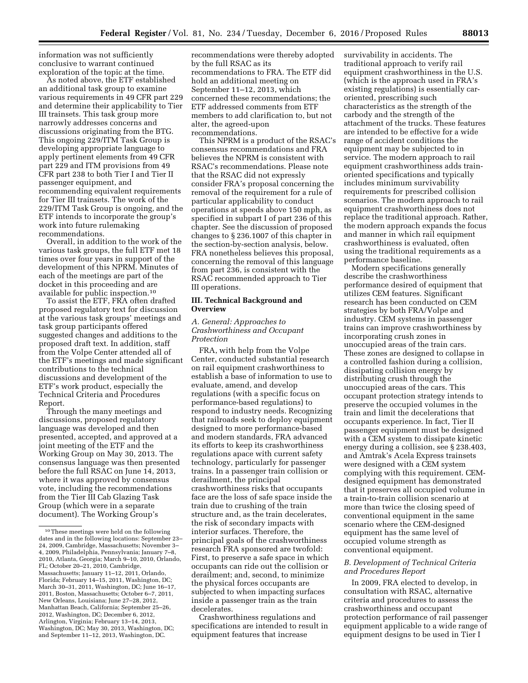information was not sufficiently conclusive to warrant continued exploration of the topic at the time.

As noted above, the ETF established an additional task group to examine various requirements in 49 CFR part 229 and determine their applicability to Tier III trainsets. This task group more narrowly addresses concerns and discussions originating from the BTG. This ongoing 229/ITM Task Group is developing appropriate language to apply pertinent elements from 49 CFR part 229 and ITM provisions from 49 CFR part 238 to both Tier I and Tier II passenger equipment, and recommending equivalent requirements for Tier III trainsets. The work of the 229/ITM Task Group is ongoing, and the ETF intends to incorporate the group's work into future rulemaking recommendations.

Overall, in addition to the work of the various task groups, the full ETF met 18 times over four years in support of the development of this NPRM. Minutes of each of the meetings are part of the docket in this proceeding and are available for public inspection.10

To assist the ETF, FRA often drafted proposed regulatory text for discussion at the various task groups' meetings and task group participants offered suggested changes and additions to the proposed draft text. In addition, staff from the Volpe Center attended all of the ETF's meetings and made significant contributions to the technical discussions and development of the ETF's work product, especially the Technical Criteria and Procedures Report.

Through the many meetings and discussions, proposed regulatory language was developed and then presented, accepted, and approved at a joint meeting of the ETF and the Working Group on May 30, 2013. The consensus language was then presented before the full RSAC on June 14, 2013, where it was approved by consensus vote, including the recommendations from the Tier III Cab Glazing Task Group (which were in a separate document). The Working Group's

recommendations were thereby adopted by the full RSAC as its recommendations to FRA. The ETF did hold an additional meeting on September 11–12, 2013, which concerned these recommendations; the ETF addressed comments from ETF members to add clarification to, but not alter, the agreed-upon recommendations.

This NPRM is a product of the RSAC's consensus recommendations and FRA believes the NPRM is consistent with RSAC's recommendations. Please note that the RSAC did not expressly consider FRA's proposal concerning the removal of the requirement for a rule of particular applicability to conduct operations at speeds above 150 mph, as specified in subpart I of part 236 of this chapter. See the discussion of proposed changes to § 236.1007 of this chapter in the section-by-section analysis, below. FRA nonetheless believes this proposal, concerning the removal of this language from part 236, is consistent with the RSAC recommended approach to Tier III operations.

## **III. Technical Background and Overview**

## *A. General: Approaches to Crashworthiness and Occupant Protection*

FRA, with help from the Volpe Center, conducted substantial research on rail equipment crashworthiness to establish a base of information to use to evaluate, amend, and develop regulations (with a specific focus on performance-based regulations) to respond to industry needs. Recognizing that railroads seek to deploy equipment designed to more performance-based and modern standards, FRA advanced its efforts to keep its crashworthiness regulations apace with current safety technology, particularly for passenger trains. In a passenger train collision or derailment, the principal crashworthiness risks that occupants face are the loss of safe space inside the train due to crushing of the train structure and, as the train decelerates, the risk of secondary impacts with interior surfaces. Therefore, the principal goals of the crashworthiness research FRA sponsored are twofold: First, to preserve a safe space in which occupants can ride out the collision or derailment; and, second, to minimize the physical forces occupants are subjected to when impacting surfaces inside a passenger train as the train decelerates.

Crashworthiness regulations and specifications are intended to result in equipment features that increase

survivability in accidents. The traditional approach to verify rail equipment crashworthiness in the U.S. (which is the approach used in FRA's existing regulations) is essentially caroriented, prescribing such characteristics as the strength of the carbody and the strength of the attachment of the trucks. These features are intended to be effective for a wide range of accident conditions the equipment may be subjected to in service. The modern approach to rail equipment crashworthiness adds trainoriented specifications and typically includes minimum survivability requirements for prescribed collision scenarios. The modern approach to rail equipment crashworthiness does not replace the traditional approach. Rather, the modern approach expands the focus and manner in which rail equipment crashworthiness is evaluated, often using the traditional requirements as a performance baseline.

Modern specifications generally describe the crashworthiness performance desired of equipment that utilizes CEM features. Significant research has been conducted on CEM strategies by both FRA/Volpe and industry. CEM systems in passenger trains can improve crashworthiness by incorporating crush zones in unoccupied areas of the train cars. These zones are designed to collapse in a controlled fashion during a collision, dissipating collision energy by distributing crush through the unoccupied areas of the cars. This occupant protection strategy intends to preserve the occupied volumes in the train and limit the decelerations that occupants experience. In fact, Tier II passenger equipment must be designed with a CEM system to dissipate kinetic energy during a collision, see § 238.403, and Amtrak's Acela Express trainsets were designed with a CEM system complying with this requirement. CEMdesigned equipment has demonstrated that it preserves all occupied volume in a train-to-train collision scenario at more than twice the closing speed of conventional equipment in the same scenario where the CEM-designed equipment has the same level of occupied volume strength as conventional equipment.

## *B. Development of Technical Criteria and Procedures Report*

In 2009, FRA elected to develop, in consultation with RSAC, alternative criteria and procedures to assess the crashworthiness and occupant protection performance of rail passenger equipment applicable to a wide range of equipment designs to be used in Tier I

<sup>10</sup>These meetings were held on the following dates and in the following locations: September 23– 24, 2009, Cambridge, Massachusetts; November 3– 4, 2009, Philadelphia, Pennsylvania; January 7–8, 2010, Atlanta, Georgia; March 9–10, 2010, Orlando, FL; October 20–21, 2010, Cambridge, Massachusetts; January 11–12, 2011, Orlando, Florida; February 14–15, 2011, Washington, DC; March 30–31, 2011, Washington, DC; June 16–17, 2011, Boston, Massachusetts; October 6–7, 2011, New Orleans, Louisiana; June 27–28, 2012, Manhattan Beach, California; September 25–26, 2012, Washington, DC; December 6, 2012, Arlington, Virginia; February 13–14, 2013, Washington, DC; May 30, 2013, Washington, DC; and September 11–12, 2013, Washington, DC.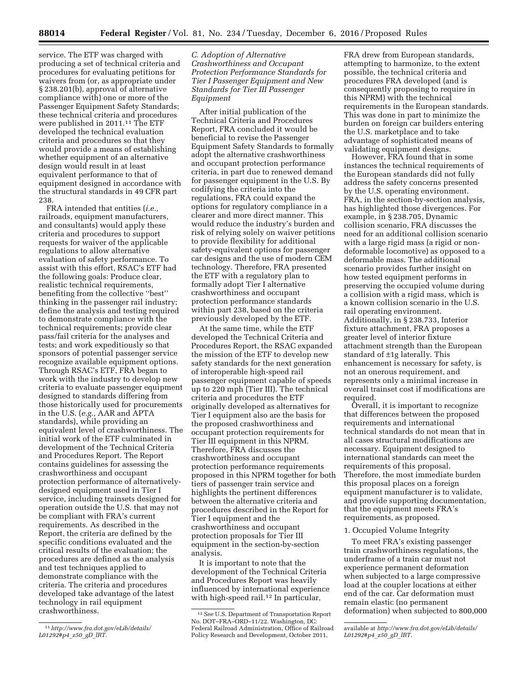service. The ETF was charged with producing a set of technical criteria and procedures for evaluating petitions for waivers from (or, as appropriate under § 238.201(b), approval of alternative compliance with) one or more of the Passenger Equipment Safety Standards; these technical criteria and procedures were published in 2011.11 The ETF developed the technical evaluation criteria and procedures so that they would provide a means of establishing whether equipment of an alternative design would result in at least equivalent performance to that of equipment designed in accordance with the structural standards in 49 CFR part 238.

FRA intended that entities (*i.e.,*  railroads, equipment manufacturers, and consultants) would apply these criteria and procedures to support requests for waiver of the applicable regulations to allow alternative evaluation of safety performance. To assist with this effort, RSAC's ETF had the following goals: Produce clear, realistic technical requirements, benefiting from the collective ''best'' thinking in the passenger rail industry; define the analysis and testing required to demonstrate compliance with the technical requirements; provide clear pass/fail criteria for the analyses and tests; and work expeditiously so that sponsors of potential passenger service recognize available equipment options. Through RSAC's ETF, FRA began to work with the industry to develop new criteria to evaluate passenger equipment designed to standards differing from those historically used for procurements in the U.S. (*e.g.,* AAR and APTA standards), while providing an equivalent level of crashworthiness. The initial work of the ETF culminated in development of the Technical Criteria and Procedures Report. The Report contains guidelines for assessing the crashworthiness and occupant protection performance of alternativelydesigned equipment used in Tier I service, including trainsets designed for operation outside the U.S. that may not be compliant with FRA's current requirements. As described in the Report, the criteria are defined by the specific conditions evaluated and the critical results of the evaluation; the procedures are defined as the analysis and test techniques applied to demonstrate compliance with the criteria. The criteria and procedures developed take advantage of the latest technology in rail equipment crashworthiness.

*C. Adoption of Alternative Crashworthiness and Occupant Protection Performance Standards for Tier I Passenger Equipment and New Standards for Tier III Passenger Equipment* 

After initial publication of the Technical Criteria and Procedures Report, FRA concluded it would be beneficial to revise the Passenger Equipment Safety Standards to formally adopt the alternative crashworthiness and occupant protection performance criteria, in part due to renewed demand for passenger equipment in the U.S. By codifying the criteria into the regulations, FRA could expand the options for regulatory compliance in a clearer and more direct manner. This would reduce the industry's burden and risk of relying solely on waiver petitions to provide flexibility for additional safety-equivalent options for passenger car designs and the use of modern CEM technology. Therefore, FRA presented the ETF with a regulatory plan to formally adopt Tier I alternative crashworthiness and occupant protection performance standards within part 238, based on the criteria previously developed by the ETF.

At the same time, while the ETF developed the Technical Criteria and Procedures Report, the RSAC expanded the mission of the ETF to develop new safety standards for the next generation of interoperable high-speed rail passenger equipment capable of speeds up to 220 mph (Tier III). The technical criteria and procedures the ETF originally developed as alternatives for Tier I equipment also are the basis for the proposed crashworthiness and occupant protection requirements for Tier III equipment in this NPRM. Therefore, FRA discusses the crashworthiness and occupant protection performance requirements proposed in this NPRM together for both tiers of passenger train service and highlights the pertinent differences between the alternative criteria and procedures described in the Report for Tier I equipment and the crashworthiness and occupant protection proposals for Tier III equipment in the section-by-section analysis.

It is important to note that the development of the Technical Criteria and Procedures Report was heavily influenced by international experience with high-speed rail.<sup>12</sup> In particular,

FRA drew from European standards, attempting to harmonize, to the extent possible, the technical criteria and procedures FRA developed (and is consequently proposing to require in this NPRM) with the technical requirements in the European standards. This was done in part to minimize the burden on foreign car builders entering the U.S. marketplace and to take advantage of sophisticated means of validating equipment designs.

However, FRA found that in some instances the technical requirements of the European standards did not fully address the safety concerns presented by the U.S. operating environment. FRA, in the section-by-section analysis, has highlighted those divergences. For example, in § 238.705, Dynamic collision scenario, FRA discusses the need for an additional collision scenario with a large rigid mass (a rigid or nondeformable locomotive) as opposed to a deformable mass. The additional scenario provides further insight on how tested equipment performs in preserving the occupied volume during a collision with a rigid mass, which is a known collision scenario in the U.S. rail operating environment. Additionally, in § 238.733, Interior fixture attachment, FRA proposes a greater level of interior fixture attachment strength than the European standard of ±1g laterally. This enhancement is necessary for safety, is not an onerous requirement, and represents only a minimal increase in overall trainset cost if modifications are required.

Overall, it is important to recognize that differences between the proposed requirements and international technical standards do not mean that in all cases structural modifications are necessary. Equipment designed to international standards can meet the requirements of this proposal. Therefore, the most immediate burden this proposal places on a foreign equipment manufacturer is to validate, and provide supporting documentation, that the equipment meets FRA's requirements, as proposed.

## 1. Occupied Volume Integrity

To meet FRA's existing passenger train crashworthiness regulations, the underframe of a train car must not experience permanent deformation when subjected to a large compressive load at the coupler locations at either end of the car. Car deformation must remain elastic (no permanent deformation) when subjected to 800,000

<sup>11</sup>*[http://www.fra.dot.gov/eLib/details/](http://www.fra.dot.gov/eLib/details/L01292#p4_z50_gD_lRT) [L01292#p4](http://www.fra.dot.gov/eLib/details/L01292#p4_z50_gD_lRT)*\_*z50*\_*gD*\_*lRT.* 

<sup>12</sup>*See* U.S. Department of Transportation Report No. DOT–FRA–ORD–11/22. Washington, DC: Federal Railroad Administration, Office of Railroad Policy Research and Development, October 2011,

available at *[http://www.fra.dot.gov/eLib/details/](http://www.fra.dot.gov/eLib/details/L01292#p4_z50_gD_lRT) [L01292#p4](http://www.fra.dot.gov/eLib/details/L01292#p4_z50_gD_lRT)*\_*z50*\_*gD*\_*lRT*.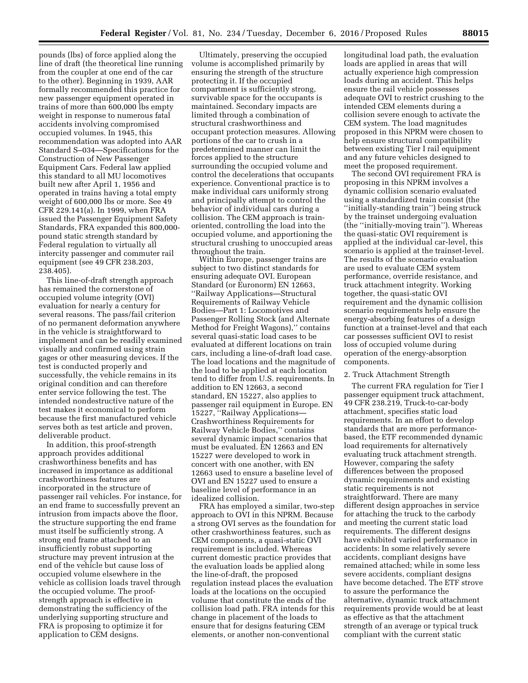pounds (lbs) of force applied along the line of draft (the theoretical line running from the coupler at one end of the car to the other). Beginning in 1939, AAR formally recommended this practice for new passenger equipment operated in trains of more than 600,000 lbs empty weight in response to numerous fatal accidents involving compromised occupied volumes. In 1945, this recommendation was adopted into AAR Standard S–034—Specifications for the Construction of New Passenger Equipment Cars. Federal law applied this standard to all MU locomotives built new after April 1, 1956 and operated in trains having a total empty weight of 600,000 lbs or more. See 49 CFR 229.141(a). In 1999, when FRA issued the Passenger Equipment Safety Standards, FRA expanded this 800,000 pound static strength standard by Federal regulation to virtually all intercity passenger and commuter rail equipment (see 49 CFR 238.203, 238.405).

This line-of-draft strength approach has remained the cornerstone of occupied volume integrity (OVI) evaluation for nearly a century for several reasons. The pass/fail criterion of no permanent deformation anywhere in the vehicle is straightforward to implement and can be readily examined visually and confirmed using strain gages or other measuring devices. If the test is conducted properly and successfully, the vehicle remains in its original condition and can therefore enter service following the test. The intended nondestructive nature of the test makes it economical to perform because the first manufactured vehicle serves both as test article and proven, deliverable product.

In addition, this proof-strength approach provides additional crashworthiness benefits and has increased in importance as additional crashworthiness features are incorporated in the structure of passenger rail vehicles. For instance, for an end frame to successfully prevent an intrusion from impacts above the floor, the structure supporting the end frame must itself be sufficiently strong. A strong end frame attached to an insufficiently robust supporting structure may prevent intrusion at the end of the vehicle but cause loss of occupied volume elsewhere in the vehicle as collision loads travel through the occupied volume. The proofstrength approach is effective in demonstrating the sufficiency of the underlying supporting structure and FRA is proposing to optimize it for application to CEM designs.

Ultimately, preserving the occupied volume is accomplished primarily by ensuring the strength of the structure protecting it. If the occupied compartment is sufficiently strong, survivable space for the occupants is maintained. Secondary impacts are limited through a combination of structural crashworthiness and occupant protection measures. Allowing portions of the car to crush in a predetermined manner can limit the forces applied to the structure surrounding the occupied volume and control the decelerations that occupants experience. Conventional practice is to make individual cars uniformly strong and principally attempt to control the behavior of individual cars during a collision. The CEM approach is trainoriented, controlling the load into the occupied volume, and apportioning the structural crushing to unoccupied areas throughout the train.

Within Europe, passenger trains are subject to two distinct standards for ensuring adequate OVI. European Standard (or Euronorm) EN 12663, ''Railway Applications—Structural Requirements of Railway Vehicle Bodies—Part 1: Locomotives and Passenger Rolling Stock (and Alternate Method for Freight Wagons),'' contains several quasi-static load cases to be evaluated at different locations on train cars, including a line-of-draft load case. The load locations and the magnitude of the load to be applied at each location tend to differ from U.S. requirements. In addition to EN 12663, a second standard, EN 15227, also applies to passenger rail equipment in Europe. EN 15227, ''Railway Applications— Crashworthiness Requirements for Railway Vehicle Bodies,'' contains several dynamic impact scenarios that must be evaluated. EN 12663 and EN 15227 were developed to work in concert with one another, with EN 12663 used to ensure a baseline level of OVI and EN 15227 used to ensure a baseline level of performance in an idealized collision.

FRA has employed a similar, two-step approach to OVI in this NPRM. Because a strong OVI serves as the foundation for other crashworthiness features, such as CEM components, a quasi-static OVI requirement is included. Whereas current domestic practice provides that the evaluation loads be applied along the line-of-draft, the proposed regulation instead places the evaluation loads at the locations on the occupied volume that constitute the ends of the collision load path. FRA intends for this change in placement of the loads to ensure that for designs featuring CEM elements, or another non-conventional

longitudinal load path, the evaluation loads are applied in areas that will actually experience high compression loads during an accident. This helps ensure the rail vehicle possesses adequate OVI to restrict crushing to the intended CEM elements during a collision severe enough to activate the CEM system. The load magnitudes proposed in this NPRM were chosen to help ensure structural compatibility between existing Tier I rail equipment and any future vehicles designed to meet the proposed requirement.

The second OVI requirement FRA is proposing in this NPRM involves a dynamic collision scenario evaluated using a standardized train consist (the ''initially-standing train'') being struck by the trainset undergoing evaluation (the ''initially-moving train''). Whereas the quasi-static OVI requirement is applied at the individual car-level, this scenario is applied at the trainset-level. The results of the scenario evaluation are used to evaluate CEM system performance, override resistance, and truck attachment integrity. Working together, the quasi-static OVI requirement and the dynamic collision scenario requirements help ensure the energy-absorbing features of a design function at a trainset-level and that each car possesses sufficient OVI to resist loss of occupied volume during operation of the energy-absorption components.

#### 2. Truck Attachment Strength

The current FRA regulation for Tier I passenger equipment truck attachment, 49 CFR 238.219, Truck-to-car-body attachment, specifies static load requirements. In an effort to develop standards that are more performancebased, the ETF recommended dynamic load requirements for alternatively evaluating truck attachment strength. However, comparing the safety differences between the proposed dynamic requirements and existing static requirements is not straightforward. There are many different design approaches in service for attaching the truck to the carbody and meeting the current static load requirements. The different designs have exhibited varied performance in accidents: In some relatively severe accidents, compliant designs have remained attached; while in some less severe accidents, compliant designs have become detached. The ETF strove to assure the performance the alternative, dynamic truck attachment requirements provide would be at least as effective as that the attachment strength of an average or typical truck compliant with the current static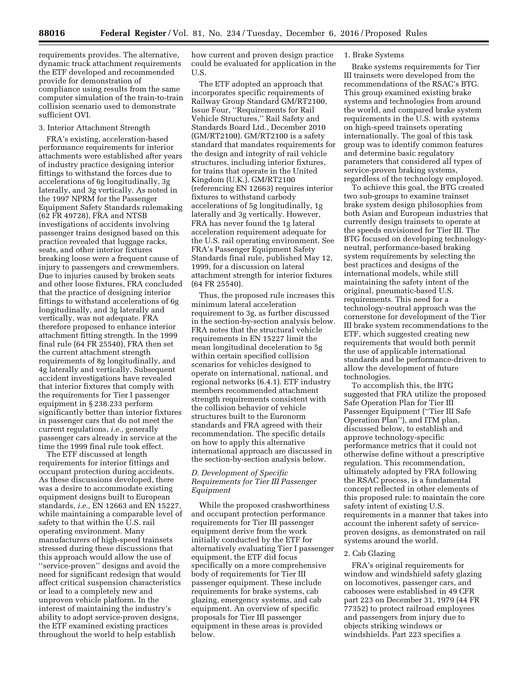requirements provides. The alternative, dynamic truck attachment requirements the ETF developed and recommended provide for demonstration of compliance using results from the same computer simulation of the train-to-train collision scenario used to demonstrate sufficient OVI.

### 3. Interior Attachment Strength

FRA's existing, acceleration-based performance requirements for interior attachments were established after years of industry practice designing interior fittings to withstand the forces due to accelerations of 6g longitudinally, 3g laterally, and 3g vertically. As noted in the 1997 NPRM for the Passenger Equipment Safety Standards rulemaking (62 FR 49728), FRA and NTSB investigations of accidents involving passenger trains designed based on this practice revealed that luggage racks, seats, and other interior fixtures breaking loose were a frequent cause of injury to passengers and crewmembers. Due to injuries caused by broken seats and other loose fixtures, FRA concluded that the practice of designing interior fittings to withstand accelerations of 6g longitudinally, and 3g laterally and vertically, was not adequate. FRA therefore proposed to enhance interior attachment fitting strength. In the 1999 final rule (64 FR 25540), FRA then set the current attachment strength requirements of 8g longitudinally, and 4g laterally and vertically. Subsequent accident investigations have revealed that interior fixtures that comply with the requirements for Tier I passenger equipment in § 238.233 perform significantly better than interior fixtures in passenger cars that do not meet the current regulations, *i.e.,* generally passenger cars already in service at the time the 1999 final rule took effect.

The ETF discussed at length requirements for interior fittings and occupant protection during accidents. As these discussions developed, there was a desire to accommodate existing equipment designs built to European standards, *i.e.,* EN 12663 and EN 15227, while maintaining a comparable level of safety to that within the U.S. rail operating environment. Many manufacturers of high-speed trainsets stressed during these discussions that this approach would allow the use of ''service-proven'' designs and avoid the need for significant redesign that would affect critical suspension characteristics or lead to a completely new and unproven vehicle platform. In the interest of maintaining the industry's ability to adopt service-proven designs, the ETF examined existing practices throughout the world to help establish

how current and proven design practice could be evaluated for application in the U.S.

The ETF adopted an approach that incorporates specific requirements of Railway Group Standard GM/RT2100, Issue Four, ''Requirements for Rail Vehicle Structures,'' Rail Safety and Standards Board Ltd., December 2010 (GM/RT2100). GM/RT2100 is a safety standard that mandates requirements for the design and integrity of rail vehicle structures, including interior fixtures, for trains that operate in the United Kingdom (U.K.). GM/RT2100 (referencing EN 12663) requires interior fixtures to withstand carbody accelerations of 5g longitudinally, 1g laterally and 3g vertically. However, FRA has never found the 1g lateral acceleration requirement adequate for the U.S. rail operating environment. See FRA's Passenger Equipment Safety Standards final rule, published May 12, 1999, for a discussion on lateral attachment strength for interior fixtures (64 FR 25540).

Thus, the proposed rule increases this minimum lateral acceleration requirement to 3g, as further discussed in the section-by-section analysis below. FRA notes that the structural vehicle requirements in EN 15227 limit the mean longitudinal deceleration to 5g within certain specified collision scenarios for vehicles designed to operate on international, national, and regional networks (6.4.1). ETF industry members recommended attachment strength requirements consistent with the collision behavior of vehicle structures built to the Euronorm standards and FRA agreed with their recommendation. The specific details on how to apply this alternative international approach are discussed in the section-by-section analysis below.

## *D. Development of Specific Requirements for Tier III Passenger Equipment*

While the proposed crashworthiness and occupant protection performance requirements for Tier III passenger equipment derive from the work initially conducted by the ETF for alternatively evaluating Tier I passenger equipment, the ETF did focus specifically on a more comprehensive body of requirements for Tier III passenger equipment. These include requirements for brake systems, cab glazing, emergency systems, and cab equipment. An overview of specific proposals for Tier III passenger equipment in these areas is provided below.

## 1. Brake Systems

Brake systems requirements for Tier III trainsets were developed from the recommendations of the RSAC's BTG. This group examined existing brake systems and technologies from around the world, and compared brake system requirements in the U.S. with systems on high-speed trainsets operating internationally. The goal of this task group was to identify common features and determine basic regulatory parameters that considered all types of service-proven braking systems, regardless of the technology employed.

To achieve this goal, the BTG created two sub-groups to examine trainset brake system design philosophies from both Asian and European industries that currently design trainsets to operate at the speeds envisioned for Tier III. The BTG focused on developing technologyneutral, performance-based braking system requirements by selecting the best practices and designs of the international models, while still maintaining the safety intent of the original, pneumatic-based U.S. requirements. This need for a technology-neutral approach was the cornerstone for development of the Tier III brake system recommendations to the ETF, which suggested creating new requirements that would both permit the use of applicable international standards and be performance-driven to allow the development of future technologies.

To accomplish this, the BTG suggested that FRA utilize the proposed Safe Operation Plan for Tier III Passenger Equipment (''Tier III Safe Operation Plan''), and ITM plan, discussed below, to establish and approve technology-specific performance metrics that it could not otherwise define without a prescriptive regulation. This recommendation, ultimately adopted by FRA following the RSAC process, is a fundamental concept reflected in other elements of this proposed rule: to maintain the core safety intent of existing U.S. requirements in a manner that takes into account the inherent safety of serviceproven designs, as demonstrated on rail systems around the world.

## 2. Cab Glazing

FRA's original requirements for window and windshield safety glazing on locomotives, passenger cars, and cabooses were established in 49 CFR part 223 on December 31, 1979 (44 FR 77352) to protect railroad employees and passengers from injury due to objects striking windows or windshields. Part 223 specifies a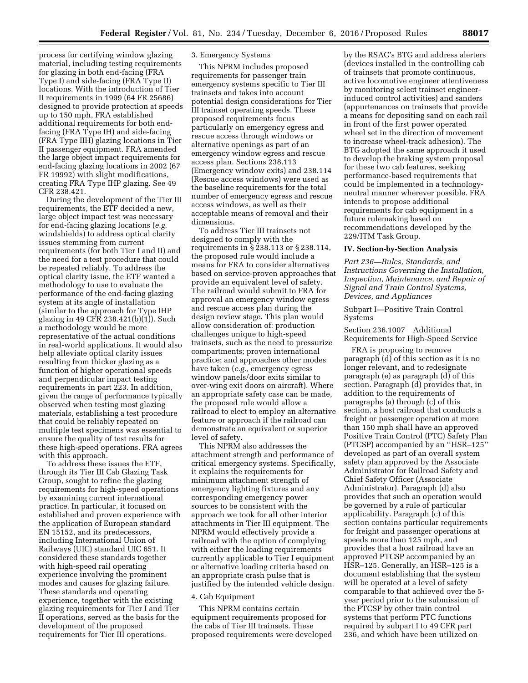process for certifying window glazing material, including testing requirements for glazing in both end-facing (FRA Type I) and side-facing (FRA Type II) locations. With the introduction of Tier II requirements in 1999 (64 FR 25686) designed to provide protection at speeds up to 150 mph, FRA established additional requirements for both endfacing (FRA Type IH) and side-facing (FRA Type IIH) glazing locations in Tier II passenger equipment. FRA amended the large object impact requirements for end-facing glazing locations in 2002 (67 FR 19992) with slight modifications, creating FRA Type IHP glazing. See 49 CFR 238.421.

During the development of the Tier III requirements, the ETF decided a new, large object impact test was necessary for end-facing glazing locations (*e.g.*  windshields) to address optical clarity issues stemming from current requirements (for both Tier I and II) and the need for a test procedure that could be repeated reliably. To address the optical clarity issue, the ETF wanted a methodology to use to evaluate the performance of the end-facing glazing system at its angle of installation (similar to the approach for Type IHP glazing in 49 CFR 238.421(b)(1)). Such a methodology would be more representative of the actual conditions in real-world applications. It would also help alleviate optical clarity issues resulting from thicker glazing as a function of higher operational speeds and perpendicular impact testing requirements in part 223. In addition, given the range of performance typically observed when testing most glazing materials, establishing a test procedure that could be reliably repeated on multiple test specimens was essential to ensure the quality of test results for these high-speed operations. FRA agrees with this approach.

To address these issues the ETF, through its Tier III Cab Glazing Task Group, sought to refine the glazing requirements for high-speed operations by examining current international practice. In particular, it focused on established and proven experience with the application of European standard EN 15152, and its predecessors, including International Union of Railways (UIC) standard UIC 651. It considered these standards together with high-speed rail operating experience involving the prominent modes and causes for glazing failure. These standards and operating experience, together with the existing glazing requirements for Tier I and Tier II operations, served as the basis for the development of the proposed requirements for Tier III operations.

## 3. Emergency Systems

This NPRM includes proposed requirements for passenger train emergency systems specific to Tier III trainsets and takes into account potential design considerations for Tier III trainset operating speeds. These proposed requirements focus particularly on emergency egress and rescue access through windows or alternative openings as part of an emergency window egress and rescue access plan. Sections 238.113 (Emergency window exits) and 238.114 (Rescue access windows) were used as the baseline requirements for the total number of emergency egress and rescue access windows, as well as their acceptable means of removal and their dimensions.

To address Tier III trainsets not designed to comply with the requirements in § 238.113 or § 238.114, the proposed rule would include a means for FRA to consider alternatives based on service-proven approaches that provide an equivalent level of safety. The railroad would submit to FRA for approval an emergency window egress and rescue access plan during the design review stage. This plan would allow consideration of: production challenges unique to high-speed trainsets, such as the need to pressurize compartments; proven international practice; and approaches other modes have taken (*e.g.,* emergency egress window panels/door exits similar to over-wing exit doors on aircraft). Where an appropriate safety case can be made, the proposed rule would allow a railroad to elect to employ an alternative feature or approach if the railroad can demonstrate an equivalent or superior level of safety.

This NPRM also addresses the attachment strength and performance of critical emergency systems. Specifically, it explains the requirements for minimum attachment strength of emergency lighting fixtures and any corresponding emergency power sources to be consistent with the approach we took for all other interior attachments in Tier III equipment. The NPRM would effectively provide a railroad with the option of complying with either the loading requirements currently applicable to Tier I equipment or alternative loading criteria based on an appropriate crash pulse that is justified by the intended vehicle design.

### 4. Cab Equipment

This NPRM contains certain equipment requirements proposed for the cabs of Tier III trainsets. These proposed requirements were developed by the RSAC's BTG and address alerters (devices installed in the controlling cab of trainsets that promote continuous, active locomotive engineer attentiveness by monitoring select trainset engineerinduced control activities) and sanders (appurtenances on trainsets that provide a means for depositing sand on each rail in front of the first power operated wheel set in the direction of movement to increase wheel-track adhesion). The BTG adopted the same approach it used to develop the braking system proposal for these two cab features, seeking performance-based requirements that could be implemented in a technologyneutral manner wherever possible. FRA intends to propose additional requirements for cab equipment in a future rulemaking based on recommendations developed by the 229/ITM Task Group.

#### **IV. Section-by-Section Analysis**

*Part 236—Rules, Standards, and Instructions Governing the Installation, Inspection, Maintenance, and Repair of Signal and Train Control Systems, Devices, and Appliances* 

## Subpart I—Positive Train Control Systems

Section 236.1007 Additional Requirements for High-Speed Service

FRA is proposing to remove paragraph (d) of this section as it is no longer relevant, and to redesignate paragraph (e) as paragraph (d) of this section. Paragraph (d) provides that, in addition to the requirements of paragraphs (a) through (c) of this section, a host railroad that conducts a freight or passenger operation at more than 150 mph shall have an approved Positive Train Control (PTC) Safety Plan (PTCSP) accompanied by an ''HSR–125'' developed as part of an overall system safety plan approved by the Associate Administrator for Railroad Safety and Chief Safety Officer (Associate Administrator). Paragraph (d) also provides that such an operation would be governed by a rule of particular applicability. Paragraph (c) of this section contains particular requirements for freight and passenger operations at speeds more than 125 mph, and provides that a host railroad have an approved PTCSP accompanied by an HSR–125. Generally, an HSR–125 is a document establishing that the system will be operated at a level of safety comparable to that achieved over the 5 year period prior to the submission of the PTCSP by other train control systems that perform PTC functions required by subpart I to 49 CFR part 236, and which have been utilized on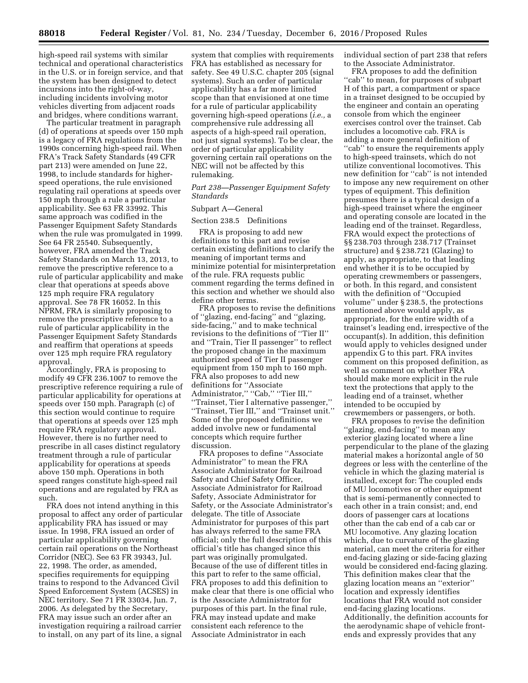high-speed rail systems with similar technical and operational characteristics in the U.S. or in foreign service, and that the system has been designed to detect incursions into the right-of-way, including incidents involving motor vehicles diverting from adjacent roads and bridges, where conditions warrant.

The particular treatment in paragraph (d) of operations at speeds over 150 mph is a legacy of FRA regulations from the 1990s concerning high-speed rail. When FRA's Track Safety Standards (49 CFR part 213) were amended on June 22, 1998, to include standards for higherspeed operations, the rule envisioned regulating rail operations at speeds over 150 mph through a rule a particular applicability. See 63 FR 33992. This same approach was codified in the Passenger Equipment Safety Standards when the rule was promulgated in 1999. See 64 FR 25540. Subsequently, however, FRA amended the Track Safety Standards on March 13, 2013, to remove the prescriptive reference to a rule of particular applicability and make clear that operations at speeds above 125 mph require FRA regulatory approval. See 78 FR 16052. In this NPRM, FRA is similarly proposing to remove the prescriptive reference to a rule of particular applicability in the Passenger Equipment Safety Standards and reaffirm that operations at speeds over 125 mph require FRA regulatory approval.

Accordingly, FRA is proposing to modify 49 CFR 236.1007 to remove the prescriptive reference requiring a rule of particular applicability for operations at speeds over 150 mph. Paragraph (c) of this section would continue to require that operations at speeds over 125 mph require FRA regulatory approval. However, there is no further need to prescribe in all cases distinct regulatory treatment through a rule of particular applicability for operations at speeds above 150 mph. Operations in both speed ranges constitute high-speed rail operations and are regulated by FRA as such.

FRA does not intend anything in this proposal to affect any order of particular applicability FRA has issued or may issue. In 1998, FRA issued an order of particular applicability governing certain rail operations on the Northeast Corridor (NEC). See 63 FR 39343, Jul. 22, 1998. The order, as amended, specifies requirements for equipping trains to respond to the Advanced Civil Speed Enforcement System (ACSES) in NEC territory. See 71 FR 33034, Jun. 7, 2006. As delegated by the Secretary, FRA may issue such an order after an investigation requiring a railroad carrier to install, on any part of its line, a signal

system that complies with requirements FRA has established as necessary for safety. See 49 U.S.C. chapter 205 (signal systems). Such an order of particular applicability has a far more limited scope than that envisioned at one time for a rule of particular applicability governing high-speed operations (*i.e.,* a comprehensive rule addressing all aspects of a high-speed rail operation, not just signal systems). To be clear, the order of particular applicability governing certain rail operations on the NEC will not be affected by this rulemaking.

### *Part 238—Passenger Equipment Safety Standards*

## Subpart A—General

Section 238.5 Definitions

FRA is proposing to add new definitions to this part and revise certain existing definitions to clarify the meaning of important terms and minimize potential for misinterpretation of the rule. FRA requests public comment regarding the terms defined in this section and whether we should also define other terms.

FRA proposes to revise the definitions of ''glazing, end-facing'' and ''glazing, side-facing,'' and to make technical revisions to the definitions of ''Tier II'' and ''Train, Tier II passenger'' to reflect the proposed change in the maximum authorized speed of Tier II passenger equipment from 150 mph to 160 mph. FRA also proposes to add new definitions for ''Associate Administrator," "Cab," "Tier III," ''Trainset, Tier I alternative passenger,'' ''Trainset, Tier III,'' and ''Trainset unit.'' Some of the proposed definitions we added involve new or fundamental concepts which require further discussion.

FRA proposes to define ''Associate Administrator'' to mean the FRA Associate Administrator for Railroad Safety and Chief Safety Officer, Associate Administrator for Railroad Safety, Associate Administrator for Safety, or the Associate Administrator's delegate. The title of Associate Administrator for purposes of this part has always referred to the same FRA official; only the full description of this official's title has changed since this part was originally promulgated. Because of the use of different titles in this part to refer to the same official, FRA proposes to add this definition to make clear that there is one official who is the Associate Administrator for purposes of this part. In the final rule, FRA may instead update and make consistent each reference to the Associate Administrator in each

individual section of part 238 that refers to the Associate Administrator.

FRA proposes to add the definition "cab" to mean, for purposes of subpart H of this part, a compartment or space in a trainset designed to be occupied by the engineer and contain an operating console from which the engineer exercises control over the trainset. Cab includes a locomotive cab. FRA is adding a more general definition of ''cab'' to ensure the requirements apply to high-speed trainsets, which do not utilize conventional locomotives. This new definition for ''cab'' is not intended to impose any new requirement on other types of equipment. This definition presumes there is a typical design of a high-speed trainset where the engineer and operating console are located in the leading end of the trainset. Regardless, FRA would expect the protections of §§ 238.703 through 238.717 (Trainset structure) and § 238.721 (Glazing) to apply, as appropriate, to that leading end whether it is to be occupied by operating crewmembers or passengers, or both. In this regard, and consistent with the definition of ''Occupied volume'' under § 238.5, the protections mentioned above would apply, as appropriate, for the entire width of a trainset's leading end, irrespective of the occupant(s). In addition, this definition would apply to vehicles designed under appendix G to this part. FRA invites comment on this proposed definition, as well as comment on whether FRA should make more explicit in the rule text the protections that apply to the leading end of a trainset, whether intended to be occupied by crewmembers or passengers, or both.

FRA proposes to revise the definition ''glazing, end-facing'' to mean any exterior glazing located where a line perpendicular to the plane of the glazing material makes a horizontal angle of 50 degrees or less with the centerline of the vehicle in which the glazing material is installed, except for: The coupled ends of MU locomotives or other equipment that is semi-permanently connected to each other in a train consist; and, end doors of passenger cars at locations other than the cab end of a cab car or MU locomotive. Any glazing location which, due to curvature of the glazing material, can meet the criteria for either end-facing glazing or side-facing glazing would be considered end-facing glazing. This definition makes clear that the glazing location means an ''exterior'' location and expressly identifies locations that FRA would not consider end-facing glazing locations. Additionally, the definition accounts for the aerodynamic shape of vehicle frontends and expressly provides that any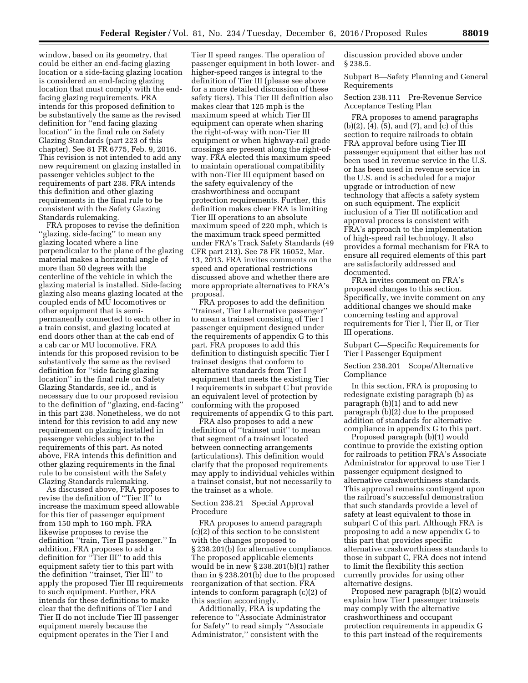window, based on its geometry, that could be either an end-facing glazing location or a side-facing glazing location is considered an end-facing glazing location that must comply with the endfacing glazing requirements. FRA intends for this proposed definition to be substantively the same as the revised definition for ''end facing glazing location'' in the final rule on Safety Glazing Standards (part 223 of this chapter). See 81 FR 6775, Feb. 9, 2016. This revision is not intended to add any new requirement on glazing installed in passenger vehicles subject to the requirements of part 238. FRA intends this definition and other glazing requirements in the final rule to be consistent with the Safety Glazing Standards rulemaking.

FRA proposes to revise the definition ''glazing, side-facing'' to mean any glazing located where a line perpendicular to the plane of the glazing material makes a horizontal angle of more than 50 degrees with the centerline of the vehicle in which the glazing material is installed. Side-facing glazing also means glazing located at the coupled ends of MU locomotives or other equipment that is semipermanently connected to each other in a train consist, and glazing located at end doors other than at the cab end of a cab car or MU locomotive. FRA intends for this proposed revision to be substantively the same as the revised definition for ''side facing glazing location'' in the final rule on Safety Glazing Standards, see id., and is necessary due to our proposed revision to the definition of ''glazing, end-facing'' in this part 238. Nonetheless, we do not intend for this revision to add any new requirement on glazing installed in passenger vehicles subject to the requirements of this part. As noted above, FRA intends this definition and other glazing requirements in the final rule to be consistent with the Safety Glazing Standards rulemaking.

As discussed above, FRA proposes to revise the definition of ''Tier II'' to increase the maximum speed allowable for this tier of passenger equipment from 150 mph to 160 mph. FRA likewise proposes to revise the definition ''train, Tier II passenger.'' In addition, FRA proposes to add a definition for ''Tier III'' to add this equipment safety tier to this part with the definition ''trainset, Tier III'' to apply the proposed Tier III requirements to such equipment. Further, FRA intends for these definitions to make clear that the definitions of Tier I and Tier II do not include Tier III passenger equipment merely because the equipment operates in the Tier I and

Tier II speed ranges. The operation of passenger equipment in both lower- and higher-speed ranges is integral to the definition of Tier III (please see above for a more detailed discussion of these safety tiers). This Tier III definition also makes clear that 125 mph is the maximum speed at which Tier III equipment can operate when sharing the right-of-way with non-Tier III equipment or when highway-rail grade crossings are present along the right-ofway. FRA elected this maximum speed to maintain operational compatibility with non-Tier III equipment based on the safety equivalency of the crashworthiness and occupant protection requirements. Further, this definition makes clear FRA is limiting Tier III operations to an absolute maximum speed of 220 mph, which is the maximum track speed permitted under FRA's Track Safety Standards (49 CFR part 213). See 78 FR 16052, Mar. 13, 2013. FRA invites comments on the speed and operational restrictions discussed above and whether there are more appropriate alternatives to FRA's proposal.

FRA proposes to add the definition ''trainset, Tier I alternative passenger'' to mean a trainset consisting of Tier I passenger equipment designed under the requirements of appendix G to this part. FRA proposes to add this definition to distinguish specific Tier I trainset designs that conform to alternative standards from Tier I equipment that meets the existing Tier I requirements in subpart C but provide an equivalent level of protection by conforming with the proposed requirements of appendix G to this part.

FRA also proposes to add a new definition of ''trainset unit'' to mean that segment of a trainset located between connecting arrangements (articulations). This definition would clarify that the proposed requirements may apply to individual vehicles within a trainset consist, but not necessarily to the trainset as a whole.

## Section 238.21 Special Approval Procedure

FRA proposes to amend paragraph (c)(2) of this section to be consistent with the changes proposed to § 238.201(b) for alternative compliance. The proposed applicable elements would be in new § 238.201(b)(1) rather than in § 238.201(b) due to the proposed reorganization of that section. FRA intends to conform paragraph (c)(2) of this section accordingly.

Additionally, FRA is updating the reference to ''Associate Administrator for Safety'' to read simply ''Associate Administrator,'' consistent with the

discussion provided above under § 238.5.

Subpart B—Safety Planning and General Requirements

Section 238.111 Pre-Revenue Service Acceptance Testing Plan

FRA proposes to amend paragraphs (b)(2), (4), (5), and (7), and (c) of this section to require railroads to obtain FRA approval before using Tier III passenger equipment that either has not been used in revenue service in the U.S. or has been used in revenue service in the U.S. and is scheduled for a major upgrade or introduction of new technology that affects a safety system on such equipment. The explicit inclusion of a Tier III notification and approval process is consistent with FRA's approach to the implementation of high-speed rail technology. It also provides a formal mechanism for FRA to ensure all required elements of this part are satisfactorily addressed and documented.

FRA invites comment on FRA's proposed changes to this section. Specifically, we invite comment on any additional changes we should make concerning testing and approval requirements for Tier I, Tier II, or Tier III operations.

Subpart C—Specific Requirements for Tier I Passenger Equipment

Section 238.201 Scope/Alternative Compliance

In this section, FRA is proposing to redesignate existing paragraph (b) as paragraph (b)(1) and to add new paragraph (b)(2) due to the proposed addition of standards for alternative compliance in appendix G to this part.

Proposed paragraph (b)(1) would continue to provide the existing option for railroads to petition FRA's Associate Administrator for approval to use Tier I passenger equipment designed to alternative crashworthiness standards. This approval remains contingent upon the railroad's successful demonstration that such standards provide a level of safety at least equivalent to those in subpart C of this part. Although FRA is proposing to add a new appendix G to this part that provides specific alternative crashworthiness standards to those in subpart C, FRA does not intend to limit the flexibility this section currently provides for using other alternative designs.

Proposed new paragraph (b)(2) would explain how Tier I passenger trainsets may comply with the alternative crashworthiness and occupant protection requirements in appendix G to this part instead of the requirements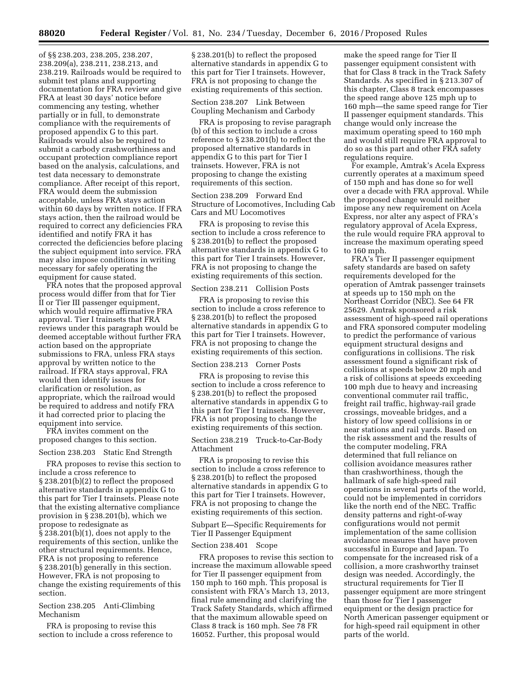of §§ 238.203, 238.205, 238.207, 238.209(a), 238.211, 238.213, and 238.219. Railroads would be required to submit test plans and supporting documentation for FRA review and give FRA at least 30 days' notice before commencing any testing, whether partially or in full, to demonstrate compliance with the requirements of proposed appendix G to this part. Railroads would also be required to submit a carbody crashworthiness and occupant protection compliance report based on the analysis, calculations, and test data necessary to demonstrate compliance. After receipt of this report, FRA would deem the submission acceptable, unless FRA stays action within 60 days by written notice. If FRA stays action, then the railroad would be required to correct any deficiencies FRA identified and notify FRA it has corrected the deficiencies before placing the subject equipment into service. FRA may also impose conditions in writing necessary for safely operating the equipment for cause stated.

FRA notes that the proposed approval process would differ from that for Tier II or Tier III passenger equipment, which would require affirmative FRA approval. Tier I trainsets that FRA reviews under this paragraph would be deemed acceptable without further FRA action based on the appropriate submissions to FRA, unless FRA stays approval by written notice to the railroad. If FRA stays approval, FRA would then identify issues for clarification or resolution, as appropriate, which the railroad would be required to address and notify FRA it had corrected prior to placing the equipment into service.

FRA invites comment on the proposed changes to this section.

## Section 238.203 Static End Strength

FRA proposes to revise this section to include a cross reference to § 238.201(b)(2) to reflect the proposed alternative standards in appendix G to this part for Tier I trainsets. Please note that the existing alternative compliance provision in § 238.201(b), which we propose to redesignate as § 238.201(b)(1), does not apply to the requirements of this section, unlike the other structural requirements. Hence, FRA is not proposing to reference § 238.201(b) generally in this section. However, FRA is not proposing to change the existing requirements of this section.

## Section 238.205 Anti-Climbing Mechanism

FRA is proposing to revise this section to include a cross reference to

§ 238.201(b) to reflect the proposed alternative standards in appendix G to this part for Tier I trainsets. However, FRA is not proposing to change the existing requirements of this section.

## Section 238.207 Link Between Coupling Mechanism and Carbody

FRA is proposing to revise paragraph (b) of this section to include a cross reference to § 238.201(b) to reflect the proposed alternative standards in appendix G to this part for Tier I trainsets. However, FRA is not proposing to change the existing requirements of this section.

Section 238.209 Forward End Structure of Locomotives, Including Cab Cars and MU Locomotives

FRA is proposing to revise this section to include a cross reference to § 238.201(b) to reflect the proposed alternative standards in appendix G to this part for Tier I trainsets. However, FRA is not proposing to change the existing requirements of this section.

## Section 238.211 Collision Posts

FRA is proposing to revise this section to include a cross reference to § 238.201(b) to reflect the proposed alternative standards in appendix G to this part for Tier I trainsets. However, FRA is not proposing to change the existing requirements of this section.

## Section 238.213 Corner Posts

FRA is proposing to revise this section to include a cross reference to § 238.201(b) to reflect the proposed alternative standards in appendix G to this part for Tier I trainsets. However, FRA is not proposing to change the existing requirements of this section.

## Section 238.219 Truck-to-Car-Body Attachment

FRA is proposing to revise this section to include a cross reference to § 238.201(b) to reflect the proposed alternative standards in appendix G to this part for Tier I trainsets. However, FRA is not proposing to change the existing requirements of this section.

Subpart E—Specific Requirements for Tier II Passenger Equipment

### Section 238.401 Scope

FRA proposes to revise this section to increase the maximum allowable speed for Tier II passenger equipment from 150 mph to 160 mph. This proposal is consistent with FRA's March 13, 2013, final rule amending and clarifying the Track Safety Standards, which affirmed that the maximum allowable speed on Class 8 track is 160 mph. See 78 FR 16052. Further, this proposal would

make the speed range for Tier II passenger equipment consistent with that for Class 8 track in the Track Safety Standards. As specified in § 213.307 of this chapter, Class 8 track encompasses the speed range above 125 mph up to 160 mph—the same speed range for Tier II passenger equipment standards. This change would only increase the maximum operating speed to 160 mph and would still require FRA approval to do so as this part and other FRA safety regulations require.

For example, Amtrak's Acela Express currently operates at a maximum speed of 150 mph and has done so for well over a decade with FRA approval. While the proposed change would neither impose any new requirement on Acela Express, nor alter any aspect of FRA's regulatory approval of Acela Express, the rule would require FRA approval to increase the maximum operating speed to 160 mph.

FRA's Tier II passenger equipment safety standards are based on safety requirements developed for the operation of Amtrak passenger trainsets at speeds up to 150 mph on the Northeast Corridor (NEC). See 64 FR 25629. Amtrak sponsored a risk assessment of high-speed rail operations and FRA sponsored computer modeling to predict the performance of various equipment structural designs and configurations in collisions. The risk assessment found a significant risk of collisions at speeds below 20 mph and a risk of collisions at speeds exceeding 100 mph due to heavy and increasing conventional commuter rail traffic, freight rail traffic, highway-rail grade crossings, moveable bridges, and a history of low speed collisions in or near stations and rail yards. Based on the risk assessment and the results of the computer modeling, FRA determined that full reliance on collision avoidance measures rather than crashworthiness, though the hallmark of safe high-speed rail operations in several parts of the world, could not be implemented in corridors like the north end of the NEC. Traffic density patterns and right-of-way configurations would not permit implementation of the same collision avoidance measures that have proven successful in Europe and Japan. To compensate for the increased risk of a collision, a more crashworthy trainset design was needed. Accordingly, the structural requirements for Tier II passenger equipment are more stringent than those for Tier I passenger equipment or the design practice for North American passenger equipment or for high-speed rail equipment in other parts of the world.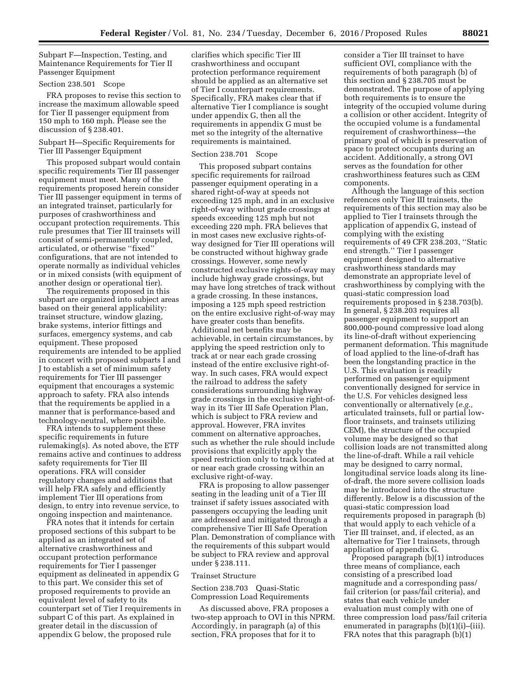Subpart F—Inspection, Testing, and Maintenance Requirements for Tier II Passenger Equipment

## Section 238.501 Scope

FRA proposes to revise this section to increase the maximum allowable speed for Tier II passenger equipment from 150 mph to 160 mph. Please see the discussion of § 238.401.

## Subpart H—Specific Requirements for Tier III Passenger Equipment

This proposed subpart would contain specific requirements Tier III passenger equipment must meet. Many of the requirements proposed herein consider Tier III passenger equipment in terms of an integrated trainset, particularly for purposes of crashworthiness and occupant protection requirements. This rule presumes that Tier III trainsets will consist of semi-permanently coupled, articulated, or otherwise ''fixed'' configurations, that are not intended to operate normally as individual vehicles or in mixed consists (with equipment of another design or operational tier).

The requirements proposed in this subpart are organized into subject areas based on their general applicability: trainset structure, window glazing, brake systems, interior fittings and surfaces, emergency systems, and cab equipment. These proposed requirements are intended to be applied in concert with proposed subparts I and J to establish a set of minimum safety requirements for Tier III passenger equipment that encourages a systemic approach to safety. FRA also intends that the requirements be applied in a manner that is performance-based and technology-neutral, where possible.

FRA intends to supplement these specific requirements in future rulemaking(s). As noted above, the ETF remains active and continues to address safety requirements for Tier III operations. FRA will consider regulatory changes and additions that will help FRA safely and efficiently implement Tier III operations from design, to entry into revenue service, to ongoing inspection and maintenance.

FRA notes that it intends for certain proposed sections of this subpart to be applied as an integrated set of alternative crashworthiness and occupant protection performance requirements for Tier I passenger equipment as delineated in appendix G to this part. We consider this set of proposed requirements to provide an equivalent level of safety to its counterpart set of Tier I requirements in subpart C of this part. As explained in greater detail in the discussion of appendix G below, the proposed rule

clarifies which specific Tier III crashworthiness and occupant protection performance requirement should be applied as an alternative set of Tier I counterpart requirements. Specifically, FRA makes clear that if alternative Tier I compliance is sought under appendix G, then all the requirements in appendix G must be met so the integrity of the alternative requirements is maintained.

#### Section 238.701 Scope

This proposed subpart contains specific requirements for railroad passenger equipment operating in a shared right-of-way at speeds not exceeding 125 mph, and in an exclusive right-of-way without grade crossings at speeds exceeding 125 mph but not exceeding 220 mph. FRA believes that in most cases new exclusive rights-ofway designed for Tier III operations will be constructed without highway grade crossings. However, some newly constructed exclusive rights-of-way may include highway grade crossings, but may have long stretches of track without a grade crossing. In these instances, imposing a 125 mph speed restriction on the entire exclusive right-of-way may have greater costs than benefits. Additional net benefits may be achievable, in certain circumstances, by applying the speed restriction only to track at or near each grade crossing instead of the entire exclusive right-ofway. In such cases, FRA would expect the railroad to address the safety considerations surrounding highway grade crossings in the exclusive right-ofway in its Tier III Safe Operation Plan, which is subject to FRA review and approval. However, FRA invites comment on alternative approaches, such as whether the rule should include provisions that explicitly apply the speed restriction only to track located at or near each grade crossing within an exclusive right-of-way.

FRA is proposing to allow passenger seating in the leading unit of a Tier III trainset if safety issues associated with passengers occupying the leading unit are addressed and mitigated through a comprehensive Tier III Safe Operation Plan. Demonstration of compliance with the requirements of this subpart would be subject to FRA review and approval under § 238.111.

#### Trainset Structure

Section 238.703 Quasi-Static Compression Load Requirements

As discussed above, FRA proposes a two-step approach to OVI in this NPRM. Accordingly, in paragraph (a) of this section, FRA proposes that for it to

consider a Tier III trainset to have sufficient OVI, compliance with the requirements of both paragraph (b) of this section and § 238.705 must be demonstrated. The purpose of applying both requirements is to ensure the integrity of the occupied volume during a collision or other accident. Integrity of the occupied volume is a fundamental requirement of crashworthiness—the primary goal of which is preservation of space to protect occupants during an accident. Additionally, a strong OVI serves as the foundation for other crashworthiness features such as CEM components.

Although the language of this section references only Tier III trainsets, the requirements of this section may also be applied to Tier I trainsets through the application of appendix G, instead of complying with the existing requirements of 49 CFR 238.203, ''Static end strength.'' Tier I passenger equipment designed to alternative crashworthiness standards may demonstrate an appropriate level of crashworthiness by complying with the quasi-static compression load requirements proposed in § 238.703(b). In general, § 238.203 requires all passenger equipment to support an 800,000-pound compressive load along its line-of-draft without experiencing permanent deformation. This magnitude of load applied to the line-of-draft has been the longstanding practice in the U.S. This evaluation is readily performed on passenger equipment conventionally designed for service in the U.S. For vehicles designed less conventionally or alternatively (*e.g.,*  articulated trainsets, full or partial lowfloor trainsets, and trainsets utilizing CEM), the structure of the occupied volume may be designed so that collision loads are not transmitted along the line-of-draft. While a rail vehicle may be designed to carry normal, longitudinal service loads along its lineof-draft, the more severe collision loads may be introduced into the structure differently. Below is a discussion of the quasi-static compression load requirements proposed in paragraph (b) that would apply to each vehicle of a Tier III trainset, and, if elected, as an alternative for Tier I trainsets, through application of appendix G.

Proposed paragraph (b)(1) introduces three means of compliance, each consisting of a prescribed load magnitude and a corresponding pass/ fail criterion (or pass/fail criteria), and states that each vehicle under evaluation must comply with one of three compression load pass/fail criteria enumerated in paragraphs  $(b)(1)(i)$ –(iii). FRA notes that this paragraph (b)(1)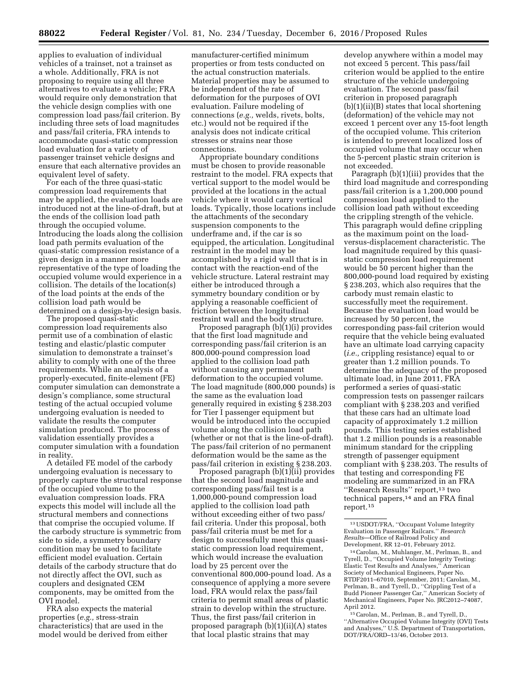applies to evaluation of individual vehicles of a trainset, not a trainset as a whole. Additionally, FRA is not proposing to require using all three alternatives to evaluate a vehicle; FRA would require only demonstration that the vehicle design complies with one compression load pass/fail criterion. By including three sets of load magnitudes and pass/fail criteria, FRA intends to accommodate quasi-static compression load evaluation for a variety of passenger trainset vehicle designs and ensure that each alternative provides an equivalent level of safety.

For each of the three quasi-static compression load requirements that may be applied, the evaluation loads are introduced not at the line-of-draft, but at the ends of the collision load path through the occupied volume. Introducing the loads along the collision load path permits evaluation of the quasi-static compression resistance of a given design in a manner more representative of the type of loading the occupied volume would experience in a collision. The details of the location(s) of the load points at the ends of the collision load path would be determined on a design-by-design basis.

The proposed quasi-static compression load requirements also permit use of a combination of elastic testing and elastic/plastic computer simulation to demonstrate a trainset's ability to comply with one of the three requirements. While an analysis of a properly-executed, finite-element (FE) computer simulation can demonstrate a design's compliance, some structural testing of the actual occupied volume undergoing evaluation is needed to validate the results the computer simulation produced. The process of validation essentially provides a computer simulation with a foundation in reality.

A detailed FE model of the carbody undergoing evaluation is necessary to properly capture the structural response of the occupied volume to the evaluation compression loads. FRA expects this model will include all the structural members and connections that comprise the occupied volume. If the carbody structure is symmetric from side to side, a symmetry boundary condition may be used to facilitate efficient model evaluation. Certain details of the carbody structure that do not directly affect the OVI, such as couplers and designated CEM components, may be omitted from the OVI model.

FRA also expects the material properties (*e.g.,* stress-strain characteristics) that are used in the model would be derived from either manufacturer-certified minimum properties or from tests conducted on the actual construction materials. Material properties may be assumed to be independent of the rate of deformation for the purposes of OVI evaluation. Failure modeling of connections (*e.g.,* welds, rivets, bolts, etc.) would not be required if the analysis does not indicate critical stresses or strains near those connections.

Appropriate boundary conditions must be chosen to provide reasonable restraint to the model. FRA expects that vertical support to the model would be provided at the locations in the actual vehicle where it would carry vertical loads. Typically, those locations include the attachments of the secondary suspension components to the underframe and, if the car is so equipped, the articulation. Longitudinal restraint in the model may be accomplished by a rigid wall that is in contact with the reaction-end of the vehicle structure. Lateral restraint may either be introduced through a symmetry boundary condition or by applying a reasonable coefficient of friction between the longitudinal restraint wall and the body structure.

Proposed paragraph (b)(1)(i) provides that the first load magnitude and corresponding pass/fail criterion is an 800,000-pound compression load applied to the collision load path without causing any permanent deformation to the occupied volume. The load magnitude (800,000 pounds) is the same as the evaluation load generally required in existing § 238.203 for Tier I passenger equipment but would be introduced into the occupied volume along the collision load path (whether or not that is the line-of-draft). The pass/fail criterion of no permanent deformation would be the same as the pass/fail criterion in existing § 238.203.

Proposed paragraph (b)(1)(ii) provides that the second load magnitude and corresponding pass/fail test is a 1,000,000-pound compression load applied to the collision load path without exceeding either of two pass/ fail criteria. Under this proposal, both pass/fail criteria must be met for a design to successfully meet this quasistatic compression load requirement, which would increase the evaluation load by 25 percent over the conventional 800,000-pound load. As a consequence of applying a more severe load, FRA would relax the pass/fail criteria to permit small areas of plastic strain to develop within the structure. Thus, the first pass/fail criterion in proposed paragraph (b)(1)(ii)(A) states that local plastic strains that may

develop anywhere within a model may not exceed 5 percent. This pass/fail criterion would be applied to the entire structure of the vehicle undergoing evaluation. The second pass/fail criterion in proposed paragraph (b)(1)(ii)(B) states that local shortening (deformation) of the vehicle may not exceed 1 percent over any 15-foot length of the occupied volume. This criterion is intended to prevent localized loss of occupied volume that may occur when the 5-percent plastic strain criterion is not exceeded.

Paragraph (b)(1)(iii) provides that the third load magnitude and corresponding pass/fail criterion is a 1,200,000 pound compression load applied to the collision load path without exceeding the crippling strength of the vehicle. This paragraph would define crippling as the maximum point on the loadversus-displacement characteristic. The load magnitude required by this quasistatic compression load requirement would be 50 percent higher than the 800,000-pound load required by existing § 238.203, which also requires that the carbody must remain elastic to successfully meet the requirement. Because the evaluation load would be increased by 50 percent, the corresponding pass-fail criterion would require that the vehicle being evaluated have an ultimate load carrying capacity (*i.e.,* crippling resistance) equal to or greater than 1.2 million pounds. To determine the adequacy of the proposed ultimate load, in June 2011, FRA performed a series of quasi-static compression tests on passenger railcars compliant with § 238.203 and verified that these cars had an ultimate load capacity of approximately 1.2 million pounds. This testing series established that 1.2 million pounds is a reasonable minimum standard for the crippling strength of passenger equipment compliant with § 238.203. The results of that testing and corresponding FE modeling are summarized in an FRA ''Research Results'' report,13 two technical papers,14 and an FRA final report.15

15Carolan, M., Perlman, B., and Tyrell, D., ''Alternative Occupied Volume Integrity (OVI) Tests and Analyses,'' U.S. Department of Transportation, DOT/FRA/ORD–13/46, October 2013.

<sup>13</sup>USDOT/FRA, ''Occupant Volume Integrity Evaluation in Passenger Railcars.'' *Research Results*—Office of Railroad Policy and Development, RR 12–01, February 2012.

<sup>14</sup>Carolan, M., Muhlanger, M., Perlman, B., and Tyrell, D., ''Occupied Volume Integrity Testing: Elastic Test Results and Analyses,'' American Society of Mechanical Engineers, Paper No. RTDF2011–67010, September, 2011; Carolan, M., Perlman, B., and Tyrell, D., ''Crippling Test of a Budd Pioneer Passenger Car,'' American Society of Mechanical Engineers, Paper No. JRC2012–74087, April 2012.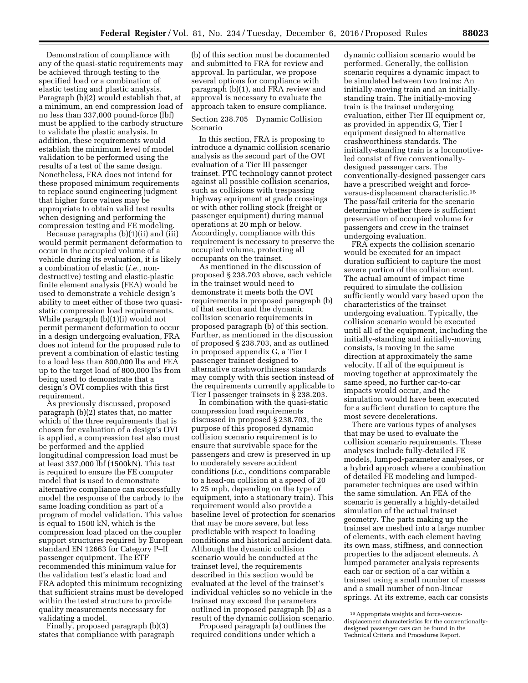Demonstration of compliance with any of the quasi-static requirements may be achieved through testing to the specified load or a combination of elastic testing and plastic analysis. Paragraph (b)(2) would establish that, at a minimum, an end compression load of no less than 337,000 pound-force (lbf) must be applied to the carbody structure to validate the plastic analysis. In addition, these requirements would establish the minimum level of model validation to be performed using the results of a test of the same design. Nonetheless, FRA does not intend for these proposed minimum requirements

to replace sound engineering judgment that higher force values may be appropriate to obtain valid test results when designing and performing the compression testing and FE modeling.

Because paragraphs  $(b)(1)(ii)$  and  $(iii)$ would permit permanent deformation to occur in the occupied volume of a vehicle during its evaluation, it is likely a combination of elastic (*i.e.,* nondestructive) testing and elastic-plastic finite element analysis (FEA) would be used to demonstrate a vehicle design's ability to meet either of those two quasistatic compression load requirements. While paragraph (b)(1)(i) would not permit permanent deformation to occur in a design undergoing evaluation, FRA does not intend for the proposed rule to prevent a combination of elastic testing to a load less than 800,000 lbs and FEA up to the target load of 800,000 lbs from being used to demonstrate that a design's OVI complies with this first requirement.

As previously discussed, proposed paragraph (b)(2) states that, no matter which of the three requirements that is chosen for evaluation of a design's OVI is applied, a compression test also must be performed and the applied longitudinal compression load must be at least 337,000 lbf (1500kN). This test is required to ensure the FE computer model that is used to demonstrate alternative compliance can successfully model the response of the carbody to the same loading condition as part of a program of model validation. This value is equal to 1500 kN, which is the compression load placed on the coupler support structures required by European standard EN 12663 for Category P–II passenger equipment. The ETF recommended this minimum value for the validation test's elastic load and FRA adopted this minimum recognizing that sufficient strains must be developed within the tested structure to provide quality measurements necessary for validating a model.

Finally, proposed paragraph (b)(3) states that compliance with paragraph

(b) of this section must be documented and submitted to FRA for review and approval. In particular, we propose several options for compliance with paragraph (b)(1), and FRA review and approval is necessary to evaluate the approach taken to ensure compliance.

Section 238.705 Dynamic Collision Scenario

In this section, FRA is proposing to introduce a dynamic collision scenario analysis as the second part of the OVI evaluation of a Tier III passenger trainset. PTC technology cannot protect against all possible collision scenarios, such as collisions with trespassing highway equipment at grade crossings or with other rolling stock (freight or passenger equipment) during manual operations at 20 mph or below. Accordingly, compliance with this requirement is necessary to preserve the occupied volume, protecting all occupants on the trainset.

As mentioned in the discussion of proposed § 238.703 above, each vehicle in the trainset would need to demonstrate it meets both the OVI requirements in proposed paragraph (b) of that section and the dynamic collision scenario requirements in proposed paragraph (b) of this section. Further, as mentioned in the discussion of proposed § 238.703, and as outlined in proposed appendix G, a Tier I passenger trainset designed to alternative crashworthiness standards may comply with this section instead of the requirements currently applicable to Tier I passenger trainsets in § 238.203.

In combination with the quasi-static compression load requirements discussed in proposed § 238.703, the purpose of this proposed dynamic collision scenario requirement is to ensure that survivable space for the passengers and crew is preserved in up to moderately severe accident conditions (*i.e.,* conditions comparable to a head-on collision at a speed of 20 to 25 mph, depending on the type of equipment, into a stationary train). This requirement would also provide a baseline level of protection for scenarios that may be more severe, but less predictable with respect to loading conditions and historical accident data. Although the dynamic collision scenario would be conducted at the trainset level, the requirements described in this section would be evaluated at the level of the trainset's individual vehicles so no vehicle in the trainset may exceed the parameters outlined in proposed paragraph (b) as a result of the dynamic collision scenario.

Proposed paragraph (a) outlines the required conditions under which a

dynamic collision scenario would be performed. Generally, the collision scenario requires a dynamic impact to be simulated between two trains: An initially-moving train and an initiallystanding train. The initially-moving train is the trainset undergoing evaluation, either Tier III equipment or, as provided in appendix G, Tier I equipment designed to alternative crashworthiness standards. The initially-standing train is a locomotiveled consist of five conventionallydesigned passenger cars. The conventionally-designed passenger cars have a prescribed weight and forceversus-displacement characteristic.16 The pass/fail criteria for the scenario determine whether there is sufficient preservation of occupied volume for passengers and crew in the trainset undergoing evaluation.

FRA expects the collision scenario would be executed for an impact duration sufficient to capture the most severe portion of the collision event. The actual amount of impact time required to simulate the collision sufficiently would vary based upon the characteristics of the trainset undergoing evaluation. Typically, the collision scenario would be executed until all of the equipment, including the initially-standing and initially-moving consists, is moving in the same direction at approximately the same velocity. If all of the equipment is moving together at approximately the same speed, no further car-to-car impacts would occur, and the simulation would have been executed for a sufficient duration to capture the most severe decelerations.

There are various types of analyses that may be used to evaluate the collision scenario requirements. These analyses include fully-detailed FE models, lumped-parameter analyses, or a hybrid approach where a combination of detailed FE modeling and lumpedparameter techniques are used within the same simulation. An FEA of the scenario is generally a highly-detailed simulation of the actual trainset geometry. The parts making up the trainset are meshed into a large number of elements, with each element having its own mass, stiffness, and connection properties to the adjacent elements. A lumped parameter analysis represents each car or section of a car within a trainset using a small number of masses and a small number of non-linear springs. At its extreme, each car consists

<sup>16</sup>Appropriate weights and force-versusdisplacement characteristics for the conventionallydesigned passenger cars can be found in the Technical Criteria and Procedures Report.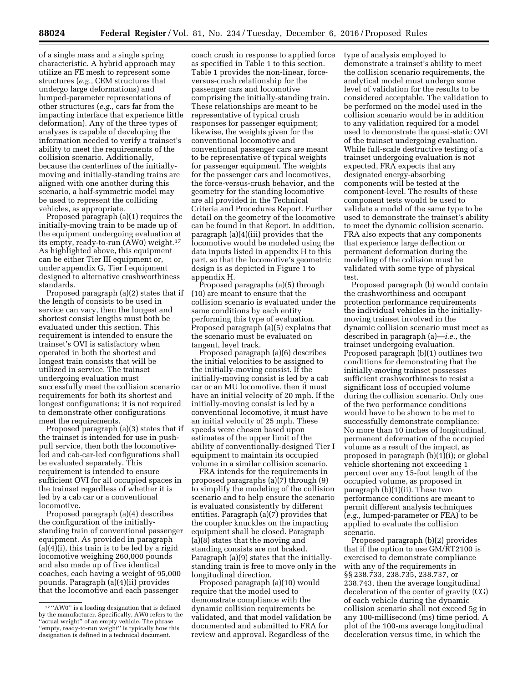of a single mass and a single spring characteristic. A hybrid approach may utilize an FE mesh to represent some structures (*e.g.,* CEM structures that undergo large deformations) and lumped-parameter representations of other structures (*e.g.,* cars far from the impacting interface that experience little deformation). Any of the three types of analyses is capable of developing the information needed to verify a trainset's ability to meet the requirements of the collision scenario. Additionally, because the centerlines of the initiallymoving and initially-standing trains are aligned with one another during this scenario, a half-symmetric model may be used to represent the colliding vehicles, as appropriate.

Proposed paragraph (a)(1) requires the initially-moving train to be made up of the equipment undergoing evaluation at its empty, ready-to-run (AW0) weight.17 As highlighted above, this equipment can be either Tier III equipment or, under appendix G, Tier I equipment designed to alternative crashworthiness standards.

Proposed paragraph (a)(2) states that if the length of consists to be used in service can vary, then the longest and shortest consist lengths must both be evaluated under this section. This requirement is intended to ensure the trainset's OVI is satisfactory when operated in both the shortest and longest train consists that will be utilized in service. The trainset undergoing evaluation must successfully meet the collision scenario requirements for both its shortest and longest configurations; it is not required to demonstrate other configurations meet the requirements.

Proposed paragraph (a)(3) states that if the trainset is intended for use in pushpull service, then both the locomotiveled and cab-car-led configurations shall be evaluated separately. This requirement is intended to ensure sufficient OVI for all occupied spaces in the trainset regardless of whether it is led by a cab car or a conventional locomotive.

Proposed paragraph (a)(4) describes the configuration of the initiallystanding train of conventional passenger equipment. As provided in paragraph (a)(4)(i), this train is to be led by a rigid locomotive weighing 260,000 pounds and also made up of five identical coaches, each having a weight of 95,000 pounds. Paragraph (a)(4)(ii) provides that the locomotive and each passenger

coach crush in response to applied force as specified in Table 1 to this section. Table 1 provides the non-linear, forceversus-crush relationship for the passenger cars and locomotive comprising the initially-standing train. These relationships are meant to be representative of typical crush responses for passenger equipment; likewise, the weights given for the conventional locomotive and conventional passenger cars are meant to be representative of typical weights for passenger equipment. The weights for the passenger cars and locomotives, the force-versus-crush behavior, and the geometry for the standing locomotive are all provided in the Technical Criteria and Procedures Report. Further detail on the geometry of the locomotive can be found in that Report. In addition, paragraph (a)(4)(iii) provides that the locomotive would be modeled using the data inputs listed in appendix H to this part, so that the locomotive's geometric design is as depicted in Figure 1 to appendix H.

Proposed paragraphs (a)(5) through (10) are meant to ensure that the collision scenario is evaluated under the same conditions by each entity performing this type of evaluation. Proposed paragraph (a)(5) explains that the scenario must be evaluated on tangent, level track.

Proposed paragraph (a)(6) describes the initial velocities to be assigned to the initially-moving consist. If the initially-moving consist is led by a cab car or an MU locomotive, then it must have an initial velocity of 20 mph. If the initially-moving consist is led by a conventional locomotive, it must have an initial velocity of 25 mph. These speeds were chosen based upon estimates of the upper limit of the ability of conventionally-designed Tier I equipment to maintain its occupied volume in a similar collision scenario.

FRA intends for the requirements in proposed paragraphs (a)(7) through (9) to simplify the modeling of the collision scenario and to help ensure the scenario is evaluated consistently by different entities. Paragraph (a)(7) provides that the coupler knuckles on the impacting equipment shall be closed. Paragraph (a)(8) states that the moving and standing consists are not braked. Paragraph (a)(9) states that the initiallystanding train is free to move only in the longitudinal direction.

Proposed paragraph (a)(10) would require that the model used to demonstrate compliance with the dynamic collision requirements be validated, and that model validation be documented and submitted to FRA for review and approval. Regardless of the

type of analysis employed to demonstrate a trainset's ability to meet the collision scenario requirements, the analytical model must undergo some level of validation for the results to be considered acceptable. The validation to be performed on the model used in the collision scenario would be in addition to any validation required for a model used to demonstrate the quasi-static OVI of the trainset undergoing evaluation. While full-scale destructive testing of a trainset undergoing evaluation is not expected, FRA expects that any designated energy-absorbing components will be tested at the component-level. The results of these component tests would be used to validate a model of the same type to be used to demonstrate the trainset's ability to meet the dynamic collision scenario. FRA also expects that any components that experience large deflection or permanent deformation during the modeling of the collision must be validated with some type of physical test.

Proposed paragraph (b) would contain the crashworthiness and occupant protection performance requirements the individual vehicles in the initiallymoving trainset involved in the dynamic collision scenario must meet as described in paragraph (a)—*i.e.,* the trainset undergoing evaluation. Proposed paragraph (b)(1) outlines two conditions for demonstrating that the initially-moving trainset possesses sufficient crashworthiness to resist a significant loss of occupied volume during the collision scenario. Only one of the two performance conditions would have to be shown to be met to successfully demonstrate compliance: No more than 10 inches of longitudinal, permanent deformation of the occupied volume as a result of the impact, as proposed in paragraph (b)(1)(i); or global vehicle shortening not exceeding 1 percent over any 15-foot length of the occupied volume, as proposed in paragraph (b)(1)(ii). These two performance conditions are meant to permit different analysis techniques (*e.g.,* lumped-parameter or FEA) to be applied to evaluate the collision scenario.

Proposed paragraph (b)(2) provides that if the option to use GM/RT2100 is exercised to demonstrate compliance with any of the requirements in §§ 238.733, 238.735, 238.737, or 238.743, then the average longitudinal deceleration of the center of gravity (CG) of each vehicle during the dynamic collision scenario shall not exceed 5g in any 100-millisecond (ms) time period. A plot of the 100-ms average longitudinal deceleration versus time, in which the

<sup>17</sup> ''AW0'' is a loading designation that is defined by the manufacturer. Specifically, AW0 refers to the "actual weight" of an empty vehicle. The phrase ''empty, ready-to-run weight'' is typically how this designation is defined in a technical document.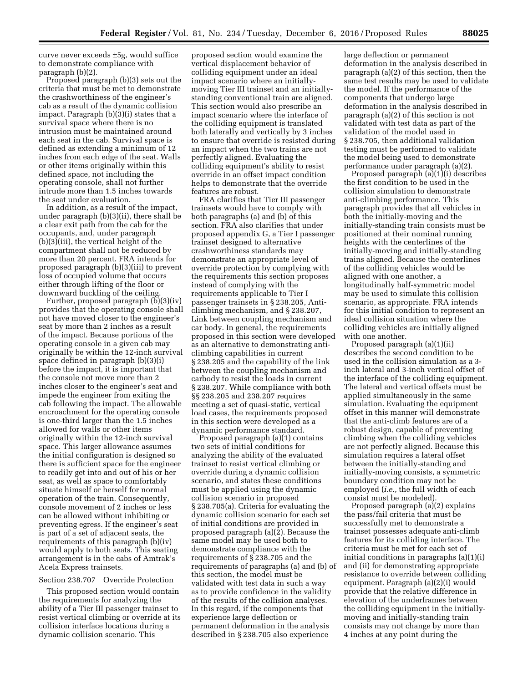curve never exceeds ±5g, would suffice to demonstrate compliance with paragraph (b)(2).

Proposed paragraph (b)(3) sets out the criteria that must be met to demonstrate the crashworthiness of the engineer's cab as a result of the dynamic collision impact. Paragraph (b)(3)(i) states that a survival space where there is no intrusion must be maintained around each seat in the cab. Survival space is defined as extending a minimum of 12 inches from each edge of the seat. Walls or other items originally within this defined space, not including the operating console, shall not further intrude more than 1.5 inches towards the seat under evaluation.

In addition, as a result of the impact, under paragraph (b)(3)(ii), there shall be a clear exit path from the cab for the occupants, and, under paragraph (b)(3)(iii), the vertical height of the compartment shall not be reduced by more than 20 percent. FRA intends for proposed paragraph (b)(3)(iii) to prevent loss of occupied volume that occurs either through lifting of the floor or downward buckling of the ceiling.

Further, proposed paragraph (b)(3)(iv) provides that the operating console shall not have moved closer to the engineer's seat by more than 2 inches as a result of the impact. Because portions of the operating console in a given cab may originally be within the 12-inch survival space defined in paragraph (b)(3)(i) before the impact, it is important that the console not move more than 2 inches closer to the engineer's seat and impede the engineer from exiting the cab following the impact. The allowable encroachment for the operating console is one-third larger than the 1.5 inches allowed for walls or other items originally within the 12-inch survival space. This larger allowance assumes the initial configuration is designed so there is sufficient space for the engineer to readily get into and out of his or her seat, as well as space to comfortably situate himself or herself for normal operation of the train. Consequently, console movement of 2 inches or less can be allowed without inhibiting or preventing egress. If the engineer's seat is part of a set of adjacent seats, the requirements of this paragraph (b)(iv) would apply to both seats. This seating arrangement is in the cabs of Amtrak's Acela Express trainsets.

### Section 238.707 Override Protection

This proposed section would contain the requirements for analyzing the ability of a Tier III passenger trainset to resist vertical climbing or override at its collision interface locations during a dynamic collision scenario. This

proposed section would examine the vertical displacement behavior of colliding equipment under an ideal impact scenario where an initiallymoving Tier III trainset and an initiallystanding conventional train are aligned. This section would also prescribe an impact scenario where the interface of the colliding equipment is translated both laterally and vertically by 3 inches to ensure that override is resisted during an impact when the two trains are not perfectly aligned. Evaluating the colliding equipment's ability to resist override in an offset impact condition helps to demonstrate that the override features are robust.

FRA clarifies that Tier III passenger trainsets would have to comply with both paragraphs (a) and (b) of this section. FRA also clarifies that under proposed appendix G, a Tier I passenger trainset designed to alternative crashworthiness standards may demonstrate an appropriate level of override protection by complying with the requirements this section proposes instead of complying with the requirements applicable to Tier I passenger trainsets in § 238.205, Anticlimbing mechanism, and § 238.207, Link between coupling mechanism and car body. In general, the requirements proposed in this section were developed as an alternative to demonstrating anticlimbing capabilities in current § 238.205 and the capability of the link between the coupling mechanism and carbody to resist the loads in current § 238.207. While compliance with both §§ 238.205 and 238.207 requires meeting a set of quasi-static, vertical load cases, the requirements proposed in this section were developed as a dynamic performance standard.

Proposed paragraph (a)(1) contains two sets of initial conditions for analyzing the ability of the evaluated trainset to resist vertical climbing or override during a dynamic collision scenario, and states these conditions must be applied using the dynamic collision scenario in proposed § 238.705(a). Criteria for evaluating the dynamic collision scenario for each set of initial conditions are provided in proposed paragraph (a)(2). Because the same model may be used both to demonstrate compliance with the requirements of § 238.705 and the requirements of paragraphs (a) and (b) of this section, the model must be validated with test data in such a way as to provide confidence in the validity of the results of the collision analyses. In this regard, if the components that experience large deflection or permanent deformation in the analysis described in § 238.705 also experience

large deflection or permanent deformation in the analysis described in paragraph (a)(2) of this section, then the same test results may be used to validate the model. If the performance of the components that undergo large deformation in the analysis described in paragraph (a)(2) of this section is not validated with test data as part of the validation of the model used in § 238.705, then additional validation testing must be performed to validate the model being used to demonstrate performance under paragraph (a)(2).

Proposed paragraph (a)(1)(i) describes the first condition to be used in the collision simulation to demonstrate anti-climbing performance. This paragraph provides that all vehicles in both the initially-moving and the initially-standing train consists must be positioned at their nominal running heights with the centerlines of the initially-moving and initially-standing trains aligned. Because the centerlines of the colliding vehicles would be aligned with one another, a longitudinally half-symmetric model may be used to simulate this collision scenario, as appropriate. FRA intends for this initial condition to represent an ideal collision situation where the colliding vehicles are initially aligned with one another.

Proposed paragraph (a)(1)(ii) describes the second condition to be used in the collision simulation as a 3 inch lateral and 3-inch vertical offset of the interface of the colliding equipment. The lateral and vertical offsets must be applied simultaneously in the same simulation. Evaluating the equipment offset in this manner will demonstrate that the anti-climb features are of a robust design, capable of preventing climbing when the colliding vehicles are not perfectly aligned. Because this simulation requires a lateral offset between the initially-standing and initially-moving consists, a symmetric boundary condition may not be employed (*i.e.,* the full width of each consist must be modeled).

Proposed paragraph (a)(2) explains the pass/fail criteria that must be successfully met to demonstrate a trainset possesses adequate anti-climb features for its colliding interface. The criteria must be met for each set of initial conditions in paragraphs (a)(1)(i) and (ii) for demonstrating appropriate resistance to override between colliding equipment. Paragraph (a)(2)(i) would provide that the relative difference in elevation of the underframes between the colliding equipment in the initiallymoving and initially-standing train consists may not change by more than 4 inches at any point during the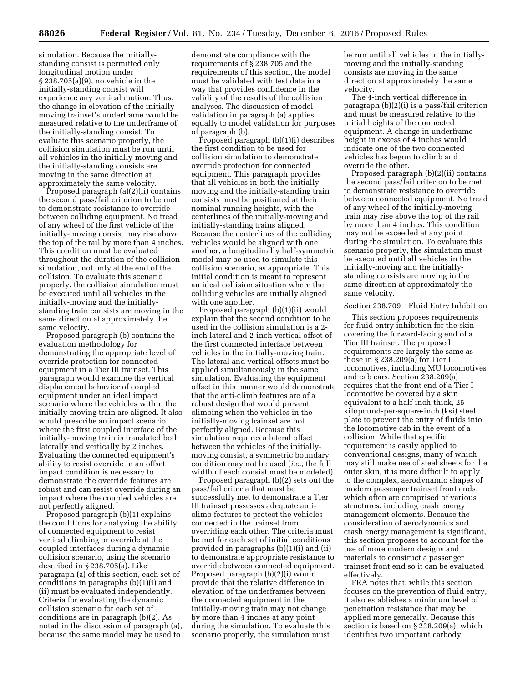simulation. Because the initiallystanding consist is permitted only longitudinal motion under § 238.705(a)(9), no vehicle in the initially-standing consist will experience any vertical motion. Thus, the change in elevation of the initiallymoving trainset's underframe would be measured relative to the underframe of the initially-standing consist. To evaluate this scenario properly, the collision simulation must be run until all vehicles in the initially-moving and the initially-standing consists are moving in the same direction at approximately the same velocity.

Proposed paragraph (a)(2)(ii) contains the second pass/fail criterion to be met to demonstrate resistance to override between colliding equipment. No tread of any wheel of the first vehicle of the initially-moving consist may rise above the top of the rail by more than 4 inches. This condition must be evaluated throughout the duration of the collision simulation, not only at the end of the collision. To evaluate this scenario properly, the collision simulation must be executed until all vehicles in the initially-moving and the initiallystanding train consists are moving in the same direction at approximately the same velocity.

Proposed paragraph (b) contains the evaluation methodology for demonstrating the appropriate level of override protection for connected equipment in a Tier III trainset. This paragraph would examine the vertical displacement behavior of coupled equipment under an ideal impact scenario where the vehicles within the initially-moving train are aligned. It also would prescribe an impact scenario where the first coupled interface of the initially-moving train is translated both laterally and vertically by 2 inches. Evaluating the connected equipment's ability to resist override in an offset impact condition is necessary to demonstrate the override features are robust and can resist override during an impact where the coupled vehicles are not perfectly aligned.

Proposed paragraph (b)(1) explains the conditions for analyzing the ability of connected equipment to resist vertical climbing or override at the coupled interfaces during a dynamic collision scenario, using the scenario described in § 238.705(a). Like paragraph (a) of this section, each set of conditions in paragraphs (b)(1)(i) and (ii) must be evaluated independently. Criteria for evaluating the dynamic collision scenario for each set of conditions are in paragraph (b)(2). As noted in the discussion of paragraph (a), because the same model may be used to

demonstrate compliance with the requirements of § 238.705 and the requirements of this section, the model must be validated with test data in a way that provides confidence in the validity of the results of the collision analyses. The discussion of model validation in paragraph (a) applies equally to model validation for purposes of paragraph (b).

Proposed paragraph (b)(1)(i) describes the first condition to be used for collision simulation to demonstrate override protection for connected equipment. This paragraph provides that all vehicles in both the initiallymoving and the initially-standing train consists must be positioned at their nominal running heights, with the centerlines of the initially-moving and initially-standing trains aligned. Because the centerlines of the colliding vehicles would be aligned with one another, a longitudinally half-symmetric model may be used to simulate this collision scenario, as appropriate. This initial condition is meant to represent an ideal collision situation where the colliding vehicles are initially aligned with one another.

Proposed paragraph (b)(1)(ii) would explain that the second condition to be used in the collision simulation is a 2 inch lateral and 2-inch vertical offset of the first connected interface between vehicles in the initially-moving train. The lateral and vertical offsets must be applied simultaneously in the same simulation. Evaluating the equipment offset in this manner would demonstrate that the anti-climb features are of a robust design that would prevent climbing when the vehicles in the initially-moving trainset are not perfectly aligned. Because this simulation requires a lateral offset between the vehicles of the initiallymoving consist, a symmetric boundary condition may not be used (*i.e.,* the full width of each consist must be modeled).

Proposed paragraph (b)(2) sets out the pass/fail criteria that must be successfully met to demonstrate a Tier III trainset possesses adequate anticlimb features to protect the vehicles connected in the trainset from overriding each other. The criteria must be met for each set of initial conditions provided in paragraphs (b)(1)(i) and (ii) to demonstrate appropriate resistance to override between connected equipment. Proposed paragraph (b)(2)(i) would provide that the relative difference in elevation of the underframes between the connected equipment in the initially-moving train may not change by more than 4 inches at any point during the simulation. To evaluate this scenario properly, the simulation must

be run until all vehicles in the initiallymoving and the initially-standing consists are moving in the same direction at approximately the same velocity.

The 4-inch vertical difference in paragraph (b)(2)(i) is a pass/fail criterion and must be measured relative to the initial heights of the connected equipment. A change in underframe height in excess of 4 inches would indicate one of the two connected vehicles has begun to climb and override the other.

Proposed paragraph (b)(2)(ii) contains the second pass/fail criterion to be met to demonstrate resistance to override between connected equipment. No tread of any wheel of the initially-moving train may rise above the top of the rail by more than 4 inches. This condition may not be exceeded at any point during the simulation. To evaluate this scenario properly, the simulation must be executed until all vehicles in the initially-moving and the initiallystanding consists are moving in the same direction at approximately the same velocity.

### Section 238.709 Fluid Entry Inhibition

This section proposes requirements for fluid entry inhibition for the skin covering the forward-facing end of a Tier III trainset. The proposed requirements are largely the same as those in § 238.209(a) for Tier I locomotives, including MU locomotives and cab cars. Section 238.209(a) requires that the front end of a Tier I locomotive be covered by a skin equivalent to a half-inch-thick, 25 kilopound-per-square-inch (ksi) steel plate to prevent the entry of fluids into the locomotive cab in the event of a collision. While that specific requirement is easily applied to conventional designs, many of which may still make use of steel sheets for the outer skin, it is more difficult to apply to the complex, aerodynamic shapes of modern passenger trainset front ends, which often are comprised of various structures, including crash energy management elements. Because the consideration of aerodynamics and crash energy management is significant, this section proposes to account for the use of more modern designs and materials to construct a passenger trainset front end so it can be evaluated effectively.

FRA notes that, while this section focuses on the prevention of fluid entry, it also establishes a minimum level of penetration resistance that may be applied more generally. Because this section is based on § 238.209(a), which identifies two important carbody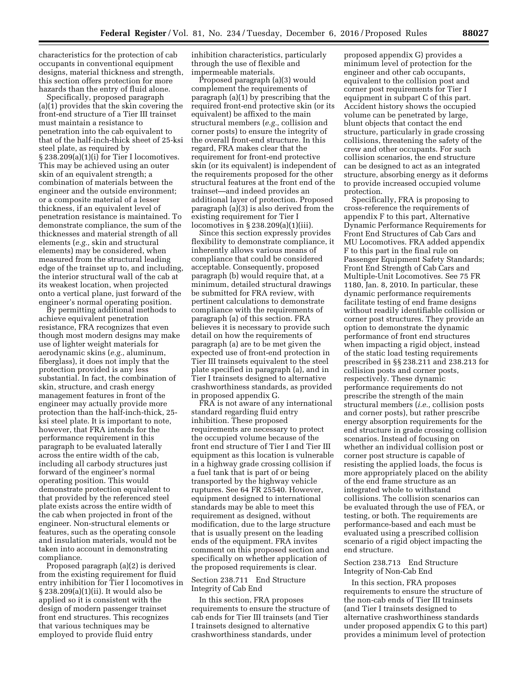characteristics for the protection of cab occupants in conventional equipment designs, material thickness and strength, this section offers protection for more hazards than the entry of fluid alone.

Specifically, proposed paragraph (a)(1) provides that the skin covering the front-end structure of a Tier III trainset must maintain a resistance to penetration into the cab equivalent to that of the half-inch-thick sheet of 25-ksi steel plate, as required by § 238.209(a)(1)(i) for Tier I locomotives. This may be achieved using an outer skin of an equivalent strength; a combination of materials between the engineer and the outside environment; or a composite material of a lesser thickness, if an equivalent level of penetration resistance is maintained. To demonstrate compliance, the sum of the thicknesses and material strength of all elements (*e.g.,* skin and structural elements) may be considered, when measured from the structural leading edge of the trainset up to, and including, the interior structural wall of the cab at its weakest location, when projected onto a vertical plane, just forward of the engineer's normal operating position.

By permitting additional methods to achieve equivalent penetration resistance, FRA recognizes that even though most modern designs may make use of lighter weight materials for aerodynamic skins (*e.g.,* aluminum, fiberglass), it does not imply that the protection provided is any less substantial. In fact, the combination of skin, structure, and crash energy management features in front of the engineer may actually provide more protection than the half-inch-thick, 25 ksi steel plate. It is important to note, however, that FRA intends for the performance requirement in this paragraph to be evaluated laterally across the entire width of the cab, including all carbody structures just forward of the engineer's normal operating position. This would demonstrate protection equivalent to that provided by the referenced steel plate exists across the entire width of the cab when projected in front of the engineer. Non-structural elements or features, such as the operating console and insulation materials, would not be taken into account in demonstrating compliance.

Proposed paragraph (a)(2) is derived from the existing requirement for fluid entry inhibition for Tier I locomotives in § 238.209(a)(1)(ii). It would also be applied so it is consistent with the design of modern passenger trainset front end structures. This recognizes that various techniques may be employed to provide fluid entry

inhibition characteristics, particularly through the use of flexible and impermeable materials.

Proposed paragraph (a)(3) would complement the requirements of paragraph (a)(1) by prescribing that the required front-end protective skin (or its equivalent) be affixed to the main structural members (*e.g.,* collision and corner posts) to ensure the integrity of the overall front-end structure. In this regard, FRA makes clear that the requirement for front-end protective skin (or its equivalent) is independent of the requirements proposed for the other structural features at the front end of the trainset—and indeed provides an additional layer of protection. Proposed paragraph (a)(3) is also derived from the existing requirement for Tier I locomotives in § 238.209(a)(1)(iii).

Since this section expressly provides flexibility to demonstrate compliance, it inherently allows various means of compliance that could be considered acceptable. Consequently, proposed paragraph (b) would require that, at a minimum, detailed structural drawings be submitted for FRA review, with pertinent calculations to demonstrate compliance with the requirements of paragraph (a) of this section. FRA believes it is necessary to provide such detail on how the requirements of paragraph (a) are to be met given the expected use of front-end protection in Tier III trainsets equivalent to the steel plate specified in paragraph (a), and in Tier I trainsets designed to alternative crashworthiness standards, as provided in proposed appendix G.

FRA is not aware of any international standard regarding fluid entry inhibition. These proposed requirements are necessary to protect the occupied volume because of the front end structure of Tier I and Tier III equipment as this location is vulnerable in a highway grade crossing collision if a fuel tank that is part of or being transported by the highway vehicle ruptures. See 64 FR 25540. However, equipment designed to international standards may be able to meet this requirement as designed, without modification, due to the large structure that is usually present on the leading ends of the equipment. FRA invites comment on this proposed section and specifically on whether application of the proposed requirements is clear.

## Section 238.711 End Structure Integrity of Cab End

In this section, FRA proposes requirements to ensure the structure of cab ends for Tier III trainsets (and Tier I trainsets designed to alternative crashworthiness standards, under

proposed appendix G) provides a minimum level of protection for the engineer and other cab occupants, equivalent to the collision post and corner post requirements for Tier I equipment in subpart C of this part. Accident history shows the occupied volume can be penetrated by large, blunt objects that contact the end structure, particularly in grade crossing collisions, threatening the safety of the crew and other occupants. For such collision scenarios, the end structure can be designed to act as an integrated structure, absorbing energy as it deforms to provide increased occupied volume protection.

Specifically, FRA is proposing to cross-reference the requirements of appendix F to this part, Alternative Dynamic Performance Requirements for Front End Structures of Cab Cars and MU Locomotives. FRA added appendix F to this part in the final rule on Passenger Equipment Safety Standards; Front End Strength of Cab Cars and Multiple-Unit Locomotives. See 75 FR 1180, Jan. 8, 2010. In particular, these dynamic performance requirements facilitate testing of end frame designs without readily identifiable collision or corner post structures. They provide an option to demonstrate the dynamic performance of front end structures when impacting a rigid object, instead of the static load testing requirements prescribed in §§ 238.211 and 238.213 for collision posts and corner posts, respectively. These dynamic performance requirements do not prescribe the strength of the main structural members (*i.e.,* collision posts and corner posts), but rather prescribe energy absorption requirements for the end structure in grade crossing collision scenarios. Instead of focusing on whether an individual collision post or corner post structure is capable of resisting the applied loads, the focus is more appropriately placed on the ability of the end frame structure as an integrated whole to withstand collisions. The collision scenarios can be evaluated through the use of FEA, or testing, or both. The requirements are performance-based and each must be evaluated using a prescribed collision scenario of a rigid object impacting the end structure.

## Section 238.713 End Structure Integrity of Non-Cab End

In this section, FRA proposes requirements to ensure the structure of the non-cab ends of Tier III trainsets (and Tier I trainsets designed to alternative crashworthiness standards under proposed appendix G to this part) provides a minimum level of protection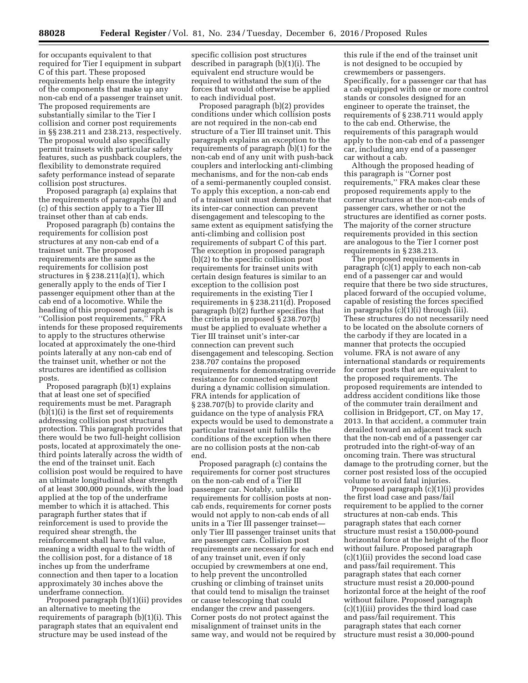for occupants equivalent to that required for Tier I equipment in subpart C of this part. These proposed requirements help ensure the integrity of the components that make up any non-cab end of a passenger trainset unit. The proposed requirements are substantially similar to the Tier I collision and corner post requirements in §§ 238.211 and 238.213, respectively. The proposal would also specifically permit trainsets with particular safety features, such as pushback couplers, the flexibility to demonstrate required safety performance instead of separate collision post structures.

Proposed paragraph (a) explains that the requirements of paragraphs (b) and (c) of this section apply to a Tier III trainset other than at cab ends.

Proposed paragraph (b) contains the requirements for collision post structures at any non-cab end of a trainset unit. The proposed requirements are the same as the requirements for collision post structures in § 238.211(a)(1), which generally apply to the ends of Tier I passenger equipment other than at the cab end of a locomotive. While the heading of this proposed paragraph is ''Collision post requirements,'' FRA intends for these proposed requirements to apply to the structures otherwise located at approximately the one-third points laterally at any non-cab end of the trainset unit, whether or not the structures are identified as collision posts.

Proposed paragraph (b)(1) explains that at least one set of specified requirements must be met. Paragraph  $(b)(1)(i)$  is the first set of requirements addressing collision post structural protection. This paragraph provides that there would be two full-height collision posts, located at approximately the onethird points laterally across the width of the end of the trainset unit. Each collision post would be required to have an ultimate longitudinal shear strength of at least 300,000 pounds, with the load applied at the top of the underframe member to which it is attached. This paragraph further states that if reinforcement is used to provide the required shear strength, the reinforcement shall have full value, meaning a width equal to the width of the collision post, for a distance of 18 inches up from the underframe connection and then taper to a location approximately 30 inches above the underframe connection.

Proposed paragraph (b)(1)(ii) provides an alternative to meeting the requirements of paragraph (b)(1)(i). This paragraph states that an equivalent end structure may be used instead of the

specific collision post structures described in paragraph (b)(1)(i). The equivalent end structure would be required to withstand the sum of the forces that would otherwise be applied to each individual post.

Proposed paragraph (b)(2) provides conditions under which collision posts are not required in the non-cab end structure of a Tier III trainset unit. This paragraph explains an exception to the requirements of paragraph (b)(1) for the non-cab end of any unit with push-back couplers and interlocking anti-climbing mechanisms, and for the non-cab ends of a semi-permanently coupled consist. To apply this exception, a non-cab end of a trainset unit must demonstrate that its inter-car connection can prevent disengagement and telescoping to the same extent as equipment satisfying the anti-climbing and collision post requirements of subpart C of this part. The exception in proposed paragraph (b)(2) to the specific collision post requirements for trainset units with certain design features is similar to an exception to the collision post requirements in the existing Tier I requirements in § 238.211(d). Proposed paragraph (b)(2) further specifies that the criteria in proposed § 238.707(b) must be applied to evaluate whether a Tier III trainset unit's inter-car connection can prevent such disengagement and telescoping. Section 238.707 contains the proposed requirements for demonstrating override resistance for connected equipment during a dynamic collision simulation. FRA intends for application of § 238.707(b) to provide clarity and guidance on the type of analysis FRA expects would be used to demonstrate a particular trainset unit fulfills the conditions of the exception when there are no collision posts at the non-cab end.

Proposed paragraph (c) contains the requirements for corner post structures on the non-cab end of a Tier III passenger car. Notably, unlike requirements for collision posts at noncab ends, requirements for corner posts would not apply to non-cab ends of all units in a Tier III passenger trainset only Tier III passenger trainset units that are passenger cars. Collision post requirements are necessary for each end of any trainset unit, even if only occupied by crewmembers at one end, to help prevent the uncontrolled crushing or climbing of trainset units that could tend to misalign the trainset or cause telescoping that could endanger the crew and passengers. Corner posts do not protect against the misalignment of trainset units in the same way, and would not be required by

this rule if the end of the trainset unit is not designed to be occupied by crewmembers or passengers. Specifically, for a passenger car that has a cab equipped with one or more control stands or consoles designed for an engineer to operate the trainset, the requirements of § 238.711 would apply to the cab end. Otherwise, the requirements of this paragraph would apply to the non-cab end of a passenger car, including any end of a passenger car without a cab.

Although the proposed heading of this paragraph is ''Corner post requirements,'' FRA makes clear these proposed requirements apply to the corner structures at the non-cab ends of passenger cars, whether or not the structures are identified as corner posts. The majority of the corner structure requirements provided in this section are analogous to the Tier I corner post requirements in § 238.213.

The proposed requirements in paragraph (c)(1) apply to each non-cab end of a passenger car and would require that there be two side structures, placed forward of the occupied volume, capable of resisting the forces specified in paragraphs (c)(1)(i) through (iii). These structures do not necessarily need to be located on the absolute corners of the carbody if they are located in a manner that protects the occupied volume. FRA is not aware of any international standards or requirements for corner posts that are equivalent to the proposed requirements. The proposed requirements are intended to address accident conditions like those of the commuter train derailment and collision in Bridgeport, CT, on May 17, 2013. In that accident, a commuter train derailed toward an adjacent track such that the non-cab end of a passenger car protruded into the right-of-way of an oncoming train. There was structural damage to the protruding corner, but the corner post resisted loss of the occupied volume to avoid fatal injuries.

Proposed paragraph (c)(1)(i) provides the first load case and pass/fail requirement to be applied to the corner structures at non-cab ends. This paragraph states that each corner structure must resist a 150,000-pound horizontal force at the height of the floor without failure. Proposed paragraph (c)(1)(ii) provides the second load case and pass/fail requirement. This paragraph states that each corner structure must resist a 20,000-pound horizontal force at the height of the roof without failure. Proposed paragraph (c)(1)(iii) provides the third load case and pass/fail requirement. This paragraph states that each corner structure must resist a 30,000-pound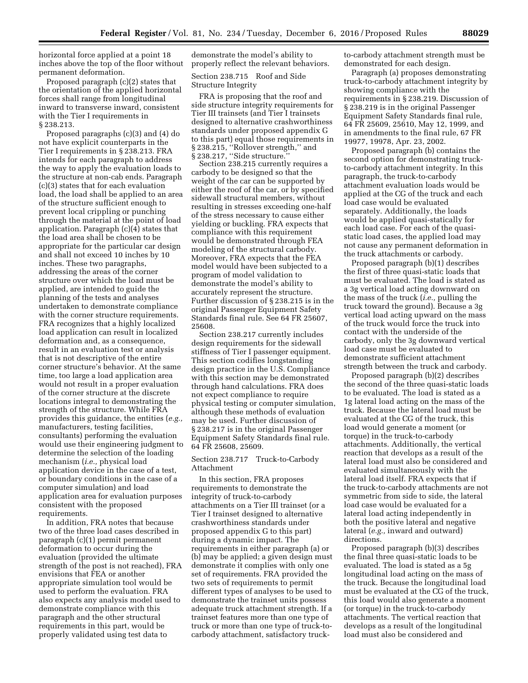horizontal force applied at a point 18 inches above the top of the floor without permanent deformation.

Proposed paragraph (c)(2) states that the orientation of the applied horizontal forces shall range from longitudinal inward to transverse inward, consistent with the Tier I requirements in § 238.213.

Proposed paragraphs (c)(3) and (4) do not have explicit counterparts in the Tier I requirements in § 238.213. FRA intends for each paragraph to address the way to apply the evaluation loads to the structure at non-cab ends. Paragraph (c)(3) states that for each evaluation load, the load shall be applied to an area of the structure sufficient enough to prevent local crippling or punching through the material at the point of load application. Paragraph (c)(4) states that the load area shall be chosen to be appropriate for the particular car design and shall not exceed 10 inches by 10 inches. These two paragraphs, addressing the areas of the corner structure over which the load must be applied, are intended to guide the planning of the tests and analyses undertaken to demonstrate compliance with the corner structure requirements. FRA recognizes that a highly localized load application can result in localized deformation and, as a consequence, result in an evaluation test or analysis that is not descriptive of the entire corner structure's behavior. At the same time, too large a load application area would not result in a proper evaluation of the corner structure at the discrete locations integral to demonstrating the strength of the structure. While FRA provides this guidance, the entities (*e.g.,*  manufacturers, testing facilities, consultants) performing the evaluation would use their engineering judgment to determine the selection of the loading mechanism (*i.e.,* physical load application device in the case of a test, or boundary conditions in the case of a computer simulation) and load application area for evaluation purposes consistent with the proposed requirements.

In addition, FRA notes that because two of the three load cases described in paragraph (c)(1) permit permanent deformation to occur during the evaluation (provided the ultimate strength of the post is not reached), FRA envisions that FEA or another appropriate simulation tool would be used to perform the evaluation. FRA also expects any analysis model used to demonstrate compliance with this paragraph and the other structural requirements in this part, would be properly validated using test data to

demonstrate the model's ability to properly reflect the relevant behaviors.

Section 238.715 Roof and Side Structure Integrity

FRA is proposing that the roof and side structure integrity requirements for Tier III trainsets (and Tier I trainsets designed to alternative crashworthiness standards under proposed appendix G to this part) equal those requirements in § 238.215, "Rollover strength," and § 238.217, "Side structure."

Section 238.215 currently requires a carbody to be designed so that the weight of the car can be supported by either the roof of the car, or by specified sidewall structural members, without resulting in stresses exceeding one-half of the stress necessary to cause either yielding or buckling. FRA expects that compliance with this requirement would be demonstrated through FEA modeling of the structural carbody. Moreover, FRA expects that the FEA model would have been subjected to a program of model validation to demonstrate the model's ability to accurately represent the structure. Further discussion of § 238.215 is in the original Passenger Equipment Safety Standards final rule. See 64 FR 25607, 25608.

Section 238.217 currently includes design requirements for the sidewall stiffness of Tier I passenger equipment. This section codifies longstanding design practice in the U.S. Compliance with this section may be demonstrated through hand calculations. FRA does not expect compliance to require physical testing or computer simulation, although these methods of evaluation may be used. Further discussion of § 238.217 is in the original Passenger Equipment Safety Standards final rule. 64 FR 25608, 25609.

## Section 238.717 Truck-to-Carbody Attachment

In this section, FRA proposes requirements to demonstrate the integrity of truck-to-carbody attachments on a Tier III trainset (or a Tier I trainset designed to alternative crashworthiness standards under proposed appendix G to this part) during a dynamic impact. The requirements in either paragraph (a) or (b) may be applied; a given design must demonstrate it complies with only one set of requirements. FRA provided the two sets of requirements to permit different types of analyses to be used to demonstrate the trainset units possess adequate truck attachment strength. If a trainset features more than one type of truck or more than one type of truck-tocarbody attachment, satisfactory truckto-carbody attachment strength must be demonstrated for each design.

Paragraph (a) proposes demonstrating truck-to-carbody attachment integrity by showing compliance with the requirements in § 238.219. Discussion of § 238.219 is in the original Passenger Equipment Safety Standards final rule, 64 FR 25609, 25610, May 12, 1999, and in amendments to the final rule, 67 FR 19977, 19978, Apr. 23, 2002.

Proposed paragraph (b) contains the second option for demonstrating truckto-carbody attachment integrity. In this paragraph, the truck-to-carbody attachment evaluation loads would be applied at the CG of the truck and each load case would be evaluated separately. Additionally, the loads would be applied quasi-statically for each load case. For each of the quasistatic load cases, the applied load may not cause any permanent deformation in the truck attachments or carbody.

Proposed paragraph (b)(1) describes the first of three quasi-static loads that must be evaluated. The load is stated as a 3g vertical load acting downward on the mass of the truck (*i.e.,* pulling the truck toward the ground). Because a 3g vertical load acting upward on the mass of the truck would force the truck into contact with the underside of the carbody, only the 3g downward vertical load case must be evaluated to demonstrate sufficient attachment strength between the truck and carbody.

Proposed paragraph (b)(2) describes the second of the three quasi-static loads to be evaluated. The load is stated as a 1g lateral load acting on the mass of the truck. Because the lateral load must be evaluated at the CG of the truck, this load would generate a moment (or torque) in the truck-to-carbody attachments. Additionally, the vertical reaction that develops as a result of the lateral load must also be considered and evaluated simultaneously with the lateral load itself. FRA expects that if the truck-to-carbody attachments are not symmetric from side to side, the lateral load case would be evaluated for a lateral load acting independently in both the positive lateral and negative lateral (*e.g.,* inward and outward) directions.

Proposed paragraph (b)(3) describes the final three quasi-static loads to be evaluated. The load is stated as a 5g longitudinal load acting on the mass of the truck. Because the longitudinal load must be evaluated at the CG of the truck, this load would also generate a moment (or torque) in the truck-to-carbody attachments. The vertical reaction that develops as a result of the longitudinal load must also be considered and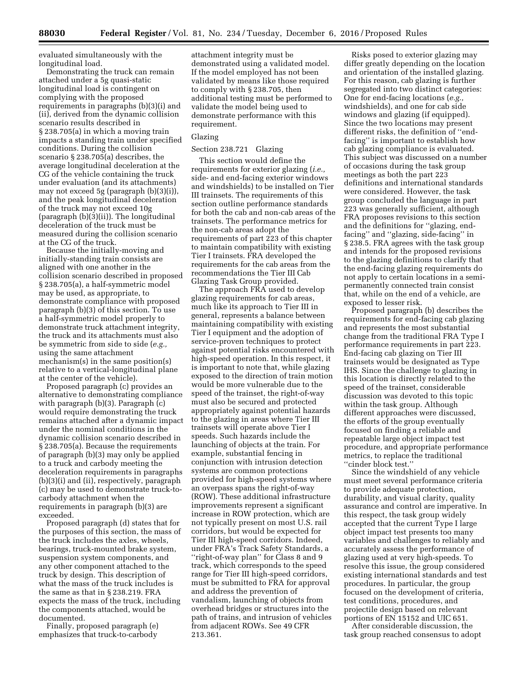evaluated simultaneously with the longitudinal load.

Demonstrating the truck can remain attached under a 5g quasi-static longitudinal load is contingent on complying with the proposed requirements in paragraphs (b)(3)(i) and (ii), derived from the dynamic collision scenario results described in § 238.705(a) in which a moving train impacts a standing train under specified conditions. During the collision scenario § 238.705(a) describes, the average longitudinal deceleration at the CG of the vehicle containing the truck under evaluation (and its attachments) may not exceed 5g (paragraph (b)(3)(i)), and the peak longitudinal deceleration of the truck may not exceed 10g (paragraph (b)(3)(ii)). The longitudinal deceleration of the truck must be measured during the collision scenario at the CG of the truck.

Because the initially-moving and initially-standing train consists are aligned with one another in the collision scenario described in proposed § 238.705(a), a half-symmetric model may be used, as appropriate, to demonstrate compliance with proposed paragraph (b)(3) of this section. To use a half-symmetric model properly to demonstrate truck attachment integrity, the truck and its attachments must also be symmetric from side to side (*e.g.,*  using the same attachment mechanism(s) in the same position(s) relative to a vertical-longitudinal plane at the center of the vehicle).

Proposed paragraph (c) provides an alternative to demonstrating compliance with paragraph (b)(3). Paragraph (c) would require demonstrating the truck remains attached after a dynamic impact under the nominal conditions in the dynamic collision scenario described in § 238.705(a). Because the requirements of paragraph (b)(3) may only be applied to a truck and carbody meeting the deceleration requirements in paragraphs (b)(3)(i) and (ii), respectively, paragraph (c) may be used to demonstrate truck-tocarbody attachment when the requirements in paragraph (b)(3) are exceeded.

Proposed paragraph (d) states that for the purposes of this section, the mass of the truck includes the axles, wheels, bearings, truck-mounted brake system, suspension system components, and any other component attached to the truck by design. This description of what the mass of the truck includes is the same as that in § 238.219. FRA expects the mass of the truck, including the components attached, would be documented.

Finally, proposed paragraph (e) emphasizes that truck-to-carbody

attachment integrity must be demonstrated using a validated model. If the model employed has not been validated by means like those required to comply with § 238.705, then additional testing must be performed to validate the model being used to demonstrate performance with this requirement.

## Glazing

## Section 238.721 Glazing

This section would define the requirements for exterior glazing (*i.e.,*  side- and end-facing exterior windows and windshields) to be installed on Tier III trainsets. The requirements of this section outline performance standards for both the cab and non-cab areas of the trainsets. The performance metrics for the non-cab areas adopt the requirements of part 223 of this chapter to maintain compatibility with existing Tier I trainsets. FRA developed the requirements for the cab areas from the recommendations the Tier III Cab Glazing Task Group provided.

The approach FRA used to develop glazing requirements for cab areas, much like its approach to Tier III in general, represents a balance between maintaining compatibility with existing Tier I equipment and the adoption of service-proven techniques to protect against potential risks encountered with high-speed operation. In this respect, it is important to note that, while glazing exposed to the direction of train motion would be more vulnerable due to the speed of the trainset, the right-of-way must also be secured and protected appropriately against potential hazards to the glazing in areas where Tier III trainsets will operate above Tier I speeds. Such hazards include the launching of objects at the train. For example, substantial fencing in conjunction with intrusion detection systems are common protections provided for high-speed systems where an overpass spans the right-of-way (ROW). These additional infrastructure improvements represent a significant increase in ROW protection, which are not typically present on most U.S. rail corridors, but would be expected for Tier III high-speed corridors. Indeed, under FRA's Track Safety Standards, a ''right-of-way plan'' for Class 8 and 9 track, which corresponds to the speed range for Tier III high-speed corridors, must be submitted to FRA for approval and address the prevention of vandalism, launching of objects from overhead bridges or structures into the path of trains, and intrusion of vehicles from adjacent ROWs. See 49 CFR 213.361.

Risks posed to exterior glazing may differ greatly depending on the location and orientation of the installed glazing. For this reason, cab glazing is further segregated into two distinct categories: One for end-facing locations (*e.g.,*  windshields), and one for cab side windows and glazing (if equipped). Since the two locations may present different risks, the definition of ''endfacing'' is important to establish how cab glazing compliance is evaluated. This subject was discussed on a number of occasions during the task group meetings as both the part 223 definitions and international standards were considered. However, the task group concluded the language in part 223 was generally sufficient, although FRA proposes revisions to this section and the definitions for ''glazing, endfacing'' and ''glazing, side-facing'' in § 238.5. FRA agrees with the task group and intends for the proposed revisions to the glazing definitions to clarify that the end-facing glazing requirements do not apply to certain locations in a semipermanently connected train consist that, while on the end of a vehicle, are exposed to lesser risk.

Proposed paragraph (b) describes the requirements for end-facing cab glazing and represents the most substantial change from the traditional FRA Type I performance requirements in part 223. End-facing cab glazing on Tier III trainsets would be designated as Type IHS. Since the challenge to glazing in this location is directly related to the speed of the trainset, considerable discussion was devoted to this topic within the task group. Although different approaches were discussed, the efforts of the group eventually focused on finding a reliable and repeatable large object impact test procedure, and appropriate performance metrics, to replace the traditional ''cinder block test.''

Since the windshield of any vehicle must meet several performance criteria to provide adequate protection, durability, and visual clarity, quality assurance and control are imperative. In this respect, the task group widely accepted that the current Type I large object impact test presents too many variables and challenges to reliably and accurately assess the performance of glazing used at very high-speeds. To resolve this issue, the group considered existing international standards and test procedures. In particular, the group focused on the development of criteria, test conditions, procedures, and projectile design based on relevant portions of EN 15152 and UIC 651.

After considerable discussion, the task group reached consensus to adopt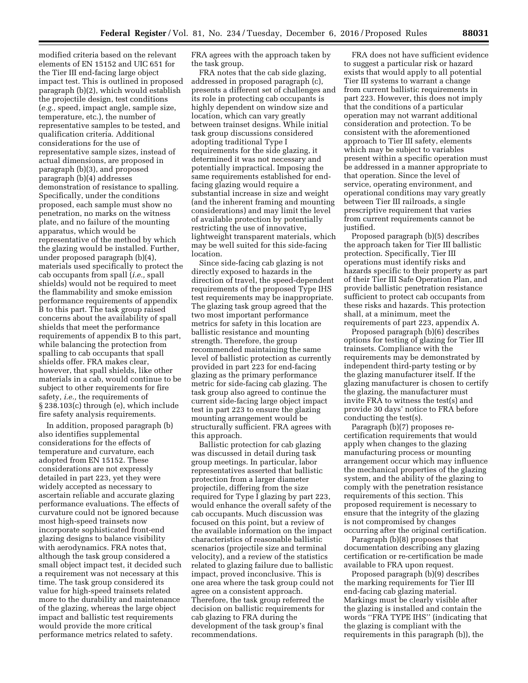modified criteria based on the relevant elements of EN 15152 and UIC 651 for the Tier III end-facing large object impact test. This is outlined in proposed paragraph (b)(2), which would establish the projectile design, test conditions (*e.g.,* speed, impact angle, sample size, temperature, etc.), the number of representative samples to be tested, and qualification criteria. Additional considerations for the use of representative sample sizes, instead of actual dimensions, are proposed in paragraph (b)(3), and proposed paragraph (b)(4) addresses demonstration of resistance to spalling. Specifically, under the conditions proposed, each sample must show no penetration, no marks on the witness plate, and no failure of the mounting apparatus, which would be representative of the method by which the glazing would be installed. Further, under proposed paragraph (b)(4), materials used specifically to protect the cab occupants from spall (*i.e.,* spall shields) would not be required to meet the flammability and smoke emission performance requirements of appendix B to this part. The task group raised concerns about the availability of spall shields that meet the performance requirements of appendix B to this part, while balancing the protection from spalling to cab occupants that spall shields offer. FRA makes clear, however, that spall shields, like other materials in a cab, would continue to be subject to other requirements for fire safety, *i.e.,* the requirements of § 238.103(c) through (e), which include fire safety analysis requirements.

In addition, proposed paragraph (b) also identifies supplemental considerations for the effects of temperature and curvature, each adopted from EN 15152. These considerations are not expressly detailed in part 223, yet they were widely accepted as necessary to ascertain reliable and accurate glazing performance evaluations. The effects of curvature could not be ignored because most high-speed trainsets now incorporate sophisticated front-end glazing designs to balance visibility with aerodynamics. FRA notes that, although the task group considered a small object impact test, it decided such a requirement was not necessary at this time. The task group considered its value for high-speed trainsets related more to the durability and maintenance of the glazing, whereas the large object impact and ballistic test requirements would provide the more critical performance metrics related to safety.

FRA agrees with the approach taken by the task group.

FRA notes that the cab side glazing, addressed in proposed paragraph (c), presents a different set of challenges and its role in protecting cab occupants is highly dependent on window size and location, which can vary greatly between trainset designs. While initial task group discussions considered adopting traditional Type I requirements for the side glazing, it determined it was not necessary and potentially impractical. Imposing the same requirements established for endfacing glazing would require a substantial increase in size and weight (and the inherent framing and mounting considerations) and may limit the level of available protection by potentially restricting the use of innovative, lightweight transparent materials, which may be well suited for this side-facing location.

Since side-facing cab glazing is not directly exposed to hazards in the direction of travel, the speed-dependent requirements of the proposed Type IHS test requirements may be inappropriate. The glazing task group agreed that the two most important performance metrics for safety in this location are ballistic resistance and mounting strength. Therefore, the group recommended maintaining the same level of ballistic protection as currently provided in part 223 for end-facing glazing as the primary performance metric for side-facing cab glazing. The task group also agreed to continue the current side-facing large object impact test in part 223 to ensure the glazing mounting arrangement would be structurally sufficient. FRA agrees with this approach.

Ballistic protection for cab glazing was discussed in detail during task group meetings. In particular, labor representatives asserted that ballistic protection from a larger diameter projectile, differing from the size required for Type I glazing by part 223, would enhance the overall safety of the cab occupants. Much discussion was focused on this point, but a review of the available information on the impact characteristics of reasonable ballistic scenarios (projectile size and terminal velocity), and a review of the statistics related to glazing failure due to ballistic impact, proved inconclusive. This is one area where the task group could not agree on a consistent approach. Therefore, the task group referred the decision on ballistic requirements for cab glazing to FRA during the development of the task group's final recommendations.

FRA does not have sufficient evidence to suggest a particular risk or hazard exists that would apply to all potential Tier III systems to warrant a change from current ballistic requirements in part 223. However, this does not imply that the conditions of a particular operation may not warrant additional consideration and protection. To be consistent with the aforementioned approach to Tier III safety, elements which may be subject to variables present within a specific operation must be addressed in a manner appropriate to that operation. Since the level of service, operating environment, and operational conditions may vary greatly between Tier III railroads, a single prescriptive requirement that varies from current requirements cannot be justified.

Proposed paragraph (b)(5) describes the approach taken for Tier III ballistic protection. Specifically, Tier III operations must identify risks and hazards specific to their property as part of their Tier III Safe Operation Plan, and provide ballistic penetration resistance sufficient to protect cab occupants from these risks and hazards. This protection shall, at a minimum, meet the requirements of part 223, appendix A.

Proposed paragraph (b)(6) describes options for testing of glazing for Tier III trainsets. Compliance with the requirements may be demonstrated by independent third-party testing or by the glazing manufacturer itself. If the glazing manufacturer is chosen to certify the glazing, the manufacturer must invite FRA to witness the test(s) and provide 30 days' notice to FRA before conducting the test(s).

Paragraph (b)(7) proposes recertification requirements that would apply when changes to the glazing manufacturing process or mounting arrangement occur which may influence the mechanical properties of the glazing system, and the ability of the glazing to comply with the penetration resistance requirements of this section. This proposed requirement is necessary to ensure that the integrity of the glazing is not compromised by changes occurring after the original certification.

Paragraph (b)(8) proposes that documentation describing any glazing certification or re-certification be made available to FRA upon request.

Proposed paragraph (b)(9) describes the marking requirements for Tier III end-facing cab glazing material. Markings must be clearly visible after the glazing is installed and contain the words ''FRA TYPE IHS'' (indicating that the glazing is compliant with the requirements in this paragraph (b)), the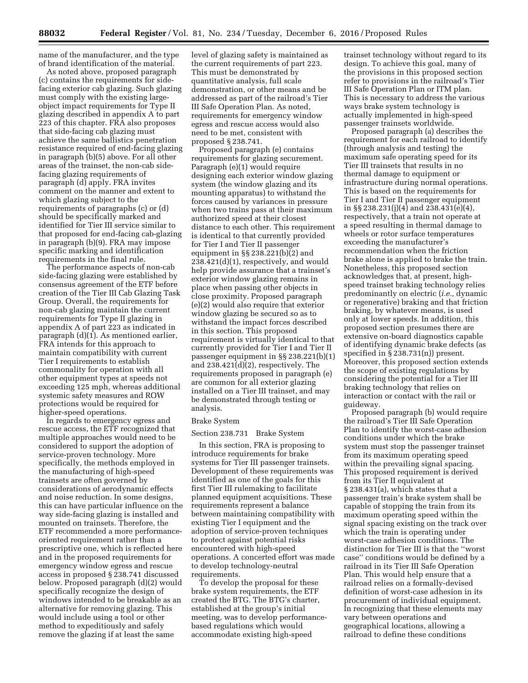name of the manufacturer, and the type of brand identification of the material.

As noted above, proposed paragraph (c) contains the requirements for sidefacing exterior cab glazing. Such glazing must comply with the existing largeobject impact requirements for Type II glazing described in appendix A to part 223 of this chapter. FRA also proposes that side-facing cab glazing must achieve the same ballistics penetration resistance required of end-facing glazing in paragraph (b)(5) above. For all other areas of the trainset, the non-cab sidefacing glazing requirements of paragraph (d) apply. FRA invites comment on the manner and extent to which glazing subject to the requirements of paragraphs (c) or (d) should be specifically marked and identified for Tier III service similar to that proposed for end-facing cab-glazing in paragraph (b)(9). FRA may impose specific marking and identification requirements in the final rule.

The performance aspects of non-cab side-facing glazing were established by consensus agreement of the ETF before creation of the Tier III Cab Glazing Task Group. Overall, the requirements for non-cab glazing maintain the current requirements for Type II glazing in appendix A of part 223 as indicated in paragraph (d)(1). As mentioned earlier, FRA intends for this approach to maintain compatibility with current Tier I requirements to establish commonality for operation with all other equipment types at speeds not exceeding 125 mph, whereas additional systemic safety measures and ROW protections would be required for higher-speed operations.

In regards to emergency egress and rescue access, the ETF recognized that multiple approaches would need to be considered to support the adoption of service-proven technology. More specifically, the methods employed in the manufacturing of high-speed trainsets are often governed by considerations of aerodynamic effects and noise reduction. In some designs, this can have particular influence on the way side-facing glazing is installed and mounted on trainsets. Therefore, the ETF recommended a more performanceoriented requirement rather than a prescriptive one, which is reflected here and in the proposed requirements for emergency window egress and rescue access in proposed § 238.741 discussed below. Proposed paragraph (d)(2) would specifically recognize the design of windows intended to be breakable as an alternative for removing glazing. This would include using a tool or other method to expeditiously and safely remove the glazing if at least the same

level of glazing safety is maintained as the current requirements of part 223. This must be demonstrated by quantitative analysis, full scale demonstration, or other means and be addressed as part of the railroad's Tier III Safe Operation Plan. As noted, requirements for emergency window egress and rescue access would also need to be met, consistent with proposed § 238.741.

Proposed paragraph (e) contains requirements for glazing securement. Paragraph (e)(1) would require designing each exterior window glazing system (the window glazing and its mounting apparatus) to withstand the forces caused by variances in pressure when two trains pass at their maximum authorized speed at their closest distance to each other. This requirement is identical to that currently provided for Tier I and Tier II passenger equipment in §§ 238.221(b)(2) and 238.421(d)(1), respectively, and would help provide assurance that a trainset's exterior window glazing remains in place when passing other objects in close proximity. Proposed paragraph (e)(2) would also require that exterior window glazing be secured so as to withstand the impact forces described in this section. This proposed requirement is virtually identical to that currently provided for Tier I and Tier II passenger equipment in §§ 238.221(b)(1) and 238.421(d)(2), respectively. The requirements proposed in paragraph (e) are common for all exterior glazing installed on a Tier III trainset, and may be demonstrated through testing or analysis.

#### Brake System

Section 238.731 Brake System

In this section, FRA is proposing to introduce requirements for brake systems for Tier III passenger trainsets. Development of these requirements was identified as one of the goals for this first Tier III rulemaking to facilitate planned equipment acquisitions. These requirements represent a balance between maintaining compatibility with existing Tier I equipment and the adoption of service-proven techniques to protect against potential risks encountered with high-speed operations. A concerted effort was made to develop technology-neutral requirements.

To develop the proposal for these brake system requirements, the ETF created the BTG. The BTG's charter, established at the group's initial meeting, was to develop performancebased regulations which would accommodate existing high-speed

trainset technology without regard to its design. To achieve this goal, many of the provisions in this proposed section refer to provisions in the railroad's Tier III Safe Operation Plan or ITM plan. This is necessary to address the various ways brake system technology is actually implemented in high-speed passenger trainsets worldwide.

Proposed paragraph (a) describes the requirement for each railroad to identify (through analysis and testing) the maximum safe operating speed for its Tier III trainsets that results in no thermal damage to equipment or infrastructure during normal operations. This is based on the requirements for Tier I and Tier II passenger equipment in §§ 238.231(j)(4) and 238.431(e)(4), respectively, that a train not operate at a speed resulting in thermal damage to wheels or rotor surface temperatures exceeding the manufacturer's recommendation when the friction brake alone is applied to brake the train. Nonetheless, this proposed section acknowledges that, at present, highspeed trainset braking technology relies predominantly on electric (*i.e.,* dynamic or regenerative) braking and that friction braking, by whatever means, is used only at lower speeds. In addition, this proposed section presumes there are extensive on-board diagnostics capable of identifying dynamic brake defects (as specified in  $\S$  238.731(n)) present. Moreover, this proposed section extends the scope of existing regulations by considering the potential for a Tier III braking technology that relies on interaction or contact with the rail or guideway.

Proposed paragraph (b) would require the railroad's Tier III Safe Operation Plan to identify the worst-case adhesion conditions under which the brake system must stop the passenger trainset from its maximum operating speed within the prevailing signal spacing. This proposed requirement is derived from its Tier II equivalent at § 238.431(a), which states that a passenger train's brake system shall be capable of stopping the train from its maximum operating speed within the signal spacing existing on the track over which the train is operating under worst-case adhesion conditions. The distinction for Tier III is that the ''worst case'' conditions would be defined by a railroad in its Tier III Safe Operation Plan. This would help ensure that a railroad relies on a formally-devised definition of worst-case adhesion in its procurement of individual equipment. In recognizing that these elements may vary between operations and geographical locations, allowing a railroad to define these conditions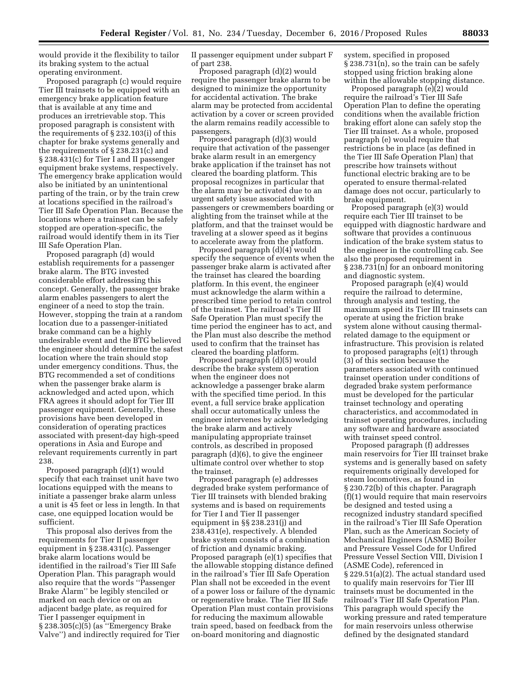would provide it the flexibility to tailor its braking system to the actual operating environment.

Proposed paragraph (c) would require Tier III trainsets to be equipped with an emergency brake application feature that is available at any time and produces an irretrievable stop. This proposed paragraph is consistent with the requirements of § 232.103(i) of this chapter for brake systems generally and the requirements of § 238.231(c) and § 238.431(c) for Tier I and II passenger equipment brake systems, respectively. The emergency brake application would also be initiated by an unintentional parting of the train, or by the train crew at locations specified in the railroad's Tier III Safe Operation Plan. Because the locations where a trainset can be safely stopped are operation-specific, the railroad would identify them in its Tier III Safe Operation Plan.

Proposed paragraph (d) would establish requirements for a passenger brake alarm. The BTG invested considerable effort addressing this concept. Generally, the passenger brake alarm enables passengers to alert the engineer of a need to stop the train. However, stopping the train at a random location due to a passenger-initiated brake command can be a highly undesirable event and the BTG believed the engineer should determine the safest location where the train should stop under emergency conditions. Thus, the BTG recommended a set of conditions when the passenger brake alarm is acknowledged and acted upon, which FRA agrees it should adopt for Tier III passenger equipment. Generally, these provisions have been developed in consideration of operating practices associated with present-day high-speed operations in Asia and Europe and relevant requirements currently in part 238.

Proposed paragraph (d)(1) would specify that each trainset unit have two locations equipped with the means to initiate a passenger brake alarm unless a unit is 45 feet or less in length. In that case, one equipped location would be sufficient.

This proposal also derives from the requirements for Tier II passenger equipment in § 238.431(c). Passenger brake alarm locations would be identified in the railroad's Tier III Safe Operation Plan. This paragraph would also require that the words ''Passenger Brake Alarm'' be legibly stenciled or marked on each device or on an adjacent badge plate, as required for Tier I passenger equipment in § 238.305(c)(5) (as ''Emergency Brake Valve'') and indirectly required for Tier II passenger equipment under subpart F of part 238.

Proposed paragraph (d)(2) would require the passenger brake alarm to be designed to minimize the opportunity for accidental activation. The brake alarm may be protected from accidental activation by a cover or screen provided the alarm remains readily accessible to passengers.

Proposed paragraph (d)(3) would require that activation of the passenger brake alarm result in an emergency brake application if the trainset has not cleared the boarding platform. This proposal recognizes in particular that the alarm may be activated due to an urgent safety issue associated with passengers or crewmembers boarding or alighting from the trainset while at the platform, and that the trainset would be traveling at a slower speed as it begins to accelerate away from the platform.

Proposed paragraph (d)(4) would specify the sequence of events when the passenger brake alarm is activated after the trainset has cleared the boarding platform. In this event, the engineer must acknowledge the alarm within a prescribed time period to retain control of the trainset. The railroad's Tier III Safe Operation Plan must specify the time period the engineer has to act, and the Plan must also describe the method used to confirm that the trainset has cleared the boarding platform.

Proposed paragraph (d)(5) would describe the brake system operation when the engineer does not acknowledge a passenger brake alarm with the specified time period. In this event, a full service brake application shall occur automatically unless the engineer intervenes by acknowledging the brake alarm and actively manipulating appropriate trainset controls, as described in proposed paragraph (d)(6), to give the engineer ultimate control over whether to stop the trainset.

Proposed paragraph (e) addresses degraded brake system performance of Tier III trainsets with blended braking systems and is based on requirements for Tier I and Tier II passenger equipment in §§ 238.231(j) and 238.431(e), respectively. A blended brake system consists of a combination of friction and dynamic braking. Proposed paragraph (e)(1) specifies that the allowable stopping distance defined in the railroad's Tier III Safe Operation Plan shall not be exceeded in the event of a power loss or failure of the dynamic or regenerative brake. The Tier III Safe Operation Plan must contain provisions for reducing the maximum allowable train speed, based on feedback from the on-board monitoring and diagnostic

system, specified in proposed § 238.731(n), so the train can be safely stopped using friction braking alone within the allowable stopping distance.

Proposed paragraph (e)(2) would require the railroad's Tier III Safe Operation Plan to define the operating conditions when the available friction braking effort alone can safely stop the Tier III trainset. As a whole, proposed paragraph (e) would require that restrictions be in place (as defined in the Tier III Safe Operation Plan) that prescribe how trainsets without functional electric braking are to be operated to ensure thermal-related damage does not occur, particularly to brake equipment.

Proposed paragraph (e)(3) would require each Tier III trainset to be equipped with diagnostic hardware and software that provides a continuous indication of the brake system status to the engineer in the controlling cab. See also the proposed requirement in § 238.731(n) for an onboard monitoring and diagnostic system.

Proposed paragraph (e)(4) would require the railroad to determine, through analysis and testing, the maximum speed its Tier III trainsets can operate at using the friction brake system alone without causing thermalrelated damage to the equipment or infrastructure. This provision is related to proposed paragraphs (e)(1) through (3) of this section because the parameters associated with continued trainset operation under conditions of degraded brake system performance must be developed for the particular trainset technology and operating characteristics, and accommodated in trainset operating procedures, including any software and hardware associated with trainset speed control.

Proposed paragraph (f) addresses main reservoirs for Tier III trainset brake systems and is generally based on safety requirements originally developed for steam locomotives, as found in § 230.72(b) of this chapter. Paragraph (f)(1) would require that main reservoirs be designed and tested using a recognized industry standard specified in the railroad's Tier III Safe Operation Plan, such as the American Society of Mechanical Engineers (ASME) Boiler and Pressure Vessel Code for Unfired Pressure Vessel Section VIII, Division I (ASME Code), referenced in § 229.51(a)(2). The actual standard used to qualify main reservoirs for Tier III trainsets must be documented in the railroad's Tier III Safe Operation Plan. This paragraph would specify the working pressure and rated temperature for main reservoirs unless otherwise defined by the designated standard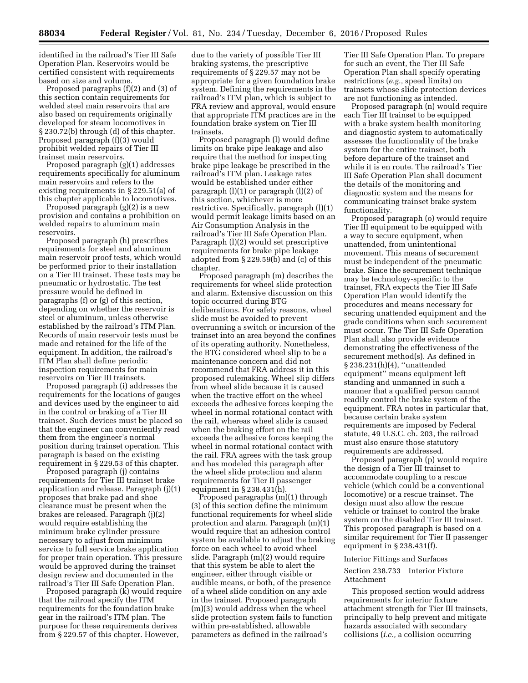identified in the railroad's Tier III Safe

Operation Plan. Reservoirs would be certified consistent with requirements based on size and volume. Proposed paragraphs (f)(2) and (3) of

this section contain requirements for welded steel main reservoirs that are also based on requirements originally developed for steam locomotives in § 230.72(b) through (d) of this chapter. Proposed paragraph (f)(3) would prohibit welded repairs of Tier III trainset main reservoirs.

Proposed paragraph (g)(1) addresses requirements specifically for aluminum main reservoirs and refers to the existing requirements in § 229.51(a) of this chapter applicable to locomotives.

Proposed paragraph (g)(2) is a new provision and contains a prohibition on welded repairs to aluminum main reservoirs.

Proposed paragraph (h) prescribes requirements for steel and aluminum main reservoir proof tests, which would be performed prior to their installation on a Tier III trainset. These tests may be pneumatic or hydrostatic. The test pressure would be defined in paragraphs (f) or (g) of this section, depending on whether the reservoir is steel or aluminum, unless otherwise established by the railroad's ITM Plan. Records of main reservoir tests must be made and retained for the life of the equipment. In addition, the railroad's ITM Plan shall define periodic inspection requirements for main reservoirs on Tier III trainsets.

Proposed paragraph (i) addresses the requirements for the locations of gauges and devices used by the engineer to aid in the control or braking of a Tier III trainset. Such devices must be placed so that the engineer can conveniently read them from the engineer's normal position during trainset operation. This paragraph is based on the existing requirement in § 229.53 of this chapter.

Proposed paragraph (j) contains requirements for Tier III trainset brake application and release. Paragraph (j)(1) proposes that brake pad and shoe clearance must be present when the brakes are released. Paragraph (j)(2) would require establishing the minimum brake cylinder pressure necessary to adjust from minimum service to full service brake application for proper train operation. This pressure would be approved during the trainset design review and documented in the railroad's Tier III Safe Operation Plan.

Proposed paragraph (k) would require that the railroad specify the ITM requirements for the foundation brake gear in the railroad's ITM plan. The purpose for these requirements derives from § 229.57 of this chapter. However,

due to the variety of possible Tier III braking systems, the prescriptive requirements of § 229.57 may not be appropriate for a given foundation brake system. Defining the requirements in the railroad's ITM plan, which is subject to FRA review and approval, would ensure that appropriate ITM practices are in the foundation brake system on Tier III trainsets.

Proposed paragraph (l) would define limits on brake pipe leakage and also require that the method for inspecting brake pipe leakage be prescribed in the railroad's ITM plan. Leakage rates would be established under either paragraph (l)(1) or paragraph (l)(2) of this section, whichever is more restrictive. Specifically, paragraph (l)(1) would permit leakage limits based on an Air Consumption Analysis in the railroad's Tier III Safe Operation Plan. Paragraph (l)(2) would set prescriptive requirements for brake pipe leakage adopted from § 229.59(b) and (c) of this chapter.

Proposed paragraph (m) describes the requirements for wheel slide protection and alarm. Extensive discussion on this topic occurred during BTG deliberations. For safety reasons, wheel slide must be avoided to prevent overrunning a switch or incursion of the trainset into an area beyond the confines of its operating authority. Nonetheless, the BTG considered wheel slip to be a maintenance concern and did not recommend that FRA address it in this proposed rulemaking. Wheel slip differs from wheel slide because it is caused when the tractive effort on the wheel exceeds the adhesive forces keeping the wheel in normal rotational contact with the rail, whereas wheel slide is caused when the braking effort on the rail exceeds the adhesive forces keeping the wheel in normal rotational contact with the rail. FRA agrees with the task group and has modeled this paragraph after the wheel slide protection and alarm requirements for Tier II passenger equipment in § 238.431(h).

Proposed paragraphs (m)(1) through (3) of this section define the minimum functional requirements for wheel slide protection and alarm. Paragraph (m)(1) would require that an adhesion control system be available to adjust the braking force on each wheel to avoid wheel slide. Paragraph (m)(2) would require that this system be able to alert the engineer, either through visible or audible means, or both, of the presence of a wheel slide condition on any axle in the trainset. Proposed paragraph (m)(3) would address when the wheel slide protection system fails to function within pre-established, allowable parameters as defined in the railroad's

Tier III Safe Operation Plan. To prepare for such an event, the Tier III Safe Operation Plan shall specify operating restrictions (*e.g.,* speed limits) on trainsets whose slide protection devices are not functioning as intended.

Proposed paragraph (n) would require each Tier III trainset to be equipped with a brake system health monitoring and diagnostic system to automatically assesses the functionality of the brake system for the entire trainset, both before departure of the trainset and while it is en route. The railroad's Tier III Safe Operation Plan shall document the details of the monitoring and diagnostic system and the means for communicating trainset brake system functionality.

Proposed paragraph (o) would require Tier III equipment to be equipped with a way to secure equipment, when unattended, from unintentional movement. This means of securement must be independent of the pneumatic brake. Since the securement technique may be technology-specific to the trainset, FRA expects the Tier III Safe Operation Plan would identify the procedures and means necessary for securing unattended equipment and the grade conditions when such securement must occur. The Tier III Safe Operation Plan shall also provide evidence demonstrating the effectiveness of the securement method(s). As defined in § 238.231(h)(4), "unattended equipment'' means equipment left standing and unmanned in such a manner that a qualified person cannot readily control the brake system of the equipment. FRA notes in particular that, because certain brake system requirements are imposed by Federal statute, 49 U.S.C. ch. 203, the railroad must also ensure those statutory requirements are addressed.

Proposed paragraph (p) would require the design of a Tier III trainset to accommodate coupling to a rescue vehicle (which could be a conventional locomotive) or a rescue trainset. The design must also allow the rescue vehicle or trainset to control the brake system on the disabled Tier III trainset. This proposed paragraph is based on a similar requirement for Tier II passenger equipment in § 238.431(f).

#### Interior Fittings and Surfaces

## Section 238.733 Interior Fixture Attachment

This proposed section would address requirements for interior fixture attachment strength for Tier III trainsets, principally to help prevent and mitigate hazards associated with secondary collisions (*i.e.,* a collision occurring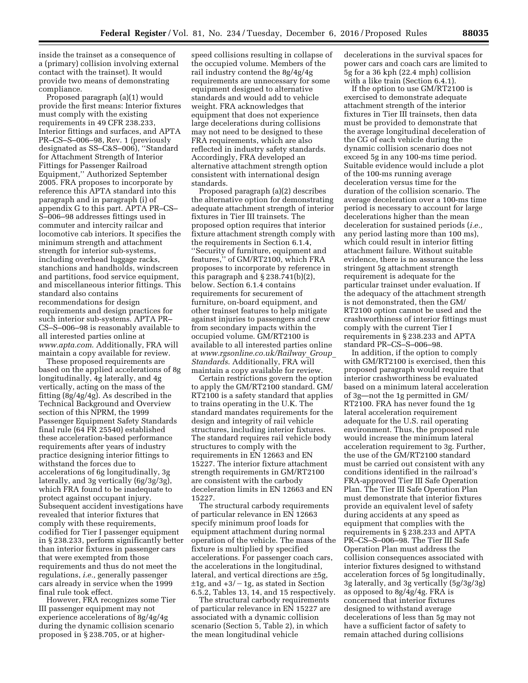inside the trainset as a consequence of a (primary) collision involving external contact with the trainset). It would provide two means of demonstrating compliance.

Proposed paragraph (a)(1) would provide the first means: Interior fixtures must comply with the existing requirements in 49 CFR 238.233, Interior fittings and surfaces, and APTA PR–CS–S–006–98, Rev. 1 (previously designated as SS–C&S–006), ''Standard for Attachment Strength of Interior Fittings for Passenger Railroad Equipment,'' Authorized September 2005. FRA proposes to incorporate by reference this APTA standard into this paragraph and in paragraph (i) of appendix G to this part. APTA PR–CS– S–006–98 addresses fittings used in commuter and intercity railcar and locomotive cab interiors. It specifies the minimum strength and attachment strength for interior sub-systems, including overhead luggage racks, stanchions and handholds, windscreen and partitions, food service equipment, and miscellaneous interior fittings. This standard also contains recommendations for design requirements and design practices for such interior sub-systems. APTA PR– CS–S–006–98 is reasonably available to all interested parties online at *[www.apta.com](http://www.apta.com)*. Additionally, FRA will maintain a copy available for review.

These proposed requirements are based on the applied accelerations of 8g longitudinally, 4g laterally, and 4g vertically, acting on the mass of the fitting (8g/4g/4g). As described in the Technical Background and Overview section of this NPRM, the 1999 Passenger Equipment Safety Standards final rule (64 FR 25540) established these acceleration-based performance requirements after years of industry practice designing interior fittings to withstand the forces due to accelerations of 6g longitudinally, 3g laterally, and 3g vertically (6g/3g/3g), which FRA found to be inadequate to protect against occupant injury. Subsequent accident investigations have revealed that interior fixtures that comply with these requirements, codified for Tier I passenger equipment in § 238.233, perform significantly better than interior fixtures in passenger cars that were exempted from those requirements and thus do not meet the regulations, *i.e.,* generally passenger cars already in service when the 1999 final rule took effect.

However, FRA recognizes some Tier III passenger equipment may not experience accelerations of 8g/4g/4g during the dynamic collision scenario proposed in § 238.705, or at higher-

speed collisions resulting in collapse of the occupied volume. Members of the rail industry contend the 8g/4g/4g requirements are unnecessary for some equipment designed to alternative standards and would add to vehicle weight. FRA acknowledges that equipment that does not experience large decelerations during collisions may not need to be designed to these FRA requirements, which are also reflected in industry safety standards. Accordingly, FRA developed an alternative attachment strength option consistent with international design standards.

Proposed paragraph (a)(2) describes the alternative option for demonstrating adequate attachment strength of interior fixtures in Tier III trainsets. The proposed option requires that interior fixture attachment strength comply with the requirements in Section 6.1.4, ''Security of furniture, equipment and features,'' of GM/RT2100, which FRA proposes to incorporate by reference in this paragraph and § 238.741(b)(2), below. Section 6.1.4 contains requirements for securement of furniture, on-board equipment, and other trainset features to help mitigate against injuries to passengers and crew from secondary impacts within the occupied volume. GM/RT2100 is available to all interested parties online at *[www.rgsonline.co.uk/Railway](http://www.rgsonline.co.uk/Railway_Group_Standards)*\_*Group*\_ *[Standards](http://www.rgsonline.co.uk/Railway_Group_Standards)*. Additionally, FRA will maintain a copy available for review.

Certain restrictions govern the option to apply the GM/RT2100 standard. GM/ RT2100 is a safety standard that applies to trains operating in the U.K. The standard mandates requirements for the design and integrity of rail vehicle structures, including interior fixtures. The standard requires rail vehicle body structures to comply with the requirements in EN 12663 and EN 15227. The interior fixture attachment strength requirements in GM/RT2100 are consistent with the carbody deceleration limits in EN 12663 and EN 15227.

The structural carbody requirements of particular relevance in EN 12663 specify minimum proof loads for equipment attachment during normal operation of the vehicle. The mass of the fixture is multiplied by specified accelerations. For passenger coach cars, the accelerations in the longitudinal, lateral, and vertical directions are ±5g,  $±1g$ , and  $+3/-1g$ , as stated in Section 6.5.2, Tables 13, 14, and 15 respectively.

The structural carbody requirements of particular relevance in EN 15227 are associated with a dynamic collision scenario (Section 5, Table 2), in which the mean longitudinal vehicle

decelerations in the survival spaces for power cars and coach cars are limited to 5g for a 36 kph (22.4 mph) collision with a like train (Section 6.4.1).

If the option to use GM/RT2100 is exercised to demonstrate adequate attachment strength of the interior fixtures in Tier III trainsets, then data must be provided to demonstrate that the average longitudinal deceleration of the CG of each vehicle during the dynamic collision scenario does not exceed 5g in any 100-ms time period. Suitable evidence would include a plot of the 100-ms running average deceleration versus time for the duration of the collision scenario. The average deceleration over a 100-ms time period is necessary to account for large decelerations higher than the mean deceleration for sustained periods (*i.e.,*  any period lasting more than 100 ms), which could result in interior fitting attachment failure. Without suitable evidence, there is no assurance the less stringent 5g attachment strength requirement is adequate for the particular trainset under evaluation. If the adequacy of the attachment strength is not demonstrated, then the GM/ RT2100 option cannot be used and the crashworthiness of interior fittings must comply with the current Tier I requirements in § 238.233 and APTA standard PR–CS–S–006–98.

In addition, if the option to comply with GM/RT2100 is exercised, then this proposed paragraph would require that interior crashworthiness be evaluated based on a minimum lateral acceleration of 3g—not the 1g permitted in GM/ RT2100. FRA has never found the 1g lateral acceleration requirement adequate for the U.S. rail operating environment. Thus, the proposed rule would increase the minimum lateral acceleration requirement to 3g. Further, the use of the GM/RT2100 standard must be carried out consistent with any conditions identified in the railroad's FRA-approved Tier III Safe Operation Plan. The Tier III Safe Operation Plan must demonstrate that interior fixtures provide an equivalent level of safety during accidents at any speed as equipment that complies with the requirements in § 238.233 and APTA PR–CS–S–006–98. The Tier III Safe Operation Plan must address the collision consequences associated with interior fixtures designed to withstand acceleration forces of 5g longitudinally, 3g laterally, and 3g vertically (5g/3g/3g) as opposed to 8g/4g/4g. FRA is concerned that interior fixtures designed to withstand average decelerations of less than 5g may not have a sufficient factor of safety to remain attached during collisions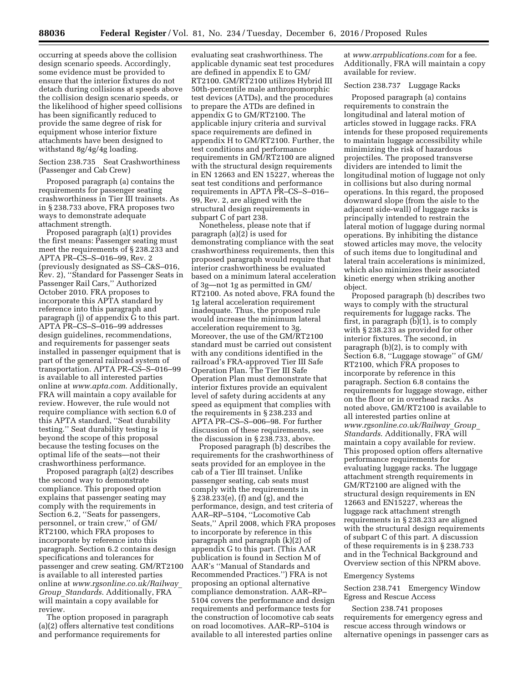occurring at speeds above the collision design scenario speeds. Accordingly, some evidence must be provided to ensure that the interior fixtures do not detach during collisions at speeds above the collision design scenario speeds, or the likelihood of higher speed collisions has been significantly reduced to provide the same degree of risk for equipment whose interior fixture attachments have been designed to withstand 8g/4g/4g loading.

Section 238.735 Seat Crashworthiness (Passenger and Cab Crew)

Proposed paragraph (a) contains the requirements for passenger seating crashworthiness in Tier III trainsets. As in § 238.733 above, FRA proposes two ways to demonstrate adequate attachment strength.

Proposed paragraph (a)(1) provides the first means: Passenger seating must meet the requirements of § 238.233 and APTA PR–CS–S–016–99, Rev. 2 (previously designated as SS–C&S–016, Rev. 2), ''Standard for Passenger Seats in Passenger Rail Cars,'' Authorized October 2010. FRA proposes to incorporate this APTA standard by reference into this paragraph and paragraph (j) of appendix G to this part. APTA PR–CS–S–016–99 addresses design guidelines, recommendations, and requirements for passenger seats installed in passenger equipment that is part of the general railroad system of transportation. APTA PR–CS–S–016–99 is available to all interested parties online at *[www.apta.com](http://www.apta.com)*. Additionally, FRA will maintain a copy available for review. However, the rule would not require compliance with section 6.0 of this APTA standard, ''Seat durability testing.'' Seat durability testing is beyond the scope of this proposal because the testing focuses on the optimal life of the seats—not their crashworthiness performance.

Proposed paragraph (a)(2) describes the second way to demonstrate compliance. This proposed option explains that passenger seating may comply with the requirements in Section 6.2, ''Seats for passengers, personnel, or train crew,'' of GM/ RT2100, which FRA proposes to incorporate by reference into this paragraph. Section 6.2 contains design specifications and tolerances for passenger and crew seating. GM/RT2100 is available to all interested parties online at *[www.rgsonline.co.uk/Railway](http://www.rgsonline.co.uk/Railway_Group_Standards)*\_ *Group*\_*[Standards](http://www.rgsonline.co.uk/Railway_Group_Standards)*. Additionally, FRA will maintain a copy available for review.

The option proposed in paragraph (a)(2) offers alternative test conditions and performance requirements for

evaluating seat crashworthiness. The applicable dynamic seat test procedures are defined in appendix E to GM/ RT2100. GM/RT2100 utilizes Hybrid III 50th-percentile male anthropomorphic test devices (ATDs), and the procedures to prepare the ATDs are defined in appendix G to GM/RT2100. The applicable injury criteria and survival space requirements are defined in appendix H to GM/RT2100. Further, the test conditions and performance requirements in GM/RT2100 are aligned with the structural design requirements in EN 12663 and EN 15227, whereas the seat test conditions and performance requirements in APTA PR–CS–S–016– 99, Rev. 2, are aligned with the structural design requirements in subpart C of part 238.

Nonetheless, please note that if paragraph (a)(2) is used for demonstrating compliance with the seat crashworthiness requirements, then this proposed paragraph would require that interior crashworthiness be evaluated based on a minimum lateral acceleration of 3g—not 1g as permitted in GM/ RT2100. As noted above, FRA found the 1g lateral acceleration requirement inadequate. Thus, the proposed rule would increase the minimum lateral acceleration requirement to 3g. Moreover, the use of the GM/RT2100 standard must be carried out consistent with any conditions identified in the railroad's FRA-approved Tier III Safe Operation Plan. The Tier III Safe Operation Plan must demonstrate that interior fixtures provide an equivalent level of safety during accidents at any speed as equipment that complies with the requirements in § 238.233 and APTA PR–CS–S–006–98. For further discussion of these requirements, see the discussion in § 238.733, above.

Proposed paragraph (b) describes the requirements for the crashworthiness of seats provided for an employee in the cab of a Tier III trainset. Unlike passenger seating, cab seats must comply with the requirements in § 238.233(e), (f) and (g), and the performance, design, and test criteria of AAR–RP–5104, ''Locomotive Cab Seats,'' April 2008, which FRA proposes to incorporate by reference in this paragraph and paragraph (k)(2) of appendix G to this part. (This AAR publication is found in Section M of AAR's ''Manual of Standards and Recommended Practices.'') FRA is not proposing an optional alternative compliance demonstration. AAR–RP– 5104 covers the performance and design requirements and performance tests for the construction of locomotive cab seats on road locomotives. AAR–RP–5104 is available to all interested parties online

at *[www.arrpublications.com](http://www.arrpublications.com)* for a fee. Additionally, FRA will maintain a copy available for review.

## Section 238.737 Luggage Racks

Proposed paragraph (a) contains requirements to constrain the longitudinal and lateral motion of articles stowed in luggage racks. FRA intends for these proposed requirements to maintain luggage accessibility while minimizing the risk of hazardous projectiles. The proposed transverse dividers are intended to limit the longitudinal motion of luggage not only in collisions but also during normal operations. In this regard, the proposed downward slope (from the aisle to the adjacent side-wall) of luggage racks is principally intended to restrain the lateral motion of luggage during normal operations. By inhibiting the distance stowed articles may move, the velocity of such items due to longitudinal and lateral train accelerations is minimized, which also minimizes their associated kinetic energy when striking another object.

Proposed paragraph (b) describes two ways to comply with the structural requirements for luggage racks. The first, in paragraph (b)(1), is to comply with § 238.233 as provided for other interior fixtures. The second, in paragraph (b)(2), is to comply with Section 6.8, ''Luggage stowage'' of GM/ RT2100, which FRA proposes to incorporate by reference in this paragraph. Section 6.8 contains the requirements for luggage stowage, either on the floor or in overhead racks. As noted above, GM/RT2100 is available to all interested parties online at *[www.rgsonline.co.uk/Railway](http://www.rgsonline.co.uk/Railway_Group_Standards)*\_*Group*\_ *[Standards](http://www.rgsonline.co.uk/Railway_Group_Standards)*. Additionally, FRA will maintain a copy available for review. This proposed option offers alternative performance requirements for evaluating luggage racks. The luggage attachment strength requirements in GM/RT2100 are aligned with the structural design requirements in EN 12663 and EN15227, whereas the luggage rack attachment strength requirements in § 238.233 are aligned with the structural design requirements of subpart C of this part. A discussion of these requirements is in § 238.733 and in the Technical Background and Overview section of this NPRM above.

#### Emergency Systems

Section 238.741 Emergency Window Egress and Rescue Access

Section 238.741 proposes requirements for emergency egress and rescue access through windows or alternative openings in passenger cars as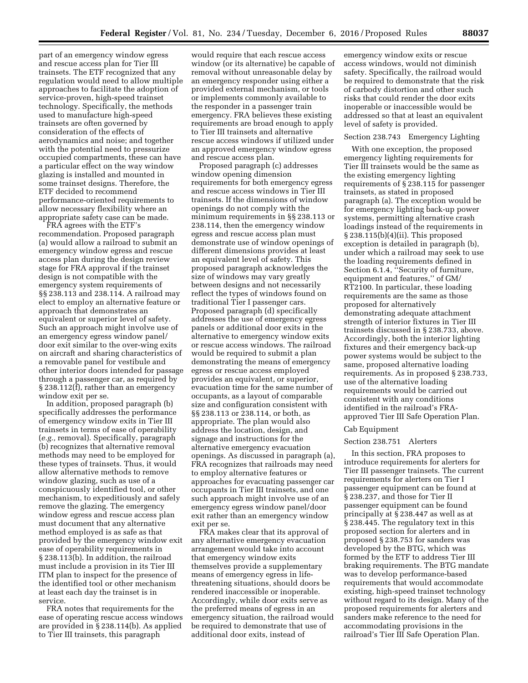part of an emergency window egress and rescue access plan for Tier III trainsets. The ETF recognized that any regulation would need to allow multiple approaches to facilitate the adoption of service-proven, high-speed trainset technology. Specifically, the methods used to manufacture high-speed trainsets are often governed by consideration of the effects of aerodynamics and noise; and together with the potential need to pressurize occupied compartments, these can have a particular effect on the way window glazing is installed and mounted in some trainset designs. Therefore, the ETF decided to recommend performance-oriented requirements to allow necessary flexibility where an appropriate safety case can be made.

FRA agrees with the ETF's recommendation. Proposed paragraph (a) would allow a railroad to submit an emergency window egress and rescue access plan during the design review stage for FRA approval if the trainset design is not compatible with the emergency system requirements of §§ 238.113 and 238.114. A railroad may elect to employ an alternative feature or approach that demonstrates an equivalent or superior level of safety. Such an approach might involve use of an emergency egress window panel/ door exit similar to the over-wing exits on aircraft and sharing characteristics of a removable panel for vestibule and other interior doors intended for passage through a passenger car, as required by § 238.112(f), rather than an emergency window exit per se.

In addition, proposed paragraph (b) specifically addresses the performance of emergency window exits in Tier III trainsets in terms of ease of operability (*e.g.,* removal). Specifically, paragraph (b) recognizes that alternative removal methods may need to be employed for these types of trainsets. Thus, it would allow alternative methods to remove window glazing, such as use of a conspicuously identified tool, or other mechanism, to expeditiously and safely remove the glazing. The emergency window egress and rescue access plan must document that any alternative method employed is as safe as that provided by the emergency window exit ease of operability requirements in § 238.113(b). In addition, the railroad must include a provision in its Tier III ITM plan to inspect for the presence of the identified tool or other mechanism at least each day the trainset is in service.

FRA notes that requirements for the ease of operating rescue access windows are provided in § 238.114(b). As applied to Tier III trainsets, this paragraph

would require that each rescue access window (or its alternative) be capable of removal without unreasonable delay by an emergency responder using either a provided external mechanism, or tools or implements commonly available to the responder in a passenger train emergency. FRA believes these existing requirements are broad enough to apply to Tier III trainsets and alternative rescue access windows if utilized under an approved emergency window egress and rescue access plan.

Proposed paragraph (c) addresses window opening dimension requirements for both emergency egress and rescue access windows in Tier III trainsets. If the dimensions of window openings do not comply with the minimum requirements in §§ 238.113 or 238.114, then the emergency window egress and rescue access plan must demonstrate use of window openings of different dimensions provides at least an equivalent level of safety. This proposed paragraph acknowledges the size of windows may vary greatly between designs and not necessarily reflect the types of windows found on traditional Tier I passenger cars. Proposed paragraph (d) specifically addresses the use of emergency egress panels or additional door exits in the alternative to emergency window exits or rescue access windows. The railroad would be required to submit a plan demonstrating the means of emergency egress or rescue access employed provides an equivalent, or superior, evacuation time for the same number of occupants, as a layout of comparable size and configuration consistent with §§ 238.113 or 238.114, or both, as appropriate. The plan would also address the location, design, and signage and instructions for the alternative emergency evacuation openings. As discussed in paragraph (a), FRA recognizes that railroads may need to employ alternative features or approaches for evacuating passenger car occupants in Tier III trainsets, and one such approach might involve use of an emergency egress window panel/door exit rather than an emergency window exit per se.

FRA makes clear that its approval of any alternative emergency evacuation arrangement would take into account that emergency window exits themselves provide a supplementary means of emergency egress in lifethreatening situations, should doors be rendered inaccessible or inoperable. Accordingly, while door exits serve as the preferred means of egress in an emergency situation, the railroad would be required to demonstrate that use of additional door exits, instead of

emergency window exits or rescue access windows, would not diminish safety. Specifically, the railroad would be required to demonstrate that the risk of carbody distortion and other such risks that could render the door exits inoperable or inaccessible would be addressed so that at least an equivalent level of safety is provided.

# Section 238.743 Emergency Lighting

With one exception, the proposed emergency lighting requirements for Tier III trainsets would be the same as the existing emergency lighting requirements of § 238.115 for passenger trainsets, as stated in proposed paragraph (a). The exception would be for emergency lighting back-up power systems, permitting alternative crash loadings instead of the requirements in § 238.115(b)(4)(ii). This proposed exception is detailed in paragraph (b), under which a railroad may seek to use the loading requirements defined in Section 6.1.4, ''Security of furniture, equipment and features,'' of GM/ RT2100. In particular, these loading requirements are the same as those proposed for alternatively demonstrating adequate attachment strength of interior fixtures in Tier III trainsets discussed in § 238.733, above. Accordingly, both the interior lighting fixtures and their emergency back-up power systems would be subject to the same, proposed alternative loading requirements. As in proposed § 238.733, use of the alternative loading requirements would be carried out consistent with any conditions identified in the railroad's FRAapproved Tier III Safe Operation Plan.

### Cab Equipment

#### Section 238.751 Alerters

In this section, FRA proposes to introduce requirements for alerters for Tier III passenger trainsets. The current requirements for alerters on Tier I passenger equipment can be found at § 238.237, and those for Tier II passenger equipment can be found principally at § 238.447 as well as at § 238.445. The regulatory text in this proposed section for alerters and in proposed § 238.753 for sanders was developed by the BTG, which was formed by the ETF to address Tier III braking requirements. The BTG mandate was to develop performance-based requirements that would accommodate existing, high-speed trainset technology without regard to its design. Many of the proposed requirements for alerters and sanders make reference to the need for accommodating provisions in the railroad's Tier III Safe Operation Plan.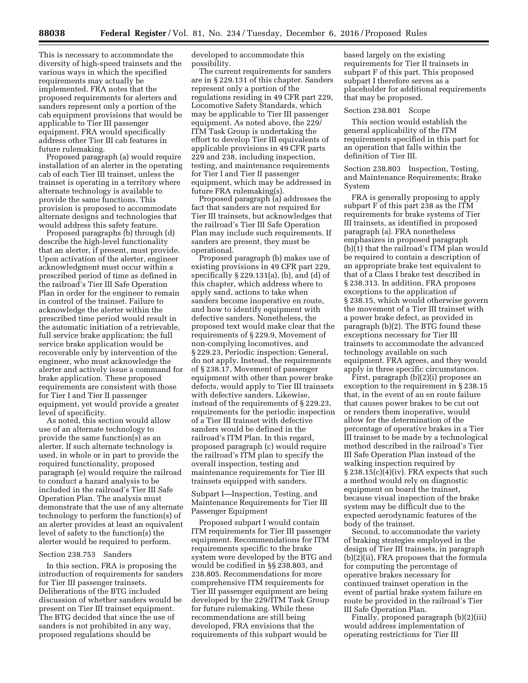This is necessary to accommodate the diversity of high-speed trainsets and the various ways in which the specified requirements may actually be implemented. FRA notes that the proposed requirements for alerters and sanders represent only a portion of the cab equipment provisions that would be applicable to Tier III passenger equipment. FRA would specifically address other Tier III cab features in future rulemaking.

Proposed paragraph (a) would require installation of an alerter in the operating cab of each Tier III trainset, unless the trainset is operating in a territory where alternate technology is available to provide the same functions. This provision is proposed to accommodate alternate designs and technologies that would address this safety feature.

Proposed paragraphs (b) through (d) describe the high-level functionality that an alerter, if present, must provide. Upon activation of the alerter, engineer acknowledgment must occur within a prescribed period of time as defined in the railroad's Tier III Safe Operation Plan in order for the engineer to remain in control of the trainset. Failure to acknowledge the alerter within the prescribed time period would result in the automatic initiation of a retrievable, full service brake application; the full service brake application would be recoverable only by intervention of the engineer, who must acknowledge the alerter and actively issue a command for brake application. These proposed requirements are consistent with those for Tier I and Tier II passenger equipment, yet would provide a greater level of specificity.

As noted, this section would allow use of an alternate technology to provide the same function(s) as an alerter. If such alternate technology is used, in whole or in part to provide the required functionality, proposed paragraph (e) would require the railroad to conduct a hazard analysis to be included in the railroad's Tier III Safe Operation Plan. The analysis must demonstrate that the use of any alternate technology to perform the function(s) of an alerter provides at least an equivalent level of safety to the function(s) the alerter would be required to perform.

### Section 238.753 Sanders

In this section, FRA is proposing the introduction of requirements for sanders for Tier III passenger trainsets. Deliberations of the BTG included discussion of whether sanders would be present on Tier III trainset equipment. The BTG decided that since the use of sanders is not prohibited in any way, proposed regulations should be

developed to accommodate this possibility.

The current requirements for sanders are in § 229.131 of this chapter. Sanders represent only a portion of the regulations residing in 49 CFR part 229, Locomotive Safety Standards, which may be applicable to Tier III passenger equipment. As noted above, the 229/ ITM Task Group is undertaking the effort to develop Tier III equivalents of applicable provisions in 49 CFR parts 229 and 238, including inspection, testing, and maintenance requirements for Tier I and Tier II passenger equipment, which may be addressed in future FRA rulemaking(s).

Proposed paragraph (a) addresses the fact that sanders are not required for Tier III trainsets, but acknowledges that the railroad's Tier III Safe Operation Plan may include such requirements. If sanders are present, they must be operational.

Proposed paragraph (b) makes use of existing provisions in 49 CFR part 229, specifically  $\S 229.131(a)$ , (b), and (d) of this chapter, which address where to apply sand, actions to take when sanders become inoperative en route, and how to identify equipment with defective sanders. Nonetheless, the proposed text would make clear that the requirements of § 229.9, Movement of non-complying locomotives, and § 229.23, Periodic inspection: General, do not apply. Instead, the requirements of § 238.17, Movement of passenger equipment with other than power brake defects, would apply to Tier III trainsets with defective sanders. Likewise, instead of the requirements of § 229.23, requirements for the periodic inspection of a Tier III trainset with defective sanders would be defined in the railroad's ITM Plan. In this regard, proposed paragraph (c) would require the railroad's ITM plan to specify the overall inspection, testing and maintenance requirements for Tier III trainsets equipped with sanders.

Subpart I—Inspection, Testing, and Maintenance Requirements for Tier III Passenger Equipment

Proposed subpart I would contain ITM requirements for Tier III passenger equipment. Recommendations for ITM requirements specific to the brake system were developed by the BTG and would be codified in §§ 238.803, and 238.805. Recommendations for more comprehensive ITM requirements for Tier III passenger equipment are being developed by the 229/ITM Task Group for future rulemaking. While these recommendations are still being developed, FRA envisions that the requirements of this subpart would be

based largely on the existing requirements for Tier II trainsets in subpart F of this part. This proposed subpart I therefore serves as a placeholder for additional requirements that may be proposed.

#### Section 238.801 Scope

This section would establish the general applicability of the ITM requirements specified in this part for an operation that falls within the definition of Tier III.

Section 238.803 Inspection, Testing, and Maintenance Requirements; Brake System

FRA is generally proposing to apply subpart F of this part 238 as the ITM requirements for brake systems of Tier III trainsets, as identified in proposed paragraph (a). FRA nonetheless emphasizes in proposed paragraph (b)(1) that the railroad's ITM plan would be required to contain a description of an appropriate brake test equivalent to that of a Class I brake test described in § 238.313. In addition, FRA proposes exceptions to the application of § 238.15, which would otherwise govern the movement of a Tier III trainset with a power brake defect, as provided in paragraph (b)(2). The BTG found these exceptions necessary for Tier III trainsets to accommodate the advanced technology available on such equipment. FRA agrees, and they would apply in three specific circumstances.

First, paragraph (b)(2)(i) proposes an exception to the requirement in § 238.15 that, in the event of an en route failure that causes power brakes to be cut out or renders them inoperative, would allow for the determination of the percentage of operative brakes in a Tier III trainset to be made by a technological method described in the railroad's Tier III Safe Operation Plan instead of the walking inspection required by § 238.15(c)(4)(iv). FRA expects that such a method would rely on diagnostic equipment on board the trainset, because visual inspection of the brake system may be difficult due to the expected aerodynamic features of the body of the trainset.

Second, to accommodate the variety of braking strategies employed in the design of Tier III trainsets, in paragraph (b)(2)(ii), FRA proposes that the formula for computing the percentage of operative brakes necessary for continued trainset operation in the event of partial brake system failure en route be provided in the railroad's Tier III Safe Operation Plan.

Finally, proposed paragraph (b)(2)(iii) would address implementation of operating restrictions for Tier III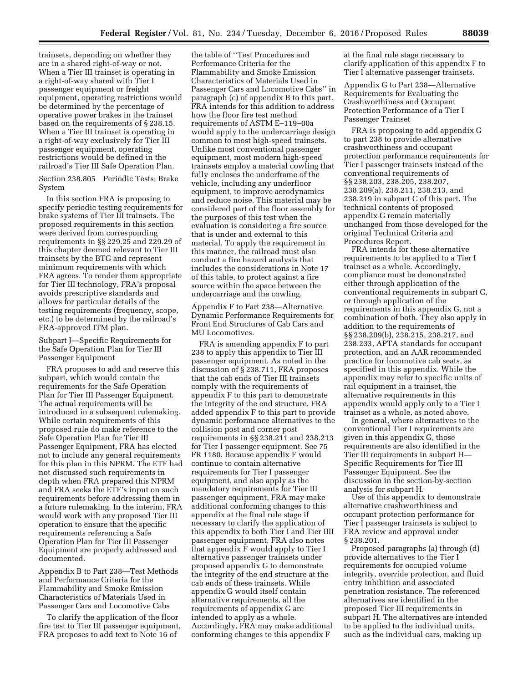trainsets, depending on whether they are in a shared right-of-way or not. When a Tier III trainset is operating in a right-of-way shared with Tier I passenger equipment or freight equipment, operating restrictions would be determined by the percentage of operative power brakes in the trainset based on the requirements of § 238.15. When a Tier III trainset is operating in a right-of-way exclusively for Tier III passenger equipment, operating restrictions would be defined in the railroad's Tier III Safe Operation Plan.

Section 238.805 Periodic Tests; Brake System

In this section FRA is proposing to specify periodic testing requirements for brake systems of Tier III trainsets. The proposed requirements in this section were derived from corresponding requirements in §§ 229.25 and 229.29 of this chapter deemed relevant to Tier III trainsets by the BTG and represent minimum requirements with which FRA agrees. To render them appropriate for Tier III technology, FRA's proposal avoids prescriptive standards and allows for particular details of the testing requirements (frequency, scope, etc.) to be determined by the railroad's FRA-approved ITM plan.

Subpart J—Specific Requirements for the Safe Operation Plan for Tier III Passenger Equipment

FRA proposes to add and reserve this subpart, which would contain the requirements for the Safe Operation Plan for Tier III Passenger Equipment. The actual requirements will be introduced in a subsequent rulemaking. While certain requirements of this proposed rule do make reference to the Safe Operation Plan for Tier III Passenger Equipment, FRA has elected not to include any general requirements for this plan in this NPRM. The ETF had not discussed such requirements in depth when FRA prepared this NPRM and FRA seeks the ETF's input on such requirements before addressing them in a future rulemaking. In the interim, FRA would work with any proposed Tier III operation to ensure that the specific requirements referencing a Safe Operation Plan for Tier III Passenger Equipment are properly addressed and documented.

Appendix B to Part 238—Test Methods and Performance Criteria for the Flammability and Smoke Emission Characteristics of Materials Used in Passenger Cars and Locomotive Cabs

To clarify the application of the floor fire test to Tier III passenger equipment, FRA proposes to add text to Note 16 of

the table of ''Test Procedures and Performance Criteria for the Flammability and Smoke Emission Characteristics of Materials Used in Passenger Cars and Locomotive Cabs'' in paragraph (c) of appendix B to this part. FRA intends for this addition to address how the floor fire test method requirements of ASTM E–119–00a would apply to the undercarriage design common to most high-speed trainsets. Unlike most conventional passenger equipment, most modern high-speed trainsets employ a material cowling that fully encloses the underframe of the vehicle, including any underfloor equipment, to improve aerodynamics and reduce noise. This material may be considered part of the floor assembly for the purposes of this test when the evaluation is considering a fire source that is under and external to this material. To apply the requirement in this manner, the railroad must also conduct a fire hazard analysis that includes the considerations in Note 17 of this table, to protect against a fire source within the space between the undercarriage and the cowling.

Appendix F to Part 238—Alternative Dynamic Performance Requirements for Front End Structures of Cab Cars and MU Locomotives.

FRA is amending appendix F to part 238 to apply this appendix to Tier III passenger equipment. As noted in the discussion of § 238.711, FRA proposes that the cab ends of Tier III trainsets comply with the requirements of appendix F to this part to demonstrate the integrity of the end structure. FRA added appendix F to this part to provide dynamic performance alternatives to the collision post and corner post requirements in §§ 238.211 and 238.213 for Tier I passenger equipment. See 75 FR 1180. Because appendix F would continue to contain alternative requirements for Tier I passenger equipment, and also apply as the mandatory requirements for Tier III passenger equipment, FRA may make additional conforming changes to this appendix at the final rule stage if necessary to clarify the application of this appendix to both Tier I and Tier IIII passenger equipment. FRA also notes that appendix F would apply to Tier I alternative passenger trainsets under proposed appendix G to demonstrate the integrity of the end structure at the cab ends of these trainsets. While appendix G would itself contain alternative requirements, all the requirements of appendix G are intended to apply as a whole. Accordingly, FRA may make additional conforming changes to this appendix F

at the final rule stage necessary to clarify application of this appendix F to Tier I alternative passenger trainsets.

Appendix G to Part 238—Alternative Requirements for Evaluating the Crashworthiness and Occupant Protection Performance of a Tier I Passenger Trainset

FRA is proposing to add appendix G to part 238 to provide alternative crashworthiness and occupant protection performance requirements for Tier I passenger trainsets instead of the conventional requirements of §§ 238.203, 238.205, 238.207, 238.209(a), 238.211, 238.213, and 238.219 in subpart C of this part. The technical contents of proposed appendix G remain materially unchanged from those developed for the original Technical Criteria and Procedures Report.

FRA intends for these alternative requirements to be applied to a Tier I trainset as a whole. Accordingly, compliance must be demonstrated either through application of the conventional requirements in subpart C, or through application of the requirements in this appendix G, not a combination of both. They also apply in addition to the requirements of §§ 238.209(b), 238.215, 238.217, and 238.233, APTA standards for occupant protection, and an AAR recommended practice for locomotive cab seats, as specified in this appendix. While the appendix may refer to specific units of rail equipment in a trainset, the alternative requirements in this appendix would apply only to a Tier I trainset as a whole, as noted above.

In general, where alternatives to the conventional Tier I requirements are given in this appendix G, those requirements are also identified in the Tier III requirements in subpart H— Specific Requirements for Tier III Passenger Equipment. See the discussion in the section-by-section analysis for subpart H.

Use of this appendix to demonstrate alternative crashworthiness and occupant protection performance for Tier I passenger trainsets is subject to FRA review and approval under § 238.201.

Proposed paragraphs (a) through (d) provide alternatives to the Tier I requirements for occupied volume integrity, override protection, and fluid entry inhibition and associated penetration resistance. The referenced alternatives are identified in the proposed Tier III requirements in subpart H. The alternatives are intended to be applied to the individual units, such as the individual cars, making up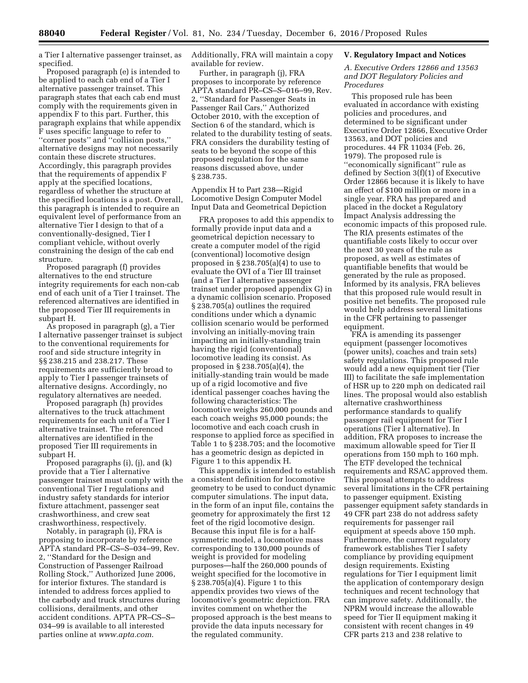a Tier I alternative passenger trainset, as specified.

Proposed paragraph (e) is intended to be applied to each cab end of a Tier I alternative passenger trainset. This paragraph states that each cab end must comply with the requirements given in appendix F to this part. Further, this paragraph explains that while appendix F uses specific language to refer to ''corner posts'' and ''collision posts,'' alternative designs may not necessarily contain these discrete structures. Accordingly, this paragraph provides that the requirements of appendix F apply at the specified locations, regardless of whether the structure at the specified locations is a post. Overall, this paragraph is intended to require an equivalent level of performance from an alternative Tier I design to that of a conventionally-designed, Tier I compliant vehicle, without overly constraining the design of the cab end structure.

Proposed paragraph (f) provides alternatives to the end structure integrity requirements for each non-cab end of each unit of a Tier I trainset. The referenced alternatives are identified in the proposed Tier III requirements in subpart H.

As proposed in paragraph (g), a Tier I alternative passenger trainset is subject to the conventional requirements for roof and side structure integrity in §§ 238.215 and 238.217. These requirements are sufficiently broad to apply to Tier I passenger trainsets of alternative designs. Accordingly, no regulatory alternatives are needed.

Proposed paragraph (h) provides alternatives to the truck attachment requirements for each unit of a Tier I alternative trainset. The referenced alternatives are identified in the proposed Tier III requirements in subpart H.

Proposed paragraphs (i), (j), and (k) provide that a Tier I alternative passenger trainset must comply with the conventional Tier I regulations and industry safety standards for interior fixture attachment, passenger seat crashworthiness, and crew seat crashworthiness, respectively.

Notably, in paragraph (i), FRA is proposing to incorporate by reference APTA standard PR–CS–S–034–99, Rev. 2, ''Standard for the Design and Construction of Passenger Railroad Rolling Stock,'' Authorized June 2006, for interior fixtures. The standard is intended to address forces applied to the carbody and truck structures during collisions, derailments, and other accident conditions. APTA PR–CS–S– 034–99 is available to all interested parties online at *[www.apta.com](http://www.apta.com)*.

Additionally, FRA will maintain a copy available for review.

Further, in paragraph (j), FRA proposes to incorporate by reference APTA standard PR–CS–S–016–99, Rev. 2, ''Standard for Passenger Seats in Passenger Rail Cars,'' Authorized October 2010, with the exception of Section 6 of the standard, which is related to the durability testing of seats. FRA considers the durability testing of seats to be beyond the scope of this proposed regulation for the same reasons discussed above, under § 238.735.

Appendix H to Part 238—Rigid Locomotive Design Computer Model Input Data and Geometrical Depiction

FRA proposes to add this appendix to formally provide input data and a geometrical depiction necessary to create a computer model of the rigid (conventional) locomotive design proposed in § 238.705(a)(4) to use to evaluate the OVI of a Tier III trainset (and a Tier I alternative passenger trainset under proposed appendix G) in a dynamic collision scenario. Proposed § 238.705(a) outlines the required conditions under which a dynamic collision scenario would be performed involving an initially-moving train impacting an initially-standing train having the rigid (conventional) locomotive leading its consist. As proposed in § 238.705(a)(4), the initially-standing train would be made up of a rigid locomotive and five identical passenger coaches having the following characteristics: The locomotive weighs 260,000 pounds and each coach weighs 95,000 pounds; the locomotive and each coach crush in response to applied force as specified in Table 1 to § 238.705; and the locomotive has a geometric design as depicted in Figure 1 to this appendix H.

This appendix is intended to establish a consistent definition for locomotive geometry to be used to conduct dynamic computer simulations. The input data, in the form of an input file, contains the geometry for approximately the first 12 feet of the rigid locomotive design. Because this input file is for a halfsymmetric model, a locomotive mass corresponding to 130,000 pounds of weight is provided for modeling purposes—half the 260,000 pounds of weight specified for the locomotive in § 238.705(a)(4). Figure 1 to this appendix provides two views of the locomotive's geometric depiction. FRA invites comment on whether the proposed approach is the best means to provide the data inputs necessary for the regulated community.

### **V. Regulatory Impact and Notices**

*A. Executive Orders 12866 and 13563 and DOT Regulatory Policies and Procedures* 

This proposed rule has been evaluated in accordance with existing policies and procedures, and determined to be significant under Executive Order 12866, Executive Order 13563, and DOT policies and procedures. 44 FR 11034 (Feb. 26, 1979). The proposed rule is ''economically significant'' rule as defined by Section 3(f)(1) of Executive Order 12866 because it is likely to have an effect of \$100 million or more in a single year. FRA has prepared and placed in the docket a Regulatory Impact Analysis addressing the economic impacts of this proposed rule. The RIA presents estimates of the quantifiable costs likely to occur over the next 30 years of the rule as proposed, as well as estimates of quantifiable benefits that would be generated by the rule as proposed. Informed by its analysis, FRA believes that this proposed rule would result in positive net benefits. The proposed rule would help address several limitations in the CFR pertaining to passenger equipment.

FRA is amending its passenger equipment (passenger locomotives (power units), coaches and train sets) safety regulations. This proposed rule would add a new equipment tier (Tier III) to facilitate the safe implementation of HSR up to 220 mph on dedicated rail lines. The proposal would also establish alternative crashworthiness performance standards to qualify passenger rail equipment for Tier I operations (Tier I alternative). In addition, FRA proposes to increase the maximum allowable speed for Tier II operations from 150 mph to 160 mph. The ETF developed the technical requirements and RSAC approved them. This proposal attempts to address several limitations in the CFR pertaining to passenger equipment. Existing passenger equipment safety standards in 49 CFR part 238 do not address safety requirements for passenger rail equipment at speeds above 150 mph. Furthermore, the current regulatory framework establishes Tier I safety compliance by providing equipment design requirements. Existing regulations for Tier I equipment limit the application of contemporary design techniques and recent technology that can improve safety. Additionally, the NPRM would increase the allowable speed for Tier II equipment making it consistent with recent changes in 49 CFR parts 213 and 238 relative to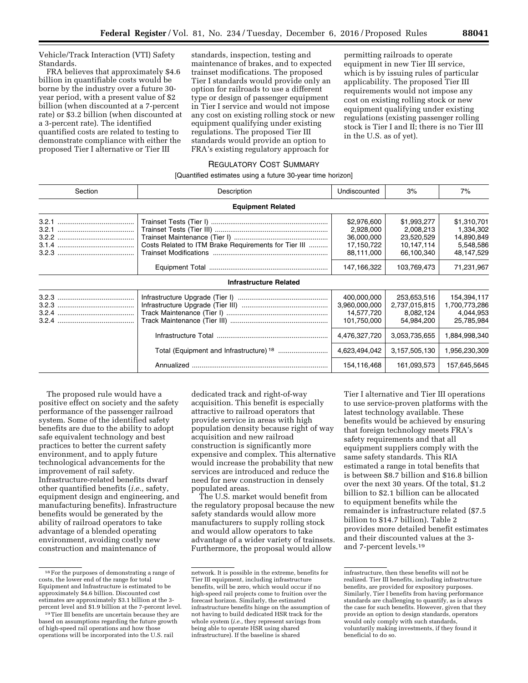Vehicle/Track Interaction (VTI) Safety Standards.

FRA believes that approximately \$4.6 billion in quantifiable costs would be borne by the industry over a future 30 year period, with a present value of \$2 billion (when discounted at a 7-percent rate) or \$3.2 billion (when discounted at a 3-percent rate). The identified quantified costs are related to testing to demonstrate compliance with either the proposed Tier I alternative or Tier III

standards, inspection, testing and maintenance of brakes, and to expected trainset modifications. The proposed Tier I standards would provide only an option for railroads to use a different type or design of passenger equipment in Tier I service and would not impose any cost on existing rolling stock or new equipment qualifying under existing regulations. The proposed Tier III standards would provide an option to FRA's existing regulatory approach for

permitting railroads to operate equipment in new Tier III service, which is by issuing rules of particular applicability. The proposed Tier III requirements would not impose any cost on existing rolling stock or new equipment qualifying under existing regulations (existing passenger rolling stock is Tier I and II; there is no Tier III in the U.S. as of yet).

## REGULATORY COST SUMMARY

### [Quantified estimates using a future 30-year time horizon]

| Section | Description                                          | Undiscounted                                                       | 3%                                                                 | 7%                                                                |
|---------|------------------------------------------------------|--------------------------------------------------------------------|--------------------------------------------------------------------|-------------------------------------------------------------------|
|         | <b>Equipment Related</b>                             |                                                                    |                                                                    |                                                                   |
| 3.2.1   | Costs Related to ITM Brake Requirements for Tier III | \$2,976,600<br>2,928,000<br>36,000,000<br>17,150,722<br>88.111.000 | \$1,993,277<br>2,008,213<br>23,520,529<br>10,147,114<br>66.100.340 | \$1,310,701<br>1,334,302<br>14,890,849<br>5,548,586<br>48,147,529 |
|         |                                                      | 147,166,322                                                        | 103,769,473                                                        | 71,231,967                                                        |
|         | <b>Infrastructure Related</b>                        |                                                                    |                                                                    |                                                                   |
|         |                                                      | 400,000,000<br>3,960,000,000<br>14,577,720<br>101,750,000          | 253,653,516<br>2,737,015,815<br>8,082,124<br>54.984.200            | 154,394,117<br>1,700,773,286<br>4,044,953<br>25,785,984           |
|         |                                                      | 4,476,327,720                                                      | 3,053,735,655                                                      | 1,884,998,340                                                     |
|         |                                                      | 4,623,494,042                                                      | 3,157,505,130                                                      | 956,230,309                                                       |
|         |                                                      | 154,116,468                                                        | 161,093,573                                                        | 157,645,5645                                                      |

The proposed rule would have a positive effect on society and the safety performance of the passenger railroad system. Some of the identified safety benefits are due to the ability to adopt safe equivalent technology and best practices to better the current safety environment, and to apply future technological advancements for the improvement of rail safety. Infrastructure-related benefits dwarf other quantified benefits (*i.e.,* safety, equipment design and engineering, and manufacturing benefits). Infrastructure benefits would be generated by the ability of railroad operators to take advantage of a blended operating environment, avoiding costly new construction and maintenance of

dedicated track and right-of-way acquisition. This benefit is especially attractive to railroad operators that provide service in areas with high population density because right of way acquisition and new railroad construction is significantly more expensive and complex. This alternative would increase the probability that new services are introduced and reduce the need for new construction in densely populated areas.

The U.S. market would benefit from the regulatory proposal because the new safety standards would allow more manufacturers to supply rolling stock and would allow operators to take advantage of a wider variety of trainsets. Furthermore, the proposal would allow

Tier I alternative and Tier III operations to use service-proven platforms with the latest technology available. These benefits would be achieved by ensuring that foreign technology meets FRA's safety requirements and that all equipment suppliers comply with the same safety standards. This RIA estimated a range in total benefits that is between \$8.7 billion and \$16.8 billion over the next 30 years. Of the total, \$1.2 billion to \$2.1 billion can be allocated to equipment benefits while the remainder is infrastructure related (\$7.5 billion to \$14.7 billion). Table 2 provides more detailed benefit estimates and their discounted values at the 3 and 7-percent levels.19

 $^{\rm 18}$  For the purposes of demonstrating a range of costs, the lower end of the range for total Equipment and Infrastructure is estimated to be approximately \$4.6 billion. Discounted cost estimates are approximately \$3.1 billion at the 3 percent level and \$1.9 billion at the 7-percent level.

<sup>19</sup>Tier III benefits are uncertain because they are based on assumptions regarding the future growth of high-speed rail operations and how those operations will be incorporated into the U.S. rail

network. It is possible in the extreme, benefits for Tier III equipment, including infrastructure benefits, will be zero, which would occur if no high-speed rail projects come to fruition over the forecast horizon. Similarly, the estimated infrastructure benefits hinge on the assumption of not having to build dedicated HSR track for the whole system (*i.e.,* they represent savings from being able to operate HSR using shared infrastructure). If the baseline is shared

infrastructure, then these benefits will not be realized. Tier III benefits, including infrastructure benefits, are provided for expository purposes. Similarly, Tier I benefits from having performance standards are challenging to quantify, as is always the case for such benefits. However, given that they provide an option to design standards, operators would only comply with such standards, voluntarily making investments, if they found it beneficial to do so.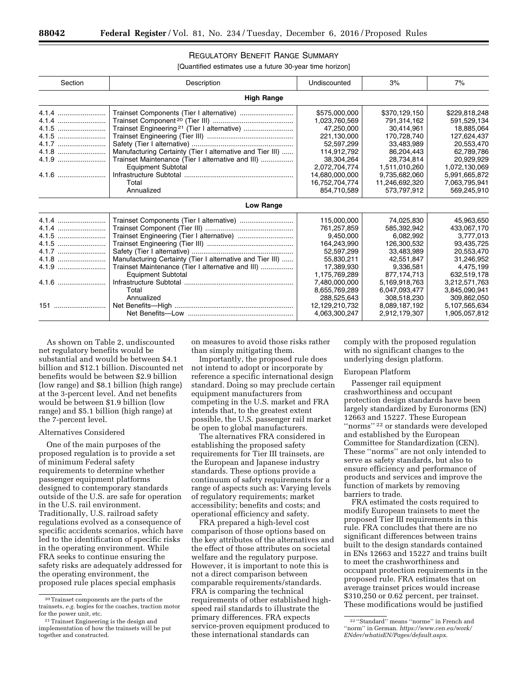## REGULATORY BENEFIT RANGE SUMMARY

[Quantified estimates use a future 30-year time horizon]

| Section | Description                                               | Undiscounted   | 3%             | 7%            |
|---------|-----------------------------------------------------------|----------------|----------------|---------------|
|         | <b>High Range</b>                                         |                |                |               |
| 4.1.4   | Trainset Components (Tier I alternative)                  | \$575,000,000  | \$370,129,150  | \$229,818,248 |
|         |                                                           | 1,023,760,569  | 791,314,162    | 591,529,134   |
|         |                                                           | 47.250.000     | 30.414.961     | 18.885.064    |
|         |                                                           | 221,130,000    | 170,728,740    | 127,624,437   |
| 4.1.7   |                                                           | 52,597,299     | 33,483,989     | 20,553,470    |
| 4.1.8   | Manufacturing Certainty (Tier I alternative and Tier III) | 114,912,792    | 86.204.443     | 62,789,786    |
|         | Trainset Maintenance (Tier I alternative and III)         | 38.304.264     | 28.734.814     | 20,929,929    |
|         | <b>Equipment Subtotal</b>                                 | 2,072,704,774  | 1.511,010,260  | 1,072,130,069 |
|         |                                                           | 14,680,000,000 | 9,735,682,060  | 5,991,665,872 |
|         | Total                                                     | 16.752.704.774 | 11,246,692,320 | 7,063,795,941 |
|         | Annualized                                                | 854,710,589    | 573,797,912    | 569,245,910   |
|         | Low Range                                                 |                |                |               |
| 4.1.4   |                                                           | 115,000,000    | 74,025,830     | 45,963,650    |
|         |                                                           | 761,257,859    | 585.392.942    | 433,067,170   |
|         |                                                           | 9,450,000      | 6,082,992      | 3,777,013     |
| 4.1.5   |                                                           | 164,243,990    | 126,300,532    | 93,435,725    |
| 4.1.7   |                                                           | 52,597,299     | 33,483,989     | 20,553,470    |
|         | Manufacturing Certainty (Tier I alternative and Tier III) | 55,830,211     | 42,551,847     | 31,246,952    |
| 4.1.9   | Trainset Maintenance (Tier I alternative and III)         | 17,389,930     | 9,336,581      | 4,475,199     |
|         | <b>Equipment Subtotal</b>                                 | 1,175,769,289  | 877.174.713    | 632,519,178   |
|         |                                                           | 7,480,000,000  | 5,169,918,763  | 3,212,571,763 |
|         | Total                                                     | 8,655,769,289  | 6,047,093,477  | 3,845,090,941 |
|         | Annualized                                                | 288,525,643    | 308,518,230    | 309,862,050   |
|         |                                                           | 12,129,210,732 | 8.089.187.192  | 5,107,565,634 |
|         |                                                           | 4,063,300,247  | 2,912,179,307  | 1,905,057,812 |

As shown on Table 2, undiscounted net regulatory benefits would be substantial and would be between \$4.1 billion and \$12.1 billion. Discounted net benefits would be between \$2.9 billion (low range) and \$8.1 billion (high range) at the 3-percent level. And net benefits would be between \$1.9 billion (low range) and \$5.1 billion (high range) at the 7-percent level.

### Alternatives Considered

One of the main purposes of the proposed regulation is to provide a set of minimum Federal safety requirements to determine whether passenger equipment platforms designed to contemporary standards outside of the U.S. are safe for operation in the U.S. rail environment. Traditionally, U.S. railroad safety regulations evolved as a consequence of specific accidents scenarios, which have led to the identification of specific risks in the operating environment. While FRA seeks to continue ensuring the safety risks are adequately addressed for the operating environment, the proposed rule places special emphasis

on measures to avoid those risks rather than simply mitigating them.

Importantly, the proposed rule does not intend to adopt or incorporate by reference a specific international design standard. Doing so may preclude certain equipment manufacturers from competing in the U.S. market and FRA intends that, to the greatest extent possible, the U.S. passenger rail market be open to global manufacturers.

The alternatives FRA considered in establishing the proposed safety requirements for Tier III trainsets, are the European and Japanese industry standards. These options provide a continuum of safety requirements for a range of aspects such as: Varying levels of regulatory requirements; market accessibility; benefits and costs; and operational efficiency and safety.

FRA prepared a high-level cost comparison of those options based on the key attributes of the alternatives and the effect of those attributes on societal welfare and the regulatory purpose. However, it is important to note this is not a direct comparison between comparable requirements/standards. FRA is comparing the technical requirements of other established highspeed rail standards to illustrate the primary differences. FRA expects service-proven equipment produced to these international standards can

comply with the proposed regulation with no significant changes to the underlying design platform.

#### European Platform

Passenger rail equipment crashworthiness and occupant protection design standards have been largely standardized by Euronorms (EN) 12663 and 15227. These European ''norms'' 22 or standards were developed and established by the European Committee for Standardization (CEN). These ''norms'' are not only intended to serve as safety standards, but also to ensure efficiency and performance of products and services and improve the function of markets by removing barriers to trade.

FRA estimated the costs required to modify European trainsets to meet the proposed Tier III requirements in this rule. FRA concludes that there are no significant differences between trains built to the design standards contained in ENs 12663 and 15227 and trains built to meet the crashworthiness and occupant protection requirements in the proposed rule. FRA estimates that on average trainset prices would increase \$310,250 or 0.62 percent, per trainset. These modifications would be justified

<sup>20</sup>Trainset components are the parts of the trainsets, *e.g.* bogies for the coaches, traction motor for the power unit, etc.

<sup>21</sup>Trainset Engineering is the design and implementation of how the trainsets will be put together and constructed.

<sup>22</sup> ''Standard'' means ''norme'' in French and ''norm'' in German. *[https://www.cen.eu/work/](https://www.cen.eu/work/ENdev/whatisEN/Pages/default.aspx) [ENdev/whatisEN/Pages/default.aspx](https://www.cen.eu/work/ENdev/whatisEN/Pages/default.aspx)*.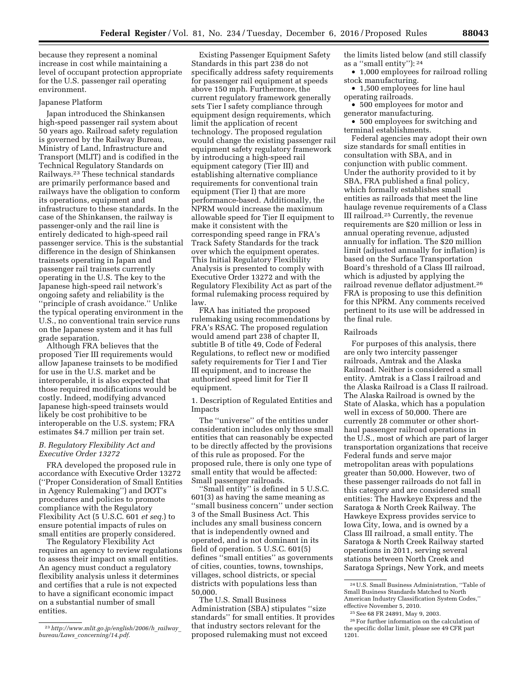because they represent a nominal increase in cost while maintaining a level of occupant protection appropriate for the U.S. passenger rail operating environment.

### Japanese Platform

Japan introduced the Shinkansen high-speed passenger rail system about 50 years ago. Railroad safety regulation is governed by the Railway Bureau, Ministry of Land, Infrastructure and Transport (MLIT) and is codified in the Technical Regulatory Standards on Railways.23 These technical standards are primarily performance based and railways have the obligation to conform its operations, equipment and infrastructure to these standards. In the case of the Shinkansen, the railway is passenger-only and the rail line is entirely dedicated to high-speed rail passenger service. This is the substantial difference in the design of Shinkansen trainsets operating in Japan and passenger rail trainsets currently operating in the U.S. The key to the Japanese high-speed rail network's ongoing safety and reliability is the ''principle of crash avoidance.'' Unlike the typical operating environment in the U.S., no conventional train service runs on the Japanese system and it has full grade separation.

Although FRA believes that the proposed Tier III requirements would allow Japanese trainsets to be modified for use in the U.S. market and be interoperable, it is also expected that those required modifications would be costly. Indeed, modifying advanced Japanese high-speed trainsets would likely be cost prohibitive to be interoperable on the U.S. system; FRA estimates \$4.7 million per train set.

## *B. Regulatory Flexibility Act and Executive Order 13272*

FRA developed the proposed rule in accordance with Executive Order 13272 (''Proper Consideration of Small Entities in Agency Rulemaking'') and DOT's procedures and policies to promote compliance with the Regulatory Flexibility Act (5 U.S.C. 601 *et seq.*) to ensure potential impacts of rules on small entities are properly considered.

The Regulatory Flexibility Act requires an agency to review regulations to assess their impact on small entities. An agency must conduct a regulatory flexibility analysis unless it determines and certifies that a rule is not expected to have a significant economic impact on a substantial number of small entities.

Existing Passenger Equipment Safety Standards in this part 238 do not specifically address safety requirements for passenger rail equipment at speeds above 150 mph. Furthermore, the current regulatory framework generally sets Tier I safety compliance through equipment design requirements, which limit the application of recent technology. The proposed regulation would change the existing passenger rail equipment safety regulatory framework by introducing a high-speed rail equipment category (Tier III) and establishing alternative compliance requirements for conventional train equipment (Tier I) that are more performance-based. Additionally, the NPRM would increase the maximum allowable speed for Tier II equipment to make it consistent with the corresponding speed range in FRA's Track Safety Standards for the track over which the equipment operates. This Initial Regulatory Flexibility Analysis is presented to comply with Executive Order 13272 and with the Regulatory Flexibility Act as part of the formal rulemaking process required by law.

FRA has initiated the proposed rulemaking using recommendations by FRA's RSAC. The proposed regulation would amend part 238 of chapter II, subtitle B of title 49, Code of Federal Regulations, to reflect new or modified safety requirements for Tier I and Tier III equipment, and to increase the authorized speed limit for Tier II equipment.

1. Description of Regulated Entities and Impacts

The ''universe'' of the entities under consideration includes only those small entities that can reasonably be expected to be directly affected by the provisions of this rule as proposed. For the proposed rule, there is only one type of small entity that would be affected: Small passenger railroads.

''Small entity'' is defined in 5 U.S.C. 601(3) as having the same meaning as ''small business concern'' under section 3 of the Small Business Act. This includes any small business concern that is independently owned and operated, and is not dominant in its field of operation. 5 U.S.C. 601(5) defines ''small entities'' as governments of cities, counties, towns, townships, villages, school districts, or special districts with populations less than 50,000.

The U.S. Small Business Administration (SBA) stipulates ''size standards'' for small entities. It provides that industry sectors relevant for the proposed rulemaking must not exceed

the limits listed below (and still classify as a ''small entity''): 24

• 1,000 employees for railroad rolling stock manufacturing.

• 1,500 employees for line haul operating railroads.

• 500 employees for motor and generator manufacturing.

• 500 employees for switching and terminal establishments.

Federal agencies may adopt their own size standards for small entities in consultation with SBA, and in conjunction with public comment. Under the authority provided to it by SBA, FRA published a final policy, which formally establishes small entities as railroads that meet the line haulage revenue requirements of a Class III railroad.25 Currently, the revenue requirements are \$20 million or less in annual operating revenue, adjusted annually for inflation. The \$20 million limit (adjusted annually for inflation) is based on the Surface Transportation Board's threshold of a Class III railroad, which is adjusted by applying the railroad revenue deflator adjustment.26 FRA is proposing to use this definition for this NPRM. Any comments received pertinent to its use will be addressed in the final rule.

### Railroads

For purposes of this analysis, there are only two intercity passenger railroads, Amtrak and the Alaska Railroad. Neither is considered a small entity. Amtrak is a Class I railroad and the Alaska Railroad is a Class II railroad. The Alaska Railroad is owned by the State of Alaska, which has a population well in excess of 50,000. There are currently 28 commuter or other shorthaul passenger railroad operations in the U.S., most of which are part of larger transportation organizations that receive Federal funds and serve major metropolitan areas with populations greater than 50,000. However, two of these passenger railroads do not fall in this category and are considered small entities: The Hawkeye Express and the Saratoga & North Creek Railway. The Hawkeye Express provides service to Iowa City, Iowa, and is owned by a Class III railroad, a small entity. The Saratoga & North Creek Railway started operations in 2011, serving several stations between North Creek and Saratoga Springs, New York, and meets

<sup>23</sup>*[http://www.mlit.go.jp/english/2006/h](http://www.mlit.go.jp/english/2006/h_railway_bureau/Laws_concerning/14.pdf)*\_*railway*\_ *bureau/Laws*\_*[concerning/14.pdf](http://www.mlit.go.jp/english/2006/h_railway_bureau/Laws_concerning/14.pdf)*.

<sup>24</sup>U.S. Small Business Administration, ''Table of Small Business Standards Matched to North American Industry Classification System Codes,'' effective November 5, 2010.

<sup>25</sup>See 68 FR 24891, May 9, 2003.

<sup>26</sup>For further information on the calculation of the specific dollar limit, please see 49 CFR part 1201.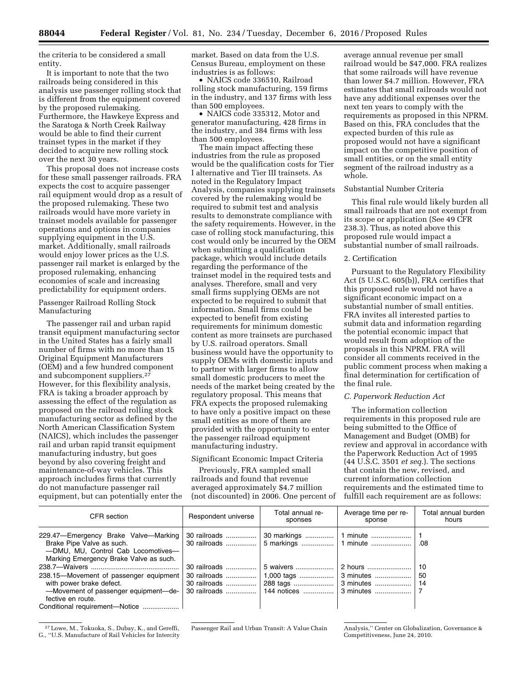the criteria to be considered a small entity.

It is important to note that the two railroads being considered in this analysis use passenger rolling stock that is different from the equipment covered by the proposed rulemaking. Furthermore, the Hawkeye Express and the Saratoga & North Creek Railway would be able to find their current trainset types in the market if they decided to acquire new rolling stock over the next 30 years.

This proposal does not increase costs for these small passenger railroads. FRA expects the cost to acquire passenger rail equipment would drop as a result of the proposed rulemaking. These two railroads would have more variety in trainset models available for passenger operations and options in companies supplying equipment in the U.S. market. Additionally, small railroads would enjoy lower prices as the U.S. passenger rail market is enlarged by the proposed rulemaking, enhancing economies of scale and increasing predictability for equipment orders.

## Passenger Railroad Rolling Stock Manufacturing

The passenger rail and urban rapid transit equipment manufacturing sector in the United States has a fairly small number of firms with no more than 15 Original Equipment Manufacturers (OEM) and a few hundred component and subcomponent suppliers.27 However, for this flexibility analysis, FRA is taking a broader approach by assessing the effect of the regulation as proposed on the railroad rolling stock manufacturing sector as defined by the North American Classification System (NAICS), which includes the passenger rail and urban rapid transit equipment manufacturing industry, but goes beyond by also covering freight and maintenance-of-way vehicles. This approach includes firms that currently do not manufacture passenger rail equipment, but can potentially enter the market. Based on data from the U.S. Census Bureau, employment on these industries is as follows:

• NAICS code 336510, Railroad rolling stock manufacturing, 159 firms in the industry, and 137 firms with less than 500 employees.

• NAICS code 335312, Motor and generator manufacturing, 428 firms in the industry, and 384 firms with less than 500 employees.

The main impact affecting these industries from the rule as proposed would be the qualification costs for Tier I alternative and Tier III trainsets. As noted in the Regulatory Impact Analysis, companies supplying trainsets covered by the rulemaking would be required to submit test and analysis results to demonstrate compliance with the safety requirements. However, in the case of rolling stock manufacturing, this cost would only be incurred by the OEM when submitting a qualification package, which would include details regarding the performance of the trainset model in the required tests and analyses. Therefore, small and very small firms supplying OEMs are not expected to be required to submit that information. Small firms could be expected to benefit from existing requirements for minimum domestic content as more trainsets are purchased by U.S. railroad operators. Small business would have the opportunity to supply OEMs with domestic inputs and to partner with larger firms to allow small domestic producers to meet the needs of the market being created by the regulatory proposal. This means that FRA expects the proposed rulemaking to have only a positive impact on these small entities as more of them are provided with the opportunity to enter the passenger railroad equipment manufacturing industry.

## Significant Economic Impact Criteria

Previously, FRA sampled small railroads and found that revenue averaged approximately \$4.7 million (not discounted) in 2006. One percent of average annual revenue per small railroad would be \$47,000. FRA realizes that some railroads will have revenue than lower \$4.7 million. However, FRA estimates that small railroads would not have any additional expenses over the next ten years to comply with the requirements as proposed in this NPRM. Based on this, FRA concludes that the expected burden of this rule as proposed would not have a significant impact on the competitive position of small entities, or on the small entity segment of the railroad industry as a whole.

## Substantial Number Criteria

This final rule would likely burden all small railroads that are not exempt from its scope or application (See 49 CFR 238.3). Thus, as noted above this proposed rule would impact a substantial number of small railroads.

## 2. Certification

Pursuant to the Regulatory Flexibility Act (5 U.S.C. 605(b)), FRA certifies that this proposed rule would not have a significant economic impact on a substantial number of small entities. FRA invites all interested parties to submit data and information regarding the potential economic impact that would result from adoption of the proposals in this NPRM. FRA will consider all comments received in the public comment process when making a final determination for certification of the final rule.

## *C. Paperwork Reduction Act*

The information collection requirements in this proposed rule are being submitted to the Office of Management and Budget (OMB) for review and approval in accordance with the Paperwork Reduction Act of 1995 (44 U.S.C. 3501 *et seq.*). The sections that contain the new, revised, and current information collection requirements and the estimated time to fulfill each requirement are as follows:

| CFR section                                                                                                                                       | Respondent universe | Total annual re-<br>sponses              | Average time per re-<br>sponse | Total annual burden<br>hours |
|---------------------------------------------------------------------------------------------------------------------------------------------------|---------------------|------------------------------------------|--------------------------------|------------------------------|
| 229.47—Emergency Brake Valve—Marking<br>Brake Pipe Valve as such.<br>-DMU, MU, Control Cab Locomotives-<br>Marking Emergency Brake Valve as such. |                     | 30 railroads    30 markings    1 minute  |                                | .08                          |
|                                                                                                                                                   |                     | 30 railroads  5 waivers                  | 2 hours                        | -10                          |
| 238.15-Movement of passenger equipment                                                                                                            |                     | 30 railroads    1,000 tags    3 minutes  |                                | -50                          |
| with power brake defect.                                                                                                                          |                     | 30 railroads    288 tags    3 minutes    |                                | -14                          |
| -Movement of passenger equipment-de-                                                                                                              |                     | 30 railroads    144 notices    3 minutes |                                |                              |
| fective en route.                                                                                                                                 |                     |                                          |                                |                              |
| Conditional requirement-Notice                                                                                                                    |                     |                                          |                                |                              |

27Lowe, M., Tokuoka, S., Dubay, K., and Gereffi, G., ''U.S. Manufacture of Rail Vehicles for Intercity

Passenger Rail and Urban Transit: A Value Chain Analysis," Center on Globalization, Governance &

Competitiveness, June 24, 2010.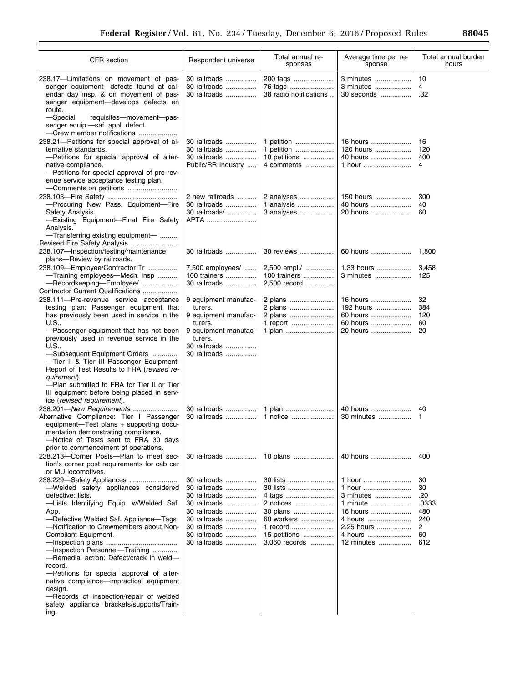$\equiv$ 

| CFR section                                                                                                                                                                                                                                                                                                                                                                                                                                                                                                                              | Respondent universe                                                                                                                          | Total annual re-<br>sponses                                                                              | Average time per re-<br>sponse                                                                          | Total annual burden<br>hours                             |
|------------------------------------------------------------------------------------------------------------------------------------------------------------------------------------------------------------------------------------------------------------------------------------------------------------------------------------------------------------------------------------------------------------------------------------------------------------------------------------------------------------------------------------------|----------------------------------------------------------------------------------------------------------------------------------------------|----------------------------------------------------------------------------------------------------------|---------------------------------------------------------------------------------------------------------|----------------------------------------------------------|
| 238.17-Limitations on movement of pas-<br>senger equipment-defects found at cal-<br>endar day insp. & on movement of pas-<br>senger equipment-develops defects en<br>route.<br>-Special<br>requisites-movement-pas-<br>senger equip.-saf. appl. defect.                                                                                                                                                                                                                                                                                  | 30 railroads<br>30 railroads<br>30 railroads                                                                                                 | 200 tags<br>76 tags<br>38 radio notifications                                                            | 3 minutes<br>3 minutes<br>30 seconds                                                                    | 10<br>4<br>.32                                           |
| -Crew member notifications<br>238.21-Petitions for special approval of al-<br>ternative standards.<br>-Petitions for special approval of alter-<br>native compliance.<br>-Petitions for special approval of pre-rev-<br>enue service acceptance testing plan.<br>-Comments on petitions                                                                                                                                                                                                                                                  | 30 railroads<br>30 railroads<br>30 railroads<br>Public/RR Industry                                                                           | 1 petition<br>1 petition<br>10 petitions<br>4 comments                                                   | 16 hours<br>120 hours<br>40 hours<br>1 hour                                                             | 16<br>120<br>400<br>4                                    |
| -Procuring New Pass. Equipment-Fire<br>Safety Analysis.<br>-Existing Equipment-Final Fire Safety<br>Analysis.<br>-Transferring existing equipment-                                                                                                                                                                                                                                                                                                                                                                                       | 2 new railroads<br>30 railroads<br>30 railroads/<br>APTA                                                                                     | 2 analyses<br>1 analysis<br>3 analyses                                                                   | 150 hours<br>40 hours<br>20 hours                                                                       | 300<br>40<br>60                                          |
| Revised Fire Safety Analysis<br>238.107-Inspection/testing/maintenance                                                                                                                                                                                                                                                                                                                                                                                                                                                                   | 30 railroads                                                                                                                                 | 30 reviews                                                                                               | 60 hours                                                                                                | 1,800                                                    |
| plans-Review by railroads.<br>238.109-Employee/Contractor Tr<br>-Training employees-Mech. Insp<br>-Recordkeeping-Employee/                                                                                                                                                                                                                                                                                                                                                                                                               | 7,500 employees/<br>100 trainers<br>30 railroads                                                                                             | 2,500 empl./<br>100 trainers<br>2,500 record                                                             | 1.33 hours<br>3 minutes                                                                                 | 3,458<br>125                                             |
| Contractor Current Qualifications<br>238.111-Pre-revenue service acceptance<br>testing plan: Passenger equipment that<br>has previously been used in service in the<br>U.S.                                                                                                                                                                                                                                                                                                                                                              | 9 equipment manufac-<br>turers.<br>9 equipment manufac-<br>turers.                                                                           | 2 plans<br>2 plans<br>2 plans<br>1 report                                                                | 16 hours<br>192 hours<br>60 hours<br>60 hours                                                           | 32<br>384<br>120<br>60                                   |
| -Passenger equipment that has not been<br>previously used in revenue service in the<br>U.S<br>-Subsequent Equipment Orders<br>-Tier II & Tier III Passenger Equipment:<br>Report of Test Results to FRA (revised re-<br>quirement).<br>-Plan submitted to FRA for Tier II or Tier<br>III equipment before being placed in serv-<br>ice (revised requirement).                                                                                                                                                                            | 9 equipment manufac-<br>turers.<br>30 railroads<br>30 railroads                                                                              | 1 plan                                                                                                   | 20 hours                                                                                                | 20                                                       |
| 238.201-New Requirements<br>Alternative Compliance: Tier I Passenger<br>equipment-Test plans + supporting docu-<br>mentation demonstrating compliance.<br>-Notice of Tests sent to FRA 30 days<br>prior to commencement of operations.                                                                                                                                                                                                                                                                                                   | 30 railroads<br>30 railroads                                                                                                                 | 1 plan<br>1 notice                                                                                       | 40 hours<br>30 minutes                                                                                  | 40<br>1                                                  |
| 238.213-Corner Posts--Plan to meet sec-<br>tion's corner post requirements for cab car<br>or MU locomotives.                                                                                                                                                                                                                                                                                                                                                                                                                             | 30 railroads                                                                                                                                 | 10 plans                                                                                                 | 40 hours                                                                                                | 400                                                      |
| 238.229—Safety Appliances<br>-Welded safety appliances considered<br>defective: lists.<br>-Lists Identifying Equip. w/Welded Saf.<br>App.<br>-Defective Welded Saf. Appliance-Tags<br>-Notification to Crewmembers about Non-<br>Compliant Equipment.<br>-Inspection Personnel-Training<br>-Remedial action: Defect/crack in weld-<br>record.<br>-Petitions for special approval of alter-<br>native compliance-impractical equipment<br>design.<br>-Records of inspection/repair of welded<br>safety appliance brackets/supports/Train- | 30 railroads<br>30 railroads<br>30 railroads<br>30 railroads<br>30 railroads<br>30 railroads<br>30 railroads<br>30 railroads<br>30 railroads | 30 lists<br>30 lists<br>2 notices<br>30 plans<br>60 workers<br>1 record<br>15 petitions<br>3,060 records | 1 hour<br>1 hour<br>3 minutes<br>1 minute<br>16 hours<br>4 hours<br>2.25 hours<br>4 hours<br>12 minutes | 30<br>30<br>.20<br>.0333<br>480<br>240<br>2<br>60<br>612 |
| ing.                                                                                                                                                                                                                                                                                                                                                                                                                                                                                                                                     |                                                                                                                                              |                                                                                                          |                                                                                                         |                                                          |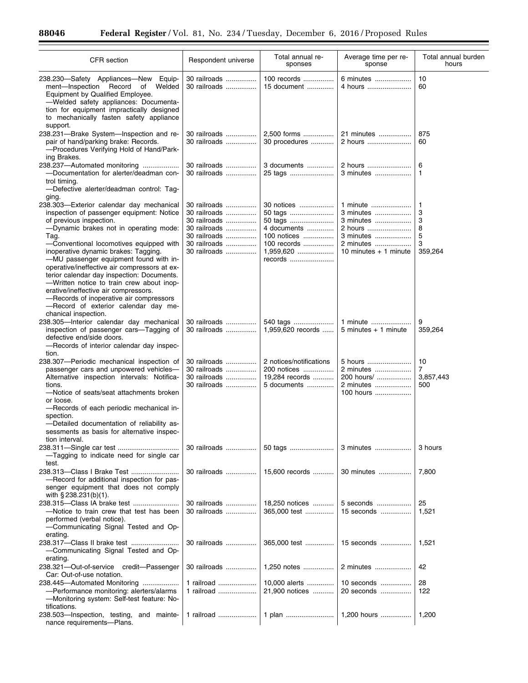$\equiv$ 

| <b>CFR</b> section                                                                                                                                                                                                                                                                                                                                                                                                                                                                                                                                                                                     | Respondent universe                                                                                          | Total annual re-<br>sponses                                                                           | Average time per re-<br>sponse                                                                     | Total annual burden<br>hours                     |
|--------------------------------------------------------------------------------------------------------------------------------------------------------------------------------------------------------------------------------------------------------------------------------------------------------------------------------------------------------------------------------------------------------------------------------------------------------------------------------------------------------------------------------------------------------------------------------------------------------|--------------------------------------------------------------------------------------------------------------|-------------------------------------------------------------------------------------------------------|----------------------------------------------------------------------------------------------------|--------------------------------------------------|
| 238.230-Safety Appliances-New Equip-<br>Record<br>ment-Inspection<br>of Welded<br>Equipment by Qualified Employee.<br>-Welded safety appliances: Documenta-<br>tion for equipment impractically designed<br>to mechanically fasten safety appliance<br>support.                                                                                                                                                                                                                                                                                                                                        | 30 railroads<br>30 railroads                                                                                 | 100 records<br>15 document                                                                            | 6 minutes<br>4 hours                                                                               | 10<br>60                                         |
| 238.231-Brake System-Inspection and re-<br>pair of hand/parking brake: Records.<br>-Procedures Verifying Hold of Hand/Park-<br>ing Brakes.                                                                                                                                                                                                                                                                                                                                                                                                                                                             | 30 railroads<br>30 railroads                                                                                 | 2,500 forms<br>30 procedures                                                                          | 21 minutes<br>2 hours                                                                              | 875<br>60                                        |
| 238.237-Automated monitoring<br>-Documentation for alerter/deadman con-<br>trol timing.<br>--Defective alerter/deadman control: Tag-                                                                                                                                                                                                                                                                                                                                                                                                                                                                   | 30 railroads<br>30 railroads                                                                                 | 3 documents<br>25 tags                                                                                | 2 hours<br>3 minutes                                                                               | 6<br>$\mathbf{1}$                                |
| ging.<br>238.303-Exterior calendar day mechanical<br>inspection of passenger equipment: Notice<br>of previous inspection.<br>-Dynamic brakes not in operating mode:<br>Tag.<br>-Conventional locomotives equipped with<br>inoperative dynamic brakes: Tagging.<br>-MU passenger equipment found with in-<br>operative/ineffective air compressors at ex-<br>terior calendar day inspection: Documents.<br>-Written notice to train crew about inop-<br>erative/ineffective air compressors.<br>-Records of inoperative air compressors<br>-Record of exterior calendar day me-<br>chanical inspection. | 30 railroads<br>30 railroads<br>30 railroads<br>30 railroads<br>30 railroads<br>30 railroads<br>30 railroads | 30 notices<br>50 tags<br>50 tags<br>4 documents<br>100 notices<br>100 records<br>1,959,620<br>records | 1 minute<br>3 minutes<br>3 minutes<br>2 hours<br>3 minutes<br>2 minutes<br>10 minutes $+$ 1 minute | $\mathbf{1}$<br>3<br>3<br>8<br>5<br>3<br>359,264 |
| 238.305-Interior calendar day mechanical<br>inspection of passenger cars-Tagging of<br>defective end/side doors.<br>-Records of interior calendar day inspec-<br>tion.                                                                                                                                                                                                                                                                                                                                                                                                                                 | 30 railroads<br>30 railroads                                                                                 | 540 tags<br>1,959,620 records                                                                         | 1 minute<br>$5$ minutes $+1$ minute                                                                | 9<br>359,264                                     |
| 238.307-Periodic mechanical inspection of<br>passenger cars and unpowered vehicles-<br>Alternative inspection intervals: Notifica-<br>tions.<br>-Notice of seats/seat attachments broken<br>or loose.<br>-Records of each periodic mechanical in-<br>spection.<br>-Detailed documentation of reliability as-<br>sessments as basis for alternative inspec-                                                                                                                                                                                                                                             | 30 railroads<br>30 railroads<br>30 railroads<br>30 railroads                                                 | 2 notices/notifications<br>200 notices<br>19,284 records<br>5 documents                               | 5 hours<br>2 minutes<br>200 hours/<br>2 minutes<br>100 hours                                       | 10<br>7<br>3,857,443<br>500                      |
| tion interval.<br>-Tagging to indicate need for single car                                                                                                                                                                                                                                                                                                                                                                                                                                                                                                                                             | 30 railroads                                                                                                 | 50 tags                                                                                               | 3 minutes                                                                                          | 3 hours                                          |
| test.<br>-Record for additional inspection for pas-<br>senger equipment that does not comply<br>with $\S 238.231(b)(1)$ .                                                                                                                                                                                                                                                                                                                                                                                                                                                                              | 30 railroads                                                                                                 | 15,600 records                                                                                        | 30 minutes                                                                                         | 7,800                                            |
| -Notice to train crew that test has been<br>performed (verbal notice).<br>-Communicating Signal Tested and Op-                                                                                                                                                                                                                                                                                                                                                                                                                                                                                         | 30 railroads<br>30 railroads                                                                                 | 18,250 notices<br>365,000 test                                                                        | 5 seconds<br>15 seconds                                                                            | 25<br>1,521                                      |
| erating.<br>-Communicating Signal Tested and Op-<br>erating.                                                                                                                                                                                                                                                                                                                                                                                                                                                                                                                                           | 30 railroads                                                                                                 | 365,000 test                                                                                          | 15 seconds                                                                                         | 1,521                                            |
| 238.321-Out-of-service credit-Passenger<br>Car: Out-of-use notation.                                                                                                                                                                                                                                                                                                                                                                                                                                                                                                                                   | 30 railroads                                                                                                 | 1,250 notes                                                                                           | 2 minutes                                                                                          | 42                                               |
| 238.445-Automated Monitoring<br>-Performance monitoring: alerters/alarms<br>-Monitoring system: Self-test feature: No-<br>tifications.                                                                                                                                                                                                                                                                                                                                                                                                                                                                 | 1 railroad<br>1 railroad                                                                                     | 10,000 alerts<br>21,900 notices                                                                       | 10 seconds<br>20 seconds                                                                           | 28<br>122                                        |
| 238.503-Inspection, testing,<br>and mainte-<br>nance requirements-Plans.                                                                                                                                                                                                                                                                                                                                                                                                                                                                                                                               | 1 railroad                                                                                                   | 1 plan                                                                                                | 1,200 hours                                                                                        | 1,200                                            |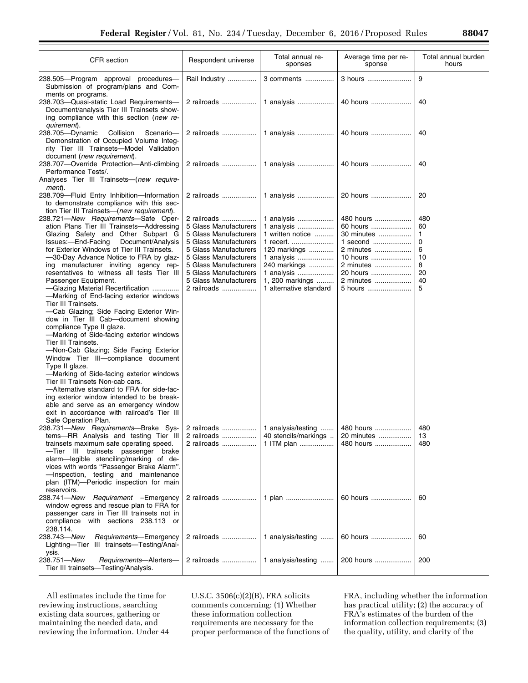| <b>CFR</b> section                                                                                                                                                                                                                                                                                                                                                                                                                                                                                                                                                                                                                                                                                                                                                                                                                                                                                                                                                                                                                        | Respondent universe                                                                                                                                                                                                                | Total annual re-<br>sponses                                                                                                                                        | Average time per re-<br>sponse                                                                                            | Total annual burden<br>hours                         |
|-------------------------------------------------------------------------------------------------------------------------------------------------------------------------------------------------------------------------------------------------------------------------------------------------------------------------------------------------------------------------------------------------------------------------------------------------------------------------------------------------------------------------------------------------------------------------------------------------------------------------------------------------------------------------------------------------------------------------------------------------------------------------------------------------------------------------------------------------------------------------------------------------------------------------------------------------------------------------------------------------------------------------------------------|------------------------------------------------------------------------------------------------------------------------------------------------------------------------------------------------------------------------------------|--------------------------------------------------------------------------------------------------------------------------------------------------------------------|---------------------------------------------------------------------------------------------------------------------------|------------------------------------------------------|
| 238.505-Program approval procedures-<br>Submission of program/plans and Com-<br>ments on programs.                                                                                                                                                                                                                                                                                                                                                                                                                                                                                                                                                                                                                                                                                                                                                                                                                                                                                                                                        | Rail Industry                                                                                                                                                                                                                      | 3 comments                                                                                                                                                         | 3 hours                                                                                                                   | 9                                                    |
| 238.703-Quasi-static Load Requirements-<br>Document/analysis Tier III Trainsets show-<br>ing compliance with this section (new re-<br>quirement).                                                                                                                                                                                                                                                                                                                                                                                                                                                                                                                                                                                                                                                                                                                                                                                                                                                                                         | 2 railroads                                                                                                                                                                                                                        | 1 analysis                                                                                                                                                         | 40 hours                                                                                                                  | 40                                                   |
| Collision<br>238.705-Dynamic<br>Scenario-<br>Demonstration of Occupied Volume Integ-<br>rity Tier III Trainsets-Model Validation<br>document (new requirement).                                                                                                                                                                                                                                                                                                                                                                                                                                                                                                                                                                                                                                                                                                                                                                                                                                                                           | 2 railroads                                                                                                                                                                                                                        | 1 analysis                                                                                                                                                         | 40 hours                                                                                                                  | 40                                                   |
| 238.707-Override Protection-Anti-climbing<br>Performance Tests/.<br>Analyses Tier III Trainsets-(new require-<br>ment).                                                                                                                                                                                                                                                                                                                                                                                                                                                                                                                                                                                                                                                                                                                                                                                                                                                                                                                   | 2 railroads                                                                                                                                                                                                                        | 1 analysis                                                                                                                                                         | 40 hours                                                                                                                  | 40                                                   |
| 238.709-Fluid Entry Inhibition-Information<br>to demonstrate compliance with this sec-<br>tion Tier III Trainsets-(new requirement).                                                                                                                                                                                                                                                                                                                                                                                                                                                                                                                                                                                                                                                                                                                                                                                                                                                                                                      | 2 railroads                                                                                                                                                                                                                        | 1 analysis                                                                                                                                                         | 20 hours                                                                                                                  | 20                                                   |
| 238.721-New Requirements-Safe Oper-<br>ation Plans Tier III Trainsets-Addressing<br>Glazing Safety and Other Subpart G<br>Issues:-End-Facing<br>Document/Analysis<br>for Exterior Windows of Tier III Trainsets.<br>-30-Day Advance Notice to FRA by glaz-<br>ing manufacturer inviting agency rep-<br>resentatives to witness all tests Tier III<br>Passenger Equipment.<br>-Glazing Material Recertification<br>-Marking of End-facing exterior windows<br>Tier III Trainsets.<br>-Cab Glazing; Side Facing Exterior Win-<br>dow in Tier III Cab—document showing<br>compliance Type II glaze.<br>-Marking of Side-facing exterior windows<br>Tier III Trainsets.<br>-Non-Cab Glazing; Side Facing Exterior<br>Window Tier III-compliance document<br>Type II glaze.<br>—Marking of Side-facing exterior windows<br>Tier III Trainsets Non-cab cars.<br>-Alternative standard to FRA for side-fac-<br>ing exterior window intended to be break-<br>able and serve as an emergency window<br>exit in accordance with railroad's Tier III | 2 railroads<br>5 Glass Manufacturers<br>5 Glass Manufacturers<br>5 Glass Manufacturers<br>5 Glass Manufacturers<br>5 Glass Manufacturers<br>5 Glass Manufacturers<br>5 Glass Manufacturers<br>5 Glass Manufacturers<br>2 railroads | 1 analysis<br>1 analysis<br>1 written notice<br>1 recert.<br>120 markings<br>1 analysis<br>240 markings<br>1 analysis<br>1, 200 markings<br>1 alternative standard | 480 hours<br>60 hours<br>30 minutes<br>1 second<br>2 minutes<br>10 hours<br>2 minutes<br>20 hours<br>2 minutes<br>5 hours | 480<br>60<br>1<br>0<br>6<br>10<br>8<br>20<br>40<br>5 |
| Safe Operation Plan.<br>238.731—New Requirements—Brake Sys-<br>tems-RR Analysis and testing Tier III<br>trainsets maximum safe operating speed.<br>-Tier III trainsets passenger brake<br>alarm-legible stenciling/marking of de-<br>vices with words "Passenger Brake Alarm".<br>-Inspection, testing and maintenance<br>plan (ITM)—Periodic inspection for main<br>reservoirs.                                                                                                                                                                                                                                                                                                                                                                                                                                                                                                                                                                                                                                                          | 2 railroads<br>2 railroads<br>2 railroads                                                                                                                                                                                          | 1 analysis/testing<br>40 stencils/markings<br>1 ITM plan                                                                                                           | 480 hours<br>20 minutes<br>480 hours                                                                                      | 480<br>13<br>480                                     |
| 238.741-New Requirement - Emergency<br>window egress and rescue plan to FRA for<br>passenger cars in Tier III trainsets not in<br>compliance with sections 238.113 or<br>238.114.                                                                                                                                                                                                                                                                                                                                                                                                                                                                                                                                                                                                                                                                                                                                                                                                                                                         | 2 railroads                                                                                                                                                                                                                        | 1 plan                                                                                                                                                             | 60 hours                                                                                                                  | 60                                                   |
| 238.743-New<br>Requirements-Emergency<br>Lighting-Tier III trainsets-Testing/Anal-<br>ysis.                                                                                                                                                                                                                                                                                                                                                                                                                                                                                                                                                                                                                                                                                                                                                                                                                                                                                                                                               | 2 railroads                                                                                                                                                                                                                        | 1 analysis/testing                                                                                                                                                 | 60 hours                                                                                                                  | 60                                                   |
| 238.751-New<br>Requirements-Alerters-<br>Tier III trainsets—Testing/Analysis.                                                                                                                                                                                                                                                                                                                                                                                                                                                                                                                                                                                                                                                                                                                                                                                                                                                                                                                                                             | 2 railroads                                                                                                                                                                                                                        | 1 analysis/testing                                                                                                                                                 | 200 hours                                                                                                                 | 200                                                  |

All estimates include the time for reviewing instructions, searching existing data sources, gathering or maintaining the needed data, and reviewing the information. Under 44 U.S.C. 3506(c)(2)(B), FRA solicits comments concerning: (1) Whether these information collection requirements are necessary for the proper performance of the functions of

FRA, including whether the information has practical utility; (2) the accuracy of FRA's estimates of the burden of the information collection requirements; (3) the quality, utility, and clarity of the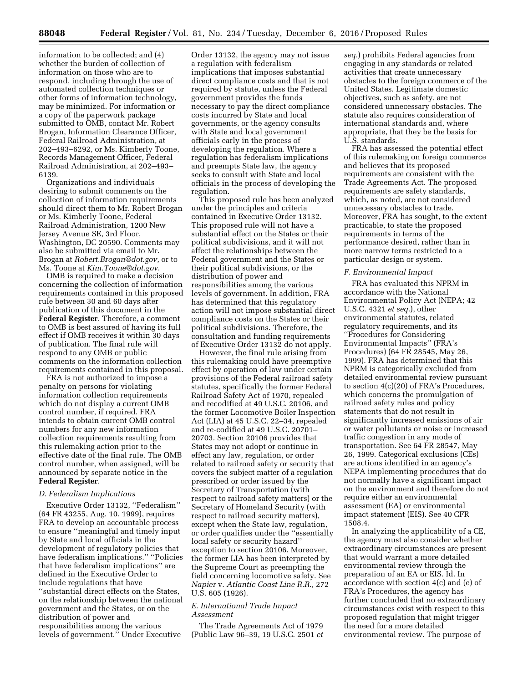information to be collected; and (4) whether the burden of collection of information on those who are to respond, including through the use of automated collection techniques or other forms of information technology, may be minimized. For information or a copy of the paperwork package submitted to OMB, contact Mr. Robert Brogan, Information Clearance Officer, Federal Railroad Administration, at 202–493–6292, or Ms. Kimberly Toone, Records Management Officer, Federal Railroad Administration, at 202–493– 6139.

Organizations and individuals desiring to submit comments on the collection of information requirements should direct them to Mr. Robert Brogan or Ms. Kimberly Toone, Federal Railroad Administration, 1200 New Jersey Avenue SE, 3rd Floor, Washington, DC 20590. Comments may also be submitted via email to Mr. Brogan at *[Robert.Brogan@dot.gov](mailto:Robert.Brogan@dot.gov)*, or to Ms. Toone at *[Kim.Toone@dot.gov](mailto:Kim.Toone@dot.gov)*.

OMB is required to make a decision concerning the collection of information requirements contained in this proposed rule between 30 and 60 days after publication of this document in the **Federal Register**. Therefore, a comment to OMB is best assured of having its full effect if OMB receives it within 30 days of publication. The final rule will respond to any OMB or public comments on the information collection requirements contained in this proposal.

FRA is not authorized to impose a penalty on persons for violating information collection requirements which do not display a current OMB control number, if required. FRA intends to obtain current OMB control numbers for any new information collection requirements resulting from this rulemaking action prior to the effective date of the final rule. The OMB control number, when assigned, will be announced by separate notice in the **Federal Register**.

## *D. Federalism Implications*

Executive Order 13132, ''Federalism'' (64 FR 43255, Aug. 10, 1999), requires FRA to develop an accountable process to ensure ''meaningful and timely input by State and local officials in the development of regulatory policies that have federalism implications.'' ''Policies that have federalism implications'' are defined in the Executive Order to include regulations that have ''substantial direct effects on the States, on the relationship between the national government and the States, or on the distribution of power and responsibilities among the various levels of government.'' Under Executive

Order 13132, the agency may not issue a regulation with federalism implications that imposes substantial direct compliance costs and that is not required by statute, unless the Federal government provides the funds necessary to pay the direct compliance costs incurred by State and local governments, or the agency consults with State and local government officials early in the process of developing the regulation. Where a regulation has federalism implications and preempts State law, the agency seeks to consult with State and local officials in the process of developing the regulation.

This proposed rule has been analyzed under the principles and criteria contained in Executive Order 13132. This proposed rule will not have a substantial effect on the States or their political subdivisions, and it will not affect the relationships between the Federal government and the States or their political subdivisions, or the distribution of power and responsibilities among the various levels of government. In addition, FRA has determined that this regulatory action will not impose substantial direct compliance costs on the States or their political subdivisions. Therefore, the consultation and funding requirements of Executive Order 13132 do not apply.

However, the final rule arising from this rulemaking could have preemptive effect by operation of law under certain provisions of the Federal railroad safety statutes, specifically the former Federal Railroad Safety Act of 1970, repealed and recodified at 49 U.S.C. 20106, and the former Locomotive Boiler Inspection Act (LIA) at 45 U.S.C. 22–34, repealed and re-codified at 49 U.S.C. 20701– 20703. Section 20106 provides that States may not adopt or continue in effect any law, regulation, or order related to railroad safety or security that covers the subject matter of a regulation prescribed or order issued by the Secretary of Transportation (with respect to railroad safety matters) or the Secretary of Homeland Security (with respect to railroad security matters), except when the State law, regulation, or order qualifies under the ''essentially local safety or security hazard'' exception to section 20106. Moreover, the former LIA has been interpreted by the Supreme Court as preempting the field concerning locomotive safety. See *Napier* v. *Atlantic Coast Line R.R.,* 272 U.S. 605 (1926).

### *E. International Trade Impact Assessment*

The Trade Agreements Act of 1979 (Public Law 96–39, 19 U.S.C. 2501 *et*  *seq.*) prohibits Federal agencies from engaging in any standards or related activities that create unnecessary obstacles to the foreign commerce of the United States. Legitimate domestic objectives, such as safety, are not considered unnecessary obstacles. The statute also requires consideration of international standards and, where appropriate, that they be the basis for U.S. standards.

FRA has assessed the potential effect of this rulemaking on foreign commerce and believes that its proposed requirements are consistent with the Trade Agreements Act. The proposed requirements are safety standards, which, as noted, are not considered unnecessary obstacles to trade. Moreover, FRA has sought, to the extent practicable, to state the proposed requirements in terms of the performance desired, rather than in more narrow terms restricted to a particular design or system.

#### *F. Environmental Impact*

FRA has evaluated this NPRM in accordance with the National Environmental Policy Act (NEPA; 42 U.S.C. 4321 *et seq.*), other environmental statutes, related regulatory requirements, and its ''Procedures for Considering Environmental Impacts'' (FRA's Procedures) (64 FR 28545, May 26, 1999). FRA has determined that this NPRM is categorically excluded from detailed environmental review pursuant to section 4(c)(20) of FRA's Procedures, which concerns the promulgation of railroad safety rules and policy statements that do not result in significantly increased emissions of air or water pollutants or noise or increased traffic congestion in any mode of transportation. See 64 FR 28547, May 26, 1999. Categorical exclusions (CEs) are actions identified in an agency's NEPA implementing procedures that do not normally have a significant impact on the environment and therefore do not require either an environmental assessment (EA) or environmental impact statement (EIS). See 40 CFR 1508.4.

In analyzing the applicability of a CE, the agency must also consider whether extraordinary circumstances are present that would warrant a more detailed environmental review through the preparation of an EA or EIS. Id. In accordance with section 4(c) and (e) of FRA's Procedures, the agency has further concluded that no extraordinary circumstances exist with respect to this proposed regulation that might trigger the need for a more detailed environmental review. The purpose of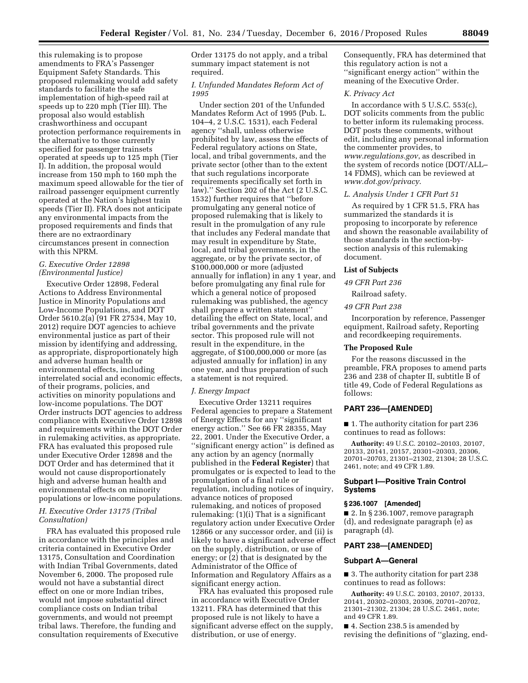this rulemaking is to propose amendments to FRA's Passenger Equipment Safety Standards. This proposed rulemaking would add safety standards to facilitate the safe implementation of high-speed rail at speeds up to 220 mph (Tier III). The proposal also would establish crashworthiness and occupant protection performance requirements in the alternative to those currently specified for passenger trainsets operated at speeds up to 125 mph (Tier I). In addition, the proposal would increase from 150 mph to 160 mph the maximum speed allowable for the tier of railroad passenger equipment currently operated at the Nation's highest train speeds (Tier II). FRA does not anticipate any environmental impacts from the proposed requirements and finds that there are no extraordinary circumstances present in connection with this NPRM.

## *G. Executive Order 12898 (Environmental Justice)*

Executive Order 12898, Federal Actions to Address Environmental Justice in Minority Populations and Low-Income Populations, and DOT Order 5610.2(a) (91 FR 27534, May 10, 2012) require DOT agencies to achieve environmental justice as part of their mission by identifying and addressing, as appropriate, disproportionately high and adverse human health or environmental effects, including interrelated social and economic effects, of their programs, policies, and activities on minority populations and low-income populations. The DOT Order instructs DOT agencies to address compliance with Executive Order 12898 and requirements within the DOT Order in rulemaking activities, as appropriate. FRA has evaluated this proposed rule under Executive Order 12898 and the DOT Order and has determined that it would not cause disproportionately high and adverse human health and environmental effects on minority populations or low-income populations.

## *H. Executive Order 13175 (Tribal Consultation)*

FRA has evaluated this proposed rule in accordance with the principles and criteria contained in Executive Order 13175, Consultation and Coordination with Indian Tribal Governments, dated November 6, 2000. The proposed rule would not have a substantial direct effect on one or more Indian tribes, would not impose substantial direct compliance costs on Indian tribal governments, and would not preempt tribal laws. Therefore, the funding and consultation requirements of Executive

Order 13175 do not apply, and a tribal summary impact statement is not required.

## *I. Unfunded Mandates Reform Act of 1995*

Under section 201 of the Unfunded Mandates Reform Act of 1995 (Pub. L. 104–4, 2 U.S.C. 1531), each Federal agency ''shall, unless otherwise prohibited by law, assess the effects of Federal regulatory actions on State, local, and tribal governments, and the private sector (other than to the extent that such regulations incorporate requirements specifically set forth in law).'' Section 202 of the Act (2 U.S.C. 1532) further requires that ''before promulgating any general notice of proposed rulemaking that is likely to result in the promulgation of any rule that includes any Federal mandate that may result in expenditure by State, local, and tribal governments, in the aggregate, or by the private sector, of \$100,000,000 or more (adjusted annually for inflation) in any 1 year, and before promulgating any final rule for which a general notice of proposed rulemaking was published, the agency shall prepare a written statement'' detailing the effect on State, local, and tribal governments and the private sector. This proposed rule will not result in the expenditure, in the aggregate, of \$100,000,000 or more (as adjusted annually for inflation) in any one year, and thus preparation of such a statement is not required.

#### *J. Energy Impact*

Executive Order 13211 requires Federal agencies to prepare a Statement of Energy Effects for any ''significant energy action.'' See 66 FR 28355, May 22, 2001. Under the Executive Order, a "significant energy action" is defined as any action by an agency (normally published in the **Federal Register**) that promulgates or is expected to lead to the promulgation of a final rule or regulation, including notices of inquiry, advance notices of proposed rulemaking, and notices of proposed rulemaking: (1)(i) That is a significant regulatory action under Executive Order 12866 or any successor order, and (ii) is likely to have a significant adverse effect on the supply, distribution, or use of energy; or (2) that is designated by the Administrator of the Office of Information and Regulatory Affairs as a significant energy action.

FRA has evaluated this proposed rule in accordance with Executive Order 13211. FRA has determined that this proposed rule is not likely to have a significant adverse effect on the supply, distribution, or use of energy.

Consequently, FRA has determined that this regulatory action is not a ''significant energy action'' within the meaning of the Executive Order.

#### *K. Privacy Act*

In accordance with 5 U.S.C. 553(c), DOT solicits comments from the public to better inform its rulemaking process. DOT posts these comments, without edit, including any personal information the commenter provides, to *[www.regulations.gov](http://www.regulations.gov)*, as described in the system of records notice (DOT/ALL– 14 FDMS), which can be reviewed at *[www.dot.gov/privacy](http://www.dot.gov/privacy)*.

### *L. Analysis Under 1 CFR Part 51*

As required by 1 CFR 51.5, FRA has summarized the standards it is proposing to incorporate by reference and shown the reasonable availability of those standards in the section-bysection analysis of this rulemaking document.

#### **List of Subjects**

## *49 CFR Part 236*

Railroad safety.

## *49 CFR Part 238*

Incorporation by reference, Passenger equipment, Railroad safety, Reporting and recordkeeping requirements.

#### **The Proposed Rule**

For the reasons discussed in the preamble, FRA proposes to amend parts 236 and 238 of chapter II, subtitle B of title 49, Code of Federal Regulations as follows:

## **PART 236—[AMENDED]**

■ 1. The authority citation for part 236 continues to read as follows:

**Authority:** 49 U.S.C. 20102–20103, 20107, 20133, 20141, 20157, 20301–20303, 20306, 20701–20703, 21301–21302, 21304; 28 U.S.C. 2461, note; and 49 CFR 1.89.

## **Subpart I—Positive Train Control Systems**

#### **§ 236.1007 [Amended]**

 $\blacksquare$  2. In § 236.1007, remove paragraph (d), and redesignate paragraph (e) as paragraph (d).

#### **PART 238—[AMENDED]**

#### **Subpart A—General**

■ 3. The authority citation for part 238 continues to read as follows:

**Authority:** 49 U.S.C. 20103, 20107, 20133, 20141, 20302–20303, 20306, 20701–20702, 21301–21302, 21304; 28 U.S.C. 2461, note; and 49 CFR 1.89.

■ 4. Section 238.5 is amended by revising the definitions of ''glazing, end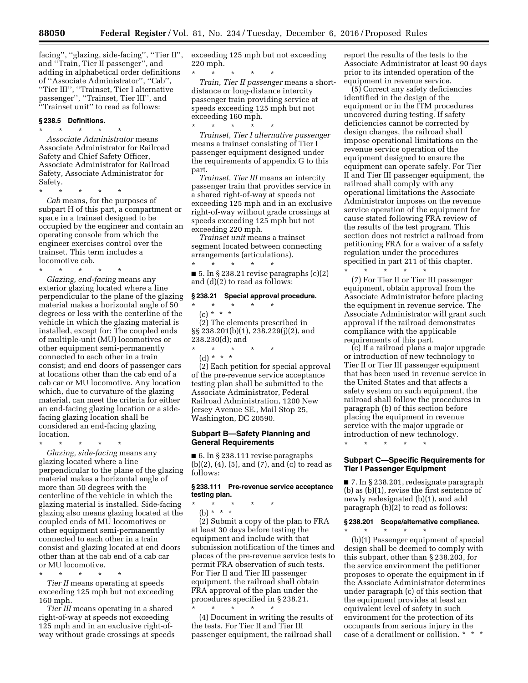facing'', ''glazing, side-facing'', ''Tier II'', and ''Train, Tier II passenger'', and adding in alphabetical order definitions of ''Associate Administrator'', ''Cab'', ''Tier III'', ''Trainset, Tier I alternative passenger'', ''Trainset, Tier III'', and ''Trainset unit'' to read as follows:

## **§ 238.5 Definitions.**

\* \* \* \* \* *Associate Administrator* means Associate Administrator for Railroad Safety and Chief Safety Officer, Associate Administrator for Railroad Safety, Associate Administrator for Safety.

\* \* \* \* \*

*Cab* means, for the purposes of subpart H of this part, a compartment or space in a trainset designed to be occupied by the engineer and contain an operating console from which the engineer exercises control over the trainset. This term includes a locomotive cab.

\* \* \* \* \* *Glazing, end-facing* means any exterior glazing located where a line perpendicular to the plane of the glazing material makes a horizontal angle of 50 degrees or less with the centerline of the vehicle in which the glazing material is installed, except for: The coupled ends of multiple-unit (MU) locomotives or other equipment semi-permanently connected to each other in a train consist; and end doors of passenger cars at locations other than the cab end of a cab car or MU locomotive. Any location which, due to curvature of the glazing material, can meet the criteria for either an end-facing glazing location or a sidefacing glazing location shall be considered an end-facing glazing location.

\* \* \* \* \* *Glazing, side-facing* means any glazing located where a line perpendicular to the plane of the glazing material makes a horizontal angle of more than 50 degrees with the centerline of the vehicle in which the glazing material is installed. Side-facing glazing also means glazing located at the coupled ends of MU locomotives or other equipment semi-permanently connected to each other in a train consist and glazing located at end doors other than at the cab end of a cab car or MU locomotive.

\* \* \* \* \* *Tier II* means operating at speeds exceeding 125 mph but not exceeding 160 mph.

*Tier III* means operating in a shared right-of-way at speeds not exceeding 125 mph and in an exclusive right-ofway without grade crossings at speeds exceeding 125 mph but not exceeding 220 mph.

\* \* \* \* \* *Train, Tier II passenger* means a shortdistance or long-distance intercity passenger train providing service at speeds exceeding 125 mph but not exceeding 160 mph.

\* \* \* \* \* *Trainset, Tier I alternative passenger*  means a trainset consisting of Tier I passenger equipment designed under the requirements of appendix G to this part.

*Trainset, Tier III* means an intercity passenger train that provides service in a shared right-of-way at speeds not exceeding 125 mph and in an exclusive right-of-way without grade crossings at speeds exceeding 125 mph but not exceeding 220 mph.

*Trainset unit* means a trainset segment located between connecting arrangements (articulations).

\* \* \* \* \* ■ 5. In § 238.21 revise paragraphs (c)(2) and (d)(2) to read as follows:

#### **§ 238.21 Special approval procedure.**

\* \* \* \* \* (c) \* \* \* (2) The elements prescribed in §§ 238.201(b)(1), 238.229(j)(2), and 238.230(d); and \* \* \* \* \*

(d) \* \* \*

(2) Each petition for special approval of the pre-revenue service acceptance testing plan shall be submitted to the Associate Administrator, Federal Railroad Administration, 1200 New Jersey Avenue SE., Mail Stop 25, Washington, DC 20590.

### **Subpart B—Safety Planning and General Requirements**

■ 6. In § 238.111 revise paragraphs (b)(2), (4), (5), and (7), and (c) to read as follows:

### **§ 238.111 Pre-revenue service acceptance testing plan.**

- \* \* \* \* \*
- (b) \* \* \*

(2) Submit a copy of the plan to FRA at least 30 days before testing the equipment and include with that submission notification of the times and places of the pre-revenue service tests to permit FRA observation of such tests. For Tier II and Tier III passenger equipment, the railroad shall obtain FRA approval of the plan under the procedures specified in § 238.21.

\* \* \* \* \* (4) Document in writing the results of the tests. For Tier II and Tier III passenger equipment, the railroad shall

report the results of the tests to the Associate Administrator at least 90 days prior to its intended operation of the equipment in revenue service.

(5) Correct any safety deficiencies identified in the design of the equipment or in the ITM procedures uncovered during testing. If safety deficiencies cannot be corrected by design changes, the railroad shall impose operational limitations on the revenue service operation of the equipment designed to ensure the equipment can operate safely. For Tier II and Tier III passenger equipment, the railroad shall comply with any operational limitations the Associate Administrator imposes on the revenue service operation of the equipment for cause stated following FRA review of the results of the test program. This section does not restrict a railroad from petitioning FRA for a waiver of a safety regulation under the procedures specified in part 211 of this chapter. \* \* \* \* \*

(7) For Tier II or Tier III passenger equipment, obtain approval from the Associate Administrator before placing the equipment in revenue service. The Associate Administrator will grant such approval if the railroad demonstrates compliance with the applicable requirements of this part.

(c) If a railroad plans a major upgrade or introduction of new technology to Tier II or Tier III passenger equipment that has been used in revenue service in the United States and that affects a safety system on such equipment, the railroad shall follow the procedures in paragraph (b) of this section before placing the equipment in revenue service with the major upgrade or introduction of new technology.

\* \* \* \* \*

## **Subpart C—Specific Requirements for Tier I Passenger Equipment**

■ 7. In § 238.201, redesignate paragraph (b) as (b)(1), revise the first sentence of newly redesignated (b)(1), and add paragraph (b)(2) to read as follows:

## **§ 238.201 Scope/alternative compliance.**

\* \* \* \* \* (b)(1) Passenger equipment of special design shall be deemed to comply with this subpart, other than § 238.203, for the service environment the petitioner proposes to operate the equipment in if the Associate Administrator determines under paragraph (c) of this section that the equipment provides at least an equivalent level of safety in such environment for the protection of its occupants from serious injury in the case of a derailment or collision. \* \* \*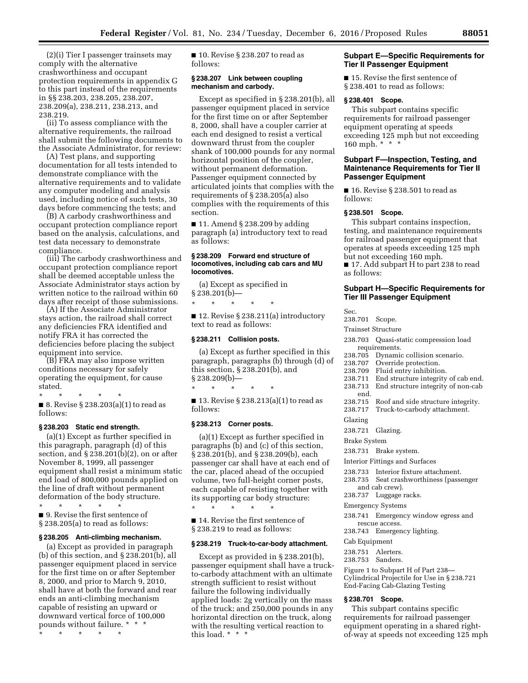(2)(i) Tier I passenger trainsets may comply with the alternative crashworthiness and occupant protection requirements in appendix G to this part instead of the requirements in §§ 238.203, 238.205, 238.207, 238.209(a), 238.211, 238.213, and 238.219.

(ii) To assess compliance with the alternative requirements, the railroad shall submit the following documents to the Associate Administrator, for review:

(A) Test plans, and supporting documentation for all tests intended to demonstrate compliance with the alternative requirements and to validate any computer modeling and analysis used, including notice of such tests, 30 days before commencing the tests; and

(B) A carbody crashworthiness and occupant protection compliance report based on the analysis, calculations, and test data necessary to demonstrate compliance.

(iii) The carbody crashworthiness and occupant protection compliance report shall be deemed acceptable unless the Associate Administrator stays action by written notice to the railroad within 60 days after receipt of those submissions.

(A) If the Associate Administrator stays action, the railroad shall correct any deficiencies FRA identified and notify FRA it has corrected the deficiencies before placing the subject equipment into service.

(B) FRA may also impose written conditions necessary for safely operating the equipment, for cause stated.

\* \* \* \* \* ■ 8. Revise § 238.203(a)(1) to read as follows:

## **§ 238.203 Static end strength.**

(a)(1) Except as further specified in this paragraph, paragraph (d) of this section, and  $\S 238.201(b)(2)$ , on or after November 8, 1999, all passenger equipment shall resist a minimum static end load of 800,000 pounds applied on the line of draft without permanent deformation of the body structure.

\* \* \* \* \* ■ 9. Revise the first sentence of § 238.205(a) to read as follows:

#### **§ 238.205 Anti-climbing mechanism.**

(a) Except as provided in paragraph (b) of this section, and § 238.201(b), all passenger equipment placed in service for the first time on or after September 8, 2000, and prior to March 9, 2010, shall have at both the forward and rear ends an anti-climbing mechanism capable of resisting an upward or downward vertical force of 100,000 pounds without failure. \* \* \*

\* \* \* \* \*

■ 10. Revise § 238.207 to read as follows:

#### **§ 238.207 Link between coupling mechanism and carbody.**

Except as specified in § 238.201(b), all passenger equipment placed in service for the first time on or after September 8, 2000, shall have a coupler carrier at each end designed to resist a vertical downward thrust from the coupler shank of 100,000 pounds for any normal horizontal position of the coupler, without permanent deformation. Passenger equipment connected by articulated joints that complies with the requirements of § 238.205(a) also complies with the requirements of this section.

 $\blacksquare$  11. Amend § 238.209 by adding paragraph (a) introductory text to read as follows:

#### **§ 238.209 Forward end structure of locomotives, including cab cars and MU locomotives.**

(a) Except as specified in  $§$ 238.201(b)-

\* \* \* \* \*

■ 12. Revise § 238.211(a) introductory text to read as follows:

### **§ 238.211 Collision posts.**

(a) Except as further specified in this paragraph, paragraphs (b) through (d) of this section, § 238.201(b), and  $§ 238.209(b)$ —

\* \* \* \* \* ■ 13. Revise § 238.213(a)(1) to read as follows:

#### **§ 238.213 Corner posts.**

(a)(1) Except as further specified in paragraphs (b) and (c) of this section, § 238.201(b), and § 238.209(b), each passenger car shall have at each end of the car, placed ahead of the occupied volume, two full-height corner posts, each capable of resisting together with its supporting car body structure:

\* \* \* \* \*

■ 14. Revise the first sentence of § 238.219 to read as follows:

#### **§ 238.219 Truck-to-car-body attachment.**

Except as provided in § 238.201(b), passenger equipment shall have a truckto-carbody attachment with an ultimate strength sufficient to resist without failure the following individually applied loads: 2g vertically on the mass of the truck; and 250,000 pounds in any horizontal direction on the truck, along with the resulting vertical reaction to this load. \* \* \*

## **Subpart E—Specific Requirements for Tier II Passenger Equipment**

■ 15. Revise the first sentence of § 238.401 to read as follows:

### **§ 238.401 Scope.**

This subpart contains specific requirements for railroad passenger equipment operating at speeds exceeding 125 mph but not exceeding 160 mph. \* \* \*

## **Subpart F—Inspection, Testing, and Maintenance Requirements for Tier II Passenger Equipment**

■ 16. Revise § 238.501 to read as follows:

## **§ 238.501 Scope.**

This subpart contains inspection, testing, and maintenance requirements for railroad passenger equipment that operates at speeds exceeding 125 mph but not exceeding 160 mph.

■ 17. Add subpart H to part 238 to read as follows:

## **Subpart H—Specific Requirements for Tier III Passenger Equipment**

Sec.

238.701 Scope.

Trainset Structure

- 238.703 Quasi-static compression load requirements.
- 238.705 Dynamic collision scenario.
- 238.707 Override protection.
- 238.709 Fluid entry inhibition.
- 238.711 End structure integrity of cab end. 238.713 End structure integrity of non-cab
- end. 238.715 Roof and side structure integrity.
- 238.717 Truck-to-carbody attachment.

## Glazing

238.721 Glazing.

Brake System

238.731 Brake system.

Interior Fittings and Surfaces

- 238.733 Interior fixture attachment.
- 238.735 Seat crashworthiness (passenger
- and cab crew). 238.737 Luggage racks.
- 

Emergency Systems

- 238.741 Emergency window egress and rescue access.
- 238.743 Emergency lighting.

Cab Equipment

- 238.751 Alerters.
- 238.753 Sanders.

Figure 1 to Subpart H of Part 238— Cylindrical Projectile for Use in § 238.721 End-Facing Cab-Glazing Testing

## **§ 238.701 Scope.**

This subpart contains specific requirements for railroad passenger equipment operating in a shared rightof-way at speeds not exceeding 125 mph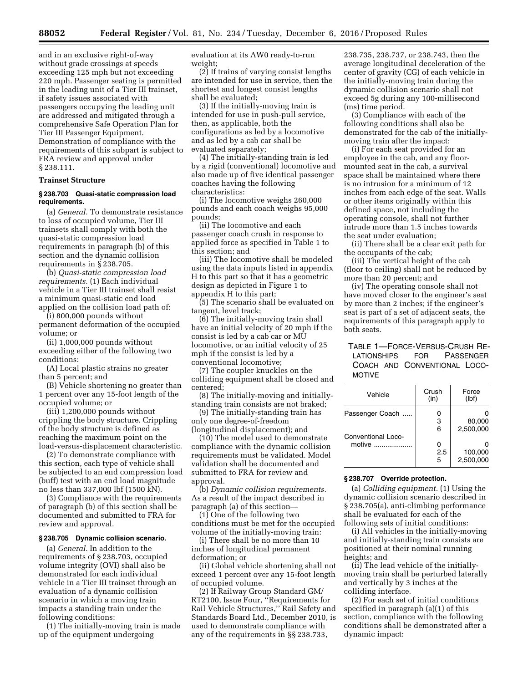and in an exclusive right-of-way without grade crossings at speeds exceeding 125 mph but not exceeding 220 mph. Passenger seating is permitted in the leading unit of a Tier III trainset, if safety issues associated with passengers occupying the leading unit are addressed and mitigated through a comprehensive Safe Operation Plan for Tier III Passenger Equipment. Demonstration of compliance with the requirements of this subpart is subject to FRA review and approval under § 238.111.

## **Trainset Structure**

### **§ 238.703 Quasi-static compression load requirements.**

(a) *General.* To demonstrate resistance to loss of occupied volume, Tier III trainsets shall comply with both the quasi-static compression load requirements in paragraph (b) of this section and the dynamic collision requirements in § 238.705.

(b) *Quasi-static compression load requirements.* (1) Each individual vehicle in a Tier III trainset shall resist a minimum quasi-static end load applied on the collision load path of:

(i) 800,000 pounds without permanent deformation of the occupied volume; or

(ii) 1,000,000 pounds without exceeding either of the following two conditions:

(A) Local plastic strains no greater than 5 percent; and

(B) Vehicle shortening no greater than 1 percent over any 15-foot length of the occupied volume; or

(iii) 1,200,000 pounds without crippling the body structure. Crippling of the body structure is defined as reaching the maximum point on the load-versus-displacement characteristic.

(2) To demonstrate compliance with this section, each type of vehicle shall be subjected to an end compression load (buff) test with an end load magnitude no less than 337,000 lbf (1500 kN).

(3) Compliance with the requirements of paragraph (b) of this section shall be documented and submitted to FRA for review and approval.

#### **§ 238.705 Dynamic collision scenario.**

(a) *General.* In addition to the requirements of § 238.703, occupied volume integrity (OVI) shall also be demonstrated for each individual vehicle in a Tier III trainset through an evaluation of a dynamic collision scenario in which a moving train impacts a standing train under the following conditions:

(1) The initially-moving train is made up of the equipment undergoing

evaluation at its AW0 ready-to-run weight;

(2) If trains of varying consist lengths are intended for use in service, then the shortest and longest consist lengths shall be evaluated;

(3) If the initially-moving train is intended for use in push-pull service, then, as applicable, both the configurations as led by a locomotive and as led by a cab car shall be evaluated separately;

(4) The initially-standing train is led by a rigid (conventional) locomotive and also made up of five identical passenger coaches having the following characteristics:

(i) The locomotive weighs 260,000 pounds and each coach weighs 95,000 pounds;

(ii) The locomotive and each passenger coach crush in response to applied force as specified in Table 1 to this section; and

(iii) The locomotive shall be modeled using the data inputs listed in appendix H to this part so that it has a geometric design as depicted in Figure 1 to appendix H to this part;

(5) The scenario shall be evaluated on tangent, level track;

(6) The initially-moving train shall have an initial velocity of 20 mph if the consist is led by a cab car or MU locomotive, or an initial velocity of 25 mph if the consist is led by a conventional locomotive;

(7) The coupler knuckles on the colliding equipment shall be closed and centered;

(8) The initially-moving and initiallystanding train consists are not braked;

(9) The initially-standing train has only one degree-of-freedom

(longitudinal displacement); and (10) The model used to demonstrate compliance with the dynamic collision requirements must be validated. Model validation shall be documented and submitted to FRA for review and approval.

(b) *Dynamic collision requirements.*  As a result of the impact described in paragraph (a) of this section—

(1) One of the following two conditions must be met for the occupied volume of the initially-moving train:

(i) There shall be no more than 10 inches of longitudinal permanent deformation; or

(ii) Global vehicle shortening shall not exceed 1 percent over any 15-foot length of occupied volume.

(2) If Railway Group Standard GM/ RT2100, Issue Four, ''Requirements for Rail Vehicle Structures,'' Rail Safety and Standards Board Ltd., December 2010, is used to demonstrate compliance with any of the requirements in §§ 238.733,

238.735, 238.737, or 238.743, then the average longitudinal deceleration of the center of gravity (CG) of each vehicle in the initially-moving train during the dynamic collision scenario shall not exceed 5g during any 100-millisecond (ms) time period.

(3) Compliance with each of the following conditions shall also be demonstrated for the cab of the initiallymoving train after the impact:

(i) For each seat provided for an employee in the cab, and any floormounted seat in the cab, a survival space shall be maintained where there is no intrusion for a minimum of 12 inches from each edge of the seat. Walls or other items originally within this defined space, not including the operating console, shall not further intrude more than 1.5 inches towards the seat under evaluation;

(ii) There shall be a clear exit path for the occupants of the cab;

(iii) The vertical height of the cab (floor to ceiling) shall not be reduced by more than 20 percent; and

(iv) The operating console shall not have moved closer to the engineer's seat by more than 2 inches; if the engineer's seat is part of a set of adjacent seats, the requirements of this paragraph apply to both seats.

## TABLE 1—FORCE-VERSUS-CRUSH RE-LATIONSHIPS FOR PASSENGER COACH AND CONVENTIONAL LOCO-MOTIVE

| Vehicle            | Crush<br>(in) | Force<br>(lbf)       |
|--------------------|---------------|----------------------|
| Passenger Coach    | 0<br>3        | 80,000               |
| Conventional Loco- | 6             | 2,500,000            |
| motive <i></i>     | 0<br>2.5<br>5 | 100,000<br>2.500.000 |

## **§ 238.707 Override protection.**

(a) *Colliding equipment.* (1) Using the dynamic collision scenario described in § 238.705(a), anti-climbing performance shall be evaluated for each of the following sets of initial conditions:

(i) All vehicles in the initially-moving and initially-standing train consists are positioned at their nominal running heights; and

(ii) The lead vehicle of the initiallymoving train shall be perturbed laterally and vertically by 3 inches at the colliding interface.

(2) For each set of initial conditions specified in paragraph (a)(1) of this section, compliance with the following conditions shall be demonstrated after a dynamic impact: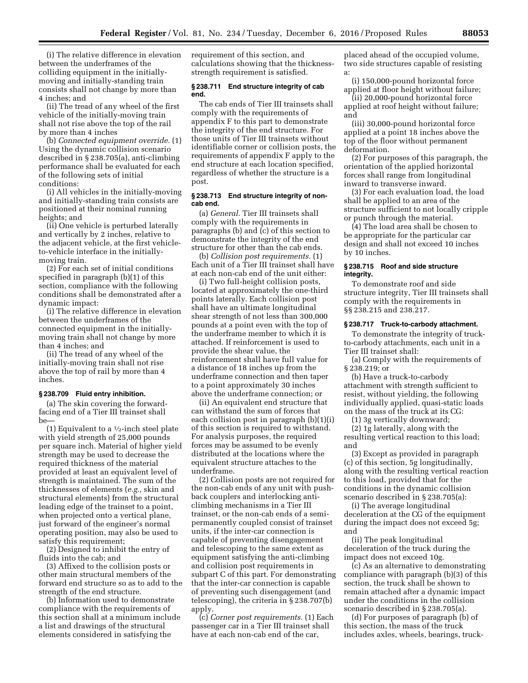(i) The relative difference in elevation between the underframes of the colliding equipment in the initiallymoving and initially-standing train consists shall not change by more than 4 inches; and

(ii) The tread of any wheel of the first vehicle of the initially-moving train shall not rise above the top of the rail by more than 4 inches

(b) *Connected equipment override.* (1) Using the dynamic collision scenario described in § 238.705(a), anti-climbing performance shall be evaluated for each of the following sets of initial conditions:

(i) All vehicles in the initially-moving and initially-standing train consists are positioned at their nominal running heights; and

(ii) One vehicle is perturbed laterally and vertically by 2 inches, relative to the adjacent vehicle, at the first vehicleto-vehicle interface in the initiallymoving train.

(2) For each set of initial conditions specified in paragraph (b)(1) of this section, compliance with the following conditions shall be demonstrated after a dynamic impact:

(i) The relative difference in elevation between the underframes of the connected equipment in the initiallymoving train shall not change by more than 4 inches; and

(ii) The tread of any wheel of the initially-moving train shall not rise above the top of rail by more than 4 inches.

### **§ 238.709 Fluid entry inhibition.**

(a) The skin covering the forwardfacing end of a Tier III trainset shall be—

(1) Equivalent to a  $\frac{1}{2}$ -inch steel plate with yield strength of 25,000 pounds per square inch. Material of higher yield strength may be used to decrease the required thickness of the material provided at least an equivalent level of strength is maintained. The sum of the thicknesses of elements (*e.g.,* skin and structural elements) from the structural leading edge of the trainset to a point, when projected onto a vertical plane, just forward of the engineer's normal operating position, may also be used to satisfy this requirement;

(2) Designed to inhibit the entry of fluids into the cab; and

(3) Affixed to the collision posts or other main structural members of the forward end structure so as to add to the strength of the end structure.

(b) Information used to demonstrate compliance with the requirements of this section shall at a minimum include a list and drawings of the structural elements considered in satisfying the

requirement of this section, and calculations showing that the thicknessstrength requirement is satisfied.

### **§ 238.711 End structure integrity of cab end.**

The cab ends of Tier III trainsets shall comply with the requirements of appendix F to this part to demonstrate the integrity of the end structure. For those units of Tier III trainsets without identifiable corner or collision posts, the requirements of appendix F apply to the end structure at each location specified, regardless of whether the structure is a post.

### **§ 238.713 End structure integrity of noncab end.**

(a) *General.* Tier III trainsets shall comply with the requirements in paragraphs (b) and (c) of this section to demonstrate the integrity of the end structure for other than the cab ends.

(b) *Collision post requirements.* (1) Each unit of a Tier III trainset shall have at each non-cab end of the unit either:

(i) Two full-height collision posts, located at approximately the one-third points laterally. Each collision post shall have an ultimate longitudinal shear strength of not less than 300,000 pounds at a point even with the top of the underframe member to which it is attached. If reinforcement is used to provide the shear value, the reinforcement shall have full value for a distance of 18 inches up from the underframe connection and then taper to a point approximately 30 inches above the underframe connection; or

(ii) An equivalent end structure that can withstand the sum of forces that each collision post in paragraph (b)(1)(i) of this section is required to withstand. For analysis purposes, the required forces may be assumed to be evenly distributed at the locations where the equivalent structure attaches to the underframe.

(2) Collision posts are not required for the non-cab ends of any unit with pushback couplers and interlocking anticlimbing mechanisms in a Tier III trainset, or the non-cab ends of a semipermanently coupled consist of trainset units, if the inter-car connection is capable of preventing disengagement and telescoping to the same extent as equipment satisfying the anti-climbing and collision post requirements in subpart C of this part. For demonstrating that the inter-car connection is capable of preventing such disengagement (and telescoping), the criteria in § 238.707(b) apply.

(c) *Corner post requirements.* (1) Each passenger car in a Tier III trainset shall have at each non-cab end of the car,

placed ahead of the occupied volume, two side structures capable of resisting a:

(i) 150,000-pound horizontal force applied at floor height without failure;

(ii) 20,000-pound horizontal force applied at roof height without failure; and

(iii) 30,000-pound horizontal force applied at a point 18 inches above the top of the floor without permanent deformation.

(2) For purposes of this paragraph, the orientation of the applied horizontal forces shall range from longitudinal inward to transverse inward.

(3) For each evaluation load, the load shall be applied to an area of the structure sufficient to not locally cripple or punch through the material.

(4) The load area shall be chosen to be appropriate for the particular car design and shall not exceed 10 inches by 10 inches.

### **§ 238.715 Roof and side structure integrity.**

To demonstrate roof and side structure integrity, Tier III trainsets shall comply with the requirements in §§ 238.215 and 238.217.

## **§ 238.717 Truck-to-carbody attachment.**

To demonstrate the integrity of truckto-carbody attachments, each unit in a Tier III trainset shall:

(a) Comply with the requirements of § 238.219; or

(b) Have a truck-to-carbody attachment with strength sufficient to resist, without yielding, the following individually applied, quasi-static loads on the mass of the truck at its CG:

(1) 3g vertically downward;

(2) 1g laterally, along with the resulting vertical reaction to this load; and

(3) Except as provided in paragraph (c) of this section, 5g longitudinally, along with the resulting vertical reaction to this load, provided that for the conditions in the dynamic collision scenario described in § 238.705(a):

(i) The average longitudinal deceleration at the CG of the equipment during the impact does not exceed 5g; and

(ii) The peak longitudinal deceleration of the truck during the impact does not exceed 10g.

(c) As an alternative to demonstrating compliance with paragraph (b)(3) of this section, the truck shall be shown to remain attached after a dynamic impact under the conditions in the collision scenario described in § 238.705(a).

(d) For purposes of paragraph (b) of this section, the mass of the truck includes axles, wheels, bearings, truck-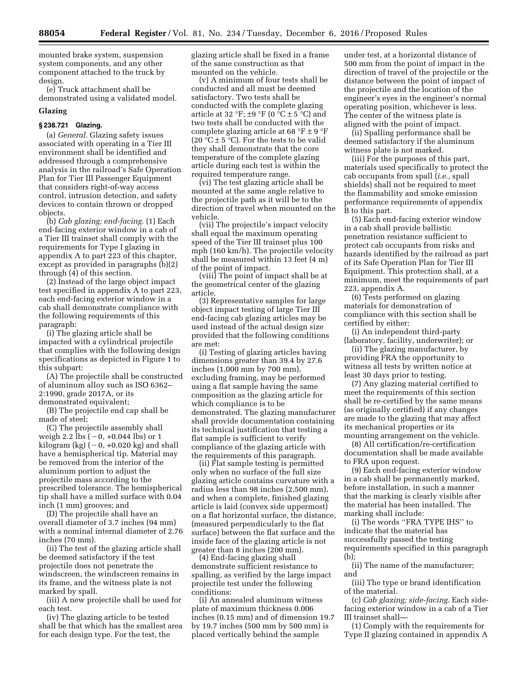mounted brake system, suspension system components, and any other component attached to the truck by design.

(e) Truck attachment shall be demonstrated using a validated model.

### **Glazing**

## **§ 238.721 Glazing.**

(a) *General.* Glazing safety issues associated with operating in a Tier III environment shall be identified and addressed through a comprehensive analysis in the railroad's Safe Operation Plan for Tier III Passenger Equipment that considers right-of-way access control, intrusion detection, and safety devices to contain thrown or dropped objects.

(b) *Cab glazing; end-facing.* (1) Each end-facing exterior window in a cab of a Tier III trainset shall comply with the requirements for Type I glazing in appendix A to part 223 of this chapter, except as provided in paragraphs (b)(2) through (4) of this section.

(2) Instead of the large object impact test specified in appendix A to part 223, each end-facing exterior window in a cab shall demonstrate compliance with the following requirements of this paragraph:

(i) The glazing article shall be impacted with a cylindrical projectile that complies with the following design specifications as depicted in Figure 1 to this subpart:

(A) The projectile shall be constructed of aluminum alloy such as ISO 6362– 2:1990, grade 2017A, or its

demonstrated equivalent;

(B) The projectile end cap shall be made of steel;

(C) The projectile assembly shall weigh 2.2 lbs  $(-0, +0.044$  lbs) or 1 kilogram (kg)  $(-0, +0.020$  kg) and shall have a hemispherical tip. Material may be removed from the interior of the aluminum portion to adjust the projectile mass according to the prescribed tolerance. The hemispherical tip shall have a milled surface with 0.04 inch (1 mm) grooves; and

(D) The projectile shall have an overall diameter of 3.7 inches (94 mm) with a nominal internal diameter of 2.76 inches (70 mm).

(ii) The test of the glazing article shall be deemed satisfactory if the test projectile does not penetrate the windscreen, the windscreen remains in its frame, and the witness plate is not marked by spall.

(iii) A new projectile shall be used for each test.

(iv) The glazing article to be tested shall be that which has the smallest area for each design type. For the test, the

glazing article shall be fixed in a frame of the same construction as that mounted on the vehicle.

(v) A minimum of four tests shall be conducted and all must be deemed satisfactory. Two tests shall be conducted with the complete glazing article at 32 °F;  $\pm$ 9 °F (0 °C  $\pm$  5 °C) and two tests shall be conducted with the complete glazing article at 68 °F  $\pm$  9 °F (20  $\mathrm{C} \pm 5$   $\mathrm{C}$ ). For the tests to be valid they shall demonstrate that the core temperature of the complete glazing article during each test is within the required temperature range.

(vi) The test glazing article shall be mounted at the same angle relative to the projectile path as it will be to the direction of travel when mounted on the vehicle.

(vii) The projectile's impact velocity shall equal the maximum operating speed of the Tier III trainset plus 100 mph (160 km/h). The projectile velocity shall be measured within 13 feet (4 m) of the point of impact.

(viii) The point of impact shall be at the geometrical center of the glazing article.

(3) Representative samples for large object impact testing of large Tier III end-facing cab glazing articles may be used instead of the actual design size provided that the following conditions are met:

(i) Testing of glazing articles having dimensions greater than 39.4 by 27.6 inches (1,000 mm by 700 mm), excluding framing, may be performed using a flat sample having the same composition as the glazing article for which compliance is to be demonstrated. The glazing manufacturer shall provide documentation containing its technical justification that testing a flat sample is sufficient to verify compliance of the glazing article with the requirements of this paragraph.

(ii) Flat sample testing is permitted only when no surface of the full size glazing article contains curvature with a radius less than 98 inches (2,500 mm), and when a complete, finished glazing article is laid (convex side uppermost) on a flat horizontal surface, the distance, (measured perpendicularly to the flat surface) between the flat surface and the inside face of the glazing article is not greater than 8 inches (200 mm).

(4) End-facing glazing shall demonstrate sufficient resistance to spalling, as verified by the large impact projectile test under the following conditions:

(i) An annealed aluminum witness plate of maximum thickness 0.006 inches (0.15 mm) and of dimension 19.7 by 19.7 inches (500 mm by 500 mm) is placed vertically behind the sample

under test, at a horizontal distance of 500 mm from the point of impact in the direction of travel of the projectile or the distance between the point of impact of the projectile and the location of the engineer's eyes in the engineer's normal operating position, whichever is less. The center of the witness plate is aligned with the point of impact.

(ii) Spalling performance shall be deemed satisfactory if the aluminum witness plate is not marked.

(iii) For the purposes of this part, materials used specifically to protect the cab occupants from spall (*i.e.,* spall shields) shall not be required to meet the flammability and smoke emission performance requirements of appendix B to this part.

(5) Each end-facing exterior window in a cab shall provide ballistic penetration resistance sufficient to protect cab occupants from risks and hazards identified by the railroad as part of its Safe Operation Plan for Tier III Equipment. This protection shall, at a minimum, meet the requirements of part 223, appendix A.

(6) Tests performed on glazing materials for demonstration of compliance with this section shall be certified by either:

(i) An independent third-party (laboratory, facility, underwriter); or

(ii) The glazing manufacturer, by providing FRA the opportunity to witness all tests by written notice at least 30 days prior to testing.

(7) Any glazing material certified to meet the requirements of this section shall be re-certified by the same means (as originally certified) if any changes are made to the glazing that may affect its mechanical properties or its mounting arrangement on the vehicle.

(8) All certification/re-certification documentation shall be made available to FRA upon request.

(9) Each end-facing exterior window in a cab shall be permanently marked, before installation, in such a manner that the marking is clearly visible after the material has been installed. The marking shall include:

(i) The words ''FRA TYPE IHS'' to indicate that the material has successfully passed the testing requirements specified in this paragraph (b);

(ii) The name of the manufacturer; and

(iii) The type or brand identification of the material.

(c) *Cab glazing; side-facing.* Each sidefacing exterior window in a cab of a Tier III trainset shall—

(1) Comply with the requirements for Type II glazing contained in appendix A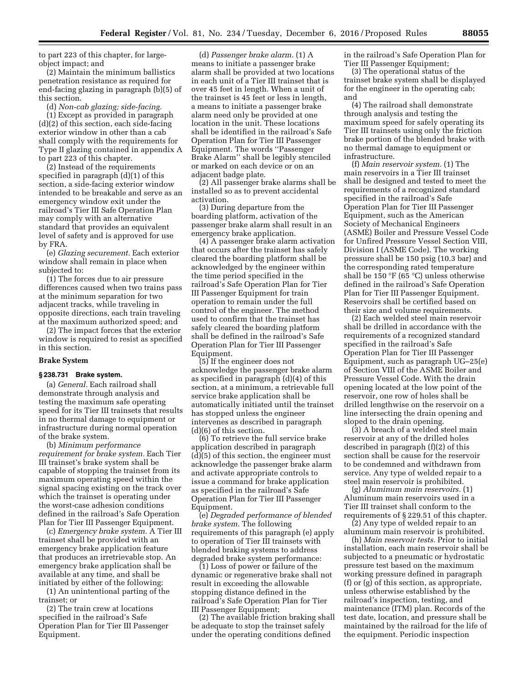to part 223 of this chapter, for largeobject impact; and

(2) Maintain the minimum ballistics penetration resistance as required for end-facing glazing in paragraph (b)(5) of this section.

(d) *Non-cab glazing; side-facing.* 

(1) Except as provided in paragraph (d)(2) of this section, each side-facing exterior window in other than a cab shall comply with the requirements for Type II glazing contained in appendix A to part 223 of this chapter.

(2) Instead of the requirements specified in paragraph (d)(1) of this section, a side-facing exterior window intended to be breakable and serve as an emergency window exit under the railroad's Tier III Safe Operation Plan may comply with an alternative standard that provides an equivalent level of safety and is approved for use by FRA.

(e) *Glazing securement.* Each exterior window shall remain in place when subjected to:

(1) The forces due to air pressure differences caused when two trains pass at the minimum separation for two adjacent tracks, while traveling in opposite directions, each train traveling at the maximum authorized speed; and

(2) The impact forces that the exterior window is required to resist as specified in this section.

#### **Brake System**

#### **§ 238.731 Brake system.**

(a) *General.* Each railroad shall demonstrate through analysis and testing the maximum safe operating speed for its Tier III trainsets that results in no thermal damage to equipment or infrastructure during normal operation of the brake system.

(b) *Minimum performance requirement for brake system.* Each Tier III trainset's brake system shall be capable of stopping the trainset from its maximum operating speed within the signal spacing existing on the track over which the trainset is operating under the worst-case adhesion conditions defined in the railroad's Safe Operation Plan for Tier III Passenger Equipment.

(c) *Emergency brake system.* A Tier III trainset shall be provided with an emergency brake application feature that produces an irretrievable stop. An emergency brake application shall be available at any time, and shall be initiated by either of the following:

(1) An unintentional parting of the trainset; or

(2) The train crew at locations specified in the railroad's Safe Operation Plan for Tier III Passenger Equipment.

(d) *Passenger brake alarm.* (1) A means to initiate a passenger brake alarm shall be provided at two locations in each unit of a Tier III trainset that is over 45 feet in length. When a unit of the trainset is 45 feet or less in length, a means to initiate a passenger brake alarm need only be provided at one location in the unit. These locations shall be identified in the railroad's Safe Operation Plan for Tier III Passenger Equipment. The words ''Passenger Brake Alarm'' shall be legibly stenciled or marked on each device or on an adjacent badge plate.

(2) All passenger brake alarms shall be installed so as to prevent accidental activation.

(3) During departure from the boarding platform, activation of the passenger brake alarm shall result in an emergency brake application.

(4) A passenger brake alarm activation that occurs after the trainset has safely cleared the boarding platform shall be acknowledged by the engineer within the time period specified in the railroad's Safe Operation Plan for Tier III Passenger Equipment for train operation to remain under the full control of the engineer. The method used to confirm that the trainset has safely cleared the boarding platform shall be defined in the railroad's Safe Operation Plan for Tier III Passenger Equipment.

(5) If the engineer does not acknowledge the passenger brake alarm as specified in paragraph (d)(4) of this section, at a minimum, a retrievable full service brake application shall be automatically initiated until the trainset has stopped unless the engineer intervenes as described in paragraph (d)(6) of this section.

(6) To retrieve the full service brake application described in paragraph (d)(5) of this section, the engineer must acknowledge the passenger brake alarm and activate appropriate controls to issue a command for brake application as specified in the railroad's Safe Operation Plan for Tier III Passenger Equipment.

(e) *Degraded performance of blended brake system.* The following requirements of this paragraph (e) apply to operation of Tier III trainsets with blended braking systems to address degraded brake system performance:

(1) Loss of power or failure of the dynamic or regenerative brake shall not result in exceeding the allowable stopping distance defined in the railroad's Safe Operation Plan for Tier III Passenger Equipment;

(2) The available friction braking shall be adequate to stop the trainset safely under the operating conditions defined

in the railroad's Safe Operation Plan for Tier III Passenger Equipment;

(3) The operational status of the trainset brake system shall be displayed for the engineer in the operating cab; and

(4) The railroad shall demonstrate through analysis and testing the maximum speed for safely operating its Tier III trainsets using only the friction brake portion of the blended brake with no thermal damage to equipment or infrastructure.

(f) *Main reservoir system.* (1) The main reservoirs in a Tier III trainset shall be designed and tested to meet the requirements of a recognized standard specified in the railroad's Safe Operation Plan for Tier III Passenger Equipment, such as the American Society of Mechanical Engineers (ASME) Boiler and Pressure Vessel Code for Unfired Pressure Vessel Section VIII, Division I (ASME Code). The working pressure shall be 150 psig (10.3 bar) and the corresponding rated temperature shall be 150 °F (65 °C) unless otherwise defined in the railroad's Safe Operation Plan for Tier III Passenger Equipment. Reservoirs shall be certified based on their size and volume requirements.

(2) Each welded steel main reservoir shall be drilled in accordance with the requirements of a recognized standard specified in the railroad's Safe Operation Plan for Tier III Passenger Equipment, such as paragraph UG–25(e) of Section VIII of the ASME Boiler and Pressure Vessel Code. With the drain opening located at the low point of the reservoir, one row of holes shall be drilled lengthwise on the reservoir on a line intersecting the drain opening and sloped to the drain opening.

(3) A breach of a welded steel main reservoir at any of the drilled holes described in paragraph (f)(2) of this section shall be cause for the reservoir to be condemned and withdrawn from service. Any type of welded repair to a steel main reservoir is prohibited.

(g) *Aluminum main reservoirs.* (1) Aluminum main reservoirs used in a Tier III trainset shall conform to the requirements of § 229.51 of this chapter.

(2) Any type of welded repair to an aluminum main reservoir is prohibited.

(h) *Main reservoir tests.* Prior to initial installation, each main reservoir shall be subjected to a pneumatic or hydrostatic pressure test based on the maximum working pressure defined in paragraph (f) or  $(g)$  of this section, as appropriate, unless otherwise established by the railroad's inspection, testing, and maintenance (ITM) plan. Records of the test date, location, and pressure shall be maintained by the railroad for the life of the equipment. Periodic inspection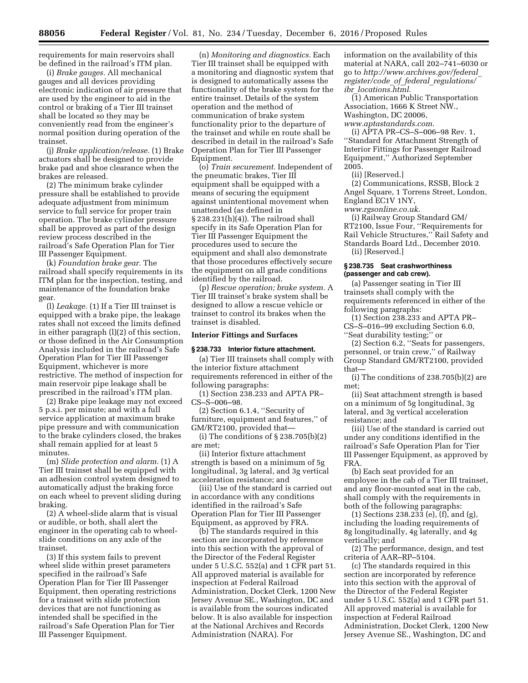requirements for main reservoirs shall be defined in the railroad's ITM plan.

(i) *Brake gauges.* All mechanical gauges and all devices providing electronic indication of air pressure that are used by the engineer to aid in the control or braking of a Tier III trainset shall be located so they may be conveniently read from the engineer's normal position during operation of the trainset.

(j) *Brake application/release.* (1) Brake actuators shall be designed to provide brake pad and shoe clearance when the brakes are released.

(2) The minimum brake cylinder pressure shall be established to provide adequate adjustment from minimum service to full service for proper train operation. The brake cylinder pressure shall be approved as part of the design review process described in the railroad's Safe Operation Plan for Tier III Passenger Equipment.

(k) *Foundation brake gear.* The railroad shall specify requirements in its ITM plan for the inspection, testing, and maintenance of the foundation brake gear.

(l) *Leakage.* (1) If a Tier III trainset is equipped with a brake pipe, the leakage rates shall not exceed the limits defined in either paragraph (l)(2) of this section, or those defined in the Air Consumption Analysis included in the railroad's Safe Operation Plan for Tier III Passenger Equipment, whichever is more restrictive. The method of inspection for main reservoir pipe leakage shall be prescribed in the railroad's ITM plan.

(2) Brake pipe leakage may not exceed 5 p.s.i. per minute; and with a full service application at maximum brake pipe pressure and with communication to the brake cylinders closed, the brakes shall remain applied for at least 5 minutes.

(m) *Slide protection and alarm.* (1) A Tier III trainset shall be equipped with an adhesion control system designed to automatically adjust the braking force on each wheel to prevent sliding during braking.

(2) A wheel-slide alarm that is visual or audible, or both, shall alert the engineer in the operating cab to wheelslide conditions on any axle of the trainset.

(3) If this system fails to prevent wheel slide within preset parameters specified in the railroad's Safe Operation Plan for Tier III Passenger Equipment, then operating restrictions for a trainset with slide protection devices that are not functioning as intended shall be specified in the railroad's Safe Operation Plan for Tier III Passenger Equipment.

(n) *Monitoring and diagnostics.* Each Tier III trainset shall be equipped with a monitoring and diagnostic system that is designed to automatically assess the functionality of the brake system for the entire trainset. Details of the system operation and the method of communication of brake system functionality prior to the departure of the trainset and while en route shall be described in detail in the railroad's Safe Operation Plan for Tier III Passenger Equipment.

(o) *Train securement.* Independent of the pneumatic brakes, Tier III equipment shall be equipped with a means of securing the equipment against unintentional movement when unattended (as defined in § 238.231(h)(4)). The railroad shall specify in its Safe Operation Plan for Tier III Passenger Equipment the procedures used to secure the equipment and shall also demonstrate that those procedures effectively secure the equipment on all grade conditions identified by the railroad.

(p) *Rescue operation; brake system.* A Tier III trainset's brake system shall be designed to allow a rescue vehicle or trainset to control its brakes when the trainset is disabled.

#### **Interior Fittings and Surfaces**

## **§ 238.733 Interior fixture attachment.**

(a) Tier III trainsets shall comply with the interior fixture attachment requirements referenced in either of the following paragraphs:

(1) Section 238.233 and APTA PR– CS–S–006–98.

(2) Section 6.1.4, ''Security of furniture, equipment and features,'' of GM/RT2100, provided that—

(i) The conditions of § 238.705(b)(2) are met;

(ii) Interior fixture attachment strength is based on a minimum of 5g longitudinal, 3g lateral, and 3g vertical acceleration resistance; and

(iii) Use of the standard is carried out in accordance with any conditions identified in the railroad's Safe Operation Plan for Tier III Passenger Equipment, as approved by FRA.

(b) The standards required in this section are incorporated by reference into this section with the approval of the Director of the Federal Register under 5 U.S.C. 552(a) and 1 CFR part 51. All approved material is available for inspection at Federal Railroad Administration, Docket Clerk, 1200 New Jersey Avenue SE., Washington, DC and is available from the sources indicated below. It is also available for inspection at the National Archives and Records Administration (NARA). For

information on the availability of this material at NARA, call 202–741–6030 or go to *[http://www.archives.gov/federal](http://www.archives.gov/federal_register/code_of_federal_regulations/ibr_locations.html)*\_ *[register/code](http://www.archives.gov/federal_register/code_of_federal_regulations/ibr_locations.html)*\_*of*\_*federal*\_*regulations/ ibr*\_*[locations.html](http://www.archives.gov/federal_register/code_of_federal_regulations/ibr_locations.html)*.

 $\overline{1}$ ) American Public Transportation Association, 1666 K Street NW., Washington, DC 20006, *[www.aptastandards.com](http://www.aptastandards.com)*.

(i) APTA PR–CS–S–006–98 Rev. 1, ''Standard for Attachment Strength of Interior Fittings for Passenger Railroad Equipment,'' Authorized September 2005.

(ii) [Reserved.]

(2) Communications, RSSB, Block 2 Angel Square, 1 Torrens Street, London, England EC1V 1NY, *[www.rgsonline.co.uk](http://www.rgsonline.co.uk)*.

(i) Railway Group Standard GM/ RT2100, Issue Four, ''Requirements for Rail Vehicle Structures,'' Rail Safety and Standards Board Ltd., December 2010.

(ii) [Reserved.]

### **§ 238.735 Seat crashworthiness (passenger and cab crew).**

(a) Passenger seating in Tier III trainsets shall comply with the requirements referenced in either of the following paragraphs:

(1) Section 238.233 and APTA PR– CS–S–016–99 excluding Section 6.0, ''Seat durability testing;'' or

(2) Section 6.2, ''Seats for passengers, personnel, or train crew,'' of Railway Group Standard GM/RT2100, provided that—

(i) The conditions of  $238.705(b)(2)$  are met;

(ii) Seat attachment strength is based on a minimum of 5g longitudinal, 3g lateral, and 3g vertical acceleration resistance; and

(iii) Use of the standard is carried out under any conditions identified in the railroad's Safe Operation Plan for Tier III Passenger Equipment, as approved by FRA.

(b) Each seat provided for an employee in the cab of a Tier III trainset, and any floor-mounted seat in the cab, shall comply with the requirements in both of the following paragraphs:

(1) Sections 238.233 (e),  $(f)$ , and (g), including the loading requirements of 8g longitudinally, 4g laterally, and 4g vertically; and

(2) The performance, design, and test criteria of AAR–RP–5104.

(c) The standards required in this section are incorporated by reference into this section with the approval of the Director of the Federal Register under 5 U.S.C. 552(a) and 1 CFR part 51. All approved material is available for inspection at Federal Railroad Administration, Docket Clerk, 1200 New Jersey Avenue SE., Washington, DC and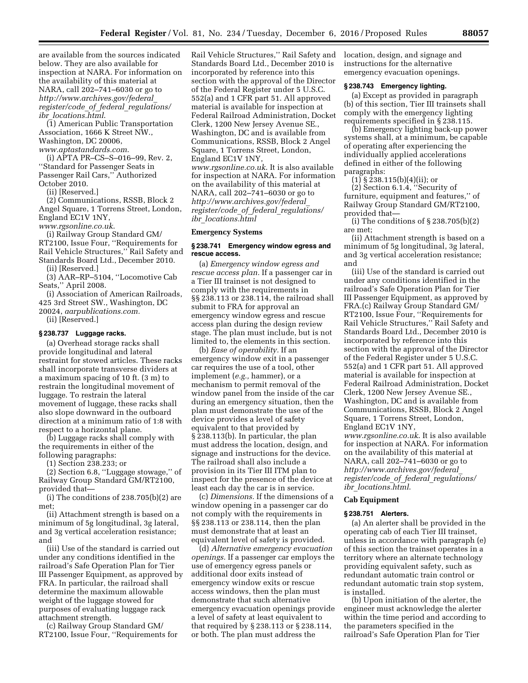are available from the sources indicated below. They are also available for inspection at NARA. For information on the availability of this material at NARA, call 202–741–6030 or go to *[http://www.archives.gov/federal](http://www.archives.gov/federal_register/code_of_federal_regulations/ibr_locations.html)*\_ *[register/code](http://www.archives.gov/federal_register/code_of_federal_regulations/ibr_locations.html)*\_*of*\_*federal*\_*regulations/ ibr*\_*[locations.html](http://www.archives.gov/federal_register/code_of_federal_regulations/ibr_locations.html)*.

(1) American Public Transportation Association, 1666 K Street NW., Washington, DC 20006, *[www.aptastandards.com](http://www.aptastandards.com)*.

(i) APTA PR–CS–S–016–99, Rev. 2, ''Standard for Passenger Seats in Passenger Rail Cars,'' Authorized October 2010.

(ii) [Reserved.]

(2) Communications, RSSB, Block 2 Angel Square, 1 Torrens Street, London, England EC1V 1NY,

*[www.rgsonline.co.uk](http://www.rgsonline.co.uk)*.

(i) Railway Group Standard GM/ RT2100, Issue Four, ''Requirements for Rail Vehicle Structures,'' Rail Safety and Standards Board Ltd., December 2010. (ii) [Reserved.]

(3) AAR–RP–5104, ''Locomotive Cab Seats,'' April 2008.

(i) Association of American Railroads, 425 3rd Street SW., Washington, DC 20024, *aarpublications.com.* 

(ii) [Reserved.]

#### **§ 238.737 Luggage racks.**

(a) Overhead storage racks shall provide longitudinal and lateral restraint for stowed articles. These racks shall incorporate transverse dividers at a maximum spacing of 10 ft. (3 m) to restrain the longitudinal movement of luggage. To restrain the lateral movement of luggage, these racks shall also slope downward in the outboard direction at a minimum ratio of 1:8 with respect to a horizontal plane.

(b) Luggage racks shall comply with the requirements in either of the following paragraphs:

(1) Section 238.233; or

(2) Section 6.8, ''Luggage stowage,'' of Railway Group Standard GM/RT2100, provided that—

(i) The conditions of 238.705(b)(2) are met;

(ii) Attachment strength is based on a minimum of 5g longitudinal, 3g lateral, and 3g vertical acceleration resistance; and

(iii) Use of the standard is carried out under any conditions identified in the railroad's Safe Operation Plan for Tier III Passenger Equipment, as approved by FRA. In particular, the railroad shall determine the maximum allowable weight of the luggage stowed for purposes of evaluating luggage rack attachment strength.

(c) Railway Group Standard GM/ RT2100, Issue Four, ''Requirements for

Rail Vehicle Structures,'' Rail Safety and Standards Board Ltd., December 2010 is incorporated by reference into this section with the approval of the Director of the Federal Register under 5 U.S.C. 552(a) and 1 CFR part 51. All approved material is available for inspection at Federal Railroad Administration, Docket Clerk, 1200 New Jersey Avenue SE., Washington, DC and is available from Communications, RSSB, Block 2 Angel Square, 1 Torrens Street, London, England EC1V 1NY,

*[www.rgsonline.co.uk](http://www.rgsonline.co.uk)*. It is also available for inspection at NARA. For information on the availability of this material at NARA, call 202–741–6030 or go to *[http://www.archives.gov/federal](http://www.archives.gov/federal_register/code_of_federal_regulations/ibr_locations.html)*\_ *[register/code](http://www.archives.gov/federal_register/code_of_federal_regulations/ibr_locations.html)*\_*of*\_*federal*\_*regulations/ ibr*\_*[locations.html](http://www.archives.gov/federal_register/code_of_federal_regulations/ibr_locations.html)* 

## **Emergency Systems**

#### **§ 238.741 Emergency window egress and rescue access.**

(a) *Emergency window egress and rescue access plan.* If a passenger car in a Tier III trainset is not designed to comply with the requirements in §§ 238.113 or 238.114, the railroad shall submit to FRA for approval an emergency window egress and rescue access plan during the design review stage. The plan must include, but is not limited to, the elements in this section.

(b) *Ease of operability.* If an emergency window exit in a passenger car requires the use of a tool, other implement (*e.g.,* hammer), or a mechanism to permit removal of the window panel from the inside of the car during an emergency situation, then the plan must demonstrate the use of the device provides a level of safety equivalent to that provided by § 238.113(b). In particular, the plan must address the location, design, and signage and instructions for the device. The railroad shall also include a provision in its Tier III ITM plan to inspect for the presence of the device at least each day the car is in service.

(c) *Dimensions.* If the dimensions of a window opening in a passenger car do not comply with the requirements in §§ 238.113 or 238.114, then the plan must demonstrate that at least an equivalent level of safety is provided.

(d) *Alternative emergency evacuation openings.* If a passenger car employs the use of emergency egress panels or additional door exits instead of emergency window exits or rescue access windows, then the plan must demonstrate that such alternative emergency evacuation openings provide a level of safety at least equivalent to that required by § 238.113 or § 238.114, or both. The plan must address the

location, design, and signage and instructions for the alternative emergency evacuation openings.

#### **§ 238.743 Emergency lighting.**

(a) Except as provided in paragraph (b) of this section, Tier III trainsets shall comply with the emergency lighting requirements specified in § 238.115.

(b) Emergency lighting back-up power systems shall, at a minimum, be capable of operating after experiencing the individually applied accelerations defined in either of the following paragraphs:

 $(1)$  § 238.115(b)(4)(ii); or

(2) Section 6.1.4, ''Security of furniture, equipment and features,'' of Railway Group Standard GM/RT2100, provided that—

(i) The conditions of § 238.705(b)(2) are met;

(ii) Attachment strength is based on a minimum of 5g longitudinal, 3g lateral, and 3g vertical acceleration resistance; and

(iii) Use of the standard is carried out under any conditions identified in the railroad's Safe Operation Plan for Tier III Passenger Equipment, as approved by FRA.(c) Railway Group Standard GM/ RT2100, Issue Four, ''Requirements for Rail Vehicle Structures,'' Rail Safety and Standards Board Ltd., December 2010 is incorporated by reference into this section with the approval of the Director of the Federal Register under 5 U.S.C. 552(a) and 1 CFR part 51. All approved material is available for inspection at Federal Railroad Administration, Docket Clerk, 1200 New Jersey Avenue SE., Washington, DC and is available from Communications, RSSB, Block 2 Angel Square, 1 Torrens Street, London, England EC1V 1NY, *[www.rgsonline.co.uk](http://www.rgsonline.co.uk)*. It is also available for inspection at NARA. For information on the availability of this material at NARA, call 202–741–6030 or go to *[http://www.archives.gov/federal](http://www.archives.gov/federal_register/code_of_federal_regulations/ibr_locations.html)*\_ *[register/code](http://www.archives.gov/federal_register/code_of_federal_regulations/ibr_locations.html)*\_*of*\_*federal*\_*regulations/ ibr*\_*[locations.html](http://www.archives.gov/federal_register/code_of_federal_regulations/ibr_locations.html)*.

#### **Cab Equipment**

#### **§ 238.751 Alerters.**

(a) An alerter shall be provided in the operating cab of each Tier III trainset, unless in accordance with paragraph (e) of this section the trainset operates in a territory where an alternate technology providing equivalent safety, such as redundant automatic train control or redundant automatic train stop system, is installed.

(b) Upon initiation of the alerter, the engineer must acknowledge the alerter within the time period and according to the parameters specified in the railroad's Safe Operation Plan for Tier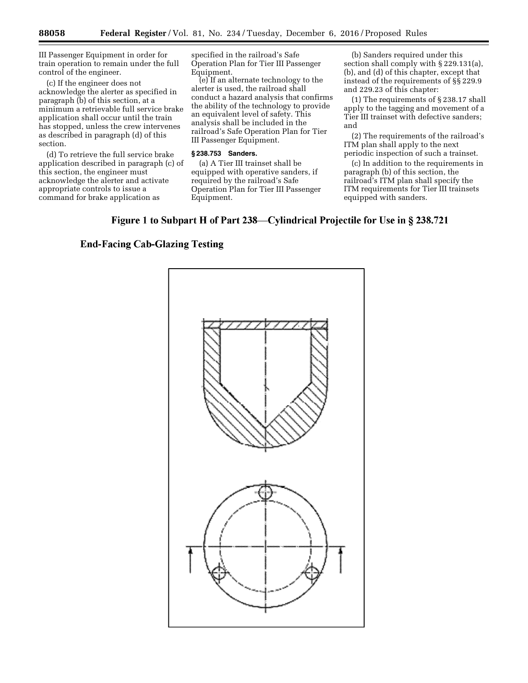III Passenger Equipment in order for train operation to remain under the full control of the engineer.

(c) If the engineer does not acknowledge the alerter as specified in paragraph (b) of this section, at a minimum a retrievable full service brake application shall occur until the train has stopped, unless the crew intervenes as described in paragraph (d) of this section.

(d) To retrieve the full service brake application described in paragraph (c) of this section, the engineer must acknowledge the alerter and activate appropriate controls to issue a command for brake application as

specified in the railroad's Safe Operation Plan for Tier III Passenger Equipment.

(e) If an alternate technology to the alerter is used, the railroad shall conduct a hazard analysis that confirms the ability of the technology to provide an equivalent level of safety. This analysis shall be included in the railroad's Safe Operation Plan for Tier III Passenger Equipment.

## **§ 238.753 Sanders.**

(a) A Tier III trainset shall be equipped with operative sanders, if required by the railroad's Safe Operation Plan for Tier III Passenger Equipment.

(b) Sanders required under this section shall comply with § 229.131(a), (b), and (d) of this chapter, except that instead of the requirements of §§ 229.9 and 229.23 of this chapter:

(1) The requirements of § 238.17 shall apply to the tagging and movement of a Tier III trainset with defective sanders; and

(2) The requirements of the railroad's ITM plan shall apply to the next periodic inspection of such a trainset.

(c) In addition to the requirements in paragraph (b) of this section, the railroad's ITM plan shall specify the ITM requirements for Tier III trainsets equipped with sanders.

# Figure 1 to Subpart H of Part 238—Cylindrical Projectile for Use in § 238.721

# **End-Facing Cab-Glazing Testing**

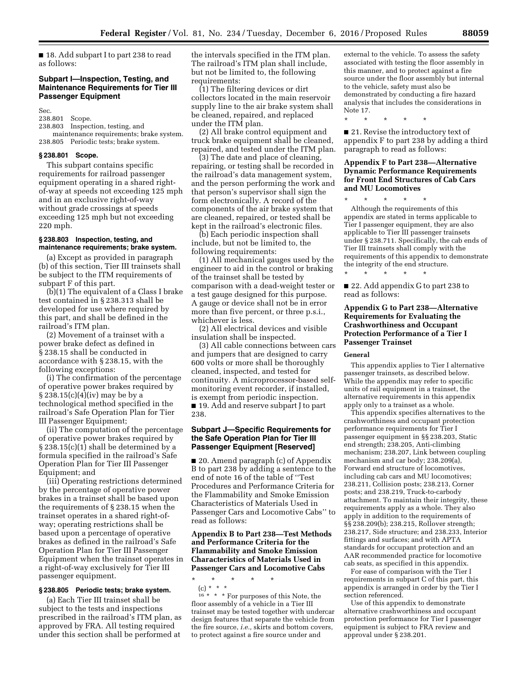■ 18. Add subpart I to part 238 to read as follows:

## **Subpart I—Inspection, Testing, and Maintenance Requirements for Tier III Passenger Equipment**

Sec.

238.801 Scope.

238.803 Inspection, testing, and maintenance requirements; brake system. 238.805 Periodic tests; brake system.

## **§ 238.801 Scope.**

This subpart contains specific requirements for railroad passenger equipment operating in a shared rightof-way at speeds not exceeding 125 mph and in an exclusive right-of-way without grade crossings at speeds exceeding 125 mph but not exceeding 220 mph.

## **§ 238.803 Inspection, testing, and maintenance requirements; brake system.**

(a) Except as provided in paragraph (b) of this section, Tier III trainsets shall be subject to the ITM requirements of subpart F of this part.

(b)(1) The equivalent of a Class I brake test contained in § 238.313 shall be developed for use where required by this part, and shall be defined in the railroad's ITM plan.

(2) Movement of a trainset with a power brake defect as defined in § 238.15 shall be conducted in accordance with § 238.15, with the following exceptions:

(i) The confirmation of the percentage of operative power brakes required by § 238.15(c)(4)(iv) may be by a technological method specified in the railroad's Safe Operation Plan for Tier III Passenger Equipment;

(ii) The computation of the percentage of operative power brakes required by § 238.15(c)(1) shall be determined by a formula specified in the railroad's Safe Operation Plan for Tier III Passenger Equipment; and

(iii) Operating restrictions determined by the percentage of operative power brakes in a trainset shall be based upon the requirements of § 238.15 when the trainset operates in a shared right-ofway; operating restrictions shall be based upon a percentage of operative brakes as defined in the railroad's Safe Operation Plan for Tier III Passenger Equipment when the trainset operates in a right-of-way exclusively for Tier III passenger equipment.

#### **§ 238.805 Periodic tests; brake system.**

(a) Each Tier III trainset shall be subject to the tests and inspections prescribed in the railroad's ITM plan, as approved by FRA. All testing required under this section shall be performed at

the intervals specified in the ITM plan. The railroad's ITM plan shall include, but not be limited to, the following requirements:

(1) The filtering devices or dirt collectors located in the main reservoir supply line to the air brake system shall be cleaned, repaired, and replaced under the ITM plan.

(2) All brake control equipment and truck brake equipment shall be cleaned, repaired, and tested under the ITM plan.

(3) The date and place of cleaning, repairing, or testing shall be recorded in the railroad's data management system, and the person performing the work and that person's supervisor shall sign the form electronically. A record of the components of the air brake system that are cleaned, repaired, or tested shall be kept in the railroad's electronic files.

(b) Each periodic inspection shall include, but not be limited to, the following requirements:

(1) All mechanical gauges used by the engineer to aid in the control or braking of the trainset shall be tested by comparison with a dead-weight tester or a test gauge designed for this purpose. A gauge or device shall not be in error more than five percent, or three p.s.i., whichever is less.

(2) All electrical devices and visible insulation shall be inspected.

(3) All cable connections between cars and jumpers that are designed to carry 600 volts or more shall be thoroughly cleaned, inspected, and tested for continuity. A microprocessor-based selfmonitoring event recorder, if installed, is exempt from periodic inspection. ■ 19. Add and reserve subpart J to part 238.

## **Subpart J—Specific Requirements for the Safe Operation Plan for Tier III Passenger Equipment [Reserved]**

■ 20. Amend paragraph (c) of Appendix B to part 238 by adding a sentence to the end of note 16 of the table of ''Test Procedures and Performance Criteria for the Flammability and Smoke Emission Characteristics of Materials Used in Passenger Cars and Locomotive Cabs'' to read as follows:

## **Appendix B to Part 238—Test Methods and Performance Criteria for the Flammability and Smoke Emission Characteristics of Materials Used in Passenger Cars and Locomotive Cabs**

\* \* \* \* \* (c) \* \* \*  $16 * * *$  For purposes of this Note, the floor assembly of a vehicle in a Tier III trainset may be tested together with undercar design features that separate the vehicle from the fire source, *i.e.,* skirts and bottom covers, to protect against a fire source under and

external to the vehicle. To assess the safety associated with testing the floor assembly in this manner, and to protect against a fire source under the floor assembly but internal to the vehicle, safety must also be demonstrated by conducting a fire hazard analysis that includes the considerations in Note 17.

\* \* \* \* \*

■ 21. Revise the introductory text of appendix F to part 238 by adding a third paragraph to read as follows:

## **Appendix F to Part 238—Alternative Dynamic Performance Requirements for Front End Structures of Cab Cars and MU Locomotives**

\* \* \* \* \* Although the requirements of this appendix are stated in terms applicable to Tier I passenger equipment, they are also applicable to Tier III passenger trainsets under § 238.711. Specifically, the cab ends of Tier III trainsets shall comply with the requirements of this appendix to demonstrate the integrity of the end structure.

■ 22. Add appendix G to part 238 to read as follows:

\* \* \* \* \*

## **Appendix G to Part 238—Alternative Requirements for Evaluating the Crashworthiness and Occupant Protection Performance of a Tier I Passenger Trainset**

#### **General**

This appendix applies to Tier I alternative passenger trainsets, as described below. While the appendix may refer to specific units of rail equipment in a trainset, the alternative requirements in this appendix apply only to a trainset as a whole.

This appendix specifies alternatives to the crashworthiness and occupant protection performance requirements for Tier I passenger equipment in §§ 238.203, Static end strength; 238.205, Anti-climbing mechanism; 238.207, Link between coupling mechanism and car body; 238.209(a), Forward end structure of locomotives, including cab cars and MU locomotives; 238.211, Collision posts; 238.213, Corner posts; and 238.219, Truck-to-carbody attachment. To maintain their integrity, these requirements apply as a whole. They also apply in addition to the requirements of §§ 238.209(b); 238.215, Rollover strength; 238.217, Side structure; and 238.233, Interior fittings and surfaces; and with APTA standards for occupant protection and an AAR recommended practice for locomotive cab seats, as specified in this appendix.

For ease of comparison with the Tier I requirements in subpart C of this part, this appendix is arranged in order by the Tier I section referenced.

Use of this appendix to demonstrate alternative crashworthiness and occupant protection performance for Tier I passenger equipment is subject to FRA review and approval under § 238.201.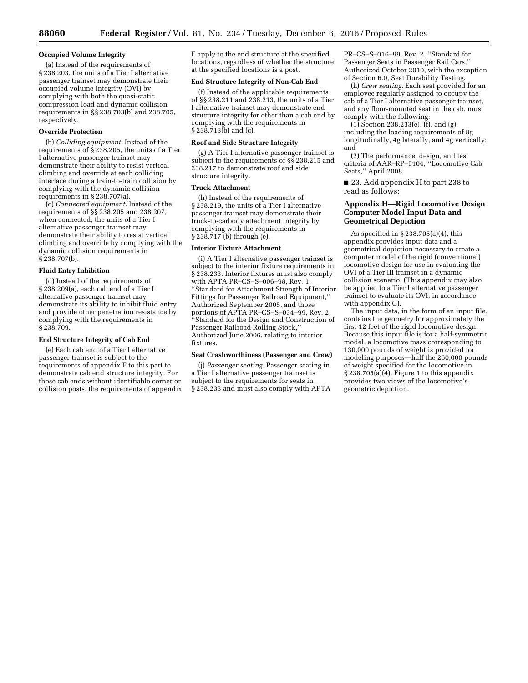### **Occupied Volume Integrity**

(a) Instead of the requirements of § 238.203, the units of a Tier I alternative passenger trainset may demonstrate their occupied volume integrity (OVI) by complying with both the quasi-static compression load and dynamic collision requirements in §§ 238.703(b) and 238.705, respectively.

## **Override Protection**

(b) *Colliding equipment.* Instead of the requirements of § 238.205, the units of a Tier I alternative passenger trainset may demonstrate their ability to resist vertical climbing and override at each colliding interface during a train-to-train collision by complying with the dynamic collision requirements in § 238.707(a).

(c) *Connected equipment.* Instead of the requirements of §§ 238.205 and 238.207, when connected, the units of a Tier I alternative passenger trainset may demonstrate their ability to resist vertical climbing and override by complying with the dynamic collision requirements in § 238.707(b).

#### **Fluid Entry Inhibition**

(d) Instead of the requirements of § 238.209(a), each cab end of a Tier I alternative passenger trainset may demonstrate its ability to inhibit fluid entry and provide other penetration resistance by complying with the requirements in § 238.709.

### **End Structure Integrity of Cab End**

(e) Each cab end of a Tier I alternative passenger trainset is subject to the requirements of appendix F to this part to demonstrate cab end structure integrity. For those cab ends without identifiable corner or collision posts, the requirements of appendix

F apply to the end structure at the specified locations, regardless of whether the structure at the specified locations is a post.

## **End Structure Integrity of Non-Cab End**

(f) Instead of the applicable requirements of §§ 238.211 and 238.213, the units of a Tier I alternative trainset may demonstrate end structure integrity for other than a cab end by complying with the requirements in § 238.713(b) and (c).

#### **Roof and Side Structure Integrity**

(g) A Tier I alternative passenger trainset is subject to the requirements of §§ 238.215 and 238.217 to demonstrate roof and side structure integrity.

#### **Truck Attachment**

(h) Instead of the requirements of § 238.219, the units of a Tier I alternative passenger trainset may demonstrate their truck-to-carbody attachment integrity by complying with the requirements in § 238.717 (b) through (e).

## **Interior Fixture Attachment**

(i) A Tier I alternative passenger trainset is subject to the interior fixture requirements in § 238.233. Interior fixtures must also comply with APTA PR–CS–S–006–98, Rev. 1, ''Standard for Attachment Strength of Interior Fittings for Passenger Railroad Equipment,'' Authorized September 2005, and those portions of APTA PR–CS–S–034–99, Rev. 2, 'Standard for the Design and Construction of Passenger Railroad Rolling Stock,' Authorized June 2006, relating to interior fixtures.

### **Seat Crashworthiness (Passenger and Crew)**

(j) *Passenger seating.* Passenger seating in a Tier I alternative passenger trainset is subject to the requirements for seats in § 238.233 and must also comply with APTA

PR–CS–S–016–99, Rev. 2, ''Standard for Passenger Seats in Passenger Rail Cars,'' Authorized October 2010, with the exception of Section 6.0, Seat Durability Testing.

(k) *Crew seating.* Each seat provided for an employee regularly assigned to occupy the cab of a Tier I alternative passenger trainset, and any floor-mounted seat in the cab, must comply with the following:

(1) Section 238.233(e), (f), and (g), including the loading requirements of 8g longitudinally, 4g laterally, and 4g vertically; and

(2) The performance, design, and test criteria of AAR–RP–5104, ''Locomotive Cab Seats,'' April 2008.

■ 23. Add appendix H to part 238 to read as follows:

## **Appendix H—Rigid Locomotive Design Computer Model Input Data and Geometrical Depiction**

As specified in § 238.705(a)(4), this appendix provides input data and a geometrical depiction necessary to create a computer model of the rigid (conventional) locomotive design for use in evaluating the OVI of a Tier III trainset in a dynamic collision scenario. (This appendix may also be applied to a Tier I alternative passenger trainset to evaluate its OVI, in accordance with appendix G).

The input data, in the form of an input file, contains the geometry for approximately the first 12 feet of the rigid locomotive design. Because this input file is for a half-symmetric model, a locomotive mass corresponding to 130,000 pounds of weight is provided for modeling purposes—half the 260,000 pounds of weight specified for the locomotive in  $\S 238.705(a)(4)$ . Figure 1 to this appendix provides two views of the locomotive's geometric depiction.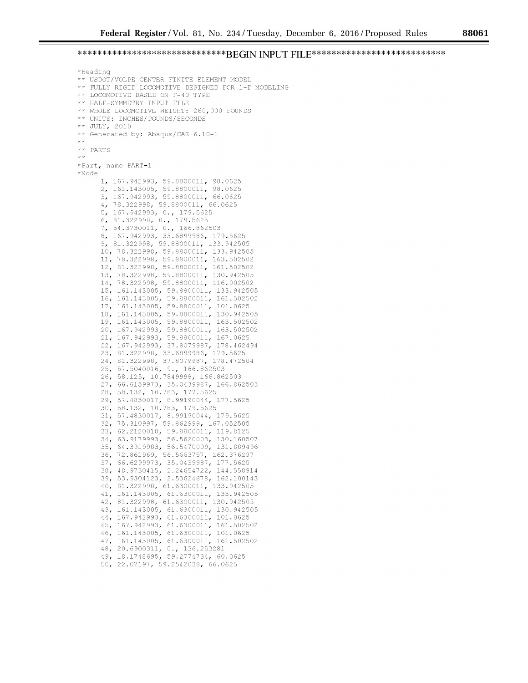# **\*\*\*\*\*\*\*\*\*\*\*\*\*\*\*\*\*\*\*\*\*\*\*\*\*\*\*\*\*\*BEGIN INPUT FILE\*\*\*\*\*\*\*\*\*\*\*\*\*\*\*\*\*\*\*\*\*\*\*\*\*\*\***

```
*Heading 
** USDOT/VOLPE CENTER FINITE ELEMENT MODEL 
** FULLY RIGID LOCOMOTIVE DESIGNED FOR 1-D MODELING 
** LOCOMOTIVE BASED ON F-40 TYPE 
** HALF-SYMMETRY INPUT FILE 
**WHOLE LOCOMOTIVE WEIGHT: 260,000 POUNDS 
** UNITS: INCHES/POUNDS/SECONDS 
** JULY, 2010 
** Generated by: Abaqus/CAE 6.10-1 
*** PARTS 
**Part, name~PART-1 
*Node 
     1, 167.942993, 59.8800011, 98.0625 
     2, 161.143005, 59.8800011, 98.0625 
      3, 167.942993, 59.8800011, 66.0625 
      4, 78.322998, 59.8800011, 66.0625 
      5, 167.942993, 0., 179.5625
      6, 81.322998, 0., 179.5625
      7, 54.3730011, 0., 166.862503
      8, 167.942993, 33.6899986, 179.5625 
      9, 81.322998, 59.8800011, 133.942505 
     10, 78.322998, 59.8800011, 133.942505 
      11, 78.322998, 59.8800011, 163.502502 
      12, 81.322998, 59.8800011, 161.502502 
     13, 78.322998, 59.8800011, 130.942505 
      14, 78.322998, 59.8800011, 116.002502 
      15, 161.143005, 59.8800011, 133.942505 
      16, 161.143005, 59.8800011, 161.502502 
     17, 161.143005, 59.8800011, 101.0625 
      18, 161.143005, 59.8800011, 130.942505 
      19' 161.143005, 59.8800011, 163.502502 
      20, 167.942993, 59.8800011, 163.502502 
      21, 167.942993, 59.8800011, 167.0625 
      22, 167.942993, 37.8079987, 178.462494 
      23, 81.322998, 33.6899986, 179.5625 
      24, 81.322998, 37.8079987, 178.472504 
      25, 57.5040016, 9., 166.862503
      26, 58.125, 10.7849998, 166.862503 
      27, 66.6159973, 35.0439987, 166.862503 
      28, 58.132, 10.783, 177.5625 
      29' 57.4830017, 8.99190044, 177.5625 
      30, 58.132, 10.783, 179.5625 
      31, 57.4830017, 8.99190044, 179.5625 
      32, 75.310997, 59.862999, 167.052505 
      33, 62.2120018, 59.8800011, 119.8125 
      34, 63.9179993, 56.5620003, 130.160507 
      35, 64.3919983, 56.5470009, 131.889496 
      36, 72.861969, 56.5663757, 162.376297 
      37, 66.6299973, 35.0439987, 177.5625 
      38, 48.9730415, 2.24654722, 144.558914 
      39' 53.9304123, 2.53624678, 162.100143 
      40, 81.322998, 61.6300011, 133.942505
      41, 161.143005, 61.6300011, 133.942505
      42, 81.322998, 61.6300011, 130.942505
      43, 161.143005, 61.6300011, 130.942505
      44, 167.942993, 61.6300011, 101.0625
      45, 167.942993, 61. 6300011' 161.502502 
      46, 161.143005, 61. 6300011' 101.0625 
      47, 161.143005, 61.6300011, 161.502502
      48, 20.6900311, 0., 136.253281
      4 9' 18.1748695, 59.2774734, 60.0625 
      50, 22.07197, 59.2542038, 66.0625
```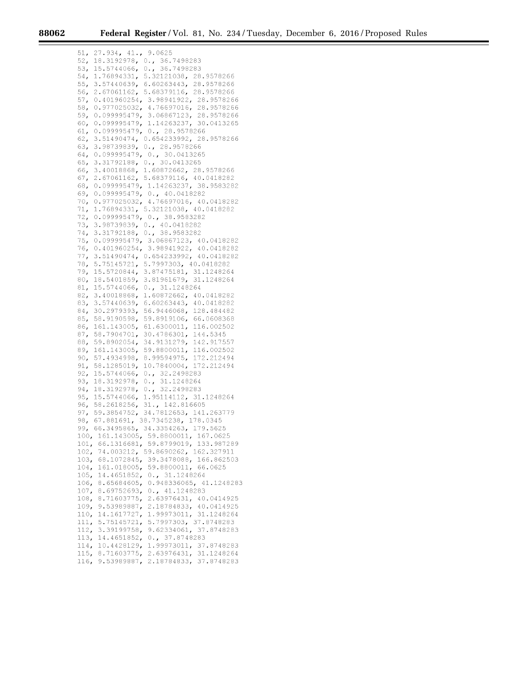51, 27.934, 41., 9.0625 52, 18.3192978, 0.' 36.7498283 53, 15.5744066, 0.' 36.7498283 54, 1.76894331, 5.32121038, 28.9578266 55, 3.57440639, 6.60263443, 28.9578266 56, 2.67061162, 5. 6837 9116, 28.9578266 57, 0.401960254, 3. 98941922, 28.9578266 58, 0. 977 025032' 4. 76697016, 28.9578266 59' 0. 099995479, 3.06867123, 28.9578266 60, 0. 099995479, 1.14263237, 30.0413265 61, 0. 099995479, 0.' 28.9578266 62, 3.51490474, 0.654233992, 28.9578266 63, 3.98739839, 0., 28.9578266 64, 0.099995479, 0., 30.0413265 65, 3.31792188, 0., 30.0413265 66, 3.40018868, 1.60872662, 28.9578266 67, 2.67061162, 5. 6837 9116, 40.0418282 68, 0. 099995479, 1.14263237, 38.9583282 69, 0. 099995479, 0.' 40.0418282 70, 0. 977 025032' 4. 76697016, 40.0418282 71, 1.76894331, 5.32121038, 40.0418282 72, 0. 099995479, 0.' 38.9583282 73, 3.98739839, 0., 40.0418282 74, 3.31792188, 0., 38.9583282 75, 0. 099995479, 3.06867123, 40.0418282 76, 0.401960254, 3. 98941922, 40.0418282 77, 3.51490474, 0.654233992, 40.0418282 78, 5.75145721, 5. 7997303, 40.0418282 7 9' 15.5720844, 3.87475181, 31.1248264 80, 18.5401859, 3. 81961679, 31.1248264 81, 15.5744066, 0.' 31.1248264 82, 3.40018868, 1.60872662, 40.0418282 83, 3.57440639, 6.60263443, 40.0418282 84, 30.2979393, 56.9446068, 128.484482 85, 58.9190598, 59.8919106, 66.0608368 86, 161.143005, 61. 6300011' 116.002502 87, 58.7904701, 30.4786301, 144.5345 88, 59.8902054, 34.9131279, 142.917557 89, 161.143005, 59.8800011, 116.002502 90, 57.4934998, 8.99594975, 172.212494 91, 58.1285019, 10.7840004, 172.212494 92, 15.5744066, 0., 32.2498283 93, 18.3192978, 0., 31.1248264 94, 18.3192978, 0., 32.2498283 95, 15.5744066, 1. 95114112, 31.1248264 96, 58.2618256, 31., 142.816605 97, 59.3854752, 34.7812653, 141.263779 98, 67.881691, 38.7345238, 178.0345 99, 66.3495865, 34.3354263, 179.5625 100, 161.143005, 59.8800011, 167.0625 101, 66.1316681, 59.8799019, 133.987289 102, 74.003212, 59.8690262, 162.327911 103, 68.1072845, 39.3478088, 166.862503 104, 161.018005, 59.8800011, 66.0625 105, 14.4651852, 0.' 31.1248264 106, 8.65684605, 0.948336065, 41.1248283 107, 8.69752693, 0., 41.1248283 108, 8.71603775, 2.63976431, 40.0414925 109' 9.53989887, 2.18784833, 40.0414925 110, 14.1617727, 1.99973011, 31.1248264 111, 5.75145721, 5. 7997303, 37.8748283 112, 3.39199758, 9.62334061, 37.8748283 113, 14.4651852, 0., 37.8748283 114, 10.4428129, 1.99973011, 37.8748283 115, 8.71603775, 2.63976431, 31.1248264 116, 9.53989887, 2.18784833, 37.8748283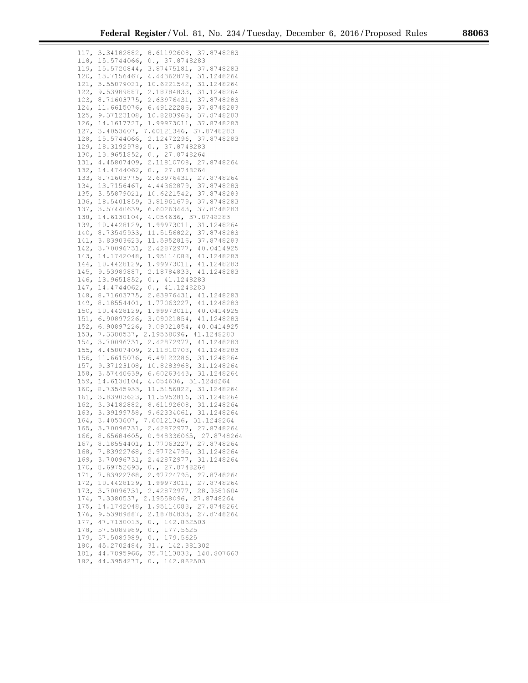| 117, | 3.34182882,<br>8.61192608,<br>37.8748283   |
|------|--------------------------------------------|
| 118, | 15.5744066,<br>$0.$ , 37.8748283           |
| 119, | 15.5720844,<br>3.87475181,<br>37.8748283   |
|      | 13.7156467,                                |
| 120, | 4.44362879,<br>31.1248264                  |
| 121, | 3.55879021,<br>10.6221542,<br>31.1248264   |
| 122, | 9.53989887,<br>2.18784833,<br>31.1248264   |
| 123, | 8.71603775,<br>2.63976431,<br>37.8748283   |
| 124, | 6.49122286,<br>37.8748283<br>11.6615076,   |
| 125, | 37.8748283<br>9.37123108,<br>10.8283968,   |
| 126, | 37.8748283<br>14.1617727,<br>1.99973011,   |
| 127, | $3.4053607$ ,<br>7.60121346,<br>37.8748283 |
| 128, | 2.12472296,<br>37.8748283<br>15.5744066,   |
| 129, | 18.3192978,<br>37.8748283<br>$0 \cdot \mu$ |
| 130, | 0., 27.8748264<br>13.9651852,              |
| 131, | 4.45807409,<br>2.11810708,<br>27.8748264   |
| 132, | 27.8748264<br>14.4744062,<br>$0 \cdot \mu$ |
| 133, | 27.8748264<br>8.71603775,<br>2.63976431,   |
| 134, | 37.8748283                                 |
|      | 13.7156467,<br>4.44362879,                 |
| 135, | 37.8748283<br>3.55879021,<br>10.6221542,   |
| 136, | 3.81961679,<br>37.8748283<br>18.5401859,   |
| 137, | 37.8748283<br>3.57440639,<br>6.60263443,   |
| 138, | 4.054636, 37.8748283<br>14.6130104,        |
| 139, | 10.4428129,<br>31.1248264<br>1.99973011,   |
| 140, | 8.73545933,<br>11.5156822,<br>37.8748283   |
| 141, | 3.83903623,<br>11.5952816,<br>37.8748283   |
| 142, | 3.70096731,<br>2.42872977,<br>40.0414925   |
| 143, | 14.1742048,<br>1.95114088,<br>41.1248283   |
| 144, | 10.4428129,<br>1.99973011,<br>41.1248283   |
| 145, | 9.53989887,<br>2.18784833,<br>41.1248283   |
| 146, | 13.9651852 <b>,</b><br>0., 41.1248283      |
| 147, | 0., 41.1248283<br>14.4744062,              |
| 148, | 2.63976431,<br>8.71603775,<br>41.1248283   |
| 149, | 8.18554401,<br>1.77063227,<br>41.1248283   |
|      |                                            |
| 150, | 10.4428129,<br>1.99973011,<br>40.0414925   |
| 151, | 6.90897226,<br>3.09021854,<br>41.1248283   |
| 152, | 6.90897226,<br>3.09021854,<br>40.0414925   |
| 153, | 7.3380537,<br>2.19558096,<br>41.1248283    |
| 154, | 2.42872977,<br>41.1248283<br>3.70096731,   |
| 155, | 41.1248283<br>4.45807409,<br>2.11810708,   |
| 156, | 11.6615076,<br>6.49122286,<br>31.1248264   |
| 157, | 9.37123108,<br>10.8283968,<br>31.1248264   |
| 158, | 3.57440639,<br>6.60263443,<br>31.1248264   |
| 159, | 14.6130104,<br>4.054636, 31.1248264        |
| 160, | 11.5156822,<br>31.1248264<br>8.73545933,   |
| 161, | 3.83903623,<br>11.5952816,<br>31.1248264   |
| 162, | 3.34182882,<br>8.61192608,<br>31.1248264   |
| 163, | 3.39199758,<br>9.62334061,<br>31.1248264   |
| 164, | 7.60121346,<br>31.1248264<br>3.4053607,    |
| 165, | 27.8748264<br>3.70096731,<br>2.42872977,   |
| 166, | 0.948336065, 27.8748264<br>8.65684605,     |
| 167, | 1.77063227, 27.8748264<br>8.18554401,      |
| 168, | 2.97724795, 31.1248264<br>7.83922768,      |
| 169, | 2.42872977, 31.1248264<br>3.70096731,      |
| 170, | 0., 27.8748264<br>8.69752693,              |
| 171, | 2.97724795, 27.8748264<br>7.83922768,      |
|      | 1.99973011, 27.8748264                     |
| 172, | 10.4428129,<br>2.42872977, 28.9581604      |
| 173, | 3.70096731,                                |
| 174, | 7.3380537, 2.19558096, 27.8748264          |
| 175, | 1.95114088, 27.8748264<br>14.1742048,      |
| 176, | 2.18784833, 27.8748264<br>9.53989887,      |
| 177, | 0., 142.862503<br>47.7130013,              |
| 178, | 57.5089989,<br>0., 177.5625                |
| 179, | 0., 179.5625<br>57.5089989,                |
| 180, | 31., 142.381302<br>45.2702484,             |
| 181, | 35.7113838, 140.807663<br>44.7895966,      |
| 182, | 44.3954277, 0., 142.862503                 |
|      |                                            |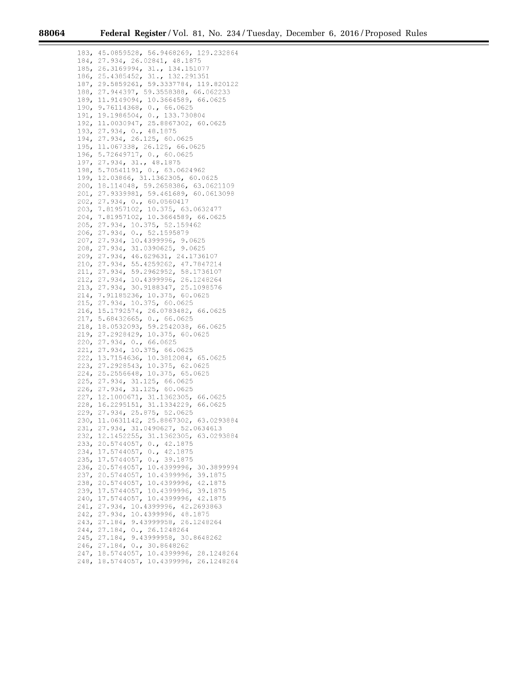183, 45.0859528, 56.9468269, 129.232864 184, 27.934, 26.02841, 48.1875 185, 26.3169994, 31., 134.151077 186,25.4385452,31.,132.291351 187, 29.5859261, 59.3337784, 119.820122 188,27.944397,59.3558388,66.062233 189, 11.9149094, 10.3664589, 66.0625 190, 9.76114368, 0., 66.0625 191, 19.1986504, 0., 133.730804 192, 11.0030947, 25.8867302, 60.0625 193, 27.934, 0., 48.1875 194, 27.934, 26.125, 60.0625 195,11.067338,26.125, 66.0625 196, 5.72649717, 0., 60.0625 197, 27.934, 31., 48.1875 198, 5. 70541191, 0.' 63.0624962 199,12.03866,31.1362305, 60.0625 200,18.114048,59.2658386, 63.0621109 201, 27.9339981, 59.461689, 60.0613098 202,27.934, 0., 60.0560417 203, 7.81957102, 10.375, 63.0632477 204, 7.81957102, 10.3664589, 66.0625 205, 27.934, 10.375, 52.159462 206, 27.934, 0., 52.1595879 207, 27.934, 10.4399996, 9.0625 208, 27.934, 31.0390625, 9. 0625 209, 27.934, 46.629631, 24.1736107 210, 27.934, 55.4259262, 47.7847214 211, 27.934, 59.2962952, 58.1736107 212,27.934,10.4399996,26.1248264 213, 27.934, 30.9188347, 25.1098576 214, 7.91185236, 10.375, 60.0625 215, 27.934, 10.375, 60.0625 216, 15.1792574, 26.0783482, 66.0625 217, 5.68432665, 0., 66.0625 218,18.0532093,59.2542038, 66.0625 219, 27.2928429, 10.375, 60.0625 220, 27.934, 0., 66.0625 221, 27.934, 10.375, 66.0625 222, 13.7154636, 10.3812084, 65.0625 223, 27.2928543, 10.375, 62.0625 224, 25.2556648, 10.375, 65.0625 225, 27.934' 31.125, 66.0625 226, 27.934, 31.125, 60.0625 227,12.1000671,31.1362305, 66.0625 228,16.2295151,31.1334229, 66.0625 229, 27.934, 25.875, 52.0625 230,11.0631142,25.8867302, 63.0293884 231, 27. 934, 31. 04 90627, 52. 063 4613 232,12.1452255,31.1362305, 63.0293884 233, 20.5744057, 0., 42.1875 234, 17.5744057, 0., 42.1875 235, 17.5744057, 0., 39.1875 236, 20.5744057, 10.4399996, 30.3899994 237, 20.5744057, 10.4399996, 39.1875 238,20.5744057,10.4399996, 42.1875 239, 17.5744057, 10.4399996, 39.1875 240, 17.5744057, 10.4399996, 42.1875 241,27.934,10.4399996,42.2693863 242, 27.934, 10.4399996, 48.1875 243, 27.184, 9.43999958, 26.1248264 244, 27.184, 0., 26.1248264 245, 27.184, 9.43999958, 30.8648262 246, 27.184, 0., 30.8648262 247, 18.5744057, 10.4399996, 28.1248264 248, 18.5744057, 10.4399996, 26.1248264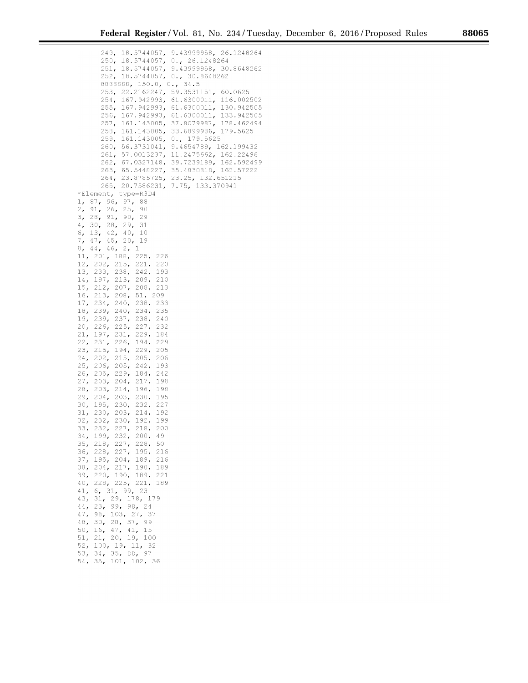24 9' 18.5744057, 9.43999958, 26.1248264 250, 18.5744057, 0.' 26.1248264 251, 18.5744057, 9.43999958, 30.8648262 252, 18.5744057, 0.' 30.8648262 8888888, 150.0, 0., 34.5 253, 22.2162247, 59.3531151, 60.0625 254, 167.942993, 61.6300011, 116.002502 255, 167.942993, 61. 6300011' 130.942505 256, 167.942993, 61.6300011, 133.942505 257, 161.143005, 37.8079987, 178.462494 258, 161.143005, 33.6899986, 179.5625 259, 161.143005, 0., 179.5625 260, 56.3731041, 9. 4654789, 162.199432 261, 57.0013237, 11.2475662, 162.22496 262, 67.0327148, 39.7239189, 162.592499 263, 65.5448227, 35.4830818, 162.57222 264, 23.8785725, 23.25, 132.651215 265, 20.7586231, 7.75, 133.370941 \*Element, type~R304 1, 87, 96, 97, 88 2, 91, 26, 25, 90 3, 28, 91, 90, 29 4, 30, 28, 29, 31 6, 13, 42, 40, 10 7' 47, 45, 20, 19  $8, 44, 46, 2, 1$ 11, 201, 188, 225, 226 12, 202, 215, 221, 220 13, 233, 238, 242, 193 14, 197, 213, 209, 210 15, 212, 207, 208, 213 16, 213, 208, 51, 209 17, 234, 240, 238, 233 18, 239, 240, 234, 235 19' 239' 237, 238, 240 20, 226, 225, 227, 232 21, 197, 231, 229, 184 22, 231, 226, 194' 229 23, 215, 194, 229, 205 24, 202, 215, 205, 206 25, 206, 205, 242, 193 26, 205, 229, 184, 242 27, 203, 204, 217, 198 28, 203, 214, 196, 198 2 9' 204, 203, 230, 195 30, 195, 230, 232, 227 31, 230, 203, 214, 192 32, 232, 230, 192, 199 33, 232, 227, 218, 200 34, 199' 232, 200, 49 35, 218, 227, 228, 50 36, 228, 227, 195, 216 37, 195, 204, 189, 216 38, 204, 217, 190, 189 39, 220, 190, 189, 221<br>40, 228, 225, 221, 189 40, 228, 225, 221, 41, 6, 31, 99, 23 43, 31, 29, 178, 179 44, 23, 99, 98, 24 47, 98, 103, 27, 37 48, 30, 28, 37, 99 50, 16, 47, 41, 15 51, 21, 20, 19' 100 52, 100, 19, 11, 32 53, 34, 35, 88, 97

54, 35, 101, 102, 36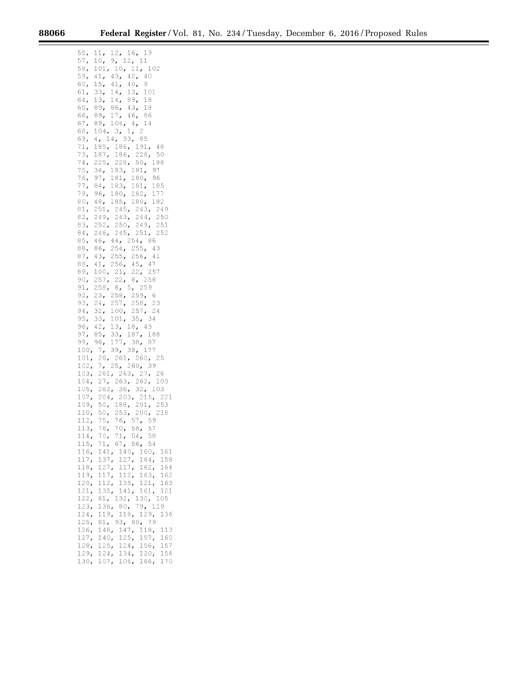$\equiv$ 

۰

| 55,  | 11,<br>12, 16, 19                                                                                                                        |
|------|------------------------------------------------------------------------------------------------------------------------------------------|
| 57,  | 9, 12, 11<br>10 <sub>r</sub>                                                                                                             |
| 58,  | 101, 10, 11, 102                                                                                                                         |
| 59,  |                                                                                                                                          |
| 60,  | 41, 43, 42, 40<br>15, 41, 40, 9                                                                                                          |
|      | 41, $40$ ,<br>14, 13, 101<br><sup>14</sup> 89, 18                                                                                        |
| 61,  | 33,                                                                                                                                      |
| 64,  | 13, 14, $\circ$ , 18<br>89, 86, 43, 18<br>17 46, 86                                                                                      |
| 65,  |                                                                                                                                          |
| 66,  |                                                                                                                                          |
| 67,  | 104, 4, 14<br>89,                                                                                                                        |
| 68,  | 104, 3, 1, 2                                                                                                                             |
| 69,  | 4, 14, 33, 85                                                                                                                            |
| 71,  | 185, 186, 191,<br>48                                                                                                                     |
| 73,  | 187, 186, 228, 50                                                                                                                        |
| 74,  |                                                                                                                                          |
|      | 225, 228, 50, 188                                                                                                                        |
| 75,  | 34, 183, 181, 97<br>34, 103, 101, 96<br>97, 181, 180, 96<br>84, 183, 181, 185<br>96, 180, 182, 177                                       |
| 76,  |                                                                                                                                          |
| 77,  |                                                                                                                                          |
| 79,  | 96, 180, 182, 177<br>48, 185, 180, 182                                                                                                   |
| 80,  |                                                                                                                                          |
| 81,  | 251, 245, 243, 249                                                                                                                       |
| 82,  | 249, 243, 244, 250                                                                                                                       |
| 83,  |                                                                                                                                          |
| 84,  | 252, 250, 249, 251<br>246, 245, 251, 252                                                                                                 |
|      |                                                                                                                                          |
| 85,  | 46, 44, 254, 86<br>86, 254, 255, 43                                                                                                      |
| 86,  |                                                                                                                                          |
| 87,  | 43, 255, 256, 41<br>41, 256, 45, 47                                                                                                      |
| 88,  |                                                                                                                                          |
|      | 89, 100, 21, 22, 257<br>90, 257, 22, 8, 258                                                                                              |
|      |                                                                                                                                          |
|      | 91, 258, 8, 5, 259<br>92, 23, 258, 259, 6<br>93, 24, 257, 258, 23<br>94, 32, 100, 257, 24                                                |
|      |                                                                                                                                          |
|      |                                                                                                                                          |
|      |                                                                                                                                          |
|      |                                                                                                                                          |
|      |                                                                                                                                          |
|      |                                                                                                                                          |
|      |                                                                                                                                          |
|      |                                                                                                                                          |
|      |                                                                                                                                          |
|      | 95, 33, 101, 35, 34<br>96, 42, 13, 18, 43<br>97, 85, 33, 187, 188<br>99, 96, 177, 38, 87<br>100, 7, 39, 38, 177<br>101, 26, 261, 260, 25 |
|      |                                                                                                                                          |
|      | 102, 7, 25, 260, 39<br>103, 261, 263, 27, 26                                                                                             |
|      | 103                                                                                                                                      |
|      | 104, 27, 263, 262, 10<br>105, 262, 36, 32, 103                                                                                           |
|      |                                                                                                                                          |
|      | 107, 204, 203, 215, 221                                                                                                                  |
|      | 109, 50, 188, 201, 253<br>110, 50, 253, 200, 218                                                                                         |
|      |                                                                                                                                          |
|      | 112, 75, 76, 57, 59<br>113, 76, 70, 58, 57                                                                                               |
|      |                                                                                                                                          |
| 114, | 71, 54, 58<br>70,                                                                                                                        |
| 115, | 67, 56, 54<br>71,                                                                                                                        |
| 116, | $140r$<br>141,<br>160,<br>161                                                                                                            |
|      |                                                                                                                                          |
| 117, | 137,<br>127,<br>164,<br>158                                                                                                              |
| 118, | 127,<br>117,<br>162,<br>164                                                                                                              |
| 119, | 163,<br>117,<br>112,<br>162                                                                                                              |
| 120, | 112,<br>135,<br>121,<br>163                                                                                                              |
| 121, | 135,<br>141,<br>161,<br>121                                                                                                              |
| 122, | 81,<br>132,<br>130,<br>105                                                                                                               |
| 123, | 119<br>136,<br>79,<br>80 <sub>r</sub>                                                                                                    |
| 124, | 129,<br>119,<br>118,<br>136                                                                                                              |
| 125, | 93, 80, 79<br>81,                                                                                                                        |
| 126, | 118,<br>147,<br>146,<br>113                                                                                                              |
|      |                                                                                                                                          |
| 127, | 125,<br>157,<br>140,<br>160                                                                                                              |
| 128, | 125,<br>157<br>124,<br>156,                                                                                                              |
| 129, | 124,<br>156<br>134,<br>120,                                                                                                              |
| 130, | 107,<br>166,<br>170<br>106,                                                                                                              |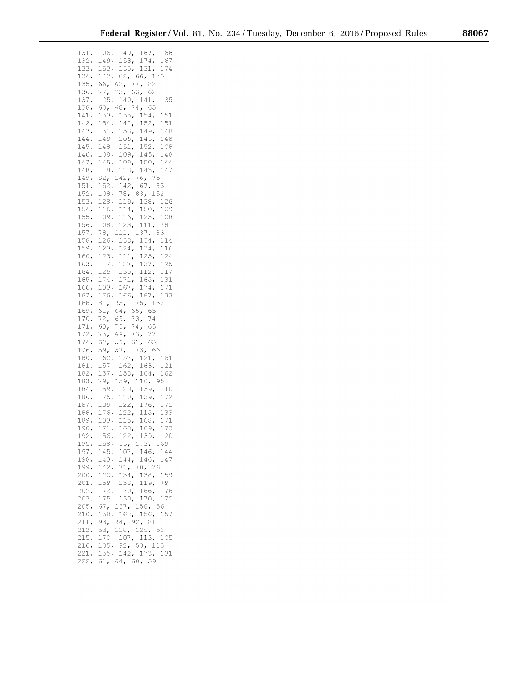|  |  | 8 |
|--|--|---|
|  |  |   |
|  |  |   |
|  |  |   |
|  |  |   |

| 131,         | 106, 149, 167, 166                                                                                                                              |
|--------------|-------------------------------------------------------------------------------------------------------------------------------------------------|
| 132,         |                                                                                                                                                 |
| 133,         | 149, 153, 174, 167<br>153, 155, 131, 174                                                                                                        |
| 134,         | 142, 82, 66, 173                                                                                                                                |
| 135,         | 66, 62,<br>77,82                                                                                                                                |
| 136,         | 73, 63, 62<br>$\frac{77}{125}$                                                                                                                  |
| 137,         | 140, 141,<br>135                                                                                                                                |
| 138,         | 68, 74, 65<br>$60r$                                                                                                                             |
| 141,         | 153, 155, 154,<br>151                                                                                                                           |
| 142,         | $154, 142, 152,$<br>151, 153, 149,<br>151                                                                                                       |
| 143,         | 148                                                                                                                                             |
| 144,         | $149, 106, 145,$<br>148, 151, 152,<br>148                                                                                                       |
| 145,         | 108                                                                                                                                             |
| 146,         | $108, 109, 145, 148$<br>$145, 109, 150, 144$                                                                                                    |
| 147,         |                                                                                                                                                 |
| 148,         | 128, 143,<br>118,<br>147                                                                                                                        |
| 149,         | 76, 75<br>82, 142,                                                                                                                              |
| 151,<br>152, | 67, 83<br>142,<br>152,<br>78, 83, 152<br>108,                                                                                                   |
| 153,         | 128, 119, 138,<br>126                                                                                                                           |
| 154,         | $114$ ,<br>150 <sub>r</sub><br>109<br>116,                                                                                                      |
| 155,         | 109, 116, 123, 108                                                                                                                              |
| 156,         | 108,<br>123,<br>111, 78                                                                                                                         |
| 157,         | 78,<br>111,<br>137, 83                                                                                                                          |
| 158,         | 126, 138, 134,<br>114                                                                                                                           |
| 159,         | 123, 124, 134, 116                                                                                                                              |
| 160,         |                                                                                                                                                 |
| 163,         |                                                                                                                                                 |
| 164,         |                                                                                                                                                 |
| 165,         |                                                                                                                                                 |
| 166,         |                                                                                                                                                 |
| 167,         | 123, 111, 125, 124<br>117, 127, 137, 125<br>125, 135, 112, 117<br>174, 171, 165, 131<br>133, 167, 174, 171<br>176, 166, 167, 133<br>167, 167, 5 |
| 168,         | 81, 95, 175, 132<br>61, 64, 65, 63                                                                                                              |
| 169,         |                                                                                                                                                 |
| 170,         | $\begin{array}{cc} 69 & 73 & 74 \\ 73 & 74 & 65 \end{array}$<br>72,                                                                             |
| 171,         | 63,                                                                                                                                             |
| 172,         | $69, 73, 77$<br>59, 61, 63<br>57, 173, 66<br>75 <sub>r</sub>                                                                                    |
| 174,         | 62,                                                                                                                                             |
| 176,         | 59,                                                                                                                                             |
| 180,<br>181, | 157, 121, 161<br>160,<br>163,                                                                                                                   |
| 182,         | 162,<br>158,<br>121<br>$157$<br>157,<br>$\begin{array}{c} \mathbb{R}^3 \mathbb{R} \\ 164 \mathbb{R} \\ 10 \end{array}$<br>162                   |
| 183,         |                                                                                                                                                 |
| 184,         | 79, 159, 110, 95<br>159, 120, 139, 1<br>110                                                                                                     |
| 186,         | 172                                                                                                                                             |
| 187,         | 175, 110, 139, 139, 139, 122, 176,<br>172                                                                                                       |
| 188,         | 133                                                                                                                                             |
| 189,         | $176, 122, 115,$<br>133, 115, 168,<br>171                                                                                                       |
| 190,         | 168, 169,<br>173<br>171,                                                                                                                        |
| 192,         | 156, 122, 139, 120                                                                                                                              |
| 195,         | 55, 173, 169<br>158,                                                                                                                            |
| 197,         | 107, 146, 144<br>145,                                                                                                                           |
| 198,         | 146,<br>143,<br>144,<br>147                                                                                                                     |
| 199,         | 70, 76<br>71 <sub>r</sub><br>142,                                                                                                               |
| 200,         | 120,<br>134,<br>138,<br>159                                                                                                                     |
| 201,         | 159,<br>138,<br>119,<br>79<br>170, 166, 176                                                                                                     |
| 202,<br>203, | 172,<br>175,<br>130, 170,<br>172                                                                                                                |
| 205,         | 67 <sub>r</sub><br>137, 158, 56                                                                                                                 |
| 210,         | 168, 156, 157<br>158,                                                                                                                           |
| 211,         | 94, 92, 81<br>93,                                                                                                                               |
| 212,         |                                                                                                                                                 |
|              |                                                                                                                                                 |
| 215,         | 118, 129, 52<br>53 <sub>r</sub>                                                                                                                 |
| 216,         | 170,<br>107, 113, 105<br>105,<br>92, 53, 113                                                                                                    |
| 221,         | 155, 142, 173, 131<br>61, 64, 60, 59                                                                                                            |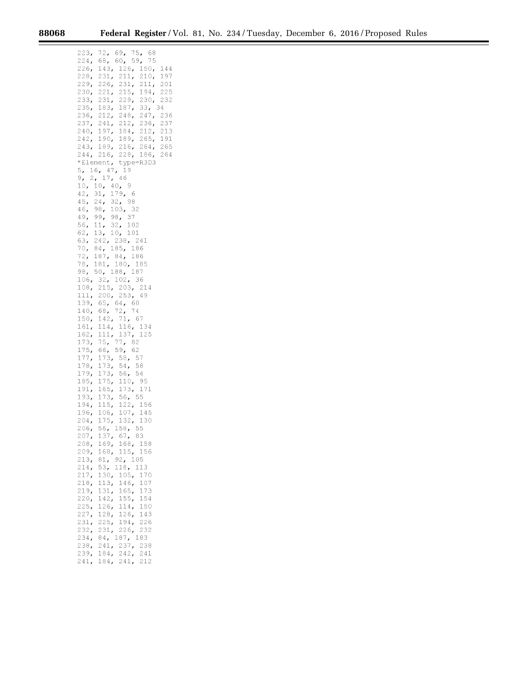223, 72, 69, 75, 68 224, 68, 60, 59, 75<br>226, 143, 126, 150, 144 228, 231, 211, 210, 197 22 9' 226, 231, 211, 201 230, 221, 215, 194' 225 233, 231, 229, 230, 232 235, 183, 187, 33, 34 236, 212, 248, 247, 236 237, 241, 212, 236, 237 240, 197, 184, 212, 213 242, 190, 189, 265, 191 243, 189, 216, 264, 265 244, 216, 228, 186, 264 \*Element, type~R303 5, 16, 47, 19 9, 2, 17, 46  $10, 10, 40, 9$ 42, 31, 179, 6 45, 24, 32, 98 4 6, 98, 103, 32 4 9' 99' 98, 37 56, 11, 32, 102 62, 13, 10, 101 63, 242, 238, 241 7 0, 84, 185, 186 72, 187, 84, 186 78, 181, 180, 185 98, 50, 188, 187 106, 32, 102, 36 108, 215, 203, 214 111, 200, 253, 49 139' 65, 64, 60 140, 68, 72, 74 150, 142, 71, 67 161, 114, 116, 134 162, 111, 137, 125 173, 75, 77, 82 175, 66, 59, 62 177, 173, 58, 57 178, 54, 58 179, 173, 56, 54 185, 175, 110, 95 191, 165, 173, 171 193, 173, 56, 55 194, 115, 122, 156 196, 106, 107, 145 204, 175, 132, 130 206, 56, 158, 55 207, 137, 67, 83 208, 169' 168, 158 209' 168, 115, 156 213, 81, 92, 105 214, 53, 118, 113 217, 130, 105, 170 218, 113, 146, 107 219, 131, 165, 173 220, 142, 155, 154 225, 126, 114, 150 227, 128, 126, 143 231, 225, 194' 226 232, 231, 226, 232 234, 84, 187, 183 238, 241, 237, 238

239' 184, 242, 241 241, 184, 241, 212